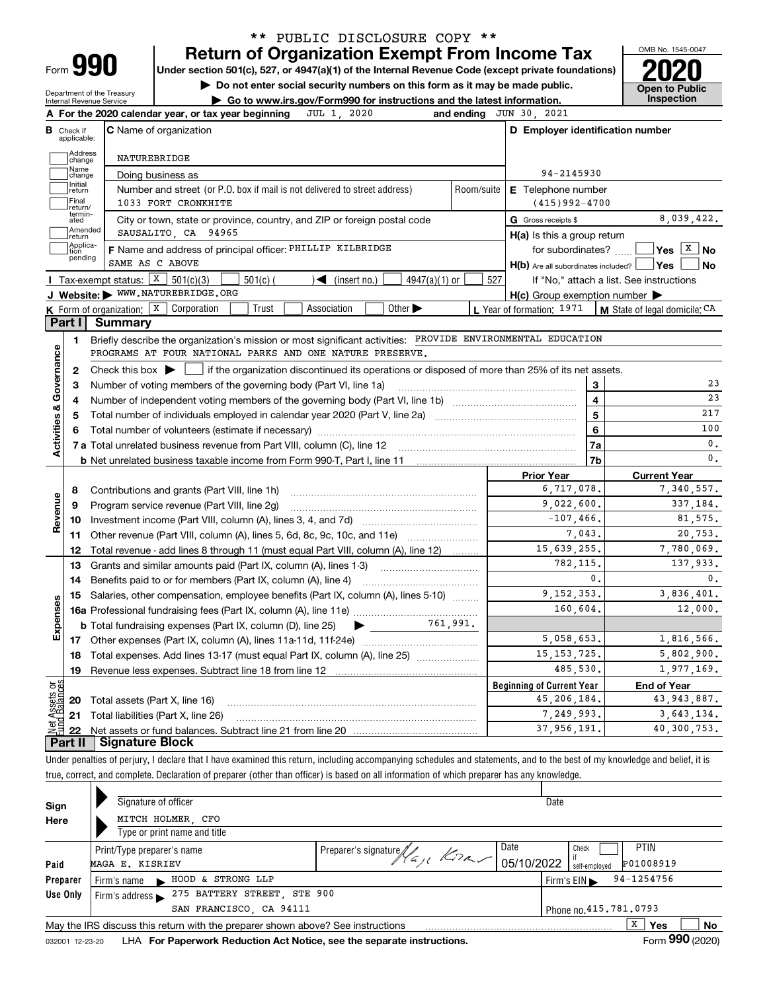| <b>Form</b> |  |
|-------------|--|

## **Return of Organization Exempt From Income Tax** \*\* PUBLIC DISCLOSURE COPY \*\*

**Under section 501(c), 527, or 4947(a)(1) of the Internal Revenue Code (except private foundations) 2020**

**| Do not enter social security numbers on this form as it may be made public.**

Department of the Treasury Internal Revenue Service

**| Go to www.irs.gov/Form990 for instructions and the latest information. Inspection**



|                          |                         | JUL 1, 2020<br>A For the 2020 calendar year, or tax year beginning                                                                                  |            | and ending JUN 30, 2021                             |                                                                   |
|--------------------------|-------------------------|-----------------------------------------------------------------------------------------------------------------------------------------------------|------------|-----------------------------------------------------|-------------------------------------------------------------------|
| В                        | Check if<br>applicable: | C Name of organization                                                                                                                              |            | D Employer identification number                    |                                                                   |
|                          | Address<br>change       | NATUREBRIDGE                                                                                                                                        |            |                                                     |                                                                   |
|                          | Name<br>change          | Doing business as                                                                                                                                   |            | 94-2145930                                          |                                                                   |
|                          | Initial<br>return       | Number and street (or P.O. box if mail is not delivered to street address)                                                                          | Room/suite | E Telephone number                                  |                                                                   |
|                          | Final<br>return/        | 1033 FORT CRONKHITE                                                                                                                                 |            | $(415)992 - 4700$                                   |                                                                   |
|                          | termin-<br>ated         | City or town, state or province, country, and ZIP or foreign postal code                                                                            |            | G Gross receipts \$                                 | 8,039,422.                                                        |
|                          | Amended<br>return       | SAUSALITO CA 94965                                                                                                                                  |            | $H(a)$ is this a group return                       |                                                                   |
|                          | Applica-<br>tion        | F Name and address of principal officer: PHILLIP KILBRIDGE                                                                                          |            |                                                     | for subordinates? $\frac{\Box}{\Box}$ Yes $\boxed{\mathbf{X}}$ No |
|                          | pending                 | SAME AS C ABOVE                                                                                                                                     |            | $H(b)$ Are all subordinates included? $\Box$ Yes    | ∣No                                                               |
|                          |                         | Tax-exempt status: $X$ 501(c)(3)<br>$\sqrt{\frac{1}{1}}$ (insert no.)<br>$4947(a)(1)$ or<br>$501(c)$ (                                              | 527        |                                                     | If "No," attach a list. See instructions                          |
|                          |                         | J Website: WWW.NATUREBRIDGE.ORG                                                                                                                     |            | $H(c)$ Group exemption number $\blacktriangleright$ |                                                                   |
|                          |                         | K Form of organization: $X$ Corporation<br>Trust<br>Association<br>Other $\blacktriangleright$                                                      |            | L Year of formation: 1971                           | $\vert$ M State of legal domicile: $CA$                           |
|                          | Part I                  | Summary                                                                                                                                             |            |                                                     |                                                                   |
|                          | 1.                      | Briefly describe the organization's mission or most significant activities: PROVIDE ENVIRONMENTAL EDUCATION                                         |            |                                                     |                                                                   |
|                          |                         | PROGRAMS AT FOUR NATIONAL PARKS AND ONE NATURE PRESERVE.                                                                                            |            |                                                     |                                                                   |
|                          | $\mathbf{2}$            | Check this box $\blacktriangleright$ $\blacksquare$ if the organization discontinued its operations or disposed of more than 25% of its net assets. |            |                                                     |                                                                   |
|                          | 3                       | Number of voting members of the governing body (Part VI, line 1a)                                                                                   |            | 3                                                   | 23                                                                |
|                          | 4                       |                                                                                                                                                     |            | 4                                                   | 23                                                                |
|                          | 5                       |                                                                                                                                                     |            | 5                                                   | 217                                                               |
|                          |                         |                                                                                                                                                     |            | 6                                                   | 100                                                               |
| Activities & Governance  |                         |                                                                                                                                                     |            | 7a                                                  | $\mathbf{0}$ .                                                    |
|                          |                         |                                                                                                                                                     |            | 7b                                                  | 0.                                                                |
|                          |                         |                                                                                                                                                     |            | <b>Prior Year</b>                                   | <b>Current Year</b>                                               |
|                          | 8                       | Contributions and grants (Part VIII, line 1h)                                                                                                       |            | 6,717,078.                                          | 7,340,557.                                                        |
| Revenue                  | 9                       | Program service revenue (Part VIII, line 2g)                                                                                                        |            | 9,022,600.                                          | 337,184.                                                          |
|                          | 10                      |                                                                                                                                                     |            | $-107,466.$                                         | 81,575.                                                           |
|                          | 11                      | Other revenue (Part VIII, column (A), lines 5, 6d, 8c, 9c, 10c, and 11e)                                                                            |            | 7.043.                                              | 20,753.                                                           |
|                          | 12                      | Total revenue - add lines 8 through 11 (must equal Part VIII, column (A), line 12)                                                                  |            | 15,639,255.                                         | 7,780,069.                                                        |
|                          | 13                      | Grants and similar amounts paid (Part IX, column (A), lines 1-3)                                                                                    |            | 782,115.                                            | 137,933.                                                          |
|                          | 14                      |                                                                                                                                                     |            | 0.                                                  | 0.                                                                |
|                          | 15                      | Salaries, other compensation, employee benefits (Part IX, column (A), lines 5-10)                                                                   |            | 9, 152, 353.                                        | 3,836,401.                                                        |
| Expenses                 |                         |                                                                                                                                                     |            | 160,604.                                            | 12,000.                                                           |
|                          |                         | 761.991.<br><b>b</b> Total fundraising expenses (Part IX, column (D), line 25)<br>$\blacktriangleright$ and $\blacktriangleright$                   |            |                                                     |                                                                   |
|                          |                         |                                                                                                                                                     |            | 5,058,653.                                          | 1,816,566.                                                        |
|                          | 18                      | Total expenses. Add lines 13-17 (must equal Part IX, column (A), line 25) [[[[[[[[[[[[[[[[[[[[[[[[[[                                                |            | 15, 153, 725.                                       | 5,802,900.                                                        |
|                          |                         |                                                                                                                                                     |            | 485,530.                                            | 1,977,169.                                                        |
|                          | 19                      |                                                                                                                                                     |            |                                                     |                                                                   |
|                          |                         |                                                                                                                                                     |            | <b>Beginning of Current Year</b>                    | <b>End of Year</b>                                                |
|                          |                         | <b>20</b> Total assets (Part X, line 16)                                                                                                            |            | 45, 206, 184.                                       |                                                                   |
| ៦ខ្លី<br>ssets<br>Ralanr |                         | 21 Total liabilities (Part X, line 26)                                                                                                              |            | 7,249,993.<br>37.956.191.                           | 43, 943, 887.<br>3,643,134.<br>40.300.753.                        |

Under penalties of perjury, I declare that I have examined this return, including accompanying schedules and statements, and to the best of my knowledge and belief, it is true, correct, and complete. Declaration of preparer (other than officer) is based on all information of which preparer has any knowledge.

| Sign            | Signature of officer                                                            |                                                                                                | Date                       |  |  |  |  |  |  |
|-----------------|---------------------------------------------------------------------------------|------------------------------------------------------------------------------------------------|----------------------------|--|--|--|--|--|--|
| Here            | MITCH HOLMER CFO                                                                |                                                                                                |                            |  |  |  |  |  |  |
|                 | Type or print name and title                                                    |                                                                                                |                            |  |  |  |  |  |  |
|                 | Print/Type preparer's name                                                      | Preparer's signature $\frac{1}{4}$ / $\frac{1}{4}$ / $\frac{1}{4}$ / $\frac{1}{105}$ / 10/2022 | <b>PTIN</b><br>Check       |  |  |  |  |  |  |
| Paid            | MAGA E. KISRIEV                                                                 |                                                                                                | P01008919<br>self-emploved |  |  |  |  |  |  |
| Preparer        | HOOD & STRONG LLP<br>Firm's name $\blacktriangleright$                          |                                                                                                | 94-1254756<br>Firm's $EIN$ |  |  |  |  |  |  |
| Use Only        | Firm's address > 275 BATTERY STREET, STE 900                                    |                                                                                                |                            |  |  |  |  |  |  |
|                 | SAN FRANCISCO, CA 94111<br>Phone no. 415.781.0793                               |                                                                                                |                            |  |  |  |  |  |  |
|                 | May the IRS discuss this return with the preparer shown above? See instructions |                                                                                                | X<br>No<br><b>Yes</b>      |  |  |  |  |  |  |
| 032001 12-23-20 | LHA For Paperwork Reduction Act Notice, see the separate instructions.          |                                                                                                | Form 990 (2020)            |  |  |  |  |  |  |
|                 |                                                                                 |                                                                                                |                            |  |  |  |  |  |  |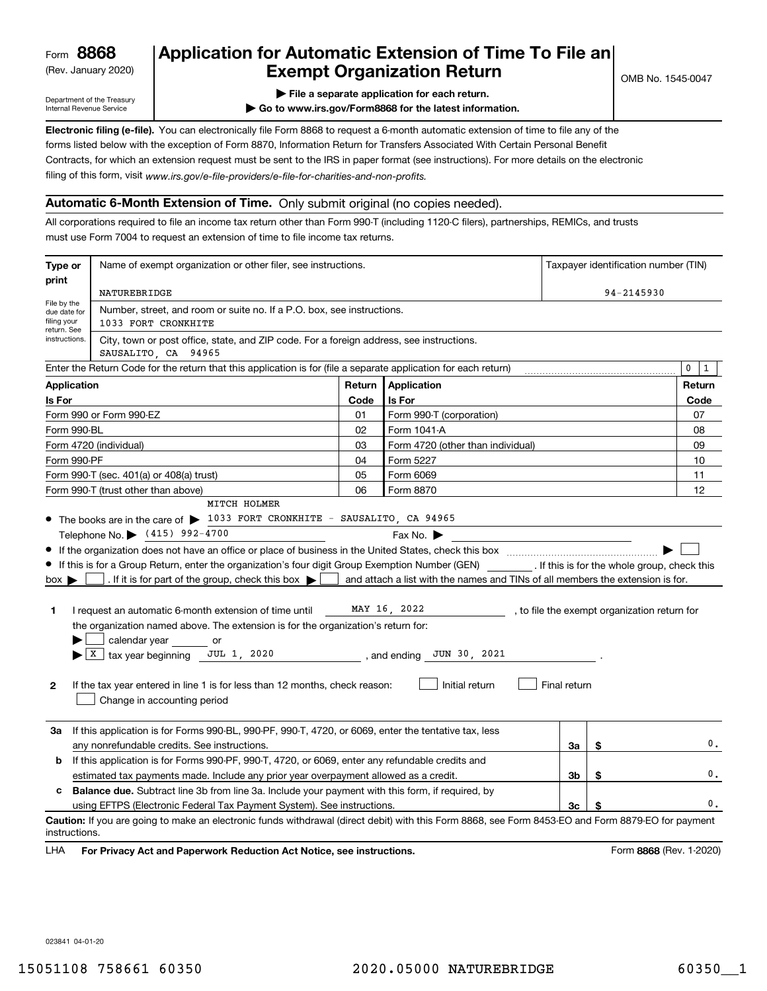(Rev. January 2020)

## **Application for Automatic Extension of Time To File an Exempt Organization Return**

Department of the Treasury Internal Revenue Service

**| File a separate application for each return.**

**| Go to www.irs.gov/Form8868 for the latest information.**

**Electronic filing (e-file).**  You can electronically file Form 8868 to request a 6-month automatic extension of time to file any of the filing of this form, visit www.irs.gov/e-file-providers/e-file-for-charities-and-non-profits. forms listed below with the exception of Form 8870, Information Return for Transfers Associated With Certain Personal Benefit Contracts, for which an extension request must be sent to the IRS in paper format (see instructions). For more details on the electronic

### **Automatic 6-Month Extension of Time.** Only submit original (no copies needed).

All corporations required to file an income tax return other than Form 990-T (including 1120-C filers), partnerships, REMICs, and trusts must use Form 7004 to request an extension of time to file income tax returns.

| Type or                                                                                                                                                                                                                                                                                                                                                                                                                                                                                                                                                                                                                                                                                                                                                                                                                                                                                                                                                                  | Name of exempt organization or other filer, see instructions.                                                                                        | Taxpayer identification number (TIN) |                                   |    |    |                |  |  |  |  |  |
|--------------------------------------------------------------------------------------------------------------------------------------------------------------------------------------------------------------------------------------------------------------------------------------------------------------------------------------------------------------------------------------------------------------------------------------------------------------------------------------------------------------------------------------------------------------------------------------------------------------------------------------------------------------------------------------------------------------------------------------------------------------------------------------------------------------------------------------------------------------------------------------------------------------------------------------------------------------------------|------------------------------------------------------------------------------------------------------------------------------------------------------|--------------------------------------|-----------------------------------|----|----|----------------|--|--|--|--|--|
| print                                                                                                                                                                                                                                                                                                                                                                                                                                                                                                                                                                                                                                                                                                                                                                                                                                                                                                                                                                    | NATUREBRIDGE                                                                                                                                         | 94-2145930                           |                                   |    |    |                |  |  |  |  |  |
| File by the<br>due date for<br>filing your                                                                                                                                                                                                                                                                                                                                                                                                                                                                                                                                                                                                                                                                                                                                                                                                                                                                                                                               | Number, street, and room or suite no. If a P.O. box, see instructions.<br>1033 FORT CRONKHITE                                                        |                                      |                                   |    |    |                |  |  |  |  |  |
| return. See<br>instructions.                                                                                                                                                                                                                                                                                                                                                                                                                                                                                                                                                                                                                                                                                                                                                                                                                                                                                                                                             | City, town or post office, state, and ZIP code. For a foreign address, see instructions.<br>SAUSALITO CA 94965                                       |                                      |                                   |    |    |                |  |  |  |  |  |
|                                                                                                                                                                                                                                                                                                                                                                                                                                                                                                                                                                                                                                                                                                                                                                                                                                                                                                                                                                          | Enter the Return Code for the return that this application is for (file a separate application for each return)                                      |                                      |                                   |    |    |                |  |  |  |  |  |
| Application<br><b>Application</b><br>Return                                                                                                                                                                                                                                                                                                                                                                                                                                                                                                                                                                                                                                                                                                                                                                                                                                                                                                                              |                                                                                                                                                      |                                      |                                   |    |    |                |  |  |  |  |  |
| Is For                                                                                                                                                                                                                                                                                                                                                                                                                                                                                                                                                                                                                                                                                                                                                                                                                                                                                                                                                                   |                                                                                                                                                      | Code                                 | Is For                            |    |    | Code           |  |  |  |  |  |
|                                                                                                                                                                                                                                                                                                                                                                                                                                                                                                                                                                                                                                                                                                                                                                                                                                                                                                                                                                          | Form 990 or Form 990-EZ                                                                                                                              | 01                                   | Form 990-T (corporation)          |    |    | 07             |  |  |  |  |  |
| Form 990-BL                                                                                                                                                                                                                                                                                                                                                                                                                                                                                                                                                                                                                                                                                                                                                                                                                                                                                                                                                              |                                                                                                                                                      | 02                                   | Form 1041-A                       |    |    | 08             |  |  |  |  |  |
|                                                                                                                                                                                                                                                                                                                                                                                                                                                                                                                                                                                                                                                                                                                                                                                                                                                                                                                                                                          | Form 4720 (individual)                                                                                                                               | 03                                   | Form 4720 (other than individual) |    |    | 09             |  |  |  |  |  |
| Form 990-PF                                                                                                                                                                                                                                                                                                                                                                                                                                                                                                                                                                                                                                                                                                                                                                                                                                                                                                                                                              |                                                                                                                                                      | 04                                   | Form 5227                         |    |    | 10             |  |  |  |  |  |
|                                                                                                                                                                                                                                                                                                                                                                                                                                                                                                                                                                                                                                                                                                                                                                                                                                                                                                                                                                          | Form 990-T (sec. 401(a) or 408(a) trust)                                                                                                             | 05                                   | Form 6069                         |    |    | 11             |  |  |  |  |  |
|                                                                                                                                                                                                                                                                                                                                                                                                                                                                                                                                                                                                                                                                                                                                                                                                                                                                                                                                                                          | Form 990-T (trust other than above)                                                                                                                  | 06                                   | Form 8870                         |    |    | 12             |  |  |  |  |  |
| MITCH HOLMER<br>• The books are in the care of > 1033 FORT CRONKHITE - SAUSALITO, CA 94965<br>Telephone No. (415) 992-4700<br>Fax No. $\blacktriangleright$<br>If this is for a Group Return, enter the organization's four digit Group Exemption Number (GEN)<br>. If this is for the whole group, check this<br>. If it is for part of the group, check this box $\blacktriangleright$<br>and attach a list with the names and TINs of all members the extension is for.<br>$box \blacktriangleright$<br>MAY 16, 2022<br>I request an automatic 6-month extension of time until<br>, to file the exempt organization return for<br>1.<br>the organization named above. The extension is for the organization's return for:<br>calendar year or<br>$X$ tax year beginning JUL 1, 2020<br>, and ending JUN 30, 2021<br>Initial return<br>Final return<br>2<br>If the tax year entered in line 1 is for less than 12 months, check reason:<br>Change in accounting period |                                                                                                                                                      |                                      |                                   |    |    |                |  |  |  |  |  |
| За                                                                                                                                                                                                                                                                                                                                                                                                                                                                                                                                                                                                                                                                                                                                                                                                                                                                                                                                                                       | If this application is for Forms 990-BL, 990-PF, 990-T, 4720, or 6069, enter the tentative tax, less<br>any nonrefundable credits. See instructions. |                                      |                                   | За | \$ | $\mathbf{0}$ . |  |  |  |  |  |
| b                                                                                                                                                                                                                                                                                                                                                                                                                                                                                                                                                                                                                                                                                                                                                                                                                                                                                                                                                                        | If this application is for Forms 990-PF, 990-T, 4720, or 6069, enter any refundable credits and                                                      |                                      |                                   |    |    |                |  |  |  |  |  |
|                                                                                                                                                                                                                                                                                                                                                                                                                                                                                                                                                                                                                                                                                                                                                                                                                                                                                                                                                                          | estimated tax payments made. Include any prior year overpayment allowed as a credit.                                                                 |                                      |                                   | Зb | \$ | $\mathbf{0}$ . |  |  |  |  |  |
| c                                                                                                                                                                                                                                                                                                                                                                                                                                                                                                                                                                                                                                                                                                                                                                                                                                                                                                                                                                        | <b>Balance due.</b> Subtract line 3b from line 3a. Include your payment with this form, if required, by                                              |                                      |                                   |    |    |                |  |  |  |  |  |
|                                                                                                                                                                                                                                                                                                                                                                                                                                                                                                                                                                                                                                                                                                                                                                                                                                                                                                                                                                          | using EFTPS (Electronic Federal Tax Payment System). See instructions.                                                                               |                                      |                                   | Зc | S  | 0.             |  |  |  |  |  |
| instructions.                                                                                                                                                                                                                                                                                                                                                                                                                                                                                                                                                                                                                                                                                                                                                                                                                                                                                                                                                            | Caution: If you are going to make an electronic funds withdrawal (direct debit) with this Form 8868, see Form 8453-EO and Form 8879-EO for payment   |                                      |                                   |    |    |                |  |  |  |  |  |

**HA** For Privacy Act and Paperwork Reduction Act Notice, see instructions. **Both Conservant Conservant Conservant Conservant Conservant Conservant Conservation Act Notice, see instructions.** LHA

023841 04-01-20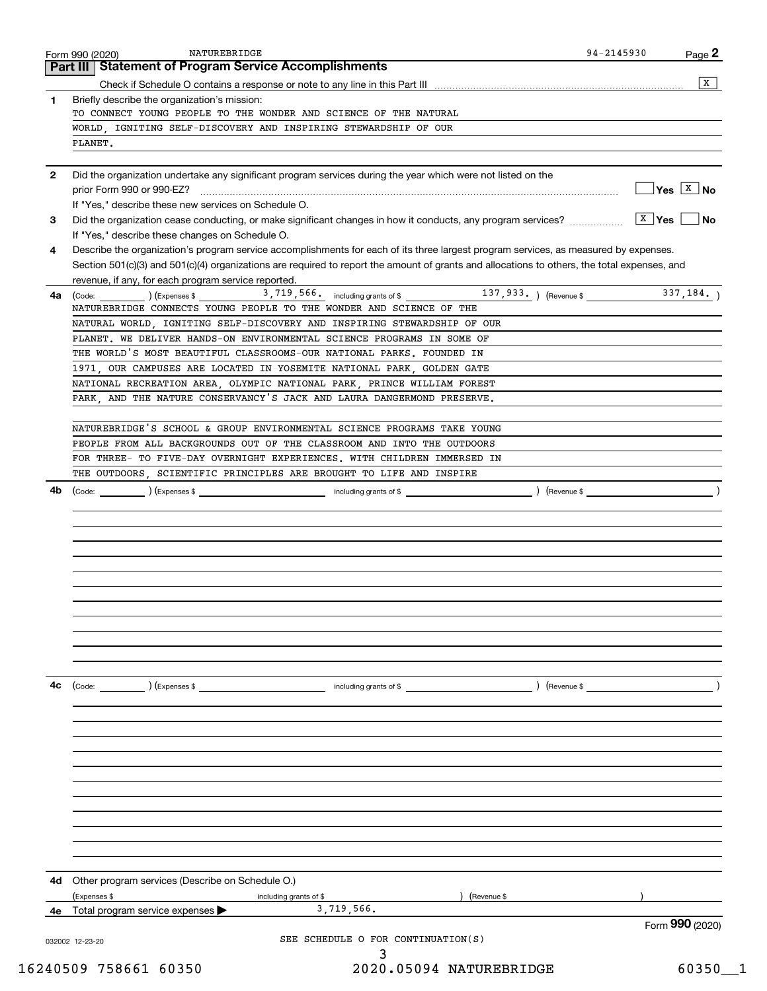|              | Part III   Statement of Program Service Accomplishments                                                                                                                         | X         |
|--------------|---------------------------------------------------------------------------------------------------------------------------------------------------------------------------------|-----------|
|              |                                                                                                                                                                                 |           |
| 1            | Briefly describe the organization's mission:<br>TO CONNECT YOUNG PEOPLE TO THE WONDER AND SCIENCE OF THE NATURAL                                                                |           |
|              | WORLD IGNITING SELF-DISCOVERY AND INSPIRING STEWARDSHIP OF OUR                                                                                                                  |           |
|              | PLANET.                                                                                                                                                                         |           |
|              |                                                                                                                                                                                 |           |
| $\mathbf{2}$ | Did the organization undertake any significant program services during the year which were not listed on the                                                                    |           |
|              | $\sqrt{\mathsf{Yes}}$ $\sqrt{\mathsf{X}}$ No                                                                                                                                    |           |
|              | If "Yes," describe these new services on Schedule O.                                                                                                                            |           |
| 3            | <b>X</b> Yes<br>Did the organization cease conducting, or make significant changes in how it conducts, any program services?<br>If "Yes," describe these changes on Schedule O. | ∣No       |
| 4            | Describe the organization's program service accomplishments for each of its three largest program services, as measured by expenses.                                            |           |
|              | Section 501(c)(3) and 501(c)(4) organizations are required to report the amount of grants and allocations to others, the total expenses, and                                    |           |
|              | revenue, if any, for each program service reported.                                                                                                                             |           |
| 4a           | (Code: ) (Expenses \$ 3,719,566. including grants of \$ 137,933. ) (Revenue \$                                                                                                  | 337, 184. |
|              | NATUREBRIDGE CONNECTS YOUNG PEOPLE TO THE WONDER AND SCIENCE OF THE                                                                                                             |           |
|              | NATURAL WORLD, IGNITING SELF-DISCOVERY AND INSPIRING STEWARDSHIP OF OUR                                                                                                         |           |
|              | PLANET. WE DELIVER HANDS-ON ENVIRONMENTAL SCIENCE PROGRAMS IN SOME OF                                                                                                           |           |
|              | THE WORLD'S MOST BEAUTIFUL CLASSROOMS-OUR NATIONAL PARKS. FOUNDED IN                                                                                                            |           |
|              | 1971, OUR CAMPUSES ARE LOCATED IN YOSEMITE NATIONAL PARK, GOLDEN GATE                                                                                                           |           |
|              | NATIONAL RECREATION AREA, OLYMPIC NATIONAL PARK, PRINCE WILLIAM FOREST                                                                                                          |           |
|              | PARK AND THE NATURE CONSERVANCY'S JACK AND LAURA DANGERMOND PRESERVE.                                                                                                           |           |
|              |                                                                                                                                                                                 |           |
|              | NATUREBRIDGE'S SCHOOL & GROUP ENVIRONMENTAL SCIENCE PROGRAMS TAKE YOUNG                                                                                                         |           |
|              | PEOPLE FROM ALL BACKGROUNDS OUT OF THE CLASSROOM AND INTO THE OUTDOORS                                                                                                          |           |
|              | FOR THREE- TO FIVE-DAY OVERNIGHT EXPERIENCES. WITH CHILDREN IMMERSED IN                                                                                                         |           |
|              |                                                                                                                                                                                 |           |
|              |                                                                                                                                                                                 |           |
|              |                                                                                                                                                                                 |           |
| 4c           | ) (Revenue \$<br>(Code:<br>) (Expenses \$<br>including grants of \$                                                                                                             |           |
|              |                                                                                                                                                                                 |           |
|              |                                                                                                                                                                                 |           |
| 4d           | Other program services (Describe on Schedule O.)<br>(Expenses \$<br>including grants of \$<br>(Revenue \$                                                                       |           |
| 4e           | 3,719,566.<br>Total program service expenses                                                                                                                                    |           |
|              | Form 990 (2020)<br>SEE SCHEDULE O FOR CONTINUATION(S)                                                                                                                           |           |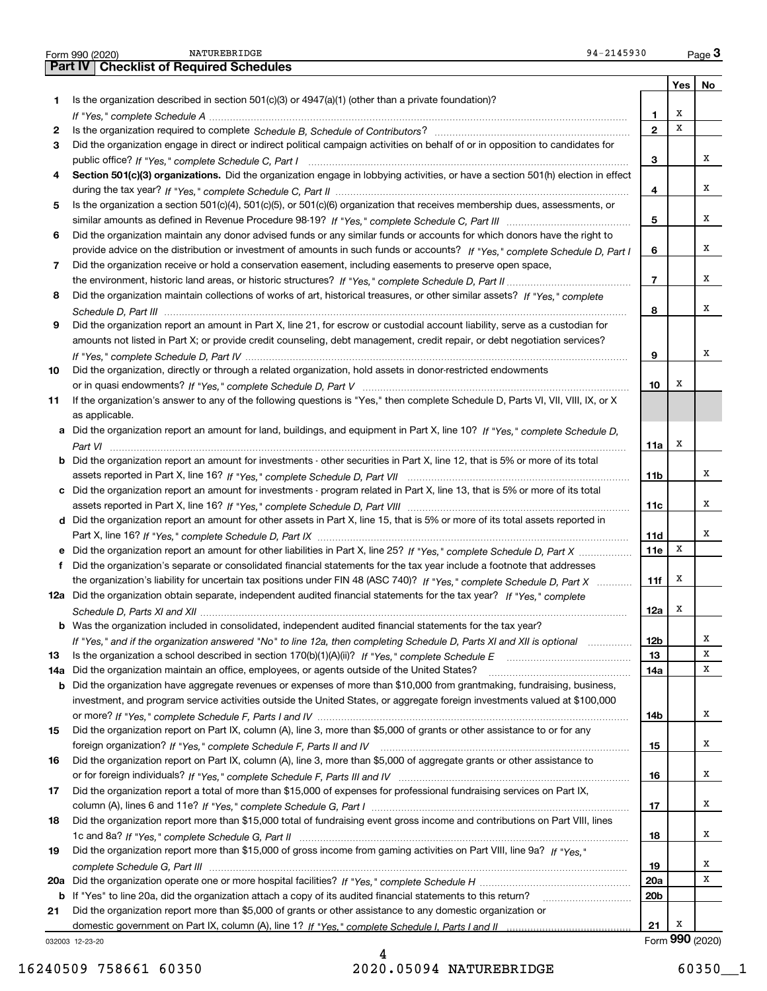|     | 94-2145930<br>NATUREBRIDGE<br>Form 990 (2020)                                                                                                                                                                              |                 |     | Page $3$        |
|-----|----------------------------------------------------------------------------------------------------------------------------------------------------------------------------------------------------------------------------|-----------------|-----|-----------------|
|     | <b>Part IV   Checklist of Required Schedules</b>                                                                                                                                                                           |                 |     |                 |
|     |                                                                                                                                                                                                                            |                 | Yes | No              |
| 1   | Is the organization described in section $501(c)(3)$ or $4947(a)(1)$ (other than a private foundation)?                                                                                                                    |                 |     |                 |
|     |                                                                                                                                                                                                                            | 1               | х   |                 |
| 2   |                                                                                                                                                                                                                            | $\mathbf{2}$    | x   |                 |
| 3   | Did the organization engage in direct or indirect political campaign activities on behalf of or in opposition to candidates for                                                                                            |                 |     |                 |
|     |                                                                                                                                                                                                                            | 3               |     | х               |
| 4   | Section 501(c)(3) organizations. Did the organization engage in lobbying activities, or have a section 501(h) election in effect                                                                                           |                 |     |                 |
|     |                                                                                                                                                                                                                            | 4               |     | x               |
| 5   | Is the organization a section 501(c)(4), 501(c)(5), or 501(c)(6) organization that receives membership dues, assessments, or                                                                                               |                 |     |                 |
|     |                                                                                                                                                                                                                            | 5               |     | x               |
| 6   | Did the organization maintain any donor advised funds or any similar funds or accounts for which donors have the right to                                                                                                  |                 |     |                 |
|     | provide advice on the distribution or investment of amounts in such funds or accounts? If "Yes," complete Schedule D, Part I                                                                                               | 6               |     | x               |
|     |                                                                                                                                                                                                                            |                 |     |                 |
| 7   | Did the organization receive or hold a conservation easement, including easements to preserve open space,                                                                                                                  | $\overline{7}$  |     | x               |
|     |                                                                                                                                                                                                                            |                 |     |                 |
| 8   | Did the organization maintain collections of works of art, historical treasures, or other similar assets? If "Yes," complete                                                                                               |                 |     | x               |
|     |                                                                                                                                                                                                                            | 8               |     |                 |
| 9   | Did the organization report an amount in Part X, line 21, for escrow or custodial account liability, serve as a custodian for                                                                                              |                 |     |                 |
|     | amounts not listed in Part X; or provide credit counseling, debt management, credit repair, or debt negotiation services?                                                                                                  |                 |     |                 |
|     |                                                                                                                                                                                                                            | 9               |     | х               |
| 10  | Did the organization, directly or through a related organization, hold assets in donor-restricted endowments                                                                                                               |                 |     |                 |
|     |                                                                                                                                                                                                                            | 10              | х   |                 |
| 11  | If the organization's answer to any of the following questions is "Yes," then complete Schedule D, Parts VI, VII, VIII, IX, or X                                                                                           |                 |     |                 |
|     | as applicable.                                                                                                                                                                                                             |                 |     |                 |
|     | a Did the organization report an amount for land, buildings, and equipment in Part X, line 10? If "Yes," complete Schedule D.                                                                                              |                 |     |                 |
|     |                                                                                                                                                                                                                            | 11a             | х   |                 |
|     | <b>b</b> Did the organization report an amount for investments - other securities in Part X, line 12, that is 5% or more of its total                                                                                      |                 |     |                 |
|     |                                                                                                                                                                                                                            | 11 <sub>b</sub> |     | х               |
|     | c Did the organization report an amount for investments - program related in Part X, line 13, that is 5% or more of its total                                                                                              |                 |     |                 |
|     |                                                                                                                                                                                                                            | 11c             |     | х               |
|     | d Did the organization report an amount for other assets in Part X, line 15, that is 5% or more of its total assets reported in                                                                                            |                 |     |                 |
|     |                                                                                                                                                                                                                            | 11d             |     | x               |
|     | e Did the organization report an amount for other liabilities in Part X, line 25? If "Yes," complete Schedule D, Part X                                                                                                    | 11e             | Х   |                 |
| f   | Did the organization's separate or consolidated financial statements for the tax year include a footnote that addresses                                                                                                    |                 |     |                 |
|     | the organization's liability for uncertain tax positions under FIN 48 (ASC 740)? If "Yes," complete Schedule D, Part X                                                                                                     | 11f             | х   |                 |
|     | 12a Did the organization obtain separate, independent audited financial statements for the tax year? If "Yes," complete                                                                                                    |                 |     |                 |
|     |                                                                                                                                                                                                                            | 12a             | X   |                 |
|     | <b>b</b> Was the organization included in consolidated, independent audited financial statements for the tax year?                                                                                                         |                 |     |                 |
|     |                                                                                                                                                                                                                            | 12 <sub>b</sub> |     | x               |
| 13  | If "Yes," and if the organization answered "No" to line 12a, then completing Schedule D, Parts XI and XII is optional<br>Is the organization a school described in section 170(b)(1)(A)(ii)? If "Yes," complete Schedule E | 13              |     | X               |
|     |                                                                                                                                                                                                                            |                 |     | X               |
| 14a | Did the organization maintain an office, employees, or agents outside of the United States?<br>Did the organization have aggregate revenues or expenses of more than \$10,000 from grantmaking, fundraising, business,     | 14a             |     |                 |
| b   |                                                                                                                                                                                                                            |                 |     |                 |
|     | investment, and program service activities outside the United States, or aggregate foreign investments valued at \$100,000                                                                                                 |                 |     | x               |
|     | Did the organization report on Part IX, column (A), line 3, more than \$5,000 of grants or other assistance to or for any                                                                                                  | 14b             |     |                 |
| 15  |                                                                                                                                                                                                                            |                 |     |                 |
|     |                                                                                                                                                                                                                            | 15              |     | x               |
| 16  | Did the organization report on Part IX, column (A), line 3, more than \$5,000 of aggregate grants or other assistance to                                                                                                   |                 |     |                 |
|     |                                                                                                                                                                                                                            | 16              |     | x               |
| 17  | Did the organization report a total of more than \$15,000 of expenses for professional fundraising services on Part IX,                                                                                                    |                 |     |                 |
|     |                                                                                                                                                                                                                            | 17              |     | x               |
| 18  | Did the organization report more than \$15,000 total of fundraising event gross income and contributions on Part VIII, lines                                                                                               |                 |     |                 |
|     |                                                                                                                                                                                                                            | 18              |     | x               |
| 19  | Did the organization report more than \$15,000 of gross income from gaming activities on Part VIII, line 9a? If "Yes."                                                                                                     |                 |     |                 |
|     |                                                                                                                                                                                                                            | 19              |     | x               |
|     |                                                                                                                                                                                                                            | 20a             |     | X               |
|     | b If "Yes" to line 20a, did the organization attach a copy of its audited financial statements to this return?                                                                                                             | 20 <sub>b</sub> |     |                 |
| 21  | Did the organization report more than \$5,000 of grants or other assistance to any domestic organization or                                                                                                                |                 |     |                 |
|     |                                                                                                                                                                                                                            | 21              | х   |                 |
|     | 032003 12-23-20                                                                                                                                                                                                            |                 |     | Form 990 (2020) |

Form 990 (2020) MATUREBRIDGE MATUREBRIDGE AND SALE SERVICE STATES AND RESERVE SERVICE SERVICE SERVICE SERVICE S

94-2145930

NATUREBRIDGE

032003 12-23-20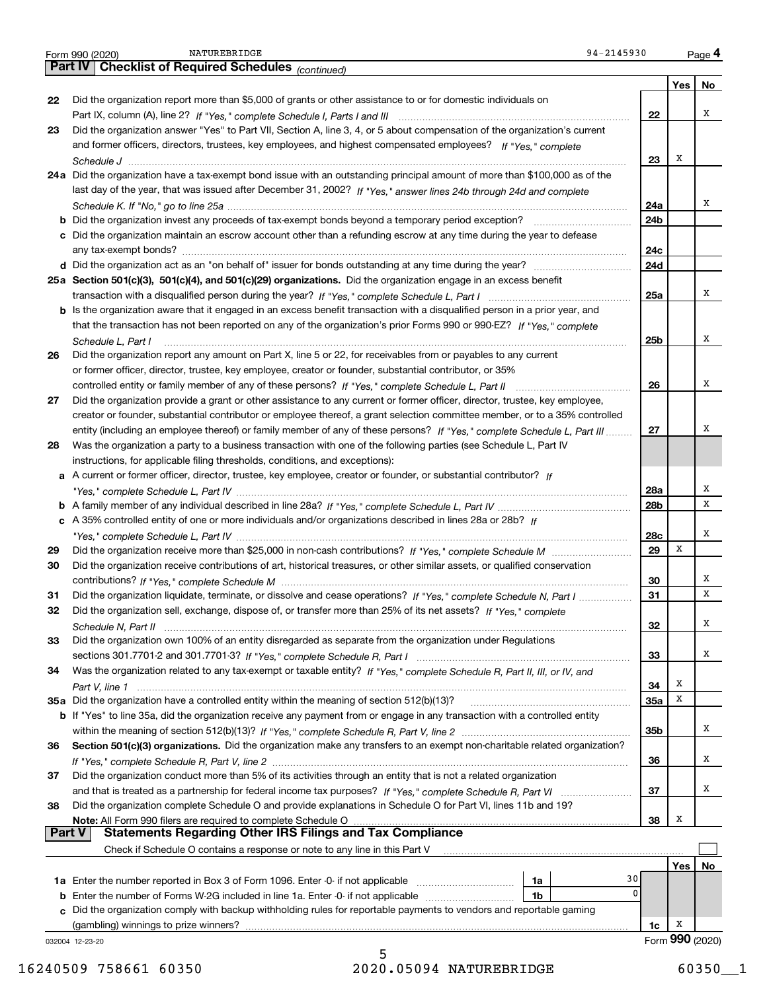|               | 94-2145930<br>NATUREBRIDGE<br>Form 990 (2020)                                                                                |                 |     | Page 4          |
|---------------|------------------------------------------------------------------------------------------------------------------------------|-----------------|-----|-----------------|
|               | Part IV   Checklist of Required Schedules (continued)                                                                        |                 |     |                 |
|               |                                                                                                                              |                 | Yes | No              |
| 22            | Did the organization report more than \$5,000 of grants or other assistance to or for domestic individuals on                |                 |     |                 |
|               |                                                                                                                              | 22              |     | х               |
| 23            | Did the organization answer "Yes" to Part VII, Section A, line 3, 4, or 5 about compensation of the organization's current   |                 |     |                 |
|               | and former officers, directors, trustees, key employees, and highest compensated employees? If "Yes," complete               |                 |     |                 |
|               |                                                                                                                              | 23              | X   |                 |
|               | 24a Did the organization have a tax-exempt bond issue with an outstanding principal amount of more than \$100,000 as of the  |                 |     |                 |
|               | last day of the year, that was issued after December 31, 2002? If "Yes," answer lines 24b through 24d and complete           |                 |     |                 |
|               |                                                                                                                              | 24a             |     | х               |
|               |                                                                                                                              | 24b             |     |                 |
|               | c Did the organization maintain an escrow account other than a refunding escrow at any time during the year to defease       |                 |     |                 |
|               |                                                                                                                              |                 |     |                 |
|               |                                                                                                                              | 24c             |     |                 |
|               |                                                                                                                              | 24d             |     |                 |
|               | 25a Section 501(c)(3), 501(c)(4), and 501(c)(29) organizations. Did the organization engage in an excess benefit             |                 |     |                 |
|               |                                                                                                                              | 25a             |     | х               |
|               | b Is the organization aware that it engaged in an excess benefit transaction with a disqualified person in a prior year, and |                 |     |                 |
|               | that the transaction has not been reported on any of the organization's prior Forms 990 or 990-EZ? If "Yes," complete        |                 |     |                 |
|               | Schedule L, Part I                                                                                                           | 25b             |     | х               |
| 26            | Did the organization report any amount on Part X, line 5 or 22, for receivables from or payables to any current              |                 |     |                 |
|               | or former officer, director, trustee, key employee, creator or founder, substantial contributor, or 35%                      |                 |     |                 |
|               |                                                                                                                              | 26              |     | х               |
| 27            | Did the organization provide a grant or other assistance to any current or former officer, director, trustee, key employee,  |                 |     |                 |
|               | creator or founder, substantial contributor or employee thereof, a grant selection committee member, or to a 35% controlled  |                 |     |                 |
|               | entity (including an employee thereof) or family member of any of these persons? If "Yes," complete Schedule L, Part III     | 27              |     | х               |
| 28            | Was the organization a party to a business transaction with one of the following parties (see Schedule L, Part IV            |                 |     |                 |
|               | instructions, for applicable filing thresholds, conditions, and exceptions):                                                 |                 |     |                 |
|               | a A current or former officer, director, trustee, key employee, creator or founder, or substantial contributor? If           |                 |     |                 |
|               |                                                                                                                              | 28a             |     | х               |
|               |                                                                                                                              | 28 <sub>b</sub> |     | x               |
|               | c A 35% controlled entity of one or more individuals and/or organizations described in lines 28a or 28b? If                  |                 |     |                 |
|               |                                                                                                                              | 28c             |     | х               |
| 29            |                                                                                                                              | 29              | x   |                 |
| 30            | Did the organization receive contributions of art, historical treasures, or other similar assets, or qualified conservation  |                 |     |                 |
|               |                                                                                                                              | 30              |     | х               |
| 31            | Did the organization liquidate, terminate, or dissolve and cease operations? If "Yes," complete Schedule N, Part I           | 31              |     | x               |
|               | Did the organization sell, exchange, dispose of, or transfer more than 25% of its net assets? If "Yes," complete             |                 |     |                 |
| 32            |                                                                                                                              | 32              |     | х               |
|               |                                                                                                                              |                 |     |                 |
| 33            | Did the organization own 100% of an entity disregarded as separate from the organization under Regulations                   |                 |     | х               |
|               |                                                                                                                              | 33              |     |                 |
| 34            | Was the organization related to any tax-exempt or taxable entity? If "Yes," complete Schedule R, Part II, III, or IV, and    |                 |     |                 |
|               |                                                                                                                              | 34              | Х   |                 |
|               | 35a Did the organization have a controlled entity within the meaning of section 512(b)(13)?                                  | 35a             | x   |                 |
|               | b If "Yes" to line 35a, did the organization receive any payment from or engage in any transaction with a controlled entity  |                 |     |                 |
|               |                                                                                                                              | 35b             |     | х               |
| 36            | Section 501(c)(3) organizations. Did the organization make any transfers to an exempt non-charitable related organization?   |                 |     |                 |
|               |                                                                                                                              | 36              |     | х               |
| 37            | Did the organization conduct more than 5% of its activities through an entity that is not a related organization             |                 |     |                 |
|               |                                                                                                                              | 37              |     | х               |
| 38            | Did the organization complete Schedule O and provide explanations in Schedule O for Part VI, lines 11b and 19?               |                 |     |                 |
|               | Note: All Form 990 filers are required to complete Schedule O                                                                | 38              | Х   |                 |
| <b>Part V</b> | <b>Statements Regarding Other IRS Filings and Tax Compliance</b>                                                             |                 |     |                 |
|               | Check if Schedule O contains a response or note to any line in this Part V                                                   |                 |     |                 |
|               |                                                                                                                              |                 | Yes | No              |
|               | 30<br>1a                                                                                                                     |                 |     |                 |
|               | 0<br><b>b</b> Enter the number of Forms W-2G included in line 1a. Enter -0- if not applicable<br>1b                          |                 |     |                 |
|               | c Did the organization comply with backup withholding rules for reportable payments to vendors and reportable gaming         |                 |     |                 |
|               | (gambling) winnings to prize winners?                                                                                        | 1c              | х   |                 |
|               | 032004 12-23-20                                                                                                              |                 |     | Form 990 (2020) |
|               |                                                                                                                              |                 |     |                 |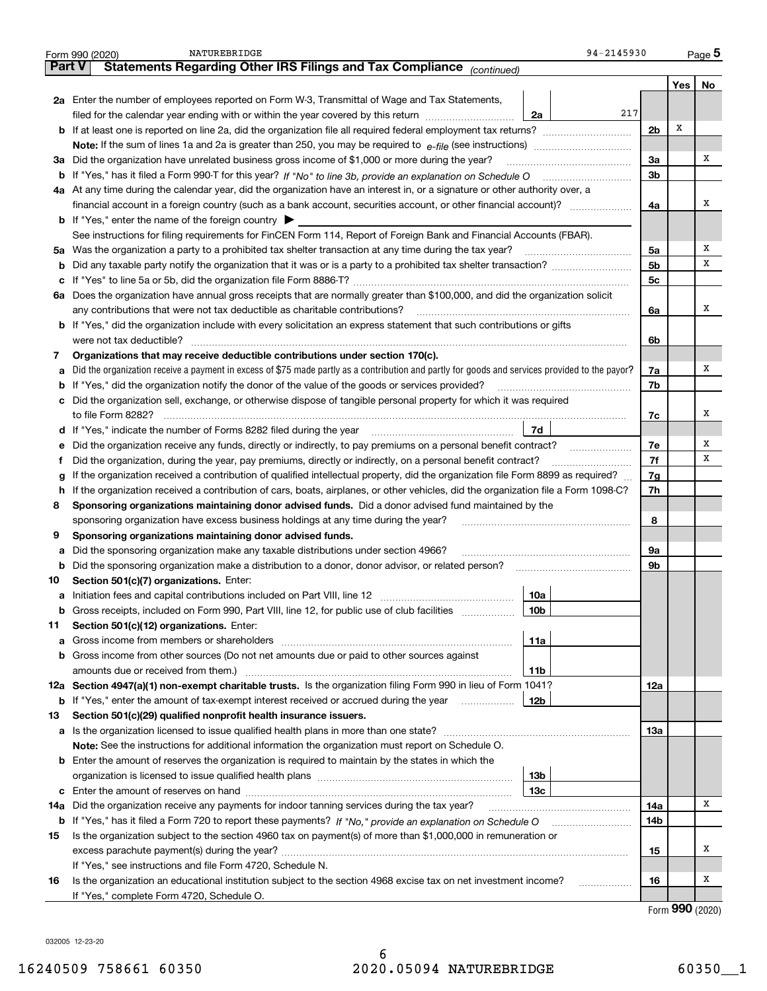|               | 94-2145930<br>NATUREBRIDGE<br>Form 990 (2020)                                                                                                                             |                |     | Page 5 |  |  |  |  |  |  |  |
|---------------|---------------------------------------------------------------------------------------------------------------------------------------------------------------------------|----------------|-----|--------|--|--|--|--|--|--|--|
| <b>Part V</b> | Statements Regarding Other IRS Filings and Tax Compliance (continued)                                                                                                     |                |     |        |  |  |  |  |  |  |  |
|               |                                                                                                                                                                           |                | Yes | No     |  |  |  |  |  |  |  |
|               | 2a Enter the number of employees reported on Form W-3, Transmittal of Wage and Tax Statements,                                                                            |                |     |        |  |  |  |  |  |  |  |
|               | 217<br>filed for the calendar year ending with or within the year covered by this return<br>2a                                                                            |                |     |        |  |  |  |  |  |  |  |
|               |                                                                                                                                                                           | 2 <sub>b</sub> | х   |        |  |  |  |  |  |  |  |
|               |                                                                                                                                                                           |                |     |        |  |  |  |  |  |  |  |
|               | 3a Did the organization have unrelated business gross income of \$1,000 or more during the year?                                                                          |                |     |        |  |  |  |  |  |  |  |
|               |                                                                                                                                                                           |                |     |        |  |  |  |  |  |  |  |
|               | 4a At any time during the calendar year, did the organization have an interest in, or a signature or other authority over, a                                              |                |     |        |  |  |  |  |  |  |  |
|               | financial account in a foreign country (such as a bank account, securities account, or other financial account)?                                                          | 4a             |     | х      |  |  |  |  |  |  |  |
|               | <b>b</b> If "Yes," enter the name of the foreign country $\triangleright$                                                                                                 |                |     |        |  |  |  |  |  |  |  |
|               | See instructions for filing requirements for FinCEN Form 114, Report of Foreign Bank and Financial Accounts (FBAR).                                                       |                |     |        |  |  |  |  |  |  |  |
|               | 5a Was the organization a party to a prohibited tax shelter transaction at any time during the tax year?                                                                  | 5a             |     | х      |  |  |  |  |  |  |  |
| b             |                                                                                                                                                                           | 5b             |     | х      |  |  |  |  |  |  |  |
| c             |                                                                                                                                                                           | 5c             |     |        |  |  |  |  |  |  |  |
|               | 6a Does the organization have annual gross receipts that are normally greater than \$100,000, and did the organization solicit                                            |                |     |        |  |  |  |  |  |  |  |
|               | any contributions that were not tax deductible as charitable contributions?                                                                                               | 6a             |     | х      |  |  |  |  |  |  |  |
|               | <b>b</b> If "Yes," did the organization include with every solicitation an express statement that such contributions or gifts                                             |                |     |        |  |  |  |  |  |  |  |
|               | were not tax deductible?                                                                                                                                                  | 6b             |     |        |  |  |  |  |  |  |  |
| 7             | Organizations that may receive deductible contributions under section 170(c).                                                                                             |                |     |        |  |  |  |  |  |  |  |
| a             | Did the organization receive a payment in excess of \$75 made partly as a contribution and partly for goods and services provided to the payor?                           | 7a             |     | х      |  |  |  |  |  |  |  |
|               | <b>b</b> If "Yes," did the organization notify the donor of the value of the goods or services provided?                                                                  | 7b             |     |        |  |  |  |  |  |  |  |
|               | c Did the organization sell, exchange, or otherwise dispose of tangible personal property for which it was required                                                       |                |     |        |  |  |  |  |  |  |  |
|               | to file Form 8282?                                                                                                                                                        | 7c             |     | х      |  |  |  |  |  |  |  |
|               | 7d                                                                                                                                                                        |                |     |        |  |  |  |  |  |  |  |
| е             | Did the organization receive any funds, directly or indirectly, to pay premiums on a personal benefit contract?                                                           | 7e             |     | х      |  |  |  |  |  |  |  |
| f             | Did the organization, during the year, pay premiums, directly or indirectly, on a personal benefit contract?                                                              | 7f             |     | х      |  |  |  |  |  |  |  |
| g             | If the organization received a contribution of qualified intellectual property, did the organization file Form 8899 as required?                                          |                |     |        |  |  |  |  |  |  |  |
| h.            | If the organization received a contribution of cars, boats, airplanes, or other vehicles, did the organization file a Form 1098-C?                                        |                |     |        |  |  |  |  |  |  |  |
| 8             | Sponsoring organizations maintaining donor advised funds. Did a donor advised fund maintained by the                                                                      |                |     |        |  |  |  |  |  |  |  |
|               | sponsoring organization have excess business holdings at any time during the year?                                                                                        | 8              |     |        |  |  |  |  |  |  |  |
| 9             | Sponsoring organizations maintaining donor advised funds.                                                                                                                 |                |     |        |  |  |  |  |  |  |  |
| a             | Did the sponsoring organization make any taxable distributions under section 4966?                                                                                        | 9a             |     |        |  |  |  |  |  |  |  |
| b             | Did the sponsoring organization make a distribution to a donor, donor advisor, or related person?                                                                         | 9b             |     |        |  |  |  |  |  |  |  |
| 10            | Section 501(c)(7) organizations. Enter:                                                                                                                                   |                |     |        |  |  |  |  |  |  |  |
|               | 10a                                                                                                                                                                       |                |     |        |  |  |  |  |  |  |  |
|               | 10 <sub>b</sub><br>Gross receipts, included on Form 990, Part VIII, line 12, for public use of club facilities                                                            |                |     |        |  |  |  |  |  |  |  |
| 11            | Section 501(c)(12) organizations. Enter:                                                                                                                                  |                |     |        |  |  |  |  |  |  |  |
| a             | Gross income from members or shareholders<br>11a                                                                                                                          |                |     |        |  |  |  |  |  |  |  |
| b             | Gross income from other sources (Do not net amounts due or paid to other sources against                                                                                  |                |     |        |  |  |  |  |  |  |  |
|               | amounts due or received from them.)<br>11b                                                                                                                                |                |     |        |  |  |  |  |  |  |  |
|               | 12a Section 4947(a)(1) non-exempt charitable trusts. Is the organization filing Form 990 in lieu of Form 1041?                                                            | 12a            |     |        |  |  |  |  |  |  |  |
|               | 12b<br><b>b</b> If "Yes," enter the amount of tax-exempt interest received or accrued during the year<br>Section 501(c)(29) qualified nonprofit health insurance issuers. |                |     |        |  |  |  |  |  |  |  |
| 13<br>a       | Is the organization licensed to issue qualified health plans in more than one state?                                                                                      | 13а            |     |        |  |  |  |  |  |  |  |
|               | Note: See the instructions for additional information the organization must report on Schedule O.                                                                         |                |     |        |  |  |  |  |  |  |  |
|               | <b>b</b> Enter the amount of reserves the organization is required to maintain by the states in which the                                                                 |                |     |        |  |  |  |  |  |  |  |
|               | 13b                                                                                                                                                                       |                |     |        |  |  |  |  |  |  |  |
|               | 13c                                                                                                                                                                       |                |     |        |  |  |  |  |  |  |  |
| 14a           | Did the organization receive any payments for indoor tanning services during the tax year?                                                                                | 14a            |     | x      |  |  |  |  |  |  |  |
|               | <b>b</b> If "Yes," has it filed a Form 720 to report these payments? If "No," provide an explanation on Schedule O                                                        | 14b            |     |        |  |  |  |  |  |  |  |
| 15            | Is the organization subject to the section 4960 tax on payment(s) of more than \$1,000,000 in remuneration or                                                             |                |     |        |  |  |  |  |  |  |  |
|               |                                                                                                                                                                           | 15             |     | x      |  |  |  |  |  |  |  |
|               | If "Yes," see instructions and file Form 4720, Schedule N.                                                                                                                |                |     |        |  |  |  |  |  |  |  |
| 16            | Is the organization an educational institution subject to the section 4968 excise tax on net investment income?                                                           | 16             |     | х      |  |  |  |  |  |  |  |
|               | If "Yes," complete Form 4720, Schedule O.                                                                                                                                 |                |     |        |  |  |  |  |  |  |  |
|               |                                                                                                                                                                           |                |     |        |  |  |  |  |  |  |  |

Form (2020) **990**

032005 12-23-20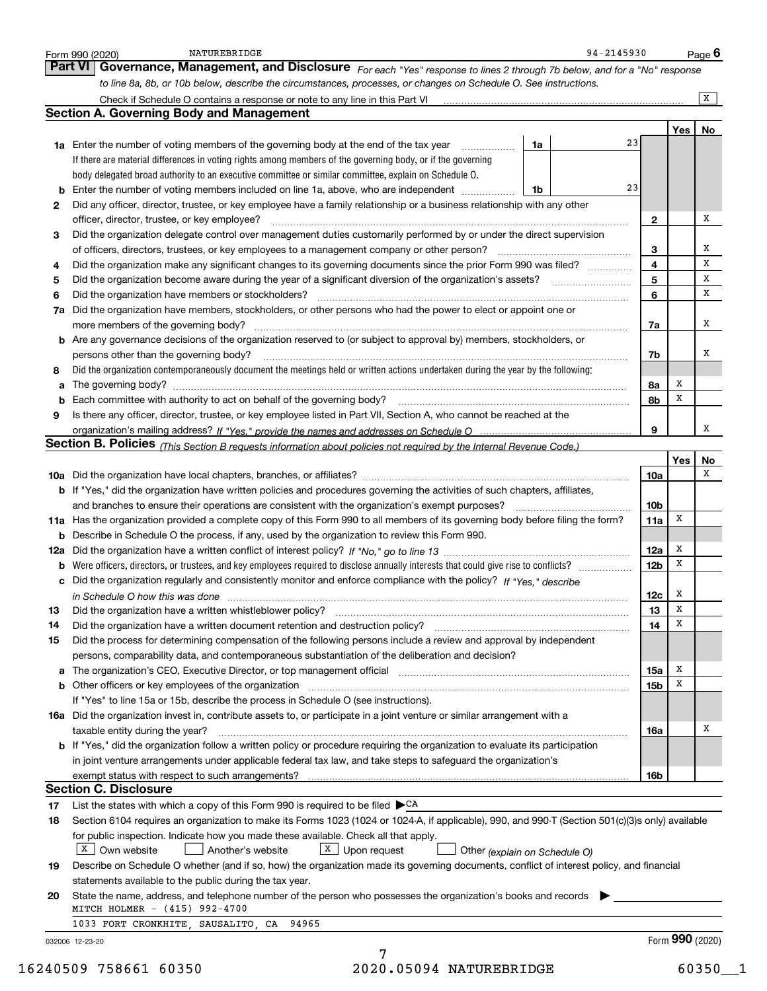|    | Form 990 (2020)<br>Governance, Management, and Disclosure For each "Yes" response to lines 2 through 7b below, and for a "No" response<br>Part VI                                                                              |                         |                 | Page $6$                |
|----|--------------------------------------------------------------------------------------------------------------------------------------------------------------------------------------------------------------------------------|-------------------------|-----------------|-------------------------|
|    | to line 8a, 8b, or 10b below, describe the circumstances, processes, or changes on Schedule O. See instructions.                                                                                                               |                         |                 |                         |
|    |                                                                                                                                                                                                                                |                         |                 | $\overline{\mathbf{x}}$ |
|    | <b>Section A. Governing Body and Management</b>                                                                                                                                                                                |                         |                 |                         |
|    |                                                                                                                                                                                                                                |                         | Yes             | No                      |
|    | 1a<br><b>1a</b> Enter the number of voting members of the governing body at the end of the tax year <i>manumum</i>                                                                                                             | 23                      |                 |                         |
|    | If there are material differences in voting rights among members of the governing body, or if the governing                                                                                                                    |                         |                 |                         |
|    | body delegated broad authority to an executive committee or similar committee, explain on Schedule O.                                                                                                                          |                         |                 |                         |
|    | <b>b</b> Enter the number of voting members included on line 1a, above, who are independent <i>manument</i> .<br>1b                                                                                                            | 23                      |                 |                         |
| 2  | Did any officer, director, trustee, or key employee have a family relationship or a business relationship with any other                                                                                                       |                         |                 |                         |
|    | officer, director, trustee, or key employee?                                                                                                                                                                                   | $\mathbf{2}$            |                 | X                       |
| 3  | Did the organization delegate control over management duties customarily performed by or under the direct supervision                                                                                                          |                         |                 |                         |
|    |                                                                                                                                                                                                                                | 3                       |                 | X                       |
| 4  | Did the organization make any significant changes to its governing documents since the prior Form 990 was filed?                                                                                                               | $\overline{\mathbf{4}}$ |                 | x                       |
| 5  |                                                                                                                                                                                                                                | 5                       |                 | х                       |
| 6  | Did the organization have members or stockholders?                                                                                                                                                                             | 6                       |                 | х                       |
|    | 7a Did the organization have members, stockholders, or other persons who had the power to elect or appoint one or                                                                                                              |                         |                 |                         |
|    | more members of the governing body?                                                                                                                                                                                            | 7a                      |                 | x                       |
|    | <b>b</b> Are any governance decisions of the organization reserved to (or subject to approval by) members, stockholders, or                                                                                                    |                         |                 |                         |
|    | persons other than the governing body?                                                                                                                                                                                         | 7b                      |                 | х                       |
| 8  | Did the organization contemporaneously document the meetings held or written actions undertaken during the year by the following:                                                                                              |                         |                 |                         |
| a  |                                                                                                                                                                                                                                | 8а                      | x               |                         |
|    |                                                                                                                                                                                                                                | 8b                      | x               |                         |
| 9  | Is there any officer, director, trustee, or key employee listed in Part VII, Section A, who cannot be reached at the                                                                                                           |                         |                 |                         |
|    |                                                                                                                                                                                                                                | 9                       |                 | x                       |
|    | Section B. Policies (This Section B requests information about policies not required by the Internal Revenue Code.)                                                                                                            |                         |                 |                         |
|    |                                                                                                                                                                                                                                |                         | Yes             | No                      |
|    |                                                                                                                                                                                                                                | 10a                     |                 | x                       |
|    | b If "Yes," did the organization have written policies and procedures governing the activities of such chapters, affiliates,                                                                                                   |                         |                 |                         |
|    |                                                                                                                                                                                                                                | 10 <sub>b</sub>         |                 |                         |
|    | 11a Has the organization provided a complete copy of this Form 990 to all members of its governing body before filing the form?                                                                                                | 11a                     | х               |                         |
|    | <b>b</b> Describe in Schedule O the process, if any, used by the organization to review this Form 990.                                                                                                                         |                         |                 |                         |
|    |                                                                                                                                                                                                                                | 12a                     | x               |                         |
|    | <b>b</b> Were officers, directors, or trustees, and key employees required to disclose annually interests that could give rise to conflicts?                                                                                   | 12 <sub>b</sub>         | х               |                         |
|    | c Did the organization regularly and consistently monitor and enforce compliance with the policy? If "Yes," describe                                                                                                           |                         |                 |                         |
|    | in Schedule O how this was done manufactured and contain an according to the state of the state of the state o                                                                                                                 | 12c                     | x               |                         |
| 13 | Did the organization have a written whistleblower policy?                                                                                                                                                                      | 13                      | X               |                         |
| 14 | Did the organization have a written document retention and destruction policy?<br>The organization have a written document retention and destruction policy?                                                                   | 14                      | х               |                         |
| 15 | Did the process for determining compensation of the following persons include a review and approval by independent                                                                                                             |                         |                 |                         |
|    | persons, comparability data, and contemporaneous substantiation of the deliberation and decision?                                                                                                                              |                         |                 |                         |
|    | a The organization's CEO, Executive Director, or top management official manufactured content content of the organization's CEO, Executive Director, or top management official manufactured content of the state of the state | 15а                     | Х               |                         |
|    | b Other officers or key employees of the organization manufactured content to the organization of the organization manufactured content of the organization manufactured content of the organization manufactured content of t | 15b                     | х               |                         |
|    | If "Yes" to line 15a or 15b, describe the process in Schedule O (see instructions).                                                                                                                                            |                         |                 |                         |
|    | 16a Did the organization invest in, contribute assets to, or participate in a joint venture or similar arrangement with a                                                                                                      |                         |                 |                         |
|    | taxable entity during the year?                                                                                                                                                                                                | 16a                     |                 | x                       |
|    | b If "Yes," did the organization follow a written policy or procedure requiring the organization to evaluate its participation                                                                                                 |                         |                 |                         |
|    | in joint venture arrangements under applicable federal tax law, and take steps to safeguard the organization's                                                                                                                 |                         |                 |                         |
|    |                                                                                                                                                                                                                                | 16b                     |                 |                         |
|    | <b>Section C. Disclosure</b>                                                                                                                                                                                                   |                         |                 |                         |
| 17 | List the states with which a copy of this Form 990 is required to be filed $\triangleright$ CA                                                                                                                                 |                         |                 |                         |
| 18 | Section 6104 requires an organization to make its Forms 1023 (1024 or 1024-A, if applicable), 990, and 990-T (Section 501(c)(3)s only) available                                                                               |                         |                 |                         |
|    | for public inspection. Indicate how you made these available. Check all that apply.                                                                                                                                            |                         |                 |                         |
|    | $X \mid$ Own website<br>$X$ Upon request<br>Another's website<br>Other (explain on Schedule O)                                                                                                                                 |                         |                 |                         |
| 19 | Describe on Schedule O whether (and if so, how) the organization made its governing documents, conflict of interest policy, and financial                                                                                      |                         |                 |                         |
|    | statements available to the public during the tax year.                                                                                                                                                                        |                         |                 |                         |
| 20 | State the name, address, and telephone number of the person who possesses the organization's books and records                                                                                                                 |                         |                 |                         |
|    | MITCH HOLMER - (415) 992-4700                                                                                                                                                                                                  |                         |                 |                         |
|    | 1033 FORT CRONKHITE, SAUSALITO, CA 94965                                                                                                                                                                                       |                         |                 |                         |
|    | 032006 12-23-20                                                                                                                                                                                                                |                         | Form 990 (2020) |                         |
|    | 7                                                                                                                                                                                                                              |                         |                 |                         |
|    | 16240509 758661 60350<br>2020.05094 NATUREBRIDGE                                                                                                                                                                               |                         |                 | 60350                   |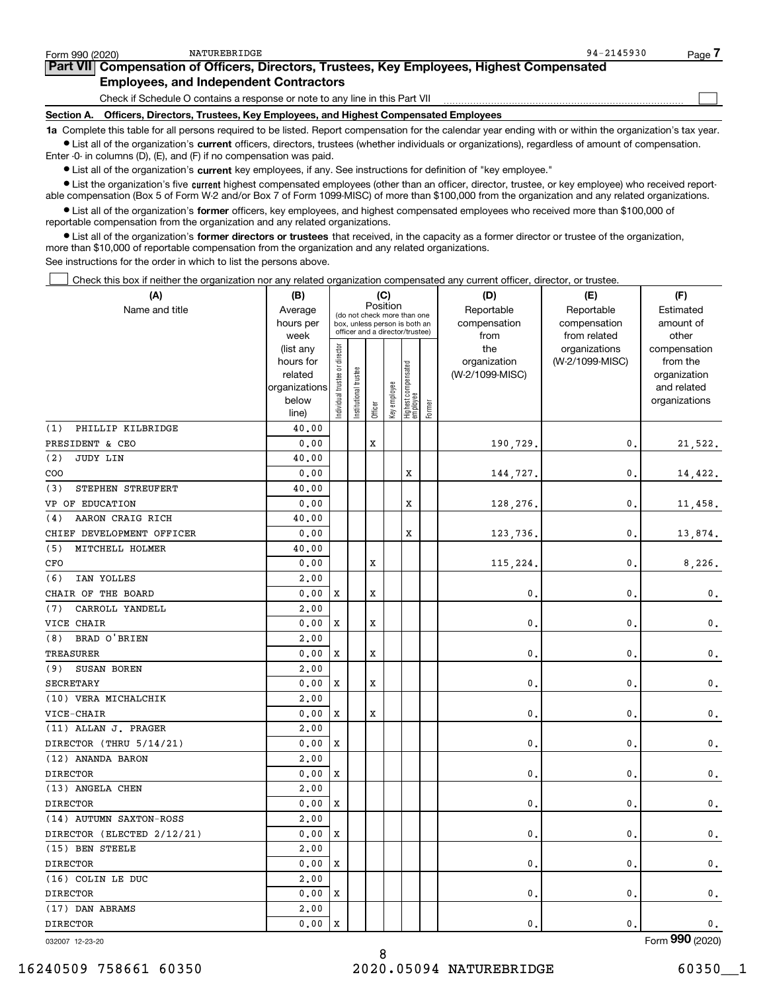| Form 990 (2020)                                                                            | NATUREBRIDGE                                                                                                                                               | $94 - 2145930$ | Page - |  |  |  |  |  |  |  |
|--------------------------------------------------------------------------------------------|------------------------------------------------------------------------------------------------------------------------------------------------------------|----------------|--------|--|--|--|--|--|--|--|
| Part VII Compensation of Officers, Directors, Trustees, Key Employees, Highest Compensated |                                                                                                                                                            |                |        |  |  |  |  |  |  |  |
|                                                                                            | <b>Employees, and Independent Contractors</b>                                                                                                              |                |        |  |  |  |  |  |  |  |
|                                                                                            | Check if Schedule O contains a response or note to any line in this Part VII                                                                               |                |        |  |  |  |  |  |  |  |
| <b>Section A.</b>                                                                          | Officers, Directors, Trustees, Key Employees, and Highest Compensated Employees                                                                            |                |        |  |  |  |  |  |  |  |
|                                                                                            | 1a Complete this table for all persons required to be listed. Report compensation for the calendar year ending with or within the organization's tax year. |                |        |  |  |  |  |  |  |  |

**•** List all of the organization's current officers, directors, trustees (whether individuals or organizations), regardless of amount of compensation. Enter -0- in columns (D), (E), and (F) if no compensation was paid.

 $\bullet$  List all of the organization's  $\,$ current key employees, if any. See instructions for definition of "key employee."

**•** List the organization's five current highest compensated employees (other than an officer, director, trustee, or key employee) who received reportable compensation (Box 5 of Form W-2 and/or Box 7 of Form 1099-MISC) of more than \$100,000 from the organization and any related organizations.

**•** List all of the organization's former officers, key employees, and highest compensated employees who received more than \$100,000 of reportable compensation from the organization and any related organizations.

**former directors or trustees**  ¥ List all of the organization's that received, in the capacity as a former director or trustee of the organization, more than \$10,000 of reportable compensation from the organization and any related organizations.

See instructions for the order in which to list the persons above.

NATUREBRIDGE

Check this box if neither the organization nor any related organization compensated any current officer, director, or trustee.  $\mathcal{L}^{\text{max}}$ 

| (A)                        | (B)                      |                               |                                                                  | (C)     |              |                                 | (D)    | (E)             | (F)             |                             |
|----------------------------|--------------------------|-------------------------------|------------------------------------------------------------------|---------|--------------|---------------------------------|--------|-----------------|-----------------|-----------------------------|
| Name and title             | Average                  |                               | (do not check more than one                                      |         | Position     |                                 |        | Reportable      | Reportable      | Estimated                   |
|                            | hours per                |                               | box, unless person is both an<br>officer and a director/trustee) |         |              |                                 |        | compensation    | compensation    | amount of                   |
|                            | week                     |                               |                                                                  |         |              |                                 |        | from            | from related    | other                       |
|                            | (list any                |                               |                                                                  |         |              |                                 |        | the             | organizations   | compensation                |
|                            | hours for                |                               |                                                                  |         |              |                                 |        | organization    | (W-2/1099-MISC) | from the                    |
|                            | related<br>organizations |                               |                                                                  |         |              |                                 |        | (W-2/1099-MISC) |                 | organization<br>and related |
|                            | below                    |                               |                                                                  |         |              |                                 |        |                 |                 | organizations               |
|                            | line)                    | ndividual trustee or director | Institutional trustee                                            | Officer | Key employee | Highest compensated<br>employee | Former |                 |                 |                             |
| (1)<br>PHILLIP KILBRIDGE   | 40.00                    |                               |                                                                  |         |              |                                 |        |                 |                 |                             |
| PRESIDENT & CEO            | 0.00                     |                               |                                                                  | X       |              |                                 |        | 190,729.        | 0.              | 21,522.                     |
| (2)<br><b>JUDY LIN</b>     | 40.00                    |                               |                                                                  |         |              |                                 |        |                 |                 |                             |
| COO                        | 0.00                     |                               |                                                                  |         |              | x                               |        | 144,727.        | 0.              | 14,422.                     |
| STEPHEN STREUFERT<br>(3)   | 40.00                    |                               |                                                                  |         |              |                                 |        |                 |                 |                             |
| VP OF EDUCATION            | 0.00                     |                               |                                                                  |         |              | x                               |        | 128,276.        | $\mathbf{0}$ .  | 11,458.                     |
| AARON CRAIG RICH<br>(4)    | 40.00                    |                               |                                                                  |         |              |                                 |        |                 |                 |                             |
| CHIEF DEVELOPMENT OFFICER  | 0.00                     |                               |                                                                  |         |              | X                               |        | 123,736         | $\mathbf{0}$ .  | 13,874.                     |
| MITCHELL HOLMER<br>(5)     | 40.00                    |                               |                                                                  |         |              |                                 |        |                 |                 |                             |
| CFO                        | 0.00                     |                               |                                                                  | X       |              |                                 |        | 115,224.        | 0.              | 8,226.                      |
| (6)<br>IAN YOLLES          | 2,00                     |                               |                                                                  |         |              |                                 |        |                 |                 |                             |
| CHAIR OF THE BOARD         | 0.00                     | X                             |                                                                  | X       |              |                                 |        | 0.              | 0.              | $\mathbf{0}$ .              |
| CARROLL YANDELL<br>(7)     | 2.00                     |                               |                                                                  |         |              |                                 |        |                 |                 |                             |
| VICE CHAIR                 | 0.00                     | X                             |                                                                  | X       |              |                                 |        | $\mathbf{0}$ .  | $\mathbf{0}$ .  | $\mathbf 0$ .               |
| BRAD O'BRIEN<br>(8)        | 2,00                     |                               |                                                                  |         |              |                                 |        |                 |                 |                             |
| <b>TREASURER</b>           | 0.00                     | X                             |                                                                  | X       |              |                                 |        | $\mathbf{0}$ .  | $\mathbf{0}$ .  | $\mathbf{0}$ .              |
| SUSAN BOREN<br>(9)         | 2.00                     |                               |                                                                  |         |              |                                 |        |                 |                 |                             |
| <b>SECRETARY</b>           | 0.00                     | X                             |                                                                  | X       |              |                                 |        | $\mathbf{0}$ .  | 0.              | $\mathbf 0$ .               |
| (10) VERA MICHALCHIK       | 2.00                     |                               |                                                                  |         |              |                                 |        |                 |                 |                             |
| VICE-CHAIR                 | 0.00                     | X                             |                                                                  | X       |              |                                 |        | $\mathbf{0}$ .  | 0.              | $\mathbf{0}$ .              |
| (11) ALLAN J. PRAGER       | 2.00                     |                               |                                                                  |         |              |                                 |        |                 |                 |                             |
| DIRECTOR (THRU 5/14/21)    | 0.00                     | X                             |                                                                  |         |              |                                 |        | $\mathbf{0}$ .  | $\mathbf{0}$ .  | $\mathbf 0$ .               |
| (12) ANANDA BARON          | 2.00                     |                               |                                                                  |         |              |                                 |        |                 |                 |                             |
| <b>DIRECTOR</b>            | 0.00                     | X                             |                                                                  |         |              |                                 |        | $\mathbf{0}$ .  | $\mathbf{0}$ .  | 0.                          |
| (13) ANGELA CHEN           | 2.00                     |                               |                                                                  |         |              |                                 |        |                 |                 |                             |
| <b>DIRECTOR</b>            | 0.00                     | х                             |                                                                  |         |              |                                 |        | $\mathbf{0}$ .  | 0.              | $\mathbf 0$ .               |
| (14) AUTUMN SAXTON-ROSS    | 2.00                     |                               |                                                                  |         |              |                                 |        |                 |                 |                             |
| DIRECTOR (ELECTED 2/12/21) | 0.00                     | X                             |                                                                  |         |              |                                 |        | 0.              | 0.              | $\mathbf 0$ .               |
| (15) BEN STEELE            | 2.00                     |                               |                                                                  |         |              |                                 |        |                 |                 |                             |
| <b>DIRECTOR</b>            | 0.00                     | X                             |                                                                  |         |              |                                 |        | $\mathbf{0}$ .  | 0.              | 0.                          |
| (16) COLIN LE DUC          | 2.00                     |                               |                                                                  |         |              |                                 |        |                 |                 |                             |
| <b>DIRECTOR</b>            | 0.00                     | Х                             |                                                                  |         |              |                                 |        | $\mathbf{0}$ .  | 0.              | 0.                          |
| (17) DAN ABRAMS            | 2.00                     |                               |                                                                  |         |              |                                 |        |                 |                 |                             |
| <b>DIRECTOR</b>            | 0.00                     | X                             |                                                                  |         |              |                                 |        | 0.              | 0.              | 0.                          |

032007 12-23-20

Form (2020) **990**

8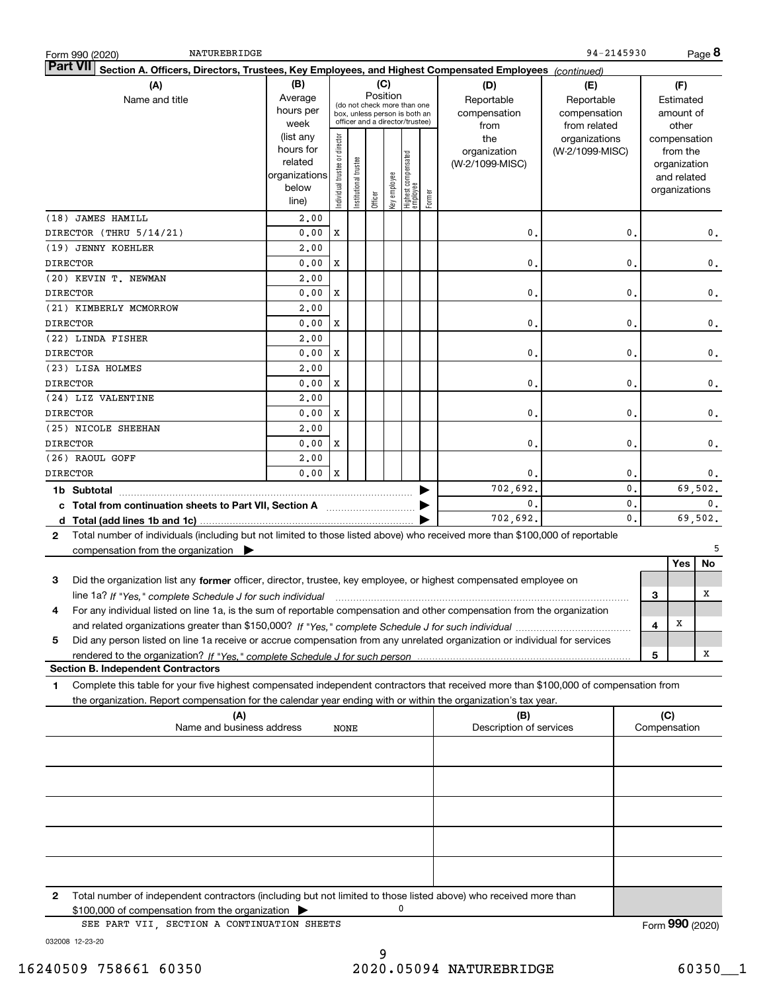| NATUREBRIDGE<br>Form 990 (2020)                                                                                                                                                                                                                                           |                                                                              |                                                                                                                                                                                              |                      |         |              |                                  |        |                                                | 94-2145930                                       |                |     |                                                                                   | Page 8        |
|---------------------------------------------------------------------------------------------------------------------------------------------------------------------------------------------------------------------------------------------------------------------------|------------------------------------------------------------------------------|----------------------------------------------------------------------------------------------------------------------------------------------------------------------------------------------|----------------------|---------|--------------|----------------------------------|--------|------------------------------------------------|--------------------------------------------------|----------------|-----|-----------------------------------------------------------------------------------|---------------|
| <b>Part VII</b><br>Section A. Officers, Directors, Trustees, Key Employees, and Highest Compensated Employees (continued)                                                                                                                                                 |                                                                              |                                                                                                                                                                                              |                      |         |              |                                  |        |                                                |                                                  |                |     |                                                                                   |               |
| (A)<br>Name and title                                                                                                                                                                                                                                                     | (B)<br>Average<br>hours per                                                  | (C)<br>(D)<br>(E)<br>Position<br>Reportable<br>Reportable<br>(do not check more than one<br>compensation<br>compensation<br>box, unless person is both an<br>officer and a director/trustee) |                      |         |              |                                  |        |                                                |                                                  |                |     | (F)<br>Estimated<br>amount of                                                     |               |
|                                                                                                                                                                                                                                                                           | week<br>(list any<br>hours for<br>related<br>organizations<br>below<br>line) | ndividual trustee or director                                                                                                                                                                | nstitutional trustee | Officer | key employee | Highest compensated<br> employee | Former | from<br>the<br>organization<br>(W-2/1099-MISC) | from related<br>organizations<br>(W-2/1099-MISC) |                |     | other<br>compensation<br>from the<br>organization<br>and related<br>organizations |               |
| (18) JAMES HAMILL                                                                                                                                                                                                                                                         | 2,00                                                                         |                                                                                                                                                                                              |                      |         |              |                                  |        |                                                |                                                  |                |     |                                                                                   |               |
| DIRECTOR (THRU 5/14/21)                                                                                                                                                                                                                                                   | 0.00                                                                         | x                                                                                                                                                                                            |                      |         |              |                                  |        | 0.                                             |                                                  | $\mathbf 0$    |     |                                                                                   | 0.            |
| (19) JENNY KOEHLER                                                                                                                                                                                                                                                        | 2,00                                                                         |                                                                                                                                                                                              |                      |         |              |                                  |        |                                                |                                                  |                |     |                                                                                   |               |
| <b>DIRECTOR</b>                                                                                                                                                                                                                                                           | 0.00                                                                         | x                                                                                                                                                                                            |                      |         |              |                                  |        | 0.                                             |                                                  | $\mathbf 0$    |     |                                                                                   | 0.            |
| (20) KEVIN T. NEWMAN                                                                                                                                                                                                                                                      | 2,00                                                                         |                                                                                                                                                                                              |                      |         |              |                                  |        |                                                |                                                  |                |     |                                                                                   |               |
| <b>DIRECTOR</b>                                                                                                                                                                                                                                                           | 0.00                                                                         | x                                                                                                                                                                                            |                      |         |              |                                  |        | 0.                                             |                                                  | $\mathbf 0$    |     |                                                                                   | $\mathbf 0$ . |
| (21) KIMBERLY MCMORROW                                                                                                                                                                                                                                                    | 2,00                                                                         |                                                                                                                                                                                              |                      |         |              |                                  |        |                                                |                                                  |                |     |                                                                                   |               |
| <b>DIRECTOR</b>                                                                                                                                                                                                                                                           | 0.00                                                                         | x                                                                                                                                                                                            |                      |         |              |                                  |        | 0.                                             |                                                  | $\mathbf 0$    |     |                                                                                   | $\mathbf 0$ . |
| (22) LINDA FISHER                                                                                                                                                                                                                                                         | 2,00                                                                         |                                                                                                                                                                                              |                      |         |              |                                  |        |                                                |                                                  |                |     |                                                                                   |               |
| <b>DIRECTOR</b>                                                                                                                                                                                                                                                           | 0.00                                                                         | x                                                                                                                                                                                            |                      |         |              |                                  |        | 0.                                             |                                                  | $\mathbf 0$    |     |                                                                                   | $\mathbf 0$ . |
| (23) LISA HOLMES                                                                                                                                                                                                                                                          | 2,00                                                                         |                                                                                                                                                                                              |                      |         |              |                                  |        |                                                |                                                  |                |     |                                                                                   |               |
| <b>DIRECTOR</b>                                                                                                                                                                                                                                                           | 0.00                                                                         | x                                                                                                                                                                                            |                      |         |              |                                  |        | 0.                                             |                                                  | $\mathbf 0$    |     |                                                                                   | 0.            |
| (24) LIZ VALENTINE<br><b>DIRECTOR</b>                                                                                                                                                                                                                                     | 2,00<br>0.00                                                                 | x                                                                                                                                                                                            |                      |         |              |                                  |        | 0.                                             |                                                  | $\mathbf 0$    |     |                                                                                   | 0.            |
| (25) NICOLE SHEEHAN                                                                                                                                                                                                                                                       | 2,00                                                                         |                                                                                                                                                                                              |                      |         |              |                                  |        |                                                |                                                  |                |     |                                                                                   |               |
| <b>DIRECTOR</b>                                                                                                                                                                                                                                                           | 0.00                                                                         | x                                                                                                                                                                                            |                      |         |              |                                  |        | 0.                                             |                                                  | $\mathbf 0$    |     |                                                                                   | 0.            |
| (26) RAOUL GOFF                                                                                                                                                                                                                                                           | 2,00                                                                         |                                                                                                                                                                                              |                      |         |              |                                  |        |                                                |                                                  |                |     |                                                                                   |               |
| <b>DIRECTOR</b>                                                                                                                                                                                                                                                           | 0.00                                                                         | X                                                                                                                                                                                            |                      |         |              |                                  |        | 0.                                             |                                                  | $\mathbf{0}$   |     |                                                                                   | 0.            |
|                                                                                                                                                                                                                                                                           |                                                                              |                                                                                                                                                                                              |                      |         |              |                                  |        | 702,692.                                       |                                                  | 0.             |     |                                                                                   | 69,502.       |
| c Total from continuation sheets to Part VII, Section A manufactured by                                                                                                                                                                                                   |                                                                              |                                                                                                                                                                                              |                      |         |              |                                  |        | 0.                                             |                                                  | 0.             |     |                                                                                   | 0.            |
|                                                                                                                                                                                                                                                                           |                                                                              |                                                                                                                                                                                              |                      |         |              |                                  |        | 702,692.                                       |                                                  | $\mathbf{0}$ . |     |                                                                                   | 69,502.       |
| Total number of individuals (including but not limited to those listed above) who received more than \$100,000 of reportable<br>$\mathbf{2}$<br>compensation from the organization $\blacktriangleright$                                                                  |                                                                              |                                                                                                                                                                                              |                      |         |              |                                  |        |                                                |                                                  |                |     |                                                                                   | 5             |
|                                                                                                                                                                                                                                                                           |                                                                              |                                                                                                                                                                                              |                      |         |              |                                  |        |                                                |                                                  |                |     | Yes                                                                               | No            |
| 3<br>Did the organization list any former officer, director, trustee, key employee, or highest compensated employee on<br>line 1a? If "Yes," complete Schedule J for such individual manufactured contained and the 1a? If "Yes," complete Schedule J for such individual |                                                                              |                                                                                                                                                                                              |                      |         |              |                                  |        |                                                |                                                  |                | 3   |                                                                                   | х             |
| For any individual listed on line 1a, is the sum of reportable compensation and other compensation from the organization                                                                                                                                                  |                                                                              |                                                                                                                                                                                              |                      |         |              |                                  |        |                                                |                                                  |                |     |                                                                                   |               |
|                                                                                                                                                                                                                                                                           |                                                                              |                                                                                                                                                                                              |                      |         |              |                                  |        |                                                |                                                  |                | 4   | х                                                                                 |               |
| Did any person listed on line 1a receive or accrue compensation from any unrelated organization or individual for services<br>5                                                                                                                                           |                                                                              |                                                                                                                                                                                              |                      |         |              |                                  |        |                                                |                                                  |                |     |                                                                                   |               |
| rendered to the organization? If "Yes." complete Schedule J for such person                                                                                                                                                                                               |                                                                              |                                                                                                                                                                                              |                      |         |              |                                  |        |                                                |                                                  |                | 5   |                                                                                   | x             |
| <b>Section B. Independent Contractors</b>                                                                                                                                                                                                                                 |                                                                              |                                                                                                                                                                                              |                      |         |              |                                  |        |                                                |                                                  |                |     |                                                                                   |               |
| Complete this table for your five highest compensated independent contractors that received more than \$100,000 of compensation from<br>1                                                                                                                                 |                                                                              |                                                                                                                                                                                              |                      |         |              |                                  |        |                                                |                                                  |                |     |                                                                                   |               |
| the organization. Report compensation for the calendar year ending with or within the organization's tax year.                                                                                                                                                            |                                                                              |                                                                                                                                                                                              |                      |         |              |                                  |        |                                                |                                                  |                |     |                                                                                   |               |
| (A)<br>Name and business address                                                                                                                                                                                                                                          |                                                                              | <b>NONE</b>                                                                                                                                                                                  |                      |         |              |                                  |        | (B)<br>Description of services                 |                                                  |                | (C) | Compensation                                                                      |               |
|                                                                                                                                                                                                                                                                           |                                                                              |                                                                                                                                                                                              |                      |         |              |                                  |        |                                                |                                                  |                |     |                                                                                   |               |
|                                                                                                                                                                                                                                                                           |                                                                              |                                                                                                                                                                                              |                      |         |              |                                  |        |                                                |                                                  |                |     |                                                                                   |               |
|                                                                                                                                                                                                                                                                           |                                                                              |                                                                                                                                                                                              |                      |         |              |                                  |        |                                                |                                                  |                |     |                                                                                   |               |
|                                                                                                                                                                                                                                                                           |                                                                              |                                                                                                                                                                                              |                      |         |              |                                  |        |                                                |                                                  |                |     |                                                                                   |               |
|                                                                                                                                                                                                                                                                           |                                                                              |                                                                                                                                                                                              |                      |         |              |                                  |        |                                                |                                                  |                |     |                                                                                   |               |
|                                                                                                                                                                                                                                                                           |                                                                              |                                                                                                                                                                                              |                      |         |              |                                  |        |                                                |                                                  |                |     |                                                                                   |               |
| Total number of independent contractors (including but not limited to those listed above) who received more than<br>2                                                                                                                                                     |                                                                              |                                                                                                                                                                                              |                      |         |              |                                  |        |                                                |                                                  |                |     |                                                                                   |               |
| \$100,000 of compensation from the organization<br>SEE PART VII, SECTION A CONTINUATION SHEETS                                                                                                                                                                            |                                                                              |                                                                                                                                                                                              |                      |         |              | 0                                |        |                                                |                                                  |                |     | Form 990 (2020)                                                                   |               |
|                                                                                                                                                                                                                                                                           |                                                                              |                                                                                                                                                                                              |                      |         |              |                                  |        |                                                |                                                  |                |     |                                                                                   |               |

032008 12-23-20

**8**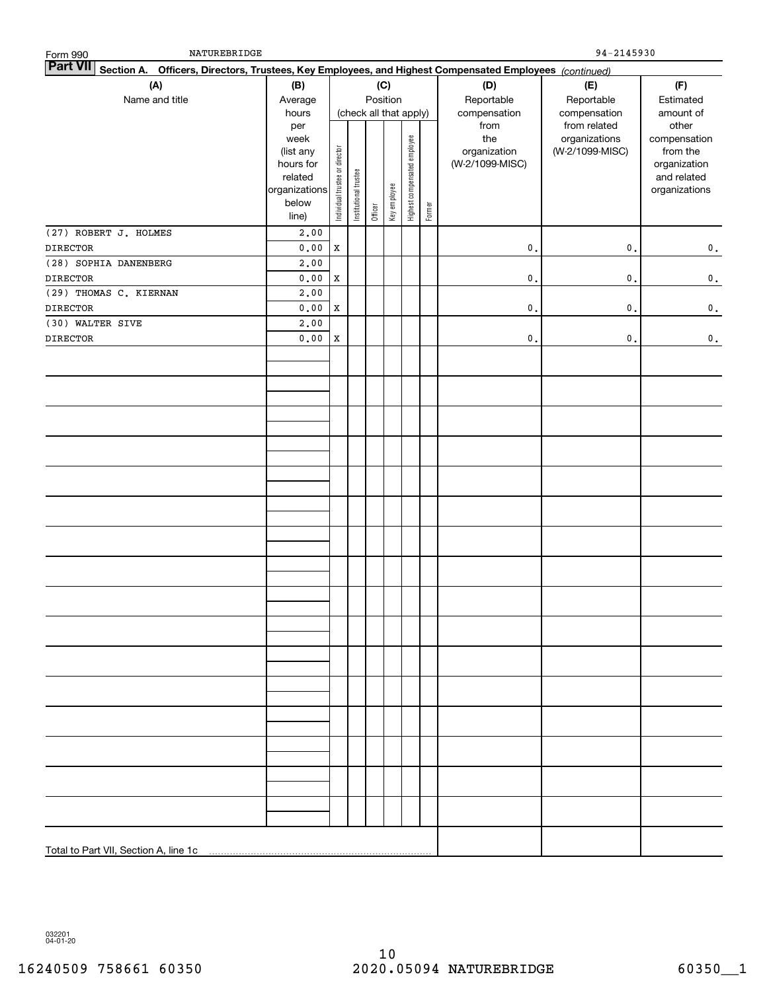| NATUREBRIDGE<br>Form 990                                                                                                  |                   |                                |                       |         |                        |                              |        |                     | 94-2145930                       |                          |
|---------------------------------------------------------------------------------------------------------------------------|-------------------|--------------------------------|-----------------------|---------|------------------------|------------------------------|--------|---------------------|----------------------------------|--------------------------|
| <b>Part VII</b><br>Section A. Officers, Directors, Trustees, Key Employees, and Highest Compensated Employees (continued) |                   |                                |                       |         |                        |                              |        |                     |                                  |                          |
| (A)                                                                                                                       | (B)               |                                |                       |         | (C)                    |                              |        | (D)                 | (E)                              | (F)                      |
| Name and title                                                                                                            | Average           |                                |                       |         | Position               |                              |        | Reportable          | Reportable                       | Estimated                |
|                                                                                                                           | hours             |                                |                       |         | (check all that apply) |                              |        | compensation        | compensation                     | amount of                |
|                                                                                                                           | per               |                                |                       |         |                        |                              |        | from                | from related                     | other                    |
|                                                                                                                           | week<br>(list any |                                |                       |         |                        |                              |        | the<br>organization | organizations<br>(W-2/1099-MISC) | compensation<br>from the |
|                                                                                                                           | hours for         |                                |                       |         |                        |                              |        | (W-2/1099-MISC)     |                                  | organization             |
|                                                                                                                           | related           |                                |                       |         |                        |                              |        |                     |                                  | and related              |
|                                                                                                                           | organizations     | Individual trustee or director | Institutional trustee |         |                        | Highest compensated employee |        |                     |                                  | organizations            |
|                                                                                                                           | below             |                                |                       | Officer | Key employee           |                              | Former |                     |                                  |                          |
|                                                                                                                           | line)             |                                |                       |         |                        |                              |        |                     |                                  |                          |
| (27) ROBERT J. HOLMES                                                                                                     | 2.00              |                                |                       |         |                        |                              |        |                     |                                  |                          |
| <b>DIRECTOR</b>                                                                                                           | 0.00              | $\mathbf X$                    |                       |         |                        |                              |        | $\mathbf{0}$ .      | $\mathbf{0}$ .                   | $\mathbf 0$ .            |
| (28) SOPHIA DANENBERG                                                                                                     | 2.00              |                                |                       |         |                        |                              |        |                     |                                  |                          |
| <b>DIRECTOR</b>                                                                                                           | 0.00              | $\mathbf X$                    |                       |         |                        |                              |        | $\mathbf{0}$ .      | $\mathbf{0}$ .                   | $\mathbf 0$ .            |
| (29) THOMAS C. KIERNAN                                                                                                    | 2,00              |                                |                       |         |                        |                              |        |                     |                                  |                          |
| <b>DIRECTOR</b>                                                                                                           | 0.00              | $\mathbf X$                    |                       |         |                        |                              |        | $\mathbf{0}$ .      | $\mathbf{0}$ .                   | $\mathbf 0$ .            |
| (30) WALTER SIVE                                                                                                          | 2.00              |                                |                       |         |                        |                              |        |                     |                                  |                          |
| <b>DIRECTOR</b>                                                                                                           | 0.00              | $\, {\bf X}$                   |                       |         |                        |                              |        | $\mathfrak o$ .     | $\mathfrak o$ .                  | $\mathbf 0$ .            |
|                                                                                                                           |                   |                                |                       |         |                        |                              |        |                     |                                  |                          |
|                                                                                                                           |                   |                                |                       |         |                        |                              |        |                     |                                  |                          |
|                                                                                                                           |                   |                                |                       |         |                        |                              |        |                     |                                  |                          |
|                                                                                                                           |                   |                                |                       |         |                        |                              |        |                     |                                  |                          |
|                                                                                                                           |                   |                                |                       |         |                        |                              |        |                     |                                  |                          |
|                                                                                                                           |                   |                                |                       |         |                        |                              |        |                     |                                  |                          |
|                                                                                                                           |                   |                                |                       |         |                        |                              |        |                     |                                  |                          |
|                                                                                                                           |                   |                                |                       |         |                        |                              |        |                     |                                  |                          |
|                                                                                                                           |                   |                                |                       |         |                        |                              |        |                     |                                  |                          |
|                                                                                                                           |                   |                                |                       |         |                        |                              |        |                     |                                  |                          |
|                                                                                                                           |                   |                                |                       |         |                        |                              |        |                     |                                  |                          |
|                                                                                                                           |                   |                                |                       |         |                        |                              |        |                     |                                  |                          |
|                                                                                                                           |                   |                                |                       |         |                        |                              |        |                     |                                  |                          |
|                                                                                                                           |                   |                                |                       |         |                        |                              |        |                     |                                  |                          |
|                                                                                                                           |                   |                                |                       |         |                        |                              |        |                     |                                  |                          |
|                                                                                                                           |                   |                                |                       |         |                        |                              |        |                     |                                  |                          |
|                                                                                                                           |                   |                                |                       |         |                        |                              |        |                     |                                  |                          |
|                                                                                                                           |                   |                                |                       |         |                        |                              |        |                     |                                  |                          |
|                                                                                                                           |                   |                                |                       |         |                        |                              |        |                     |                                  |                          |
|                                                                                                                           |                   |                                |                       |         |                        |                              |        |                     |                                  |                          |
|                                                                                                                           |                   |                                |                       |         |                        |                              |        |                     |                                  |                          |
|                                                                                                                           |                   |                                |                       |         |                        |                              |        |                     |                                  |                          |
|                                                                                                                           |                   |                                |                       |         |                        |                              |        |                     |                                  |                          |
|                                                                                                                           |                   |                                |                       |         |                        |                              |        |                     |                                  |                          |
|                                                                                                                           |                   |                                |                       |         |                        |                              |        |                     |                                  |                          |
|                                                                                                                           |                   |                                |                       |         |                        |                              |        |                     |                                  |                          |
|                                                                                                                           |                   |                                |                       |         |                        |                              |        |                     |                                  |                          |
|                                                                                                                           |                   |                                |                       |         |                        |                              |        |                     |                                  |                          |
|                                                                                                                           |                   |                                |                       |         |                        |                              |        |                     |                                  |                          |
|                                                                                                                           |                   |                                |                       |         |                        |                              |        |                     |                                  |                          |
|                                                                                                                           |                   |                                |                       |         |                        |                              |        |                     |                                  |                          |
|                                                                                                                           |                   |                                |                       |         |                        |                              |        |                     |                                  |                          |
|                                                                                                                           |                   |                                |                       |         |                        |                              |        |                     |                                  |                          |
|                                                                                                                           |                   |                                |                       |         |                        |                              |        |                     |                                  |                          |

032201 04-01-20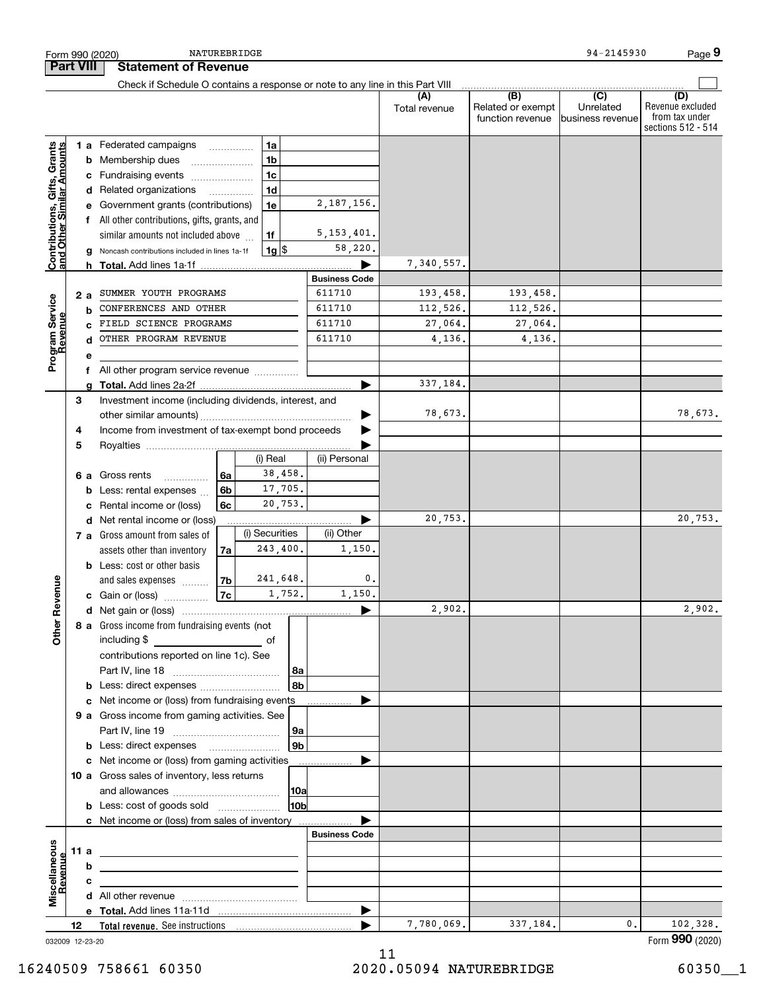|                                                           |      |                                                         | Form 990 (2020)                                                                                                        |                          | NATUREBRIDGE   |                 |                      |                      |                                              | 94-2145930                                        | Page 9                                                          |
|-----------------------------------------------------------|------|---------------------------------------------------------|------------------------------------------------------------------------------------------------------------------------|--------------------------|----------------|-----------------|----------------------|----------------------|----------------------------------------------|---------------------------------------------------|-----------------------------------------------------------------|
| <b>Part VIII</b>                                          |      |                                                         | <b>Statement of Revenue</b>                                                                                            |                          |                |                 |                      |                      |                                              |                                                   |                                                                 |
|                                                           |      |                                                         | Check if Schedule O contains a response or note to any line in this Part VIII                                          |                          |                |                 |                      |                      |                                              |                                                   |                                                                 |
|                                                           |      |                                                         |                                                                                                                        |                          |                |                 |                      | (A)<br>Total revenue | (B)<br>Related or exempt<br>function revenue | $\overline{(C)}$<br>Unrelated<br>business revenue | (D)<br>Revenue excluded<br>from tax under<br>sections 512 - 514 |
|                                                           |      |                                                         | 1 a Federated campaigns                                                                                                |                          | 1a             |                 |                      |                      |                                              |                                                   |                                                                 |
| Contributions, Gifts, Grants<br>and Other Similar Amounts |      | b                                                       | Membership dues                                                                                                        |                          | 1 <sub>b</sub> |                 |                      |                      |                                              |                                                   |                                                                 |
|                                                           |      | c                                                       | Fundraising events                                                                                                     |                          | 1 <sub>c</sub> |                 |                      |                      |                                              |                                                   |                                                                 |
|                                                           |      | d                                                       | Related organizations                                                                                                  | $\overline{\phantom{a}}$ | 1 <sub>d</sub> |                 |                      |                      |                                              |                                                   |                                                                 |
|                                                           |      | е                                                       | Government grants (contributions)                                                                                      |                          | 1e             |                 | 2, 187, 156.         |                      |                                              |                                                   |                                                                 |
|                                                           |      |                                                         | f All other contributions, gifts, grants, and                                                                          |                          |                |                 |                      |                      |                                              |                                                   |                                                                 |
|                                                           |      |                                                         | similar amounts not included above                                                                                     |                          | 1f             |                 | 5, 153, 401.         |                      |                                              |                                                   |                                                                 |
|                                                           |      | g                                                       | Noncash contributions included in lines 1a-1f                                                                          |                          |                | $1g$ \$         | 58,220.              |                      |                                              |                                                   |                                                                 |
|                                                           |      |                                                         | <b>h</b> Total. Add lines 1a-1f                                                                                        |                          |                |                 |                      | 7,340,557.           |                                              |                                                   |                                                                 |
|                                                           |      |                                                         |                                                                                                                        |                          |                |                 | <b>Business Code</b> |                      |                                              |                                                   |                                                                 |
|                                                           | 2 a  |                                                         | SUMMER YOUTH PROGRAMS                                                                                                  |                          |                |                 | 611710               | 193,458.             | 193,458.                                     |                                                   |                                                                 |
| Program Service<br>Revenue                                |      | b                                                       | CONFERENCES AND OTHER                                                                                                  |                          |                |                 | 611710               | 112,526.             | 112,526.                                     |                                                   |                                                                 |
|                                                           |      |                                                         | FIELD SCIENCE PROGRAMS                                                                                                 |                          |                |                 | 611710               | 27,064.              | 27,064.                                      |                                                   |                                                                 |
|                                                           |      |                                                         | OTHER PROGRAM REVENUE                                                                                                  |                          |                |                 | 611710               | 4,136.               | 4,136.                                       |                                                   |                                                                 |
|                                                           |      | е                                                       |                                                                                                                        |                          |                |                 |                      |                      |                                              |                                                   |                                                                 |
|                                                           |      | f                                                       | All other program service revenue                                                                                      |                          |                |                 |                      |                      |                                              |                                                   |                                                                 |
|                                                           |      | g                                                       | Total. Add lines 2a-2f.                                                                                                |                          |                |                 |                      | 337,184.             |                                              |                                                   |                                                                 |
|                                                           | 3    |                                                         | Investment income (including dividends, interest, and                                                                  |                          |                |                 |                      |                      |                                              |                                                   |                                                                 |
|                                                           |      |                                                         |                                                                                                                        |                          |                |                 |                      | 78,673.              |                                              |                                                   | 78,673.                                                         |
|                                                           |      | Income from investment of tax-exempt bond proceeds<br>4 |                                                                                                                        |                          |                |                 |                      |                      |                                              |                                                   |                                                                 |
|                                                           | 5    |                                                         |                                                                                                                        |                          | (i) Real       |                 | (ii) Personal        |                      |                                              |                                                   |                                                                 |
|                                                           |      |                                                         |                                                                                                                        |                          |                | 38,458.         |                      |                      |                                              |                                                   |                                                                 |
|                                                           |      | 6а                                                      | Gross rents<br>.                                                                                                       | 6a<br>6b                 |                | 17,705.         |                      |                      |                                              |                                                   |                                                                 |
|                                                           |      | b                                                       | Less: rental expenses                                                                                                  | 6c                       |                | 20,753.         |                      |                      |                                              |                                                   |                                                                 |
|                                                           |      | с                                                       | Rental income or (loss)                                                                                                |                          |                |                 |                      | 20,753.              |                                              |                                                   | 20,753.                                                         |
|                                                           |      | d                                                       | Net rental income or (loss)<br>7 a Gross amount from sales of                                                          |                          | (i) Securities |                 | (ii) Other           |                      |                                              |                                                   |                                                                 |
|                                                           |      |                                                         | assets other than inventory                                                                                            | 7a                       |                | 243,400.        | 1,150.               |                      |                                              |                                                   |                                                                 |
|                                                           |      |                                                         | <b>b</b> Less: cost or other basis                                                                                     |                          |                |                 |                      |                      |                                              |                                                   |                                                                 |
|                                                           |      |                                                         | and sales expenses                                                                                                     | 7b                       |                | 241,648.        | 0.                   |                      |                                              |                                                   |                                                                 |
| enueve                                                    |      |                                                         | c Gain or (loss)                                                                                                       | 7c                       |                | 1,752.          | 1,150.               |                      |                                              |                                                   |                                                                 |
|                                                           |      |                                                         |                                                                                                                        |                          |                |                 |                      | 2,902.               |                                              |                                                   | 2,902.                                                          |
| Other <sub>R</sub>                                        |      |                                                         | 8 a Gross income from fundraising events (not                                                                          |                          |                |                 |                      |                      |                                              |                                                   |                                                                 |
|                                                           |      |                                                         | including \$<br>$\overline{\phantom{a}}$ of                                                                            |                          |                |                 |                      |                      |                                              |                                                   |                                                                 |
|                                                           |      |                                                         | contributions reported on line 1c). See                                                                                |                          |                |                 |                      |                      |                                              |                                                   |                                                                 |
|                                                           |      |                                                         |                                                                                                                        |                          |                | 8a              |                      |                      |                                              |                                                   |                                                                 |
|                                                           |      | b                                                       | Less: direct expenses <i></i>                                                                                          |                          |                | 8b              |                      |                      |                                              |                                                   |                                                                 |
|                                                           |      | с                                                       | Net income or (loss) from fundraising events                                                                           |                          |                |                 |                      |                      |                                              |                                                   |                                                                 |
|                                                           |      |                                                         | 9 a Gross income from gaming activities. See                                                                           |                          |                |                 |                      |                      |                                              |                                                   |                                                                 |
|                                                           |      |                                                         |                                                                                                                        |                          |                | 9a              |                      |                      |                                              |                                                   |                                                                 |
|                                                           |      | b                                                       |                                                                                                                        |                          |                | 9 <sub>b</sub>  |                      |                      |                                              |                                                   |                                                                 |
|                                                           |      | с                                                       | Net income or (loss) from gaming activities ______________                                                             |                          |                |                 |                      |                      |                                              |                                                   |                                                                 |
|                                                           |      |                                                         | 10 a Gross sales of inventory, less returns                                                                            |                          |                |                 |                      |                      |                                              |                                                   |                                                                 |
|                                                           |      |                                                         |                                                                                                                        |                          |                | 10a             |                      |                      |                                              |                                                   |                                                                 |
|                                                           |      |                                                         |                                                                                                                        |                          |                | 10 <sub>b</sub> |                      |                      |                                              |                                                   |                                                                 |
|                                                           |      |                                                         | c Net income or (loss) from sales of inventory                                                                         |                          |                |                 |                      |                      |                                              |                                                   |                                                                 |
|                                                           |      |                                                         |                                                                                                                        |                          |                |                 | <b>Business Code</b> |                      |                                              |                                                   |                                                                 |
| Miscellaneous<br>Revenue                                  | 11 a |                                                         | <u> 1999 - Johann John Stone, markin fan it ferskearre fan it ferskearre fan it ferskearre fan it ferskearre fan i</u> |                          |                |                 |                      |                      |                                              |                                                   |                                                                 |
|                                                           |      | b                                                       | <u> 1989 - Andrea State Barbara, amerikan personal di personal dengan personal dengan personal dengan personal de</u>  |                          |                |                 |                      |                      |                                              |                                                   |                                                                 |
|                                                           |      | с                                                       | the control of the control of the control of the control of the control of                                             |                          |                |                 |                      |                      |                                              |                                                   |                                                                 |
|                                                           |      |                                                         |                                                                                                                        |                          |                |                 |                      |                      |                                              |                                                   |                                                                 |
|                                                           |      |                                                         |                                                                                                                        |                          |                |                 |                      |                      |                                              |                                                   |                                                                 |
|                                                           | 12   |                                                         |                                                                                                                        |                          |                |                 |                      | 7,780,069.           | 337,184.                                     | 0.                                                | 102,328.                                                        |

032009 12-23-20

Form (2020) **990**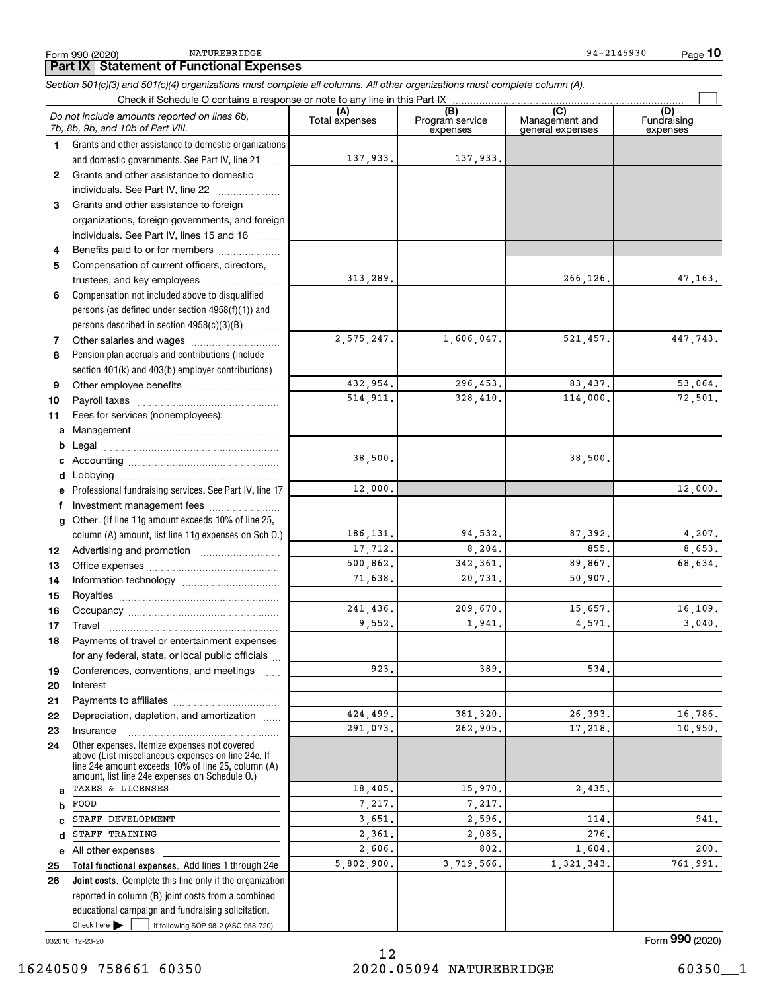**NATUREBRIDGE** 

#### **Total functional expenses.**  Add lines 1 through 24e **(A)**<br>Total expenses **(B) (C) (D) 1234567891011abcdefg12131415161718192021222324abcde25***Section 501(c)(3) and 501(c)(4) organizations must complete all columns. All other organizations must complete column (A).* Grants and other assistance to domestic organizations and domestic governments. See Part IV, line 21 Compensation not included above to disqualified persons (as defined under section 4958(f)(1)) and persons described in section 4958(c)(3)(B) Pension plan accruals and contributions (include section 401(k) and 403(b) employer contributions) Professional fundraising services. See Part IV, line 17 Other. (If line 11g amount exceeds 10% of line 25, column (A) amount, list line 11g expenses on Sch O.) Other expenses. Itemize expenses not covered above (List miscellaneous expenses on line 24e. If line 24e amount exceeds 10% of line 25, column (A) amount, list line 24e expenses on Schedule O.) Check if Schedule O contains a response or note to any line in this Part IX (C) (C) (C) (C) (C) (C) Program service expensesManagement and general expenses Fundraising expensesGrants and other assistance to domestic individuals. See Part IV, line 22 .......... Grants and other assistance to foreign organizations, foreign governments, and foreign individuals. See Part IV, lines 15 and 16  $\ldots$ Benefits paid to or for members ..................... Compensation of current officers, directors, trustees, and key employees  $\ldots$   $\ldots$   $\ldots$   $\ldots$   $\ldots$ Other salaries and wages ~~~~~~~~~~ Other employee benefits ~~~~~~~~~~ Payroll taxes ~~~~~~~~~~~~~~~~ Fees for services (nonemployees): Management ~~~~~~~~~~~~~~~~ Legal ~~~~~~~~~~~~~~~~~~~~Accounting ~~~~~~~~~~~~~~~~~ Lobbying ~~~~~~~~~~~~~~~~~~ lnvestment management fees ....................... Advertising and promotion \_\_\_\_\_\_\_\_\_\_\_\_\_\_\_\_\_\_\_ Office expenses ~~~~~~~~~~~~~~~ Information technology ~~~~~~~~~~~ Royalties ~~~~~~~~~~~~~~~~~~ Occupancy ~~~~~~~~~~~~~~~~~ Travel ……………………………………………… Payments of travel or entertainment expenses for any federal, state, or local public officials ... Conferences, conventions, and meetings InterestPayments to affiliates ~~~~~~~~~~~~ ~~~~~~~~~~~~~~~~~~Depreciation, depletion, and amortization  $\,\,\ldots\,\,$ Insurance~~~~~~~~~~~~~~~~~All other expenses *Do not include amounts reported on lines 6b, 7b, 8b, 9b, and 10b of Part VIII.*  $\mathcal{L}^{\text{max}}$ 137,933. 313,289. 2,575,247. 432,954. 514,911. 38,500. 12,000. 186,131. 17,712. 500,862. 71,638. 241,436. 9,552. 923.424,499. 291,073. 18,405. 7,217. 3,651. 2,361. 2,606. 5,802,900. 137,933. 266,126. 47,163. 1,606,047. 521,457. 447,743. 296,453. 83,437. 53,064. 328,410. 114,000. 72,501. 38,500. 12,000. 94,532. 87,392. 4,207. 8,204. 855. 8653. 342,361. 89,867. 68,634. 20,731. 50,907. 209,670. 15,657. 16,109. 1,941. 4,571. 3,040. 389. 534. 381,320. 26,393. 16,786. 262,905. 17,218. 10,950. 15,970. 2,435. 7,217.  $2,596.$  114. 941. 2,085. 276. 802. $1,604.$  200. 3,719,566. 1,321,343. 761,991. TAXES & LICENSES FOODSTAFF DEVELOPMENT STAFF TRAINING

Check here  $\bullet$  if following SOP 98-2 (ASC 958-720) **Joint costs.** Complete this line only if the organization **26**reported in column (B) joint costs from a combined educational campaign and fundraising solicitation. Check here  $\blacktriangleright$ 

032010 12-23-20

Form (2020) **990**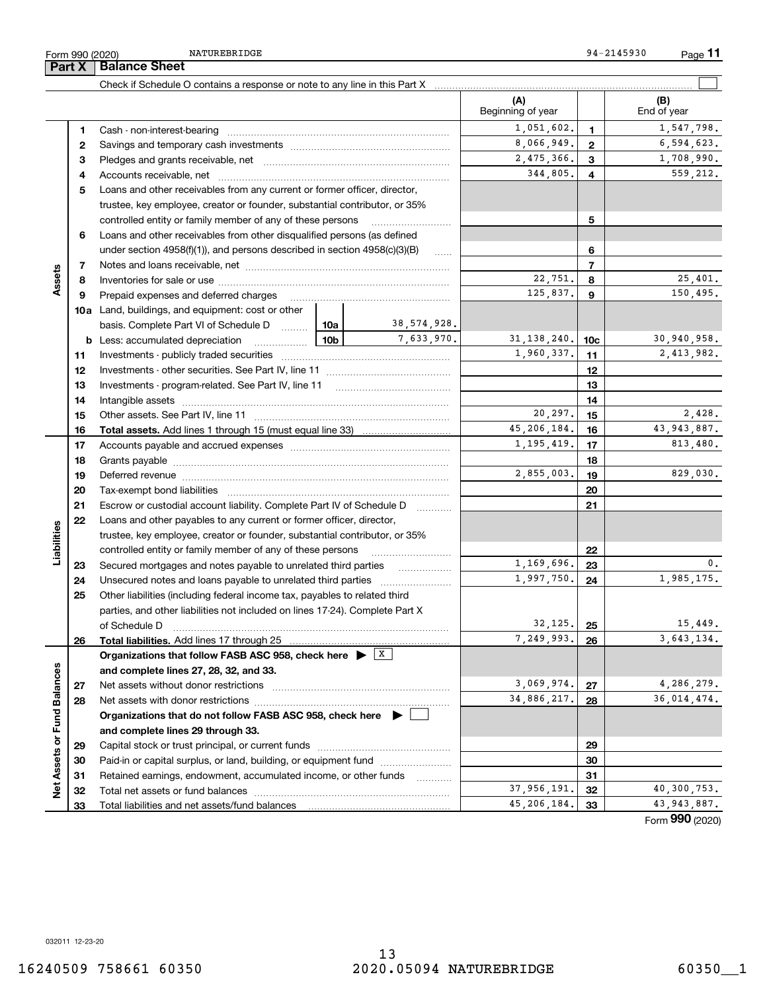16240509 758661 60350 2020.05094 NATUREBRIDGE 60350\_\_1

Form (2020) **990**

 $\Box$ 

**11**

| Form 990 (2020) | DGE                   | $1 - 0 - 0$<br>ט כי<br>_____ | Page |
|-----------------|-----------------------|------------------------------|------|
| $Part \wedge$   | <b>Sheet</b><br>nance |                              |      |
|                 |                       |                              |      |

|                             |    |                                                                                                                                                                                                                                |               |                           | (A)<br>Beginning of year |                | (B)<br>End of year          |
|-----------------------------|----|--------------------------------------------------------------------------------------------------------------------------------------------------------------------------------------------------------------------------------|---------------|---------------------------|--------------------------|----------------|-----------------------------|
|                             | 1  |                                                                                                                                                                                                                                |               |                           | 1,051,602.               | $\mathbf{1}$   | 1,547,798.                  |
|                             | 2  |                                                                                                                                                                                                                                |               |                           | 8,066,949.               | $\overline{2}$ | 6,594,623.                  |
|                             | з  |                                                                                                                                                                                                                                |               |                           | 2,475,366.               | 3              | 1,708,990.                  |
|                             | 4  |                                                                                                                                                                                                                                |               |                           | 344,805.                 | 4              | 559,212.                    |
|                             | 5  | Loans and other receivables from any current or former officer, director,                                                                                                                                                      |               |                           |                          |                |                             |
|                             |    | trustee, key employee, creator or founder, substantial contributor, or 35%                                                                                                                                                     |               |                           |                          |                |                             |
|                             |    | controlled entity or family member of any of these persons                                                                                                                                                                     |               | 5                         |                          |                |                             |
|                             | 6  | Loans and other receivables from other disqualified persons (as defined                                                                                                                                                        |               |                           |                          |                |                             |
|                             |    | under section $4958(f)(1)$ , and persons described in section $4958(c)(3)(B)$                                                                                                                                                  |               | 6                         |                          |                |                             |
|                             | 7  |                                                                                                                                                                                                                                |               |                           |                          | $\overline{7}$ |                             |
| Assets                      | 8  |                                                                                                                                                                                                                                |               |                           | 22,751.                  | 8              | 25,401.                     |
|                             | 9  | Prepaid expenses and deferred charges                                                                                                                                                                                          |               |                           | 125,837.                 | 9              | 150,495.                    |
|                             |    | <b>10a</b> Land, buildings, and equipment: cost or other                                                                                                                                                                       |               |                           |                          |                |                             |
|                             |    | basis. Complete Part VI of Schedule D  10a                                                                                                                                                                                     |               | 38,574,928.<br>7,633,970. |                          |                |                             |
|                             |    | $\frac{10b}{10b}$<br><b>b</b> Less: accumulated depreciation                                                                                                                                                                   | 31, 138, 240. | 10 <sub>c</sub>           | 30,940,958.              |                |                             |
|                             | 11 |                                                                                                                                                                                                                                |               | 1,960,337.                | 11                       | 2,413,982.     |                             |
|                             | 12 |                                                                                                                                                                                                                                |               |                           | 12                       |                |                             |
|                             | 13 |                                                                                                                                                                                                                                |               | 13                        |                          |                |                             |
|                             | 14 |                                                                                                                                                                                                                                |               |                           | 14                       |                |                             |
|                             | 15 |                                                                                                                                                                                                                                | 20,297.       | 15                        | 2,428.                   |                |                             |
|                             | 16 |                                                                                                                                                                                                                                |               |                           | 45, 206, 184.            | 16             | 43, 943, 887.               |
|                             | 17 |                                                                                                                                                                                                                                |               |                           | 1, 195, 419.             | 17             | 813,480.                    |
|                             | 18 |                                                                                                                                                                                                                                |               | 18                        |                          |                |                             |
|                             | 19 | Deferred revenue manual contracts and contracts are contracted and contract and contract are contracted and contract are contracted and contract are contracted and contract are contracted and contract are contracted and co |               | 2,855,003.                | 19                       | 829,030.       |                             |
|                             | 20 |                                                                                                                                                                                                                                |               |                           |                          | 20             |                             |
|                             | 21 | Escrow or custodial account liability. Complete Part IV of Schedule D                                                                                                                                                          |               | 1.1.1.1.1.1.1.1.1.1       |                          | 21             |                             |
|                             | 22 | Loans and other payables to any current or former officer, director,                                                                                                                                                           |               |                           |                          |                |                             |
|                             |    | trustee, key employee, creator or founder, substantial contributor, or 35%                                                                                                                                                     |               |                           |                          |                |                             |
| Liabilities                 |    | controlled entity or family member of any of these persons                                                                                                                                                                     |               |                           | 1,169,696.               | 22             | $\mathbf{0}$ .              |
|                             | 23 | Secured mortgages and notes payable to unrelated third parties <i>manufactured</i> mortgages and notes payable to unrelated third parties                                                                                      |               |                           | 1,997,750.               | 23             | 1,985,175.                  |
|                             | 24 |                                                                                                                                                                                                                                |               |                           |                          | 24             |                             |
|                             | 25 | Other liabilities (including federal income tax, payables to related third                                                                                                                                                     |               |                           |                          |                |                             |
|                             |    | parties, and other liabilities not included on lines 17-24). Complete Part X<br>of Schedule D                                                                                                                                  |               |                           | 32, 125.                 | 25             | 15,449.                     |
|                             |    | Total liabilities. Add lines 17 through 25                                                                                                                                                                                     |               |                           | 7, 249, 993.             | 26             | 3,643,134.                  |
|                             | 26 | Organizations that follow FASB ASC 958, check here $\blacktriangleright \begin{array}{c} \perp X \end{array}$                                                                                                                  |               |                           |                          |                |                             |
|                             |    | and complete lines 27, 28, 32, and 33.                                                                                                                                                                                         |               |                           |                          |                |                             |
|                             | 27 | Net assets without donor restrictions                                                                                                                                                                                          |               |                           | 3,069,974.               | 27             | 4,286,279.                  |
|                             | 28 |                                                                                                                                                                                                                                |               |                           | 34,886,217.              | 28             | 36,014,474.                 |
|                             |    | Organizations that do not follow FASB ASC 958, check here $\blacktriangleright$                                                                                                                                                |               |                           |                          |                |                             |
|                             |    | and complete lines 29 through 33.                                                                                                                                                                                              |               |                           |                          |                |                             |
|                             | 29 |                                                                                                                                                                                                                                |               |                           |                          | 29             |                             |
|                             | 30 | Paid-in or capital surplus, or land, building, or equipment fund                                                                                                                                                               |               |                           |                          | 30             |                             |
|                             | 31 | Retained earnings, endowment, accumulated income, or other funds                                                                                                                                                               |               |                           |                          | 31             |                             |
| Net Assets or Fund Balances | 32 |                                                                                                                                                                                                                                |               |                           | 37, 956, 191.            | 32             | 40,300,753.                 |
|                             | 33 | Total liabilities and net assets/fund balances                                                                                                                                                                                 |               |                           | 45, 206, 184.            | 33             | 43, 943, 887.               |
|                             |    |                                                                                                                                                                                                                                |               |                           |                          |                | $F_{\text{arm}}$ 990 (2020) |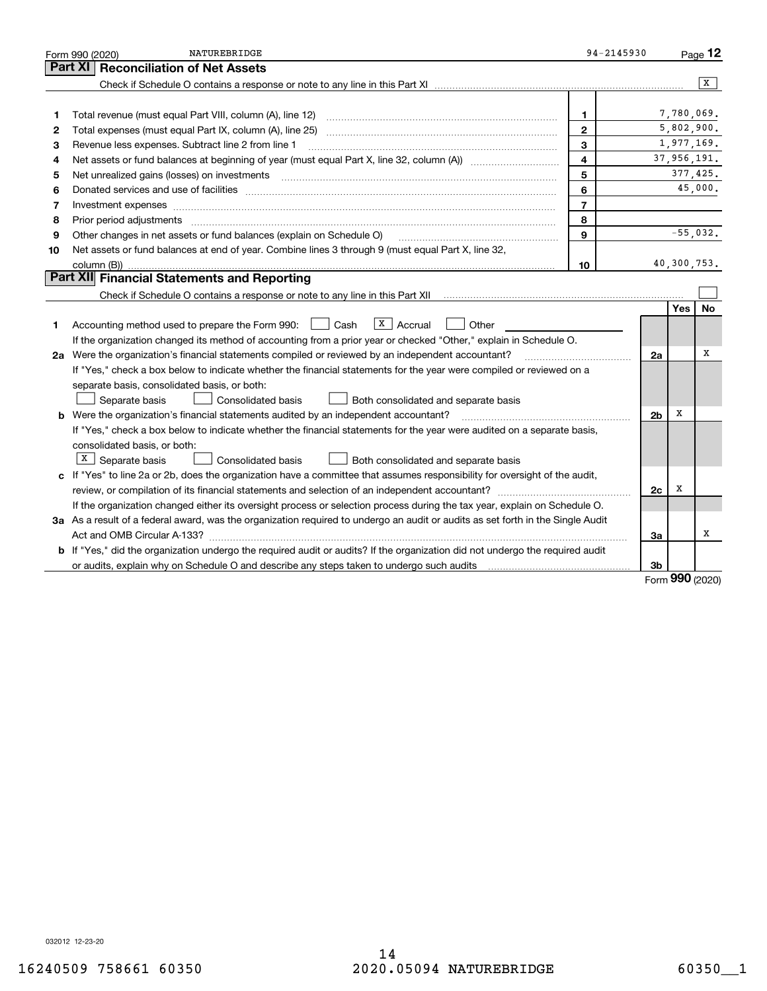|    | NATUREBRIDGE<br>Form 990 (2020)                                                                                                                                                                                                                                                                                                                                                                                                                                         | $94 - 2145930$ |                |             | Page $12$      |
|----|-------------------------------------------------------------------------------------------------------------------------------------------------------------------------------------------------------------------------------------------------------------------------------------------------------------------------------------------------------------------------------------------------------------------------------------------------------------------------|----------------|----------------|-------------|----------------|
|    | Part XI<br><b>Reconciliation of Net Assets</b>                                                                                                                                                                                                                                                                                                                                                                                                                          |                |                |             |                |
|    |                                                                                                                                                                                                                                                                                                                                                                                                                                                                         |                |                |             | $\overline{X}$ |
|    |                                                                                                                                                                                                                                                                                                                                                                                                                                                                         |                |                |             |                |
| 1  | Total revenue (must equal Part VIII, column (A), line 12)                                                                                                                                                                                                                                                                                                                                                                                                               | 1              |                | 7,780,069.  |                |
| 2  | Total expenses (must equal Part IX, column (A), line 25)                                                                                                                                                                                                                                                                                                                                                                                                                | $\mathbf{2}$   |                | 5,802,900.  |                |
| З  | Revenue less expenses. Subtract line 2 from line 1                                                                                                                                                                                                                                                                                                                                                                                                                      | 3              |                | 1,977,169.  |                |
| 4  |                                                                                                                                                                                                                                                                                                                                                                                                                                                                         | 4              |                | 37,956,191. |                |
| 5  |                                                                                                                                                                                                                                                                                                                                                                                                                                                                         | 5              |                |             | 377,425.       |
| 6  | Donated services and use of facilities [111] Donated and the service of facilities [11] Donated services and use of facilities [11] Donated and the service of the service of the service of the service of the service of the                                                                                                                                                                                                                                          | 6              |                |             | 45,000.        |
| 7  | Investment expenses www.communication.com/www.communication.com/www.communication.com/www.com                                                                                                                                                                                                                                                                                                                                                                           | $\overline{7}$ |                |             |                |
| 8  | Prior period adjustments<br>$\begin{minipage}{0.5\textwidth} \begin{tabular}{ l l l } \hline \multicolumn{1}{ l l l } \hline \multicolumn{1}{ l l } \multicolumn{1}{ l } \multicolumn{1}{ l } \multicolumn{1}{ l } \multicolumn{1}{ l } \multicolumn{1}{ l } \multicolumn{1}{ l } \multicolumn{1}{ l } \multicolumn{1}{ l } \multicolumn{1}{ l } \multicolumn{1}{ l } \multicolumn{1}{ l } \multicolumn{1}{ l } \multicolumn{1}{ l } \multicolumn{1}{ l } \multicolumn$ | 8              |                |             |                |
| 9  | Other changes in net assets or fund balances (explain on Schedule O)                                                                                                                                                                                                                                                                                                                                                                                                    | 9              |                |             | $-55,032.$     |
| 10 | Net assets or fund balances at end of year. Combine lines 3 through 9 (must equal Part X, line 32,                                                                                                                                                                                                                                                                                                                                                                      |                |                |             |                |
|    | column (B))                                                                                                                                                                                                                                                                                                                                                                                                                                                             | 10             |                | 40,300,753. |                |
|    | Part XII Financial Statements and Reporting                                                                                                                                                                                                                                                                                                                                                                                                                             |                |                |             |                |
|    |                                                                                                                                                                                                                                                                                                                                                                                                                                                                         |                |                |             |                |
|    |                                                                                                                                                                                                                                                                                                                                                                                                                                                                         |                |                | Yes         | No             |
| 1. | $\vert$ X   Accrual<br>Accounting method used to prepare the Form 990: <u>I</u> Cash<br>Other                                                                                                                                                                                                                                                                                                                                                                           |                |                |             |                |
|    | If the organization changed its method of accounting from a prior year or checked "Other," explain in Schedule O.                                                                                                                                                                                                                                                                                                                                                       |                |                |             |                |
|    | 2a Were the organization's financial statements compiled or reviewed by an independent accountant?                                                                                                                                                                                                                                                                                                                                                                      |                | 2a             |             | x              |
|    | If "Yes," check a box below to indicate whether the financial statements for the year were compiled or reviewed on a                                                                                                                                                                                                                                                                                                                                                    |                |                |             |                |
|    | separate basis, consolidated basis, or both:                                                                                                                                                                                                                                                                                                                                                                                                                            |                |                |             |                |
|    | Separate basis<br>Consolidated basis<br>Both consolidated and separate basis                                                                                                                                                                                                                                                                                                                                                                                            |                |                |             |                |
|    | <b>b</b> Were the organization's financial statements audited by an independent accountant?                                                                                                                                                                                                                                                                                                                                                                             |                | 2 <sub>b</sub> | х           |                |
|    | If "Yes," check a box below to indicate whether the financial statements for the year were audited on a separate basis,                                                                                                                                                                                                                                                                                                                                                 |                |                |             |                |
|    | consolidated basis, or both:                                                                                                                                                                                                                                                                                                                                                                                                                                            |                |                |             |                |
|    | $X \mid$ Separate basis<br>Consolidated basis<br>Both consolidated and separate basis                                                                                                                                                                                                                                                                                                                                                                                   |                |                |             |                |
|    | c If "Yes" to line 2a or 2b, does the organization have a committee that assumes responsibility for oversight of the audit,                                                                                                                                                                                                                                                                                                                                             |                |                |             |                |
|    |                                                                                                                                                                                                                                                                                                                                                                                                                                                                         |                | 2c             | х           |                |
|    | If the organization changed either its oversight process or selection process during the tax year, explain on Schedule O.                                                                                                                                                                                                                                                                                                                                               |                |                |             |                |
|    | 3a As a result of a federal award, was the organization required to undergo an audit or audits as set forth in the Single Audit                                                                                                                                                                                                                                                                                                                                         |                |                |             |                |
|    |                                                                                                                                                                                                                                                                                                                                                                                                                                                                         |                | За             |             | х              |
|    | b If "Yes," did the organization undergo the required audit or audits? If the organization did not undergo the required audit                                                                                                                                                                                                                                                                                                                                           |                |                |             |                |
|    |                                                                                                                                                                                                                                                                                                                                                                                                                                                                         |                | 3b             | nnn         |                |

Form (2020) **990**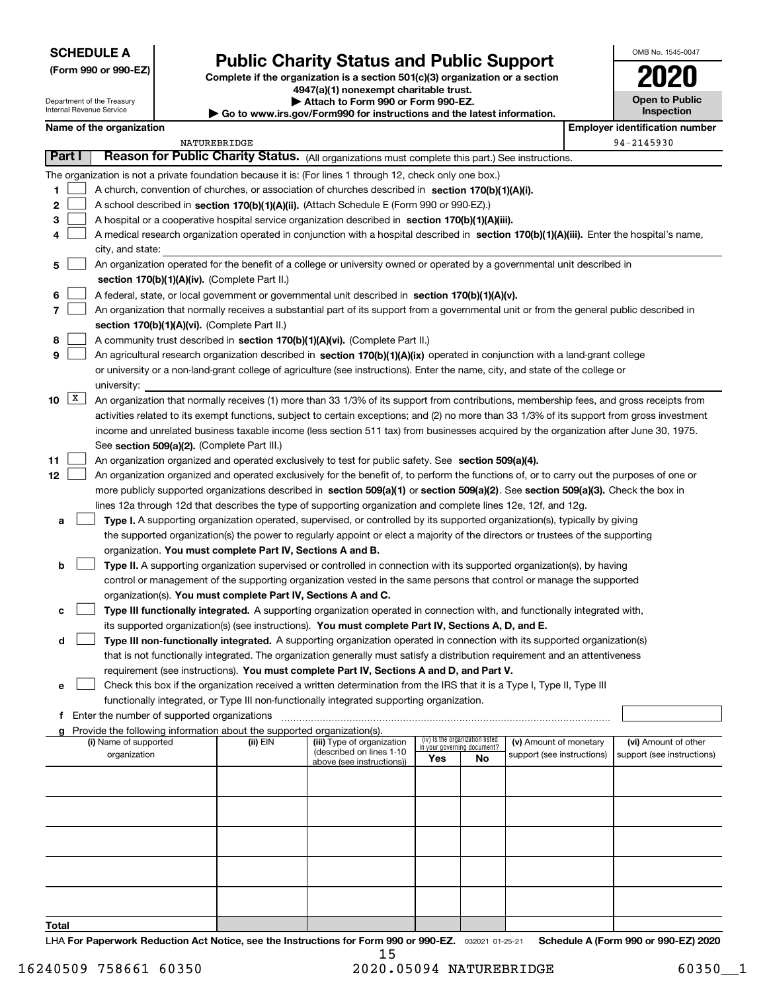| <b>SCHEDULE A</b> |  |
|-------------------|--|
|-------------------|--|

Department of the Treasury Internal Revenue Service

|  |  |  | (Form 990 or 990-EZ) |
|--|--|--|----------------------|
|--|--|--|----------------------|

# **Public Charity Status and Public Support**

**Complete if the organization is a section 501(c)(3) organization or a section 4947(a)(1) nonexempt charitable trust. | Attach to Form 990 or Form 990-EZ. | Go to www.irs.gov/Form990 for instructions and the latest information.**

| <b>Open to Public</b><br>Inspection |  |
|-------------------------------------|--|

OMB No. 1545-0047

|                  | as to mimining on a motor for mod dodono and the rate of microtalism<br>Name of the organization<br><b>Employer identification number</b> |                                                                                                                                                                                                                                                                                                                                                                                                                                                                                                                                                                 |          |                                                        |                                 |    |                                                      |  |                                                    |  |  |
|------------------|-------------------------------------------------------------------------------------------------------------------------------------------|-----------------------------------------------------------------------------------------------------------------------------------------------------------------------------------------------------------------------------------------------------------------------------------------------------------------------------------------------------------------------------------------------------------------------------------------------------------------------------------------------------------------------------------------------------------------|----------|--------------------------------------------------------|---------------------------------|----|------------------------------------------------------|--|----------------------------------------------------|--|--|
|                  |                                                                                                                                           | NATUREBRIDGE                                                                                                                                                                                                                                                                                                                                                                                                                                                                                                                                                    |          |                                                        |                                 |    |                                                      |  | 94-2145930                                         |  |  |
| Part I           |                                                                                                                                           | Reason for Public Charity Status. (All organizations must complete this part.) See instructions.                                                                                                                                                                                                                                                                                                                                                                                                                                                                |          |                                                        |                                 |    |                                                      |  |                                                    |  |  |
| 1<br>2<br>з<br>4 |                                                                                                                                           | The organization is not a private foundation because it is: (For lines 1 through 12, check only one box.)<br>A church, convention of churches, or association of churches described in section 170(b)(1)(A)(i).<br>A school described in section 170(b)(1)(A)(ii). (Attach Schedule E (Form 990 or 990-EZ).)<br>A hospital or a cooperative hospital service organization described in section 170(b)(1)(A)(iii).<br>A medical research organization operated in conjunction with a hospital described in section 170(b)(1)(A)(iii). Enter the hospital's name, |          |                                                        |                                 |    |                                                      |  |                                                    |  |  |
|                  |                                                                                                                                           | city, and state:                                                                                                                                                                                                                                                                                                                                                                                                                                                                                                                                                |          |                                                        |                                 |    |                                                      |  |                                                    |  |  |
| 5                |                                                                                                                                           | An organization operated for the benefit of a college or university owned or operated by a governmental unit described in<br>section 170(b)(1)(A)(iv). (Complete Part II.)                                                                                                                                                                                                                                                                                                                                                                                      |          |                                                        |                                 |    |                                                      |  |                                                    |  |  |
| 6                |                                                                                                                                           | A federal, state, or local government or governmental unit described in section $170(b)(1)(A)(v)$ .                                                                                                                                                                                                                                                                                                                                                                                                                                                             |          |                                                        |                                 |    |                                                      |  |                                                    |  |  |
| 7                |                                                                                                                                           | An organization that normally receives a substantial part of its support from a governmental unit or from the general public described in                                                                                                                                                                                                                                                                                                                                                                                                                       |          |                                                        |                                 |    |                                                      |  |                                                    |  |  |
|                  |                                                                                                                                           | section 170(b)(1)(A)(vi). (Complete Part II.)                                                                                                                                                                                                                                                                                                                                                                                                                                                                                                                   |          |                                                        |                                 |    |                                                      |  |                                                    |  |  |
| 8                |                                                                                                                                           | A community trust described in section 170(b)(1)(A)(vi). (Complete Part II.)                                                                                                                                                                                                                                                                                                                                                                                                                                                                                    |          |                                                        |                                 |    |                                                      |  |                                                    |  |  |
| 9                |                                                                                                                                           | An agricultural research organization described in section 170(b)(1)(A)(ix) operated in conjunction with a land-grant college                                                                                                                                                                                                                                                                                                                                                                                                                                   |          |                                                        |                                 |    |                                                      |  |                                                    |  |  |
|                  |                                                                                                                                           | or university or a non-land-grant college of agriculture (see instructions). Enter the name, city, and state of the college or                                                                                                                                                                                                                                                                                                                                                                                                                                  |          |                                                        |                                 |    |                                                      |  |                                                    |  |  |
| 10               | $\mid$ X                                                                                                                                  | university:<br>An organization that normally receives (1) more than 33 1/3% of its support from contributions, membership fees, and gross receipts from<br>activities related to its exempt functions, subject to certain exceptions; and (2) no more than 33 1/3% of its support from gross investment<br>income and unrelated business taxable income (less section 511 tax) from businesses acquired by the organization after June 30, 1975.<br>See section 509(a)(2). (Complete Part III.)                                                                 |          |                                                        |                                 |    |                                                      |  |                                                    |  |  |
| 11               |                                                                                                                                           | An organization organized and operated exclusively to test for public safety. See section 509(a)(4).                                                                                                                                                                                                                                                                                                                                                                                                                                                            |          |                                                        |                                 |    |                                                      |  |                                                    |  |  |
| 12               |                                                                                                                                           | An organization organized and operated exclusively for the benefit of, to perform the functions of, or to carry out the purposes of one or<br>more publicly supported organizations described in section 509(a)(1) or section 509(a)(2). See section 509(a)(3). Check the box in                                                                                                                                                                                                                                                                                |          |                                                        |                                 |    |                                                      |  |                                                    |  |  |
|                  |                                                                                                                                           | lines 12a through 12d that describes the type of supporting organization and complete lines 12e, 12f, and 12g.                                                                                                                                                                                                                                                                                                                                                                                                                                                  |          |                                                        |                                 |    |                                                      |  |                                                    |  |  |
| а                |                                                                                                                                           | Type I. A supporting organization operated, supervised, or controlled by its supported organization(s), typically by giving                                                                                                                                                                                                                                                                                                                                                                                                                                     |          |                                                        |                                 |    |                                                      |  |                                                    |  |  |
|                  |                                                                                                                                           | the supported organization(s) the power to regularly appoint or elect a majority of the directors or trustees of the supporting                                                                                                                                                                                                                                                                                                                                                                                                                                 |          |                                                        |                                 |    |                                                      |  |                                                    |  |  |
|                  |                                                                                                                                           | organization. You must complete Part IV, Sections A and B.                                                                                                                                                                                                                                                                                                                                                                                                                                                                                                      |          |                                                        |                                 |    |                                                      |  |                                                    |  |  |
| b                |                                                                                                                                           | Type II. A supporting organization supervised or controlled in connection with its supported organization(s), by having                                                                                                                                                                                                                                                                                                                                                                                                                                         |          |                                                        |                                 |    |                                                      |  |                                                    |  |  |
|                  |                                                                                                                                           | control or management of the supporting organization vested in the same persons that control or manage the supported                                                                                                                                                                                                                                                                                                                                                                                                                                            |          |                                                        |                                 |    |                                                      |  |                                                    |  |  |
|                  |                                                                                                                                           | organization(s). You must complete Part IV, Sections A and C.                                                                                                                                                                                                                                                                                                                                                                                                                                                                                                   |          |                                                        |                                 |    |                                                      |  |                                                    |  |  |
|                  |                                                                                                                                           | Type III functionally integrated. A supporting organization operated in connection with, and functionally integrated with,                                                                                                                                                                                                                                                                                                                                                                                                                                      |          |                                                        |                                 |    |                                                      |  |                                                    |  |  |
|                  |                                                                                                                                           | its supported organization(s) (see instructions). You must complete Part IV, Sections A, D, and E.                                                                                                                                                                                                                                                                                                                                                                                                                                                              |          |                                                        |                                 |    |                                                      |  |                                                    |  |  |
| d                |                                                                                                                                           | Type III non-functionally integrated. A supporting organization operated in connection with its supported organization(s)<br>that is not functionally integrated. The organization generally must satisfy a distribution requirement and an attentiveness                                                                                                                                                                                                                                                                                                       |          |                                                        |                                 |    |                                                      |  |                                                    |  |  |
|                  |                                                                                                                                           | requirement (see instructions). You must complete Part IV, Sections A and D, and Part V.                                                                                                                                                                                                                                                                                                                                                                                                                                                                        |          |                                                        |                                 |    |                                                      |  |                                                    |  |  |
| е                |                                                                                                                                           | Check this box if the organization received a written determination from the IRS that it is a Type I, Type II, Type III                                                                                                                                                                                                                                                                                                                                                                                                                                         |          |                                                        |                                 |    |                                                      |  |                                                    |  |  |
|                  |                                                                                                                                           | functionally integrated, or Type III non-functionally integrated supporting organization.                                                                                                                                                                                                                                                                                                                                                                                                                                                                       |          |                                                        |                                 |    |                                                      |  |                                                    |  |  |
| f                |                                                                                                                                           | Enter the number of supported organizations                                                                                                                                                                                                                                                                                                                                                                                                                                                                                                                     |          |                                                        |                                 |    |                                                      |  |                                                    |  |  |
|                  |                                                                                                                                           | Provide the following information about the supported organization(s).                                                                                                                                                                                                                                                                                                                                                                                                                                                                                          |          |                                                        | (iv) Is the organization listed |    |                                                      |  |                                                    |  |  |
|                  |                                                                                                                                           | (i) Name of supported<br>organization                                                                                                                                                                                                                                                                                                                                                                                                                                                                                                                           | (ii) EIN | (iii) Type of organization<br>(described on lines 1-10 | in your governing document?     |    | (v) Amount of monetary<br>support (see instructions) |  | (vi) Amount of other<br>support (see instructions) |  |  |
|                  |                                                                                                                                           |                                                                                                                                                                                                                                                                                                                                                                                                                                                                                                                                                                 |          | above (see instructions))                              | Yes                             | No |                                                      |  |                                                    |  |  |
|                  |                                                                                                                                           |                                                                                                                                                                                                                                                                                                                                                                                                                                                                                                                                                                 |          |                                                        |                                 |    |                                                      |  |                                                    |  |  |
|                  |                                                                                                                                           |                                                                                                                                                                                                                                                                                                                                                                                                                                                                                                                                                                 |          |                                                        |                                 |    |                                                      |  |                                                    |  |  |
|                  |                                                                                                                                           |                                                                                                                                                                                                                                                                                                                                                                                                                                                                                                                                                                 |          |                                                        |                                 |    |                                                      |  |                                                    |  |  |
|                  |                                                                                                                                           |                                                                                                                                                                                                                                                                                                                                                                                                                                                                                                                                                                 |          |                                                        |                                 |    |                                                      |  |                                                    |  |  |
|                  |                                                                                                                                           |                                                                                                                                                                                                                                                                                                                                                                                                                                                                                                                                                                 |          |                                                        |                                 |    |                                                      |  |                                                    |  |  |
|                  |                                                                                                                                           |                                                                                                                                                                                                                                                                                                                                                                                                                                                                                                                                                                 |          |                                                        |                                 |    |                                                      |  |                                                    |  |  |
|                  |                                                                                                                                           |                                                                                                                                                                                                                                                                                                                                                                                                                                                                                                                                                                 |          |                                                        |                                 |    |                                                      |  |                                                    |  |  |
|                  |                                                                                                                                           |                                                                                                                                                                                                                                                                                                                                                                                                                                                                                                                                                                 |          |                                                        |                                 |    |                                                      |  |                                                    |  |  |
| Total            |                                                                                                                                           |                                                                                                                                                                                                                                                                                                                                                                                                                                                                                                                                                                 |          |                                                        |                                 |    |                                                      |  |                                                    |  |  |

LHA For Paperwork Reduction Act Notice, see the Instructions for Form 990 or 990-EZ. <sub>032021</sub> o1-25-21 Schedule A (Form 990 or 990-EZ) 2020 15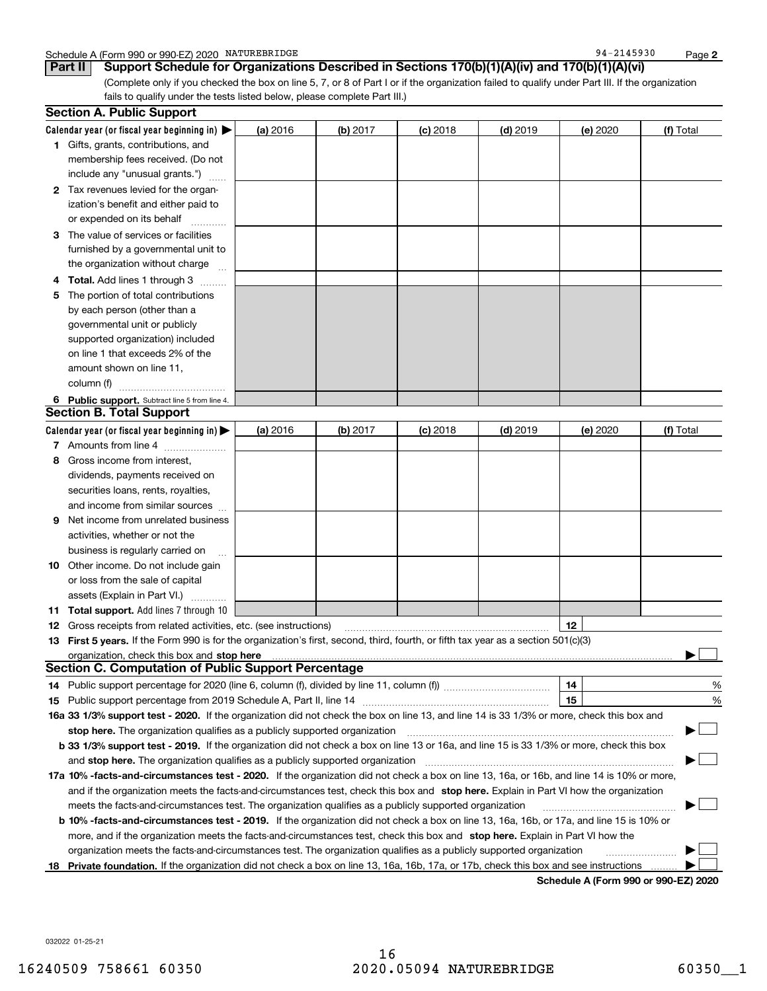94-2145930

**2**

**Calendar year (or fiscal year beginning in)**  | **(a)** 2016 **(b)** 2017 **(c)** 2018 **(d)** 2019 **(e)** 2020 **(f)** Total **1**Gifts, grants, contributions, and **2**Tax revenues levied for the organ-Schedule A (Form 990 or 990-EZ) 2020 Page NATUREBRIDGE(Complete only if you checked the box on line 5, 7, or 8 of Part I or if the organization failed to qualify under Part III. If the organization fails to qualify under the tests listed below, please complete Part III.) (a) 2016 membership fees received. (Do not include any "unusual grants.")  $\,\,\ldots\,\,$ ization's benefit and either paid to or expended on its behalf **Part II** Support Schedule for Organizations Described in Sections 170(b)(1)(A)(iv) and 170(b)(1)(A)(vi) **Section A. Public Support**

| 6 Public support. Subtract line 5 from line 4.<br>----- |  |  |  |
|---------------------------------------------------------|--|--|--|
|                                                         |  |  |  |
| column (f)                                              |  |  |  |
| amount shown on line 11,                                |  |  |  |
| on line 1 that exceeds 2% of the                        |  |  |  |
| supported organization) included                        |  |  |  |
| governmental unit or publicly                           |  |  |  |
| by each person (other than a                            |  |  |  |
| 5 The portion of total contributions                    |  |  |  |
| 4 Total. Add lines 1 through 3                          |  |  |  |
| the organization without charge                         |  |  |  |
| furnished by a governmental unit to                     |  |  |  |
| 3 The value of services or facilities                   |  |  |  |
| or expended on its behalf                               |  |  |  |

### **Section B. Total Support**

|    | Calendar year (or fiscal year beginning in) $\blacktriangleright$                                                                                                                                                                  | (a) 2016 | (b) 2017 | $(c)$ 2018 | $(d)$ 2019 | (e) 2020 | (f) Total                    |
|----|------------------------------------------------------------------------------------------------------------------------------------------------------------------------------------------------------------------------------------|----------|----------|------------|------------|----------|------------------------------|
|    | 7 Amounts from line 4                                                                                                                                                                                                              |          |          |            |            |          |                              |
| 8  | Gross income from interest,                                                                                                                                                                                                        |          |          |            |            |          |                              |
|    | dividends, payments received on                                                                                                                                                                                                    |          |          |            |            |          |                              |
|    | securities loans, rents, royalties,                                                                                                                                                                                                |          |          |            |            |          |                              |
|    | and income from similar sources                                                                                                                                                                                                    |          |          |            |            |          |                              |
| 9  | Net income from unrelated business                                                                                                                                                                                                 |          |          |            |            |          |                              |
|    | activities, whether or not the                                                                                                                                                                                                     |          |          |            |            |          |                              |
|    | business is regularly carried on                                                                                                                                                                                                   |          |          |            |            |          |                              |
| 10 | Other income. Do not include gain                                                                                                                                                                                                  |          |          |            |            |          |                              |
|    | or loss from the sale of capital                                                                                                                                                                                                   |          |          |            |            |          |                              |
|    | assets (Explain in Part VI.)                                                                                                                                                                                                       |          |          |            |            |          |                              |
|    | <b>11 Total support.</b> Add lines 7 through 10                                                                                                                                                                                    |          |          |            |            |          |                              |
| 12 | Gross receipts from related activities, etc. (see instructions)                                                                                                                                                                    |          |          |            |            | 12       |                              |
| 13 | First 5 years. If the Form 990 is for the organization's first, second, third, fourth, or fifth tax year as a section 501(c)(3)                                                                                                    |          |          |            |            |          |                              |
|    | organization, check this box and stop here <b>construction and construction</b> contracts and construction of the construction of the construction of the construction of the construction of the construction of the construction |          |          |            |            |          |                              |
|    | <b>Section C. Computation of Public Support Percentage</b>                                                                                                                                                                         |          |          |            |            |          |                              |
|    |                                                                                                                                                                                                                                    |          |          |            |            | 14       | %                            |
|    |                                                                                                                                                                                                                                    |          |          |            |            | 15       | $\frac{0}{0}$                |
|    | 16a 33 1/3% support test - 2020. If the organization did not check the box on line 13, and line 14 is 33 1/3% or more, check this box and                                                                                          |          |          |            |            |          |                              |
|    | stop here. The organization qualifies as a publicly supported organization                                                                                                                                                         |          |          |            |            |          | $\blacktriangleright$ $\Box$ |
|    | <b>b 33 1/3% support test - 2019.</b> If the organization did not check a box on line 13 or 16a, and line 15 is 33 1/3% or more, check this box                                                                                    |          |          |            |            |          |                              |
|    | and stop here. The organization qualifies as a publicly supported organization match material content of the organization of the state of the organization material content of the organization of the organization material c     |          |          |            |            |          | $\vert \ \ \vert$            |
|    | 17a 10% -facts-and-circumstances test - 2020. If the organization did not check a box on line 13, 16a, or 16b, and line 14 is 10% or more,                                                                                         |          |          |            |            |          |                              |
|    | and if the organization meets the facts-and-circumstances test, check this box and stop here. Explain in Part VI how the organization                                                                                              |          |          |            |            |          |                              |
|    | meets the facts-and-circumstances test. The organization qualifies as a publicly supported organization                                                                                                                            |          |          |            |            |          |                              |
|    | <b>b 10% -facts-and-circumstances test - 2019.</b> If the organization did not check a box on line 13, 16a, 16b, or 17a, and line 15 is 10% or                                                                                     |          |          |            |            |          |                              |
|    | more, and if the organization meets the facts-and-circumstances test, check this box and stop here. Explain in Part VI how the                                                                                                     |          |          |            |            |          |                              |
|    | organization meets the facts-and-circumstances test. The organization qualifies as a publicly supported organization                                                                                                               |          |          |            |            |          |                              |
| 18 | <b>Private foundation.</b> If the organization did not check a box on line 13, 16a, 16b, 17a, or 17b, check this box and see instructions                                                                                          |          |          |            |            |          |                              |

18 Private foundation. If the organization did not check a box on line 13, 16a, 16b, 17a, or 17b, check this box and see instructions .........

**Schedule A (Form 990 or 990-EZ) 2020**

032022 01-25-21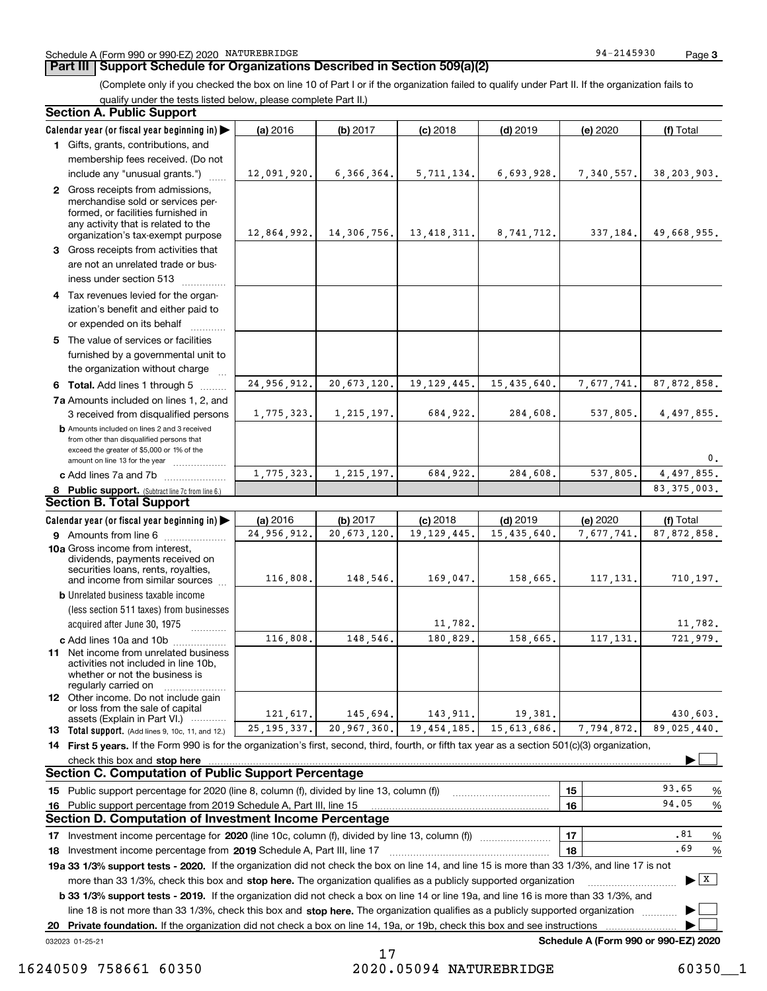#### Schedule A (Form 990 or 990-EZ) 2020 Page NATUREBRIDGE

## **Part III Support Schedule for Organizations Described in Section 509(a)(2)**

**3** 94-2145930

(Complete only if you checked the box on line 10 of Part I or if the organization failed to qualify under Part II. If the organization fails to qualify under the tests listed below, please complete Part II.)

| <b>Section A. Public Support</b>                                                                                                                                                         |               |              |               |               |                                      |                                |
|------------------------------------------------------------------------------------------------------------------------------------------------------------------------------------------|---------------|--------------|---------------|---------------|--------------------------------------|--------------------------------|
| Calendar year (or fiscal year beginning in)                                                                                                                                              | (a) 2016      | (b) 2017     | $(c)$ 2018    | $(d)$ 2019    | (e) 2020                             | (f) Total                      |
| 1 Gifts, grants, contributions, and                                                                                                                                                      |               |              |               |               |                                      |                                |
| membership fees received. (Do not                                                                                                                                                        |               |              |               |               |                                      |                                |
| include any "unusual grants.")                                                                                                                                                           | 12,091,920.   | 6,366,364.   | 5,711,134.    | 6,693,928.    | 7,340,557.                           | 38,203,903.                    |
| 2 Gross receipts from admissions,<br>merchandise sold or services per-<br>formed, or facilities furnished in<br>any activity that is related to the<br>organization's tax-exempt purpose | 12,864,992.   | 14,306,756.  | 13, 418, 311. | 8,741,712.    | 337,184.                             | 49,668,955.                    |
| 3 Gross receipts from activities that<br>are not an unrelated trade or bus-<br>iness under section 513                                                                                   |               |              |               |               |                                      |                                |
| 4 Tax revenues levied for the organ-<br>ization's benefit and either paid to<br>or expended on its behalf                                                                                |               |              |               |               |                                      |                                |
| 5 The value of services or facilities<br>furnished by a governmental unit to<br>the organization without charge                                                                          |               |              |               |               |                                      |                                |
| 6 Total. Add lines 1 through 5                                                                                                                                                           | 24, 956, 912. | 20,673,120.  | 19, 129, 445. | 15,435,640.   | 7,677,741.                           | 87,872,858.                    |
| 7a Amounts included on lines 1, 2, and<br>3 received from disqualified persons                                                                                                           | 1,775,323.    | 1, 215, 197. | 684,922.      | 284,608.      | 537,805.                             | 4,497,855.                     |
| <b>b</b> Amounts included on lines 2 and 3 received<br>from other than disqualified persons that<br>exceed the greater of \$5,000 or 1% of the<br>amount on line 13 for the year         |               |              |               |               |                                      | 0.                             |
| c Add lines 7a and 7b                                                                                                                                                                    | 1,775,323.    | 1,215,197.   | 684,922.      | 284,608.      | 537,805.                             | 4,497,855.                     |
| 8 Public support. (Subtract line 7c from line 6.)                                                                                                                                        |               |              |               |               |                                      | 83, 375, 003.                  |
| <b>Section B. Total Support</b>                                                                                                                                                          |               |              |               |               |                                      |                                |
| Calendar year (or fiscal year beginning in)                                                                                                                                              | (a) 2016      | (b) 2017     | $(c)$ 2018    | $(d)$ 2019    | (e) 2020                             | (f) Total                      |
| 9 Amounts from line 6                                                                                                                                                                    | 24,956,912.   | 20,673,120.  | 19, 129, 445. | 15, 435, 640. | 7,677,741.                           | 87, 872, 858.                  |
| 10a Gross income from interest,<br>dividends, payments received on<br>securities loans, rents, royalties,<br>and income from similar sources                                             | 116,808.      | 148,546.     | 169,047.      | 158,665.      | 117, 131.                            | 710,197.                       |
| <b>b</b> Unrelated business taxable income                                                                                                                                               |               |              |               |               |                                      |                                |
| (less section 511 taxes) from businesses                                                                                                                                                 |               |              |               |               |                                      |                                |
| acquired after June 30, 1975                                                                                                                                                             |               |              | 11,782.       |               |                                      | 11,782.                        |
| c Add lines 10a and 10b<br>11 Net income from unrelated business<br>activities not included in line 10b,<br>whether or not the business is<br>regularly carried on                       | 116,808.      | 148,546.     | 180,829.      | 158,665.      | 117,131.                             | 721,979.                       |
| <b>12</b> Other income. Do not include gain<br>or loss from the sale of capital                                                                                                          | 121,617.      | 145,694.     | 143,911.      | 19,381.       |                                      | 430,603.                       |
| assets (Explain in Part VI.)<br><b>13</b> Total support. (Add lines 9, 10c, 11, and 12.)                                                                                                 | 25, 195, 337. | 20,967,360.  | 19,454,185.   | 15,613,686.   | 7,794,872.                           | 89,025,440.                    |
| 14 First 5 years. If the Form 990 is for the organization's first, second, third, fourth, or fifth tax year as a section 501(c)(3) organization,                                         |               |              |               |               |                                      |                                |
| check this box and stop here                                                                                                                                                             |               |              |               |               |                                      |                                |
| <b>Section C. Computation of Public Support Percentage</b>                                                                                                                               |               |              |               |               |                                      |                                |
| 15 Public support percentage for 2020 (line 8, column (f), divided by line 13, column (f))                                                                                               |               |              |               |               | 15                                   | 93.65<br>%                     |
| 16 Public support percentage from 2019 Schedule A, Part III, line 15                                                                                                                     |               |              |               |               | 16                                   | 94.05<br>%                     |
| <b>Section D. Computation of Investment Income Percentage</b>                                                                                                                            |               |              |               |               |                                      |                                |
| 17 Investment income percentage for 2020 (line 10c, column (f), divided by line 13, column (f))                                                                                          |               |              |               |               | 17                                   | .81<br>%                       |
| 18 Investment income percentage from 2019 Schedule A, Part III, line 17                                                                                                                  |               |              |               |               | 18                                   | .69<br>%                       |
| 19a 33 1/3% support tests - 2020. If the organization did not check the box on line 14, and line 15 is more than 33 1/3%, and line 17 is not                                             |               |              |               |               |                                      |                                |
| more than 33 1/3%, check this box and stop here. The organization qualifies as a publicly supported organization                                                                         |               |              |               |               |                                      | $\blacktriangleright$ $\mid$ X |
| <b>b 33 1/3% support tests - 2019.</b> If the organization did not check a box on line 14 or line 19a, and line 16 is more than 33 1/3%, and                                             |               |              |               |               |                                      |                                |
| line 18 is not more than 33 1/3%, check this box and stop here. The organization qualifies as a publicly supported organization                                                          |               |              |               |               |                                      |                                |
| 20 Private foundation. If the organization did not check a box on line 14, 19a, or 19b, check this box and see instructions                                                              |               |              |               |               |                                      |                                |
| 032023 01-25-21                                                                                                                                                                          |               |              |               |               | Schedule A (Form 990 or 990-EZ) 2020 |                                |

17 16240509 758661 60350 2020.05094 NATUREBRIDGE 60350\_\_1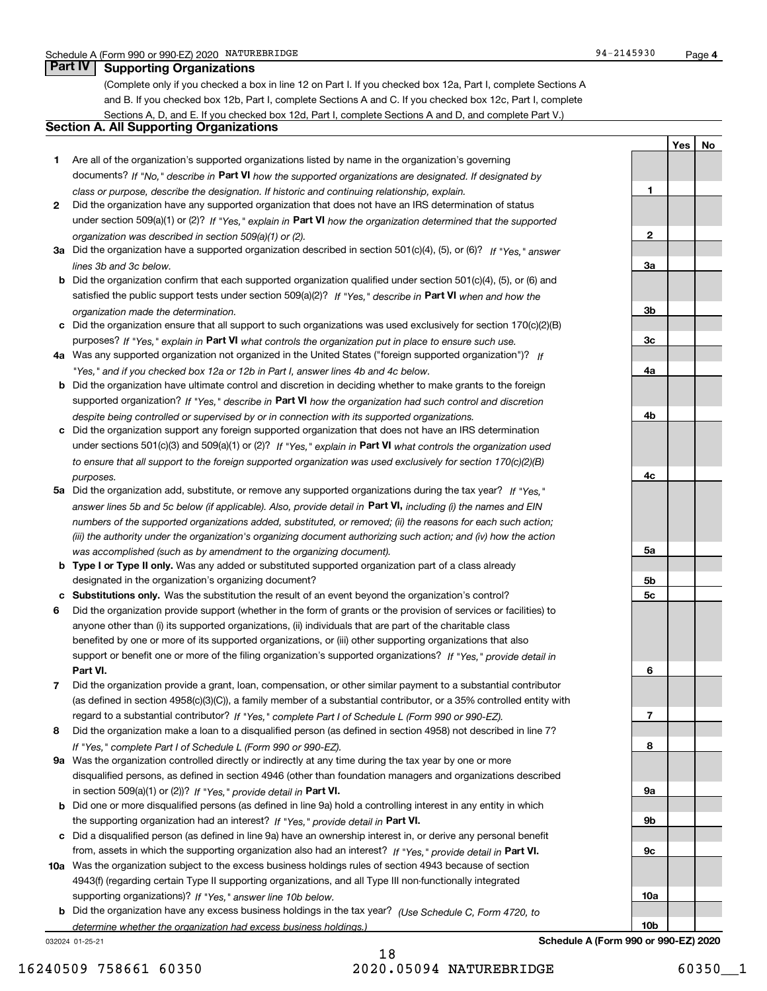**1**

**2**

**3a**

**3b**

**3c**

**4a**

**4b**

**4c**

**5a**

**5b5c**

**6**

**7**

**8**

**9a**

**9b**

**9c**

**10a**

**YesNo**

## **Part IV Supporting Organizations**

(Complete only if you checked a box in line 12 on Part I. If you checked box 12a, Part I, complete Sections A and B. If you checked box 12b, Part I, complete Sections A and C. If you checked box 12c, Part I, complete Sections A, D, and E. If you checked box 12d, Part I, complete Sections A and D, and complete Part V.)

### **Section A. All Supporting Organizations**

- **1** Are all of the organization's supported organizations listed by name in the organization's governing documents? If "No," describe in **Part VI** how the supported organizations are designated. If designated by *class or purpose, describe the designation. If historic and continuing relationship, explain.*
- **2** Did the organization have any supported organization that does not have an IRS determination of status under section 509(a)(1) or (2)? If "Yes," explain in Part VI how the organization determined that the supported *organization was described in section 509(a)(1) or (2).*
- **3a** Did the organization have a supported organization described in section 501(c)(4), (5), or (6)? If "Yes," answer *lines 3b and 3c below.*
- **b** Did the organization confirm that each supported organization qualified under section 501(c)(4), (5), or (6) and satisfied the public support tests under section 509(a)(2)? If "Yes," describe in **Part VI** when and how the *organization made the determination.*
- **c**Did the organization ensure that all support to such organizations was used exclusively for section 170(c)(2)(B) purposes? If "Yes," explain in **Part VI** what controls the organization put in place to ensure such use.
- **4a***If* Was any supported organization not organized in the United States ("foreign supported organization")? *"Yes," and if you checked box 12a or 12b in Part I, answer lines 4b and 4c below.*
- **b** Did the organization have ultimate control and discretion in deciding whether to make grants to the foreign supported organization? If "Yes," describe in **Part VI** how the organization had such control and discretion *despite being controlled or supervised by or in connection with its supported organizations.*
- **c** Did the organization support any foreign supported organization that does not have an IRS determination under sections 501(c)(3) and 509(a)(1) or (2)? If "Yes," explain in **Part VI** what controls the organization used *to ensure that all support to the foreign supported organization was used exclusively for section 170(c)(2)(B) purposes.*
- **5a** Did the organization add, substitute, or remove any supported organizations during the tax year? If "Yes," answer lines 5b and 5c below (if applicable). Also, provide detail in **Part VI,** including (i) the names and EIN *numbers of the supported organizations added, substituted, or removed; (ii) the reasons for each such action; (iii) the authority under the organization's organizing document authorizing such action; and (iv) how the action was accomplished (such as by amendment to the organizing document).*
- **b** Type I or Type II only. Was any added or substituted supported organization part of a class already designated in the organization's organizing document?
- **cSubstitutions only.**  Was the substitution the result of an event beyond the organization's control?
- **6** Did the organization provide support (whether in the form of grants or the provision of services or facilities) to **Part VI.** *If "Yes," provide detail in* support or benefit one or more of the filing organization's supported organizations? anyone other than (i) its supported organizations, (ii) individuals that are part of the charitable class benefited by one or more of its supported organizations, or (iii) other supporting organizations that also
- **7**Did the organization provide a grant, loan, compensation, or other similar payment to a substantial contributor *If "Yes," complete Part I of Schedule L (Form 990 or 990-EZ).* regard to a substantial contributor? (as defined in section 4958(c)(3)(C)), a family member of a substantial contributor, or a 35% controlled entity with
- **8** Did the organization make a loan to a disqualified person (as defined in section 4958) not described in line 7? *If "Yes," complete Part I of Schedule L (Form 990 or 990-EZ).*
- **9a** Was the organization controlled directly or indirectly at any time during the tax year by one or more in section 509(a)(1) or (2))? If "Yes," *provide detail in* <code>Part VI.</code> disqualified persons, as defined in section 4946 (other than foundation managers and organizations described
- **b**the supporting organization had an interest? If "Yes," provide detail in P**art VI**. Did one or more disqualified persons (as defined in line 9a) hold a controlling interest in any entity in which
- **c**Did a disqualified person (as defined in line 9a) have an ownership interest in, or derive any personal benefit from, assets in which the supporting organization also had an interest? If "Yes," provide detail in P**art VI.**
- **10a** Was the organization subject to the excess business holdings rules of section 4943 because of section supporting organizations)? If "Yes," answer line 10b below. 4943(f) (regarding certain Type II supporting organizations, and all Type III non-functionally integrated
- **b** Did the organization have any excess business holdings in the tax year? (Use Schedule C, Form 4720, to *determine whether the organization had excess business holdings.)*

032024 01-25-21

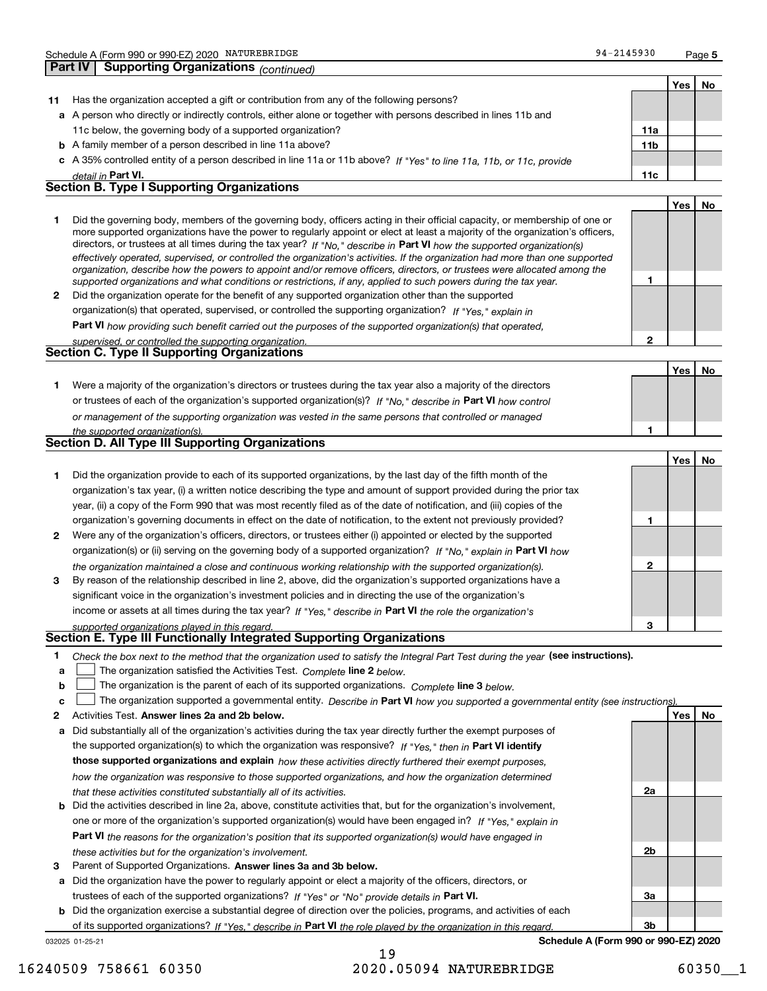|    | Schedule A (Form 990 or 990-EZ) 2020 NATUREBRIDGE                                                                                                                                                                                                                                                                                                                                                                                                                                                                                                                                                                                                    | 94-2145930      |            | Page 5 |
|----|------------------------------------------------------------------------------------------------------------------------------------------------------------------------------------------------------------------------------------------------------------------------------------------------------------------------------------------------------------------------------------------------------------------------------------------------------------------------------------------------------------------------------------------------------------------------------------------------------------------------------------------------------|-----------------|------------|--------|
|    | <b>Supporting Organizations (continued)</b><br><b>Part IV</b>                                                                                                                                                                                                                                                                                                                                                                                                                                                                                                                                                                                        |                 |            |        |
|    |                                                                                                                                                                                                                                                                                                                                                                                                                                                                                                                                                                                                                                                      |                 | <b>Yes</b> | No     |
| 11 | Has the organization accepted a gift or contribution from any of the following persons?                                                                                                                                                                                                                                                                                                                                                                                                                                                                                                                                                              |                 |            |        |
|    | a A person who directly or indirectly controls, either alone or together with persons described in lines 11b and                                                                                                                                                                                                                                                                                                                                                                                                                                                                                                                                     |                 |            |        |
|    | 11c below, the governing body of a supported organization?                                                                                                                                                                                                                                                                                                                                                                                                                                                                                                                                                                                           | 11a             |            |        |
|    | <b>b</b> A family member of a person described in line 11a above?                                                                                                                                                                                                                                                                                                                                                                                                                                                                                                                                                                                    | 11 <sub>b</sub> |            |        |
|    | c A 35% controlled entity of a person described in line 11a or 11b above? If "Yes" to line 11a, 11b, or 11c, provide                                                                                                                                                                                                                                                                                                                                                                                                                                                                                                                                 |                 |            |        |
|    | detail in Part VI.                                                                                                                                                                                                                                                                                                                                                                                                                                                                                                                                                                                                                                   | 11c             |            |        |
|    | <b>Section B. Type I Supporting Organizations</b>                                                                                                                                                                                                                                                                                                                                                                                                                                                                                                                                                                                                    |                 |            |        |
|    |                                                                                                                                                                                                                                                                                                                                                                                                                                                                                                                                                                                                                                                      |                 | Yes        | No     |
| 1  | Did the governing body, members of the governing body, officers acting in their official capacity, or membership of one or<br>more supported organizations have the power to regularly appoint or elect at least a majority of the organization's officers,<br>directors, or trustees at all times during the tax year? If "No," describe in Part VI how the supported organization(s)<br>effectively operated, supervised, or controlled the organization's activities. If the organization had more than one supported<br>organization, describe how the powers to appoint and/or remove officers, directors, or trustees were allocated among the | 1               |            |        |
| 2  | supported organizations and what conditions or restrictions, if any, applied to such powers during the tax year.<br>Did the organization operate for the benefit of any supported organization other than the supported                                                                                                                                                                                                                                                                                                                                                                                                                              |                 |            |        |
|    | organization(s) that operated, supervised, or controlled the supporting organization? If "Yes." explain in                                                                                                                                                                                                                                                                                                                                                                                                                                                                                                                                           |                 |            |        |
|    |                                                                                                                                                                                                                                                                                                                                                                                                                                                                                                                                                                                                                                                      |                 |            |        |
|    | Part VI how providing such benefit carried out the purposes of the supported organization(s) that operated,                                                                                                                                                                                                                                                                                                                                                                                                                                                                                                                                          | $\overline{2}$  |            |        |
|    | supervised, or controlled the supporting organization.<br><b>Section C. Type II Supporting Organizations</b>                                                                                                                                                                                                                                                                                                                                                                                                                                                                                                                                         |                 |            |        |
|    |                                                                                                                                                                                                                                                                                                                                                                                                                                                                                                                                                                                                                                                      |                 | Yes        | No     |
| 1  | Were a majority of the organization's directors or trustees during the tax year also a majority of the directors                                                                                                                                                                                                                                                                                                                                                                                                                                                                                                                                     |                 |            |        |
|    | or trustees of each of the organization's supported organization(s)? If "No," describe in Part VI how control                                                                                                                                                                                                                                                                                                                                                                                                                                                                                                                                        |                 |            |        |
|    |                                                                                                                                                                                                                                                                                                                                                                                                                                                                                                                                                                                                                                                      |                 |            |        |
|    | or management of the supporting organization was vested in the same persons that controlled or managed                                                                                                                                                                                                                                                                                                                                                                                                                                                                                                                                               | 1               |            |        |
|    | the supported organization(s).<br>Section D. All Type III Supporting Organizations                                                                                                                                                                                                                                                                                                                                                                                                                                                                                                                                                                   |                 |            |        |
|    |                                                                                                                                                                                                                                                                                                                                                                                                                                                                                                                                                                                                                                                      |                 | Yes        | No     |
|    |                                                                                                                                                                                                                                                                                                                                                                                                                                                                                                                                                                                                                                                      |                 |            |        |
| 1  | Did the organization provide to each of its supported organizations, by the last day of the fifth month of the                                                                                                                                                                                                                                                                                                                                                                                                                                                                                                                                       |                 |            |        |
|    | organization's tax year, (i) a written notice describing the type and amount of support provided during the prior tax                                                                                                                                                                                                                                                                                                                                                                                                                                                                                                                                |                 |            |        |
|    | year, (ii) a copy of the Form 990 that was most recently filed as of the date of notification, and (iii) copies of the                                                                                                                                                                                                                                                                                                                                                                                                                                                                                                                               | 1               |            |        |
|    | organization's governing documents in effect on the date of notification, to the extent not previously provided?                                                                                                                                                                                                                                                                                                                                                                                                                                                                                                                                     |                 |            |        |
| 2  | Were any of the organization's officers, directors, or trustees either (i) appointed or elected by the supported                                                                                                                                                                                                                                                                                                                                                                                                                                                                                                                                     |                 |            |        |
|    | organization(s) or (ii) serving on the governing body of a supported organization? If "No," explain in Part VI how                                                                                                                                                                                                                                                                                                                                                                                                                                                                                                                                   |                 |            |        |
|    | the organization maintained a close and continuous working relationship with the supported organization(s).                                                                                                                                                                                                                                                                                                                                                                                                                                                                                                                                          | 2               |            |        |
| 3  | By reason of the relationship described in line 2, above, did the organization's supported organizations have a                                                                                                                                                                                                                                                                                                                                                                                                                                                                                                                                      |                 |            |        |
|    | significant voice in the organization's investment policies and in directing the use of the organization's                                                                                                                                                                                                                                                                                                                                                                                                                                                                                                                                           |                 |            |        |
|    | income or assets at all times during the tax year? If "Yes," describe in Part VI the role the organization's                                                                                                                                                                                                                                                                                                                                                                                                                                                                                                                                         |                 |            |        |
|    | supported organizations played in this regard.<br>Section E. Type III Functionally Integrated Supporting Organizations                                                                                                                                                                                                                                                                                                                                                                                                                                                                                                                               | 3               |            |        |
|    | Chook the boy novt to the method that the examination wood to estight the Integral Dart Test during the year (see instructions)                                                                                                                                                                                                                                                                                                                                                                                                                                                                                                                      |                 |            |        |

- **1**Check the box next to the method that the organization used to satisfy the Integral Part Test during the year (see instructions).
- **alinupy** The organization satisfied the Activities Test. Complete line 2 below.
- **bThe organization is the parent of each of its supported organizations. Complete line 3 below.**

|  |  |  | c $\Box$ The organization supported a governmental entity. Describe in Part VI how you supported a governmental entity (see instructions) |  |
|--|--|--|-------------------------------------------------------------------------------------------------------------------------------------------|--|
|--|--|--|-------------------------------------------------------------------------------------------------------------------------------------------|--|

19

- **2Answer lines 2a and 2b below. Yes No** Activities Test.
- **a** Did substantially all of the organization's activities during the tax year directly further the exempt purposes of the supported organization(s) to which the organization was responsive? If "Yes," then in **Part VI identify those supported organizations and explain**  *how these activities directly furthered their exempt purposes, how the organization was responsive to those supported organizations, and how the organization determined that these activities constituted substantially all of its activities.*
- **b** Did the activities described in line 2a, above, constitute activities that, but for the organization's involvement, **Part VI**  *the reasons for the organization's position that its supported organization(s) would have engaged in* one or more of the organization's supported organization(s) would have been engaged in? If "Yes," e*xplain in these activities but for the organization's involvement.*
- **3** Parent of Supported Organizations. Answer lines 3a and 3b below.

**a** Did the organization have the power to regularly appoint or elect a majority of the officers, directors, or trustees of each of the supported organizations? If "Yes" or "No" provide details in **Part VI.** 

**b** Did the organization exercise a substantial degree of direction over the policies, programs, and activities of each of its supported organizations? If "Yes," describe in Part VI the role played by the organization in this regard.

032025 01-25-21

**Schedule A (Form 990 or 990-EZ) 2020**

**2a**

**2b**

**3a**

**3b**

## 16240509 758661 60350 2020.05094 NATUREBRIDGE 60350\_\_1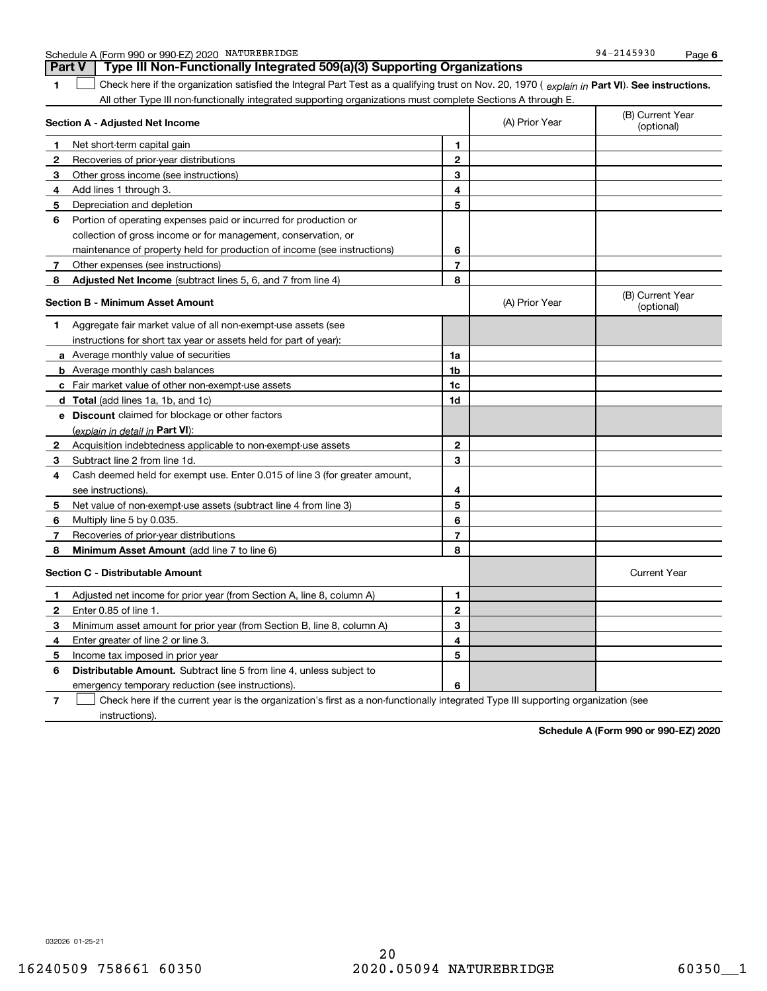| Schedule A | 4 (Form 990 or 990-EZ) 2020 | NATUREBRIDGE | .45930<br>$94 -$<br>-4147 | Page |  |
|------------|-----------------------------|--------------|---------------------------|------|--|
|------------|-----------------------------|--------------|---------------------------|------|--|

**1Part VI** Check here if the organization satisfied the Integral Part Test as a qualifying trust on Nov. 20, 1970 ( explain in Part **VI**). See instructions. **Section A - Adjusted Net Income 123** Other gross income (see instructions) **456** Portion of operating expenses paid or incurred for production or **7** Other expenses (see instructions) **8** Adjusted Net Income (subtract lines 5, 6, and 7 from line 4) **8 8 1234567Section B - Minimum Asset Amount 1**Aggregate fair market value of all non-exempt-use assets (see **2**Acquisition indebtedness applicable to non-exempt-use assets **3** Subtract line 2 from line 1d. **4**Cash deemed held for exempt use. Enter 0.015 of line 3 (for greater amount, **5** Net value of non-exempt-use assets (subtract line 4 from line 3) **678a** Average monthly value of securities **b** Average monthly cash balances **c**Fair market value of other non-exempt-use assets **dTotal**  (add lines 1a, 1b, and 1c) **eDiscount** claimed for blockage or other factors **1a1b1c1d2345678**(explain in detail in Part VI): **Minimum Asset Amount**  (add line 7 to line 6) **Section C - Distributable Amount 123456123456Distributable Amount.** Subtract line 5 from line 4, unless subject to All other Type III non-functionally integrated supporting organizations must complete Sections A through E. (B) Current Year (optional)(A) Prior Year Net short-term capital gain Recoveries of prior-year distributions Add lines 1 through 3. Depreciation and depletion collection of gross income or for management, conservation, or maintenance of property held for production of income (see instructions) (B) Current Year (optional)(A) Prior Year instructions for short tax year or assets held for part of year): see instructions). Multiply line 5 by 0.035. Recoveries of prior-year distributions Current Year Adjusted net income for prior year (from Section A, line 8, column A) Enter 0.85 of line 1. Minimum asset amount for prior year (from Section B, line 8, column A) Enter greater of line 2 or line 3. Income tax imposed in prior year emergency temporary reduction (see instructions). **Part V Type III Non-Functionally Integrated 509(a)(3) Supporting Organizations**   $\mathcal{L}^{\text{max}}$ 

**7**Check here if the current year is the organization's first as a non-functionally integrated Type III supporting organization (see instructions). $\mathcal{L}^{\text{max}}$ 

**Schedule A (Form 990 or 990-EZ) 2020**

032026 01-25-21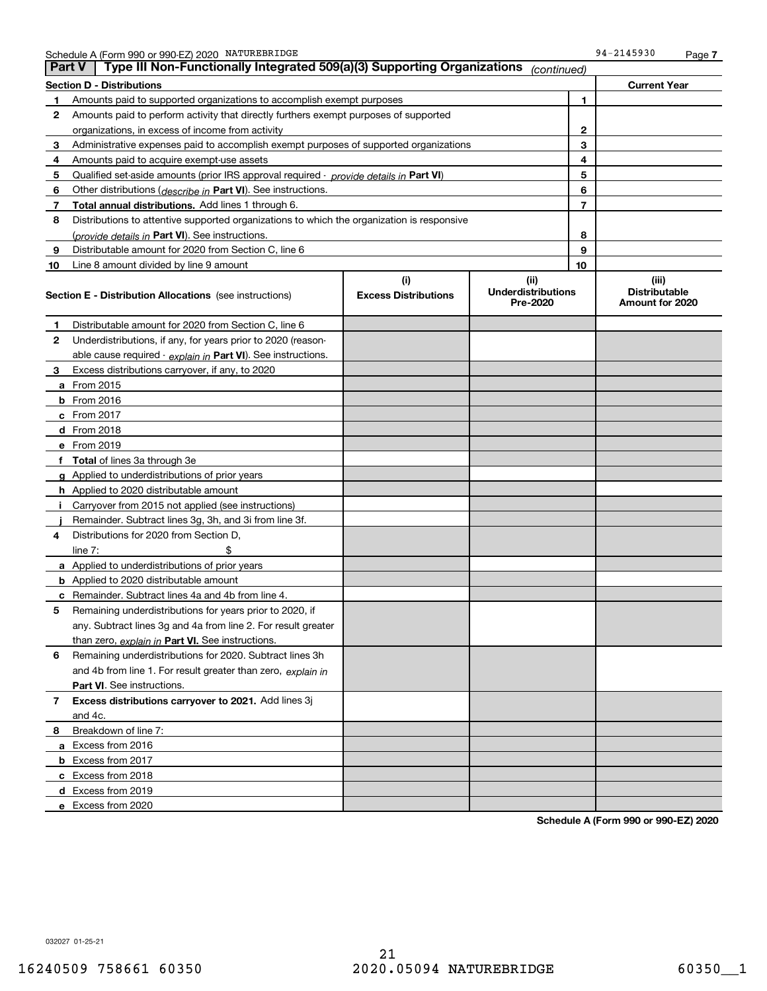|    | Type III Non-Functionally Integrated 509(a)(3) Supporting Organizations<br><b>Part V</b><br>(continued) |                                    |                                               |              |                                                  |  |  |
|----|---------------------------------------------------------------------------------------------------------|------------------------------------|-----------------------------------------------|--------------|--------------------------------------------------|--|--|
|    | <b>Section D - Distributions</b><br><b>Current Year</b>                                                 |                                    |                                               |              |                                                  |  |  |
| 1  | Amounts paid to supported organizations to accomplish exempt purposes                                   |                                    | 1                                             |              |                                                  |  |  |
| 2  | Amounts paid to perform activity that directly furthers exempt purposes of supported                    |                                    |                                               |              |                                                  |  |  |
|    | organizations, in excess of income from activity                                                        |                                    |                                               | $\mathbf{2}$ |                                                  |  |  |
| 3  | Administrative expenses paid to accomplish exempt purposes of supported organizations                   |                                    |                                               | 3            |                                                  |  |  |
| 4  | Amounts paid to acquire exempt-use assets                                                               |                                    |                                               | 4            |                                                  |  |  |
| 5  | Qualified set-aside amounts (prior IRS approval required - provide details in Part VI)                  |                                    |                                               | 5            |                                                  |  |  |
| 6  | Other distributions ( <i>describe in</i> Part VI). See instructions.                                    |                                    |                                               | 6            |                                                  |  |  |
| 7  | Total annual distributions. Add lines 1 through 6.                                                      |                                    |                                               | 7            |                                                  |  |  |
| 8  | Distributions to attentive supported organizations to which the organization is responsive              |                                    |                                               |              |                                                  |  |  |
|    | (provide details in Part VI). See instructions.                                                         |                                    |                                               | 8            |                                                  |  |  |
| 9  | Distributable amount for 2020 from Section C, line 6                                                    |                                    |                                               | 9            |                                                  |  |  |
| 10 | Line 8 amount divided by line 9 amount                                                                  |                                    |                                               | 10           |                                                  |  |  |
|    | <b>Section E - Distribution Allocations</b> (see instructions)                                          | (i)<br><b>Excess Distributions</b> | (ii)<br><b>Underdistributions</b><br>Pre-2020 |              | (iii)<br><b>Distributable</b><br>Amount for 2020 |  |  |
| 1  | Distributable amount for 2020 from Section C, line 6                                                    |                                    |                                               |              |                                                  |  |  |
| 2  | Underdistributions, if any, for years prior to 2020 (reason-                                            |                                    |                                               |              |                                                  |  |  |
|    | able cause required - explain in Part VI). See instructions.                                            |                                    |                                               |              |                                                  |  |  |
| 3  | Excess distributions carryover, if any, to 2020                                                         |                                    |                                               |              |                                                  |  |  |
|    | a From 2015                                                                                             |                                    |                                               |              |                                                  |  |  |
|    | <b>b</b> From 2016                                                                                      |                                    |                                               |              |                                                  |  |  |
|    | $c$ From 2017                                                                                           |                                    |                                               |              |                                                  |  |  |
|    | d From 2018                                                                                             |                                    |                                               |              |                                                  |  |  |
|    | e From 2019                                                                                             |                                    |                                               |              |                                                  |  |  |
|    | f Total of lines 3a through 3e                                                                          |                                    |                                               |              |                                                  |  |  |
|    | g Applied to underdistributions of prior years                                                          |                                    |                                               |              |                                                  |  |  |
|    | <b>h</b> Applied to 2020 distributable amount                                                           |                                    |                                               |              |                                                  |  |  |
|    | Carryover from 2015 not applied (see instructions)                                                      |                                    |                                               |              |                                                  |  |  |
|    | Remainder. Subtract lines 3g, 3h, and 3i from line 3f.                                                  |                                    |                                               |              |                                                  |  |  |
| 4  | Distributions for 2020 from Section D,                                                                  |                                    |                                               |              |                                                  |  |  |
|    | line $7:$                                                                                               |                                    |                                               |              |                                                  |  |  |
|    | a Applied to underdistributions of prior years                                                          |                                    |                                               |              |                                                  |  |  |
|    | <b>b</b> Applied to 2020 distributable amount                                                           |                                    |                                               |              |                                                  |  |  |
|    | c Remainder. Subtract lines 4a and 4b from line 4.                                                      |                                    |                                               |              |                                                  |  |  |
| 5. | Remaining underdistributions for years prior to 2020, if                                                |                                    |                                               |              |                                                  |  |  |
|    | any. Subtract lines 3g and 4a from line 2. For result greater                                           |                                    |                                               |              |                                                  |  |  |
|    | than zero, explain in Part VI. See instructions.                                                        |                                    |                                               |              |                                                  |  |  |
| 6  | Remaining underdistributions for 2020. Subtract lines 3h                                                |                                    |                                               |              |                                                  |  |  |
|    | and 4b from line 1. For result greater than zero, explain in                                            |                                    |                                               |              |                                                  |  |  |
|    | Part VI. See instructions.                                                                              |                                    |                                               |              |                                                  |  |  |
| 7  | Excess distributions carryover to 2021. Add lines 3j                                                    |                                    |                                               |              |                                                  |  |  |
|    | and 4c.                                                                                                 |                                    |                                               |              |                                                  |  |  |
| 8  | Breakdown of line 7:                                                                                    |                                    |                                               |              |                                                  |  |  |
|    | a Excess from 2016                                                                                      |                                    |                                               |              |                                                  |  |  |
|    | <b>b</b> Excess from 2017                                                                               |                                    |                                               |              |                                                  |  |  |
|    | c Excess from 2018                                                                                      |                                    |                                               |              |                                                  |  |  |
|    | d Excess from 2019                                                                                      |                                    |                                               |              |                                                  |  |  |
|    | e Excess from 2020                                                                                      |                                    |                                               |              |                                                  |  |  |

**Schedule A (Form 990 or 990-EZ) 2020**

032027 01-25-21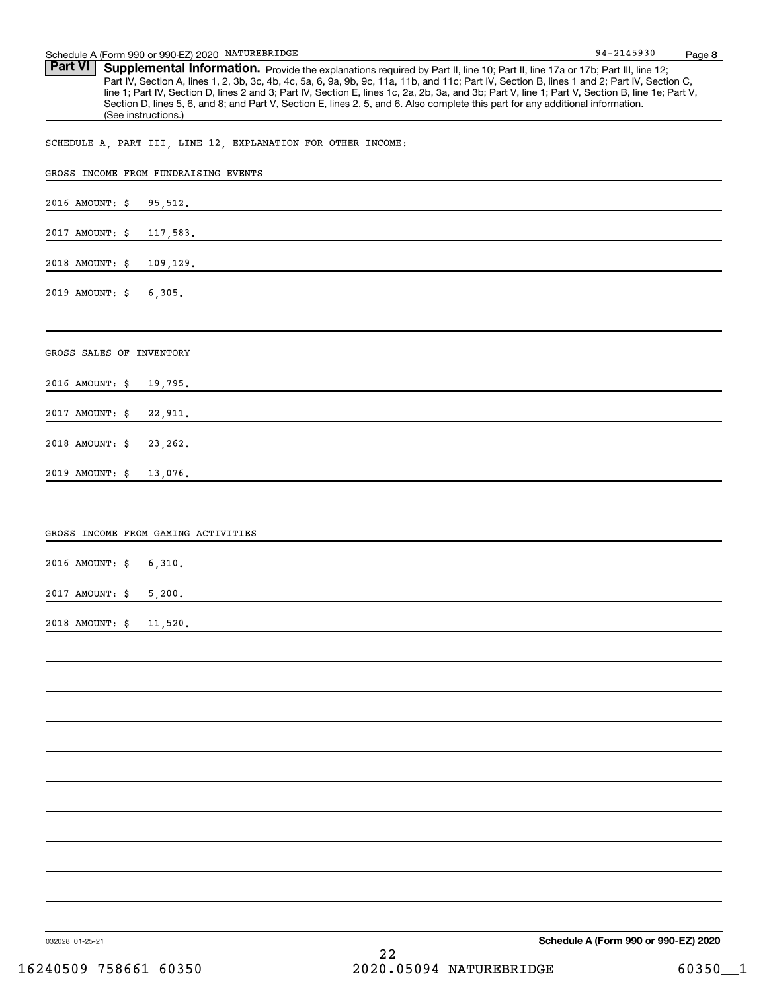| Schedule A (Form 990 or 990-EZ) 2020 NATUREBRIDGE                                                                                                                                                                                                                                                                                                                                                                                                                                                                                                                                                      | 94-2145930 | Page 8 |
|--------------------------------------------------------------------------------------------------------------------------------------------------------------------------------------------------------------------------------------------------------------------------------------------------------------------------------------------------------------------------------------------------------------------------------------------------------------------------------------------------------------------------------------------------------------------------------------------------------|------------|--------|
| Part VI<br>Supplemental Information. Provide the explanations required by Part II, line 10; Part II, line 17a or 17b; Part III, line 12;<br>Part IV, Section A, lines 1, 2, 3b, 3c, 4b, 4c, 5a, 6, 9a, 9b, 9c, 11a, 11b, and 11c; Part IV, Section B, lines 1 and 2; Part IV, Section C,<br>line 1; Part IV, Section D, lines 2 and 3; Part IV, Section E, lines 1c, 2a, 2b, 3a, and 3b; Part V, line 1; Part V, Section B, line 1e; Part V,<br>Section D, lines 5, 6, and 8; and Part V, Section E, lines 2, 5, and 6. Also complete this part for any additional information.<br>(See instructions.) |            |        |
| SCHEDULE A, PART III, LINE 12, EXPLANATION FOR OTHER INCOME:                                                                                                                                                                                                                                                                                                                                                                                                                                                                                                                                           |            |        |
| GROSS INCOME FROM FUNDRAISING EVENTS                                                                                                                                                                                                                                                                                                                                                                                                                                                                                                                                                                   |            |        |
| 2016 AMOUNT: \$<br>95,512.                                                                                                                                                                                                                                                                                                                                                                                                                                                                                                                                                                             |            |        |
| 117,583.<br>2017 AMOUNT: \$                                                                                                                                                                                                                                                                                                                                                                                                                                                                                                                                                                            |            |        |
| 109, 129.<br>2018 AMOUNT: $\sharp$                                                                                                                                                                                                                                                                                                                                                                                                                                                                                                                                                                     |            |        |
| 2019 AMOUNT: \$<br>6,305.                                                                                                                                                                                                                                                                                                                                                                                                                                                                                                                                                                              |            |        |
|                                                                                                                                                                                                                                                                                                                                                                                                                                                                                                                                                                                                        |            |        |
| GROSS SALES OF INVENTORY                                                                                                                                                                                                                                                                                                                                                                                                                                                                                                                                                                               |            |        |
| 2016 AMOUNT: \$<br>19,795.                                                                                                                                                                                                                                                                                                                                                                                                                                                                                                                                                                             |            |        |
| 2017 AMOUNT: \$<br>22,911.                                                                                                                                                                                                                                                                                                                                                                                                                                                                                                                                                                             |            |        |
| 2018 AMOUNT: \$<br>23,262.                                                                                                                                                                                                                                                                                                                                                                                                                                                                                                                                                                             |            |        |
| 2019 AMOUNT: \$<br>13,076.                                                                                                                                                                                                                                                                                                                                                                                                                                                                                                                                                                             |            |        |
|                                                                                                                                                                                                                                                                                                                                                                                                                                                                                                                                                                                                        |            |        |
| GROSS INCOME FROM GAMING ACTIVITIES                                                                                                                                                                                                                                                                                                                                                                                                                                                                                                                                                                    |            |        |
| 2016 AMOUNT: \$<br>6,310.                                                                                                                                                                                                                                                                                                                                                                                                                                                                                                                                                                              |            |        |
| 2017 AMOUNT: \$<br>5,200.                                                                                                                                                                                                                                                                                                                                                                                                                                                                                                                                                                              |            |        |
| 2018 AMOUNT: \$ 11,520.                                                                                                                                                                                                                                                                                                                                                                                                                                                                                                                                                                                |            |        |
|                                                                                                                                                                                                                                                                                                                                                                                                                                                                                                                                                                                                        |            |        |
|                                                                                                                                                                                                                                                                                                                                                                                                                                                                                                                                                                                                        |            |        |
|                                                                                                                                                                                                                                                                                                                                                                                                                                                                                                                                                                                                        |            |        |
|                                                                                                                                                                                                                                                                                                                                                                                                                                                                                                                                                                                                        |            |        |
|                                                                                                                                                                                                                                                                                                                                                                                                                                                                                                                                                                                                        |            |        |
|                                                                                                                                                                                                                                                                                                                                                                                                                                                                                                                                                                                                        |            |        |
|                                                                                                                                                                                                                                                                                                                                                                                                                                                                                                                                                                                                        |            |        |
|                                                                                                                                                                                                                                                                                                                                                                                                                                                                                                                                                                                                        |            |        |
|                                                                                                                                                                                                                                                                                                                                                                                                                                                                                                                                                                                                        |            |        |
|                                                                                                                                                                                                                                                                                                                                                                                                                                                                                                                                                                                                        |            |        |

032028 01-25-21

**Schedule A (Form 990 or 990-EZ) 2020**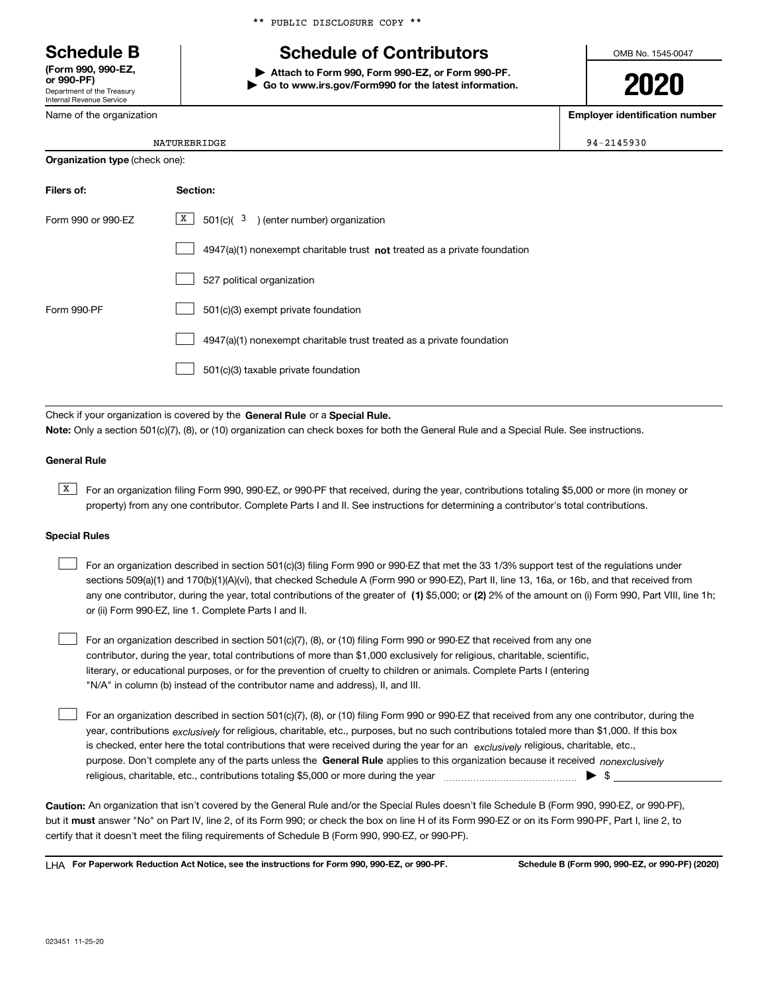Department of the Treasury Internal Revenue Service **(Form 990, 990-EZ, or 990-PF)**

Name of the organization

|  |  |  | ** PUBLIC DISCLOSURE COPY ** |  |  |
|--|--|--|------------------------------|--|--|
|--|--|--|------------------------------|--|--|

# **Schedule B Schedule of Contributors**

**| Attach to Form 990, Form 990-EZ, or Form 990-PF. | Go to www.irs.gov/Form990 for the latest information.** OMB No. 1545-0047

**Employer identification number**

94-2145930

|  | NATUREBRIDGE |  |  |
|--|--------------|--|--|

**Organization type** (check one):

| Filers of:         | Section:                                                                    |
|--------------------|-----------------------------------------------------------------------------|
| Form 990 or 990-FZ | X  <br>$501(c)$ $(3)$ (enter number) organization                           |
|                    | $4947(a)(1)$ nonexempt charitable trust not treated as a private foundation |
|                    | 527 political organization                                                  |
| Form 990-PF        | 501(c)(3) exempt private foundation                                         |
|                    | 4947(a)(1) nonexempt charitable trust treated as a private foundation       |
|                    | 501(c)(3) taxable private foundation                                        |

Check if your organization is covered by the **General Rule** or a **Special Rule. Note:**  Only a section 501(c)(7), (8), or (10) organization can check boxes for both the General Rule and a Special Rule. See instructions.

#### **General Rule**

 $\overline{X}$  For an organization filing Form 990, 990-EZ, or 990-PF that received, during the year, contributions totaling \$5,000 or more (in money or property) from any one contributor. Complete Parts I and II. See instructions for determining a contributor's total contributions.

#### **Special Rules**

| For an organization described in section 501(c)(3) filing Form 990 or 990-EZ that met the 33 1/3% support test of the regulations under               |
|-------------------------------------------------------------------------------------------------------------------------------------------------------|
| sections 509(a)(1) and 170(b)(1)(A)(vi), that checked Schedule A (Form 990 or 990-EZ), Part II, line 13, 16a, or 16b, and that received from          |
| any one contributor, during the year, total contributions of the greater of (1) \$5,000; or (2) 2% of the amount on (i) Form 990, Part VIII, line 1h; |
| or (ii) Form 990-EZ, line 1. Complete Parts I and II.                                                                                                 |

For an organization described in section 501(c)(7), (8), or (10) filing Form 990 or 990-EZ that received from any one contributor, during the year, total contributions of more than \$1,000 exclusively for religious, charitable, scientific, literary, or educational purposes, or for the prevention of cruelty to children or animals. Complete Parts I (entering "N/A" in column (b) instead of the contributor name and address), II, and III.  $\mathcal{L}^{\text{max}}$ 

purpose. Don't complete any of the parts unless the **General Rule** applies to this organization because it received *nonexclusively* year, contributions <sub>exclusively</sub> for religious, charitable, etc., purposes, but no such contributions totaled more than \$1,000. If this box is checked, enter here the total contributions that were received during the year for an  $\;$ exclusively religious, charitable, etc., For an organization described in section 501(c)(7), (8), or (10) filing Form 990 or 990-EZ that received from any one contributor, during the religious, charitable, etc., contributions totaling \$5,000 or more during the year  $\Box$ — $\Box$   $\Box$  $\mathcal{L}^{\text{max}}$ 

**Caution:**  An organization that isn't covered by the General Rule and/or the Special Rules doesn't file Schedule B (Form 990, 990-EZ, or 990-PF),  **must** but it answer "No" on Part IV, line 2, of its Form 990; or check the box on line H of its Form 990-EZ or on its Form 990-PF, Part I, line 2, to certify that it doesn't meet the filing requirements of Schedule B (Form 990, 990-EZ, or 990-PF).

**For Paperwork Reduction Act Notice, see the instructions for Form 990, 990-EZ, or 990-PF. Schedule B (Form 990, 990-EZ, or 990-PF) (2020)** LHA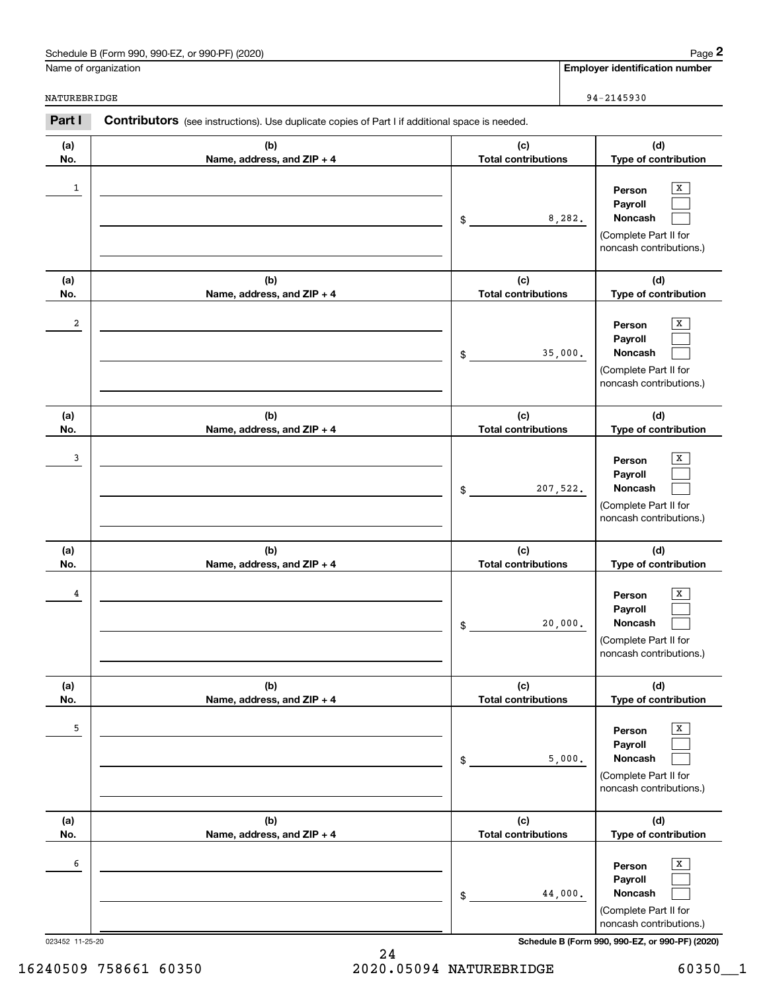| Schedule B (Form 990, 990-EZ, or 990-PF) (2020) | Page |
|-------------------------------------------------|------|
|-------------------------------------------------|------|

NATUREBRIDGE

|              | Schedule B (Form 990, 990-EZ, or 990-PF) (2020)                                                       |                                   |          | Page 2                                                                                |
|--------------|-------------------------------------------------------------------------------------------------------|-----------------------------------|----------|---------------------------------------------------------------------------------------|
|              | Name of organization                                                                                  |                                   |          | <b>Employer identification number</b>                                                 |
| NATUREBRIDGE |                                                                                                       |                                   |          | 94-2145930                                                                            |
| Part I       | <b>Contributors</b> (see instructions). Use duplicate copies of Part I if additional space is needed. |                                   |          |                                                                                       |
| (a)<br>No.   | (b)<br>Name, address, and ZIP + 4                                                                     | (c)<br><b>Total contributions</b> |          | (d)<br>Type of contribution                                                           |
| $\mathbf{1}$ |                                                                                                       | \$                                | 8,282.   | X<br>Person<br>Payroll<br>Noncash<br>(Complete Part II for<br>noncash contributions.) |
| (a)<br>No.   | (b)<br>Name, address, and ZIP + 4                                                                     | (c)<br><b>Total contributions</b> |          | (d)<br>Type of contribution                                                           |
| 2            |                                                                                                       | \$                                | 35,000.  | х<br>Person<br>Payroll<br>Noncash<br>(Complete Part II for<br>noncash contributions.) |
| (a)<br>No.   | (b)<br>Name, address, and ZIP + 4                                                                     | (c)<br><b>Total contributions</b> |          | (d)<br>Type of contribution                                                           |
| 3            |                                                                                                       | \$                                | 207,522. | x<br>Person<br>Payroll<br>Noncash<br>(Complete Part II for<br>noncash contributions.) |
| (a)<br>No.   | (b)<br>Name, address, and ZIP + 4                                                                     | (c)<br><b>Total contributions</b> |          | (d)<br>Type of contribution                                                           |
| 4            |                                                                                                       | \$                                | 20,000.  | х<br>Person<br>Payroll<br>Noncash<br>(Complete Part II for<br>noncash contributions.) |
| (a)<br>No.   | (b)<br>Name, address, and ZIP + 4                                                                     | (c)<br><b>Total contributions</b> |          | (d)<br>Type of contribution                                                           |
| 5            |                                                                                                       | \$                                | 5,000.   | X<br>Person<br>Payroll<br>Noncash<br>(Complete Part II for<br>noncash contributions.) |
| (a)<br>No.   | (b)<br>Name, address, and ZIP + 4                                                                     | (c)<br><b>Total contributions</b> |          | (d)<br>Type of contribution                                                           |
| 6            |                                                                                                       | \$                                | 44,000.  | X<br>Person<br>Payroll<br>Noncash<br>(Complete Part II for<br>noncash contributions.) |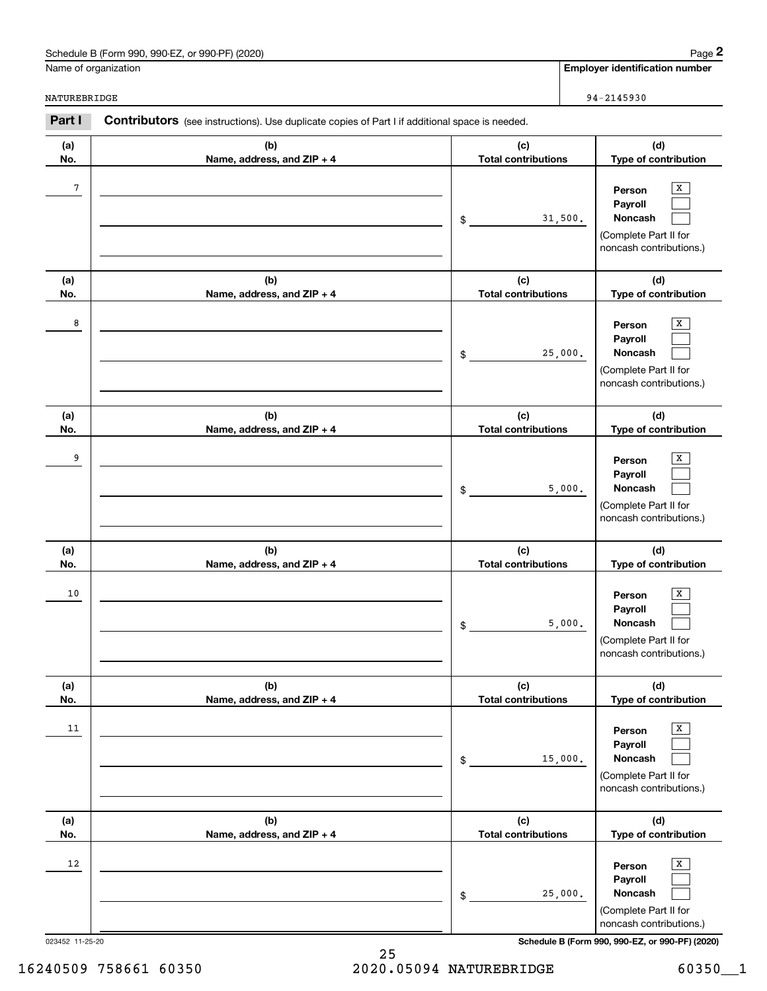| Schedule B (Form 990, 990-EZ, or 990-PF) (2020) | Page |
|-------------------------------------------------|------|
|-------------------------------------------------|------|

NATUREBRIDGE

|              | Schedule B (Form 990, 990-EZ, or 990-PF) (2020)                                                       |                                   | Page 2                                                                                |
|--------------|-------------------------------------------------------------------------------------------------------|-----------------------------------|---------------------------------------------------------------------------------------|
|              | Name of organization                                                                                  |                                   | <b>Employer identification number</b>                                                 |
| NATUREBRIDGE |                                                                                                       |                                   | 94-2145930                                                                            |
| Part I       | <b>Contributors</b> (see instructions). Use duplicate copies of Part I if additional space is needed. |                                   |                                                                                       |
| (a)<br>No.   | (b)<br>Name, address, and ZIP + 4                                                                     | (c)<br><b>Total contributions</b> | (d)<br>Type of contribution                                                           |
| 7            |                                                                                                       | 31,500.<br>\$                     | х<br>Person<br>Payroll<br>Noncash<br>(Complete Part II for<br>noncash contributions.) |
| (a)<br>No.   | (b)<br>Name, address, and ZIP + 4                                                                     | (c)<br><b>Total contributions</b> | (d)<br>Type of contribution                                                           |
| 8            |                                                                                                       | 25,000.<br>\$                     | X<br>Person<br>Payroll<br>Noncash<br>(Complete Part II for<br>noncash contributions.) |
| (a)<br>No.   | (b)<br>Name, address, and ZIP + 4                                                                     | (c)<br><b>Total contributions</b> | (d)<br>Type of contribution                                                           |
| 9            |                                                                                                       | 5,000.<br>\$                      | X<br>Person<br>Payroll<br>Noncash<br>(Complete Part II for<br>noncash contributions.) |
| (a)<br>No.   | (b)<br>Name, address, and ZIP + 4                                                                     | (c)<br><b>Total contributions</b> | (d)<br>Type of contribution                                                           |
| 10           |                                                                                                       | 5,000.<br>\$                      | х<br>Person<br>Payroll<br>Noncash<br>(Complete Part II for<br>noncash contributions.) |
| (a)<br>No.   | (b)<br>Name, address, and ZIP + 4                                                                     | (c)<br><b>Total contributions</b> | (d)<br>Type of contribution                                                           |
| 11           |                                                                                                       | 15,000.<br>\$                     | Х<br>Person<br>Payroll<br>Noncash<br>(Complete Part II for<br>noncash contributions.) |
| (a)<br>No.   | (b)<br>Name, address, and ZIP + 4                                                                     | (c)<br><b>Total contributions</b> | (d)<br>Type of contribution                                                           |
| 12           |                                                                                                       | 25,000.<br>\$                     | Х<br>Person<br>Payroll<br>Noncash<br>(Complete Part II for<br>noncash contributions.) |

023452 11-25-20 **Schedule B (Form 990, 990-EZ, or 990-PF) (2020)**

25 16240509 758661 60350 2020.05094 NATUREBRIDGE 60350\_\_1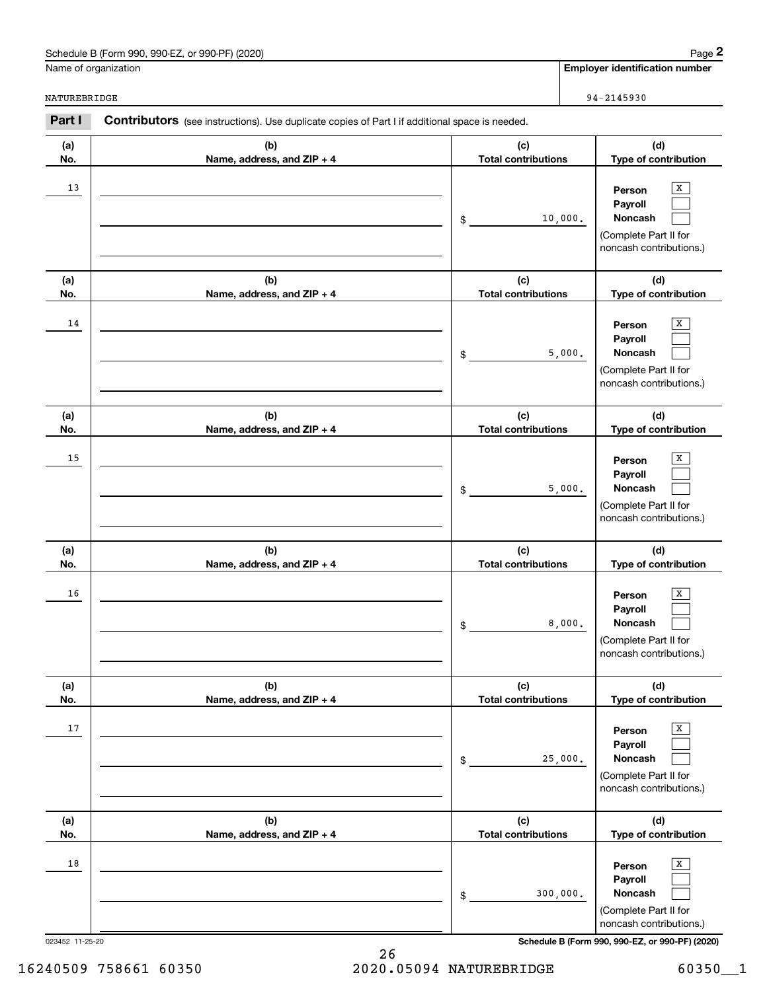| Schedule B (Form 990, 990-EZ, or 990-PF) (2020) | Page |
|-------------------------------------------------|------|
|-------------------------------------------------|------|

|              | Schedule B (Form 990, 990-EZ, or 990-PF) (2020)                                                       | Page 2                                                                                                  |
|--------------|-------------------------------------------------------------------------------------------------------|---------------------------------------------------------------------------------------------------------|
|              | Name of organization                                                                                  | <b>Employer identification number</b>                                                                   |
| NATUREBRIDGE |                                                                                                       | 94-2145930                                                                                              |
| Part I       | <b>Contributors</b> (see instructions). Use duplicate copies of Part I if additional space is needed. |                                                                                                         |
| (a)<br>No.   | (b)<br>Name, address, and ZIP + 4                                                                     | (c)<br>(d)<br><b>Total contributions</b><br>Type of contribution                                        |
| 13           |                                                                                                       | x<br>Person<br>Payroll<br>10,000.<br>Noncash<br>\$<br>(Complete Part II for<br>noncash contributions.)  |
| (a)<br>No.   | (b)<br>Name, address, and ZIP + 4                                                                     | (c)<br>(d)<br><b>Total contributions</b><br>Type of contribution                                        |
| 14           |                                                                                                       | X<br>Person<br>Payroll<br>5,000.<br>Noncash<br>\$<br>(Complete Part II for<br>noncash contributions.)   |
| (a)<br>No.   | (b)<br>Name, address, and ZIP + 4                                                                     | (c)<br>(d)<br><b>Total contributions</b><br>Type of contribution                                        |
| 15           |                                                                                                       | х<br>Person<br>Payroll<br>5,000.<br>Noncash<br>\$<br>(Complete Part II for<br>noncash contributions.)   |
| (a)<br>No.   | (b)<br>Name, address, and ZIP + 4                                                                     | (c)<br>(d)<br><b>Total contributions</b><br>Type of contribution                                        |
| 16           |                                                                                                       | x<br>Person<br>Payroll<br>8,000.<br>Noncash<br>\$<br>(Complete Part II for<br>noncash contributions.)   |
| (a)<br>No.   | (b)<br>Name, address, and ZIP + 4                                                                     | (c)<br>(d)<br><b>Total contributions</b><br>Type of contribution                                        |
| 17           |                                                                                                       | X<br>Person<br>Payroll<br>Noncash<br>25,000.<br>\$<br>(Complete Part II for<br>noncash contributions.)  |
| (a)<br>No.   | (b)<br>Name, address, and ZIP + 4                                                                     | (c)<br>(d)<br><b>Total contributions</b><br>Type of contribution                                        |
| 18           |                                                                                                       | X<br>Person<br>Payroll<br>Noncash<br>300,000.<br>\$<br>(Complete Part II for<br>noncash contributions.) |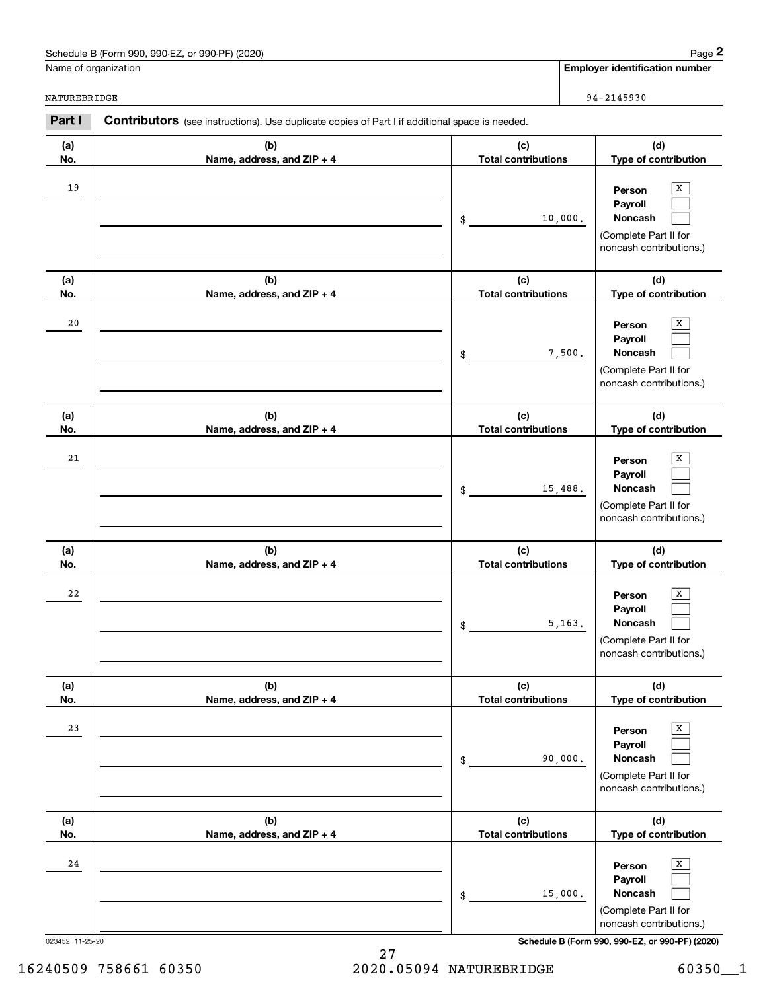| Schedule B (Form 990, 990-EZ, or 990-PF) (2020) | Page |
|-------------------------------------------------|------|
|-------------------------------------------------|------|

|              | Schedule B (Form 990, 990-EZ, or 990-PF) (2020)                                                |                                   |         | Page 2                                                                                       |
|--------------|------------------------------------------------------------------------------------------------|-----------------------------------|---------|----------------------------------------------------------------------------------------------|
|              | Name of organization                                                                           |                                   |         | <b>Employer identification number</b>                                                        |
| NATUREBRIDGE |                                                                                                |                                   |         | 94-2145930                                                                                   |
| Part I       | Contributors (see instructions). Use duplicate copies of Part I if additional space is needed. |                                   |         |                                                                                              |
| (a)<br>No.   | (b)<br>Name, address, and ZIP + 4                                                              | (c)<br><b>Total contributions</b> |         | (d)<br>Type of contribution                                                                  |
| 19           |                                                                                                | \$                                | 10,000. | х<br>Person<br>Payroll<br>Noncash<br>(Complete Part II for<br>noncash contributions.)        |
| (a)<br>No.   | (b)<br>Name, address, and ZIP + 4                                                              | (c)<br><b>Total contributions</b> |         | (d)<br>Type of contribution                                                                  |
| 20           |                                                                                                | \$                                | 7,500.  | Х<br>Person<br>Payroll<br>Noncash<br>(Complete Part II for<br>noncash contributions.)        |
| (a)<br>No.   | (b)<br>Name, address, and ZIP + 4                                                              | (c)<br><b>Total contributions</b> |         | (d)<br>Type of contribution                                                                  |
| 21           |                                                                                                | \$                                | 15,488. | х<br>Person<br>Payroll<br>Noncash<br>(Complete Part II for<br>noncash contributions.)        |
| (a)<br>No.   | (b)<br>Name, address, and ZIP + 4                                                              | (c)<br><b>Total contributions</b> |         | (d)<br>Type of contribution                                                                  |
| 22           |                                                                                                | \$                                | 5, 163. | х<br>Person<br>Payroll<br>Noncash<br>(Complete Part II for<br>noncash contributions.)        |
| (a)<br>No.   | (b)<br>Name, address, and ZIP + 4                                                              | (c)<br><b>Total contributions</b> |         | (d)<br>Type of contribution                                                                  |
| 23           |                                                                                                | \$                                | 90,000. | X<br>Person<br>Payroll<br><b>Noncash</b><br>(Complete Part II for<br>noncash contributions.) |
| (a)<br>No.   | (b)<br>Name, address, and ZIP + 4                                                              | (c)<br><b>Total contributions</b> |         | (d)<br>Type of contribution                                                                  |
| 24           |                                                                                                | \$                                | 15,000. | X<br>Person<br>Payroll<br><b>Noncash</b><br>(Complete Part II for<br>noncash contributions.) |

023452 11-25-20 **Schedule B (Form 990, 990-EZ, or 990-PF) (2020)**

27 16240509 758661 60350 2020.05094 NATUREBRIDGE 60350\_\_1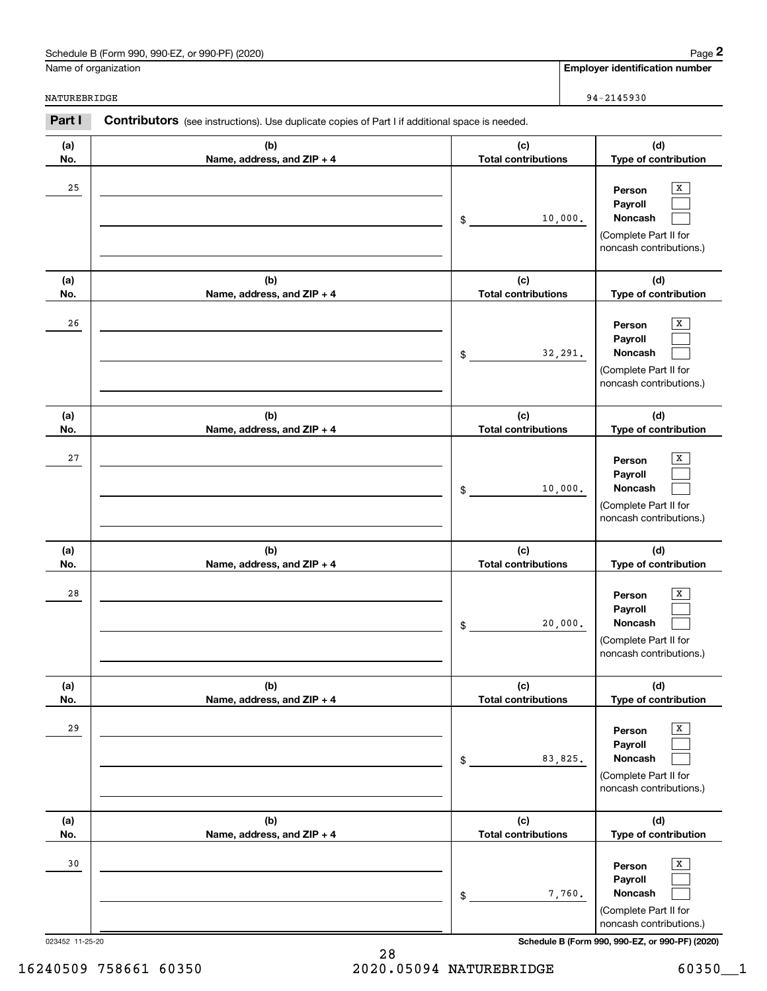## Schedule B (Form 990, 990-EZ, or 990-PF) (2020) **Page 2** Page 2

Name of organization

NATUREBRIDGE

|             | chedule B (Form 990, 990-EZ, or 990-PF) (2020)                                                 |                                   | Page 2                                                                                |
|-------------|------------------------------------------------------------------------------------------------|-----------------------------------|---------------------------------------------------------------------------------------|
|             | lame of organization                                                                           |                                   | <b>Employer identification number</b>                                                 |
| ATUREBRIDGE |                                                                                                |                                   | 94-2145930                                                                            |
| Part I      | Contributors (see instructions). Use duplicate copies of Part I if additional space is needed. |                                   |                                                                                       |
| (a)<br>No.  | (b)<br>Name, address, and ZIP + 4                                                              | (c)<br><b>Total contributions</b> | (d)<br>Type of contribution                                                           |
| 25          |                                                                                                | 10,000.<br>\$                     | х<br>Person<br>Payroll<br>Noncash<br>(Complete Part II for<br>noncash contributions.) |
| (a)<br>No.  | (b)<br>Name, address, and ZIP + 4                                                              | (c)<br><b>Total contributions</b> | (d)<br>Type of contribution                                                           |
| 26          |                                                                                                | 32,291.<br>\$                     | х<br>Person<br>Payroll<br>Noncash<br>(Complete Part II for<br>noncash contributions.) |
| (a)<br>No.  | (b)<br>Name, address, and ZIP + 4                                                              | (c)<br><b>Total contributions</b> | (d)<br>Type of contribution                                                           |
| 27          |                                                                                                | 10,000.<br>\$                     | х<br>Person<br>Payroll<br>Noncash<br>(Complete Part II for<br>noncash contributions.) |
| (a)<br>No.  | (b)<br>Name, address, and ZIP + 4                                                              | (c)<br><b>Total contributions</b> | (d)<br>Type of contribution                                                           |
| 28          |                                                                                                | 20,000.<br>\$                     | x<br>Person<br>Payroll<br>Noncash<br>(Complete Part II for<br>noncash contributions.) |
| (a)<br>No.  | (b)<br>Name, address, and ZIP + 4                                                              | (c)<br><b>Total contributions</b> | (d)<br>Type of contribution                                                           |

| 29 |                              | 83,825.<br>\$              | X<br>Person<br>Payroll<br><b>Noncash</b><br>(Complete Part II for<br>noncash contributions.) |
|----|------------------------------|----------------------------|----------------------------------------------------------------------------------------------|
|    | (b)                          | (c)                        | (d)                                                                                          |
| о. | Name, address, and $ZIP + 4$ | <b>Total contributions</b> | <b>Type of contribution</b>                                                                  |
| 30 |                              | 7,760.<br>\$               | x<br>Person<br>Payroll<br><b>Noncash</b><br>(Complete Part II for<br>noncash contributions.) |

023452 11-25-20 **Schedule B (Form 990, 990-EZ, or 990-PF) (2020)**

29

**(a) No.**

30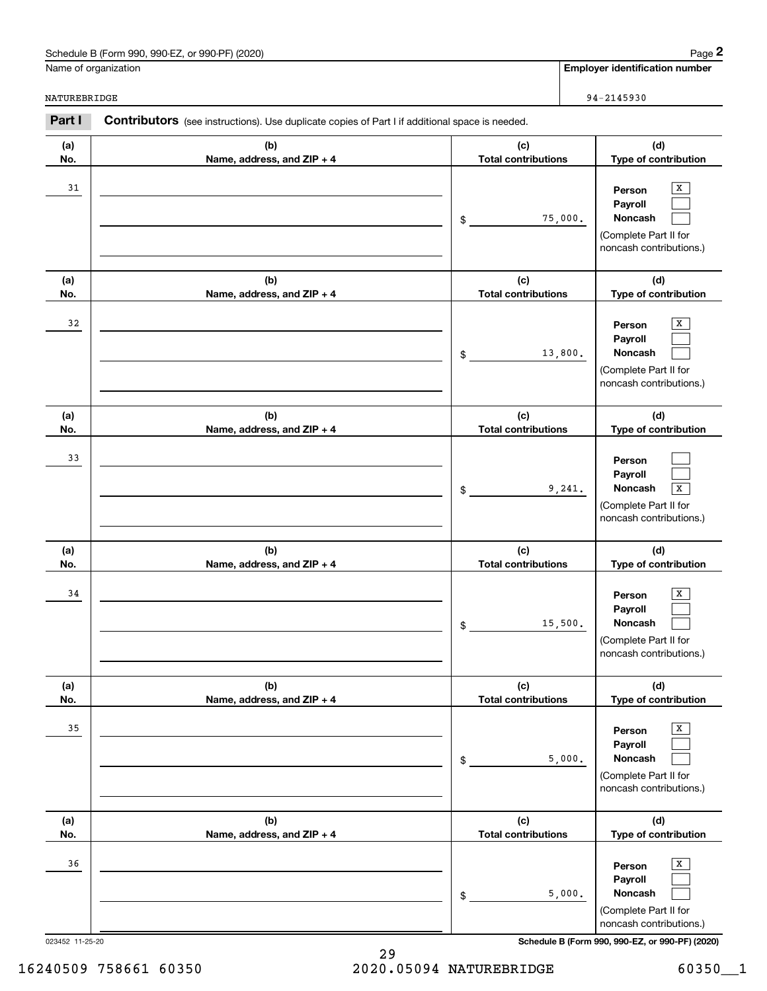| Schedule B (Form 990, 990-EZ, or 990-PF) (2020) | Page |
|-------------------------------------------------|------|
|-------------------------------------------------|------|

NATUREBRIDGE

| chedule B (Form 990, 990-EZ, or 990-PF) (2020) |                                                                                                       |                                       |  | Page 2         |
|------------------------------------------------|-------------------------------------------------------------------------------------------------------|---------------------------------------|--|----------------|
| lame of organization                           |                                                                                                       | <b>Employer identification number</b> |  |                |
| ATUREBRIDGE                                    |                                                                                                       |                                       |  | $94 - 2145930$ |
| Part I                                         | <b>Contributors</b> (see instructions). Use duplicate copies of Part I if additional space is needed. |                                       |  |                |
| (a)                                            | (b)                                                                                                   | (c)                                   |  | (d)            |

| (a)        | (b)                               | (c)                               | (d)                                                                                                         |
|------------|-----------------------------------|-----------------------------------|-------------------------------------------------------------------------------------------------------------|
| No.        | Name, address, and ZIP + 4        | <b>Total contributions</b>        | Type of contribution                                                                                        |
| 31         |                                   | 75,000.<br>\$                     | x<br>Person<br>Payroll<br>Noncash<br>(Complete Part II for<br>noncash contributions.)                       |
| (a)<br>No. | (b)<br>Name, address, and ZIP + 4 | (c)<br><b>Total contributions</b> | (d)<br>Type of contribution                                                                                 |
| 32         |                                   | 13,800.<br>\$                     | X<br>Person<br>Payroll<br>Noncash<br>(Complete Part II for<br>noncash contributions.)                       |
| (a)<br>No. | (b)<br>Name, address, and ZIP + 4 | (c)<br><b>Total contributions</b> | (d)<br>Type of contribution                                                                                 |
| 33         |                                   | 9,241.<br>\$                      | Person<br>Payroll<br>Noncash<br>$\overline{\textbf{X}}$<br>(Complete Part II for<br>noncash contributions.) |
| (a)<br>No. | (b)<br>Name, address, and ZIP + 4 | (c)<br><b>Total contributions</b> | (d)<br>Type of contribution                                                                                 |
| 34         |                                   | 15,500.<br>\$                     | x<br>Person<br>Payroll<br>Noncash<br>(Complete Part II for<br>noncash contributions.)                       |
| (a)<br>No. | (b)<br>Name, address, and ZIP + 4 | (c)<br><b>Total contributions</b> | (d)<br>Type of contribution                                                                                 |
| 35         |                                   | 5,000.<br>\$                      | x<br>Person<br>Payroll<br>Noncash<br>(Complete Part II for<br>noncash contributions.)                       |
| (a)<br>No. | (b)<br>Name, address, and ZIP + 4 | (c)<br><b>Total contributions</b> | (d)<br>Type of contribution                                                                                 |
| 36         |                                   | 5,000.<br>\$                      | х<br>Person<br>Payroll<br>Noncash<br>(Complete Part II for<br>noncash contributions.)                       |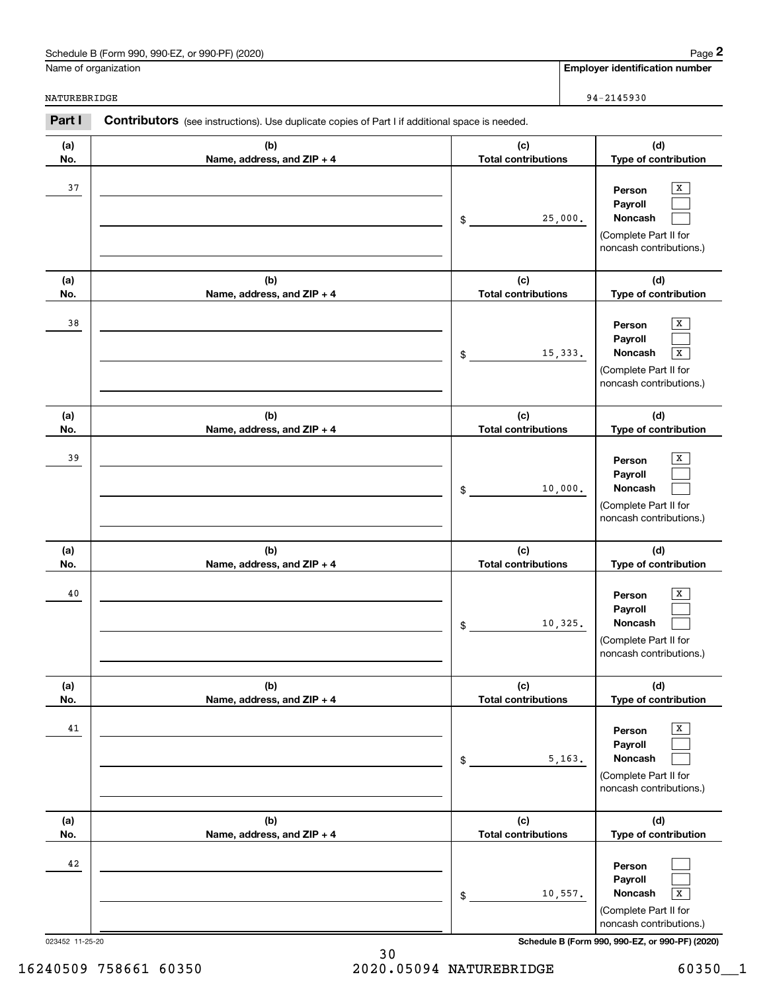| Schedule B (Form 990, 990-EZ, or 990-PF) (2020) | Page |
|-------------------------------------------------|------|
|-------------------------------------------------|------|

NATUREBRIDGE

|              | Schedule B (Form 990, 990-EZ, or 990-PF) (2020)                                                |                                   |          | Page 2                                                                                                        |
|--------------|------------------------------------------------------------------------------------------------|-----------------------------------|----------|---------------------------------------------------------------------------------------------------------------|
|              | Name of organization                                                                           |                                   |          | <b>Employer identification number</b>                                                                         |
| NATUREBRIDGE |                                                                                                |                                   |          | 94-2145930                                                                                                    |
| Part I       | Contributors (see instructions). Use duplicate copies of Part I if additional space is needed. |                                   |          |                                                                                                               |
| (a)<br>No.   | (b)<br>Name, address, and ZIP + 4                                                              | (c)<br><b>Total contributions</b> |          | (d)<br>Type of contribution                                                                                   |
| 37           |                                                                                                | \$                                | 25,000.  | Х<br>Person<br>Payroll<br>Noncash<br>(Complete Part II for<br>noncash contributions.)                         |
| (a)<br>No.   | (b)<br>Name, address, and ZIP + 4                                                              | (c)<br><b>Total contributions</b> |          | (d)<br>Type of contribution                                                                                   |
| 38           |                                                                                                | \$                                | 15, 333. | X<br>Person<br>Payroll<br>Noncash<br>$\boxed{\textbf{X}}$<br>(Complete Part II for<br>noncash contributions.) |
| (a)<br>No.   | (b)<br>Name, address, and ZIP + 4                                                              | (c)<br><b>Total contributions</b> |          | (d)<br>Type of contribution                                                                                   |
| 39           |                                                                                                | \$                                | 10,000.  | Х<br>Person<br>Payroll<br>Noncash<br>(Complete Part II for<br>noncash contributions.)                         |
| (a)<br>No.   | (b)<br>Name, address, and ZIP + 4                                                              | (c)<br><b>Total contributions</b> |          | (d)<br>Type of contribution                                                                                   |
| 40           |                                                                                                | \$                                | 10,325.  | х<br>Person<br>Payroll<br>Noncash<br>(Complete Part II for<br>noncash contributions.)                         |
| (a)<br>No.   | (b)<br>Name, address, and ZIP + 4                                                              | (c)<br><b>Total contributions</b> |          | (d)<br>Type of contribution                                                                                   |
| 41           |                                                                                                | \$                                | 5, 163.  | X<br>Person<br>Payroll<br>Noncash<br>(Complete Part II for<br>noncash contributions.)                         |
| (a)<br>No.   | (b)<br>Name, address, and ZIP + 4                                                              | (c)<br><b>Total contributions</b> |          | (d)<br>Type of contribution                                                                                   |
| 42           |                                                                                                | \$                                | 10,557.  | Person<br>Payroll<br>Noncash<br>$\overline{\textbf{X}}$<br>(Complete Part II for<br>noncash contributions.)   |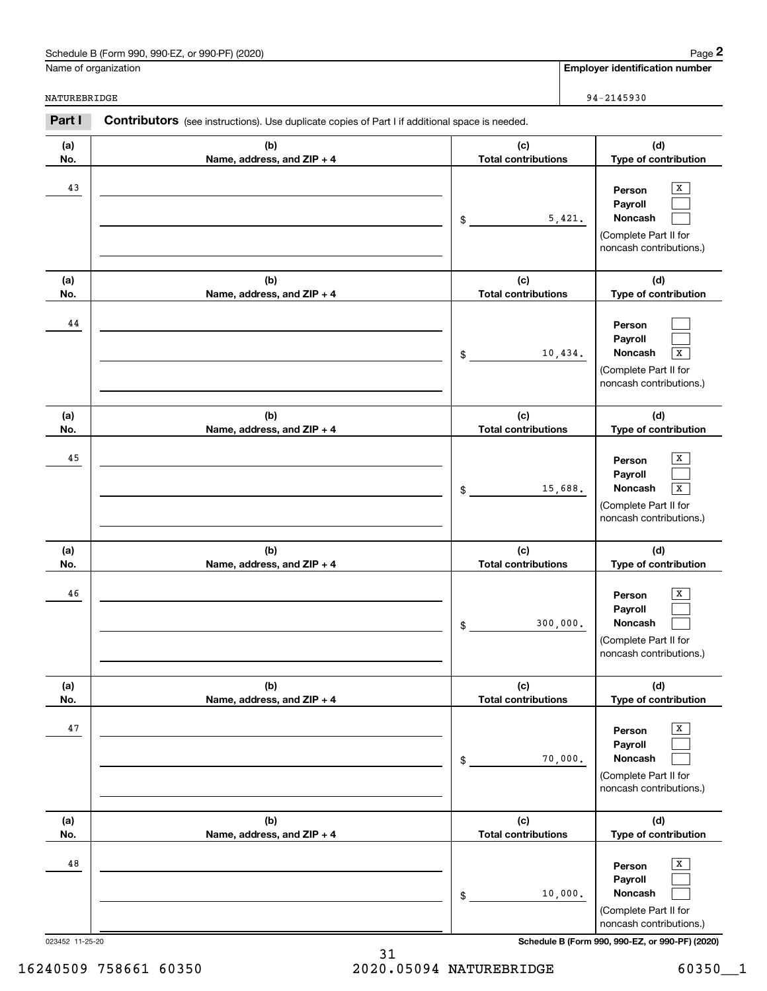| Schedule B (Form 990, 990-EZ, or 990-PF) (2020) | Page |
|-------------------------------------------------|------|
|-------------------------------------------------|------|

|              | Schedule B (Form 990, 990-EZ, or 990-PF) (2020)                                                |                                   | Page 2                                                                                                                 |
|--------------|------------------------------------------------------------------------------------------------|-----------------------------------|------------------------------------------------------------------------------------------------------------------------|
|              | Name of organization                                                                           |                                   | <b>Employer identification number</b>                                                                                  |
| NATUREBRIDGE |                                                                                                |                                   | 94-2145930                                                                                                             |
| Part I       | Contributors (see instructions). Use duplicate copies of Part I if additional space is needed. |                                   |                                                                                                                        |
| (a)<br>No.   | (b)<br>Name, address, and ZIP + 4                                                              | (c)<br><b>Total contributions</b> | (d)<br>Type of contribution                                                                                            |
| 43           |                                                                                                | \$                                | х<br>Person<br>Payroll<br>Noncash<br>5,421.<br>(Complete Part II for<br>noncash contributions.)                        |
| (a)<br>No.   | (b)<br>Name, address, and ZIP + 4                                                              | (c)<br><b>Total contributions</b> | (d)<br>Type of contribution                                                                                            |
| 44           |                                                                                                | \$                                | Person<br>Payroll<br>Noncash<br>$\overline{\mathbf{X}}$<br>10,434.<br>(Complete Part II for<br>noncash contributions.) |
| (a)<br>No.   | (b)<br>Name, address, and ZIP + 4                                                              | (c)<br><b>Total contributions</b> | (d)<br>Type of contribution                                                                                            |
| 45           |                                                                                                | \$                                | х<br>Person<br>Payroll<br>Noncash<br>$\boxed{\text{X}}$<br>15,688.<br>(Complete Part II for<br>noncash contributions.) |
| (a)<br>No.   | (b)<br>Name, address, and ZIP + 4                                                              | (c)<br><b>Total contributions</b> | (d)<br>Type of contribution                                                                                            |
| 46           |                                                                                                | 300,000.<br>\$                    | х<br>Person<br>Payroll<br>Noncash<br>(Complete Part II for<br>noncash contributions.)                                  |
| (a)<br>No.   | (b)<br>Name, address, and ZIP + 4                                                              | (c)<br><b>Total contributions</b> | (d)<br>Type of contribution                                                                                            |
| 47           |                                                                                                | \$                                | Х<br>Person<br>Payroll<br>Noncash<br>70,000.<br>(Complete Part II for<br>noncash contributions.)                       |
| (a)<br>No.   | (b)<br>Name, address, and ZIP + 4                                                              | (c)<br><b>Total contributions</b> | (d)<br>Type of contribution                                                                                            |
| 48           |                                                                                                | \$                                | Х<br>Person<br>Payroll<br>Noncash<br>10,000.<br>(Complete Part II for<br>noncash contributions.)                       |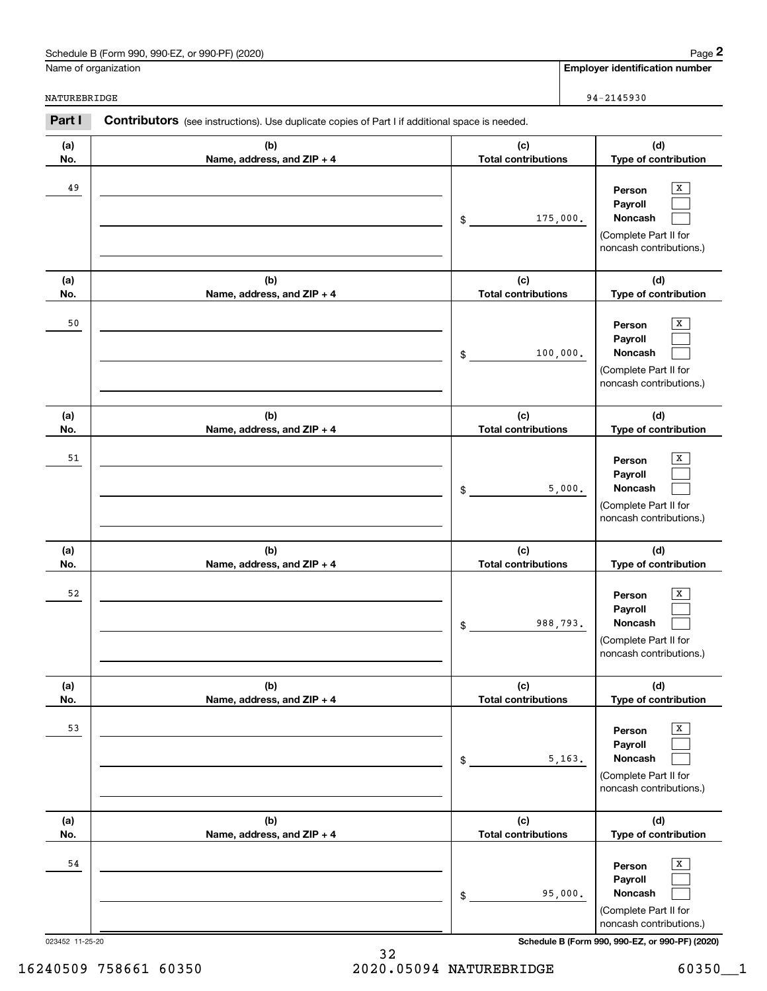| Schedule B (Form 990, 990-EZ, or 990-PF) (2020) | Page |
|-------------------------------------------------|------|
|-------------------------------------------------|------|

|              | Schedule B (Form 990, 990-EZ, or 990-PF) (2020)                                                |                                   | Page 2                                                                                |
|--------------|------------------------------------------------------------------------------------------------|-----------------------------------|---------------------------------------------------------------------------------------|
|              | Name of organization                                                                           |                                   | <b>Employer identification number</b>                                                 |
| NATUREBRIDGE |                                                                                                |                                   | 94-2145930                                                                            |
| Part I       | Contributors (see instructions). Use duplicate copies of Part I if additional space is needed. |                                   |                                                                                       |
| (a)<br>No.   | (b)<br>Name, address, and ZIP + 4                                                              | (c)<br><b>Total contributions</b> | (d)<br>Type of contribution                                                           |
| 49           |                                                                                                | 175,000.<br>\$                    | X<br>Person<br>Payroll<br>Noncash<br>(Complete Part II for<br>noncash contributions.) |
| (a)<br>No.   | (b)<br>Name, address, and ZIP + 4                                                              | (c)<br><b>Total contributions</b> | (d)<br>Type of contribution                                                           |
| 50           |                                                                                                | 100,000.<br>\$                    | X<br>Person<br>Payroll<br>Noncash<br>(Complete Part II for<br>noncash contributions.) |
| (a)<br>No.   | (b)<br>Name, address, and ZIP + 4                                                              | (c)<br><b>Total contributions</b> | (d)<br>Type of contribution                                                           |
| 51           |                                                                                                | 5,000.<br>\$                      | x<br>Person<br>Payroll<br>Noncash<br>(Complete Part II for<br>noncash contributions.) |
| (a)<br>No.   | (b)<br>Name, address, and ZIP + 4                                                              | (c)<br><b>Total contributions</b> | (d)<br>Type of contribution                                                           |
| 52           |                                                                                                | 988,793.<br>\$                    | х<br>Person<br>Payroll<br>Noncash<br>(Complete Part II for<br>noncash contributions.) |
| (a)<br>No.   | (b)<br>Name, address, and ZIP + 4                                                              | (c)<br><b>Total contributions</b> | (d)<br>Type of contribution                                                           |
| 53           |                                                                                                | 5, 163.<br>\$                     | X<br>Person<br>Payroll<br>Noncash<br>(Complete Part II for<br>noncash contributions.) |
| (a)<br>No.   | (b)<br>Name, address, and ZIP + 4                                                              | (c)<br><b>Total contributions</b> | (d)<br>Type of contribution                                                           |
| 54           |                                                                                                | 95,000.<br>\$                     | X<br>Person<br>Payroll<br>Noncash<br>(Complete Part II for<br>noncash contributions.) |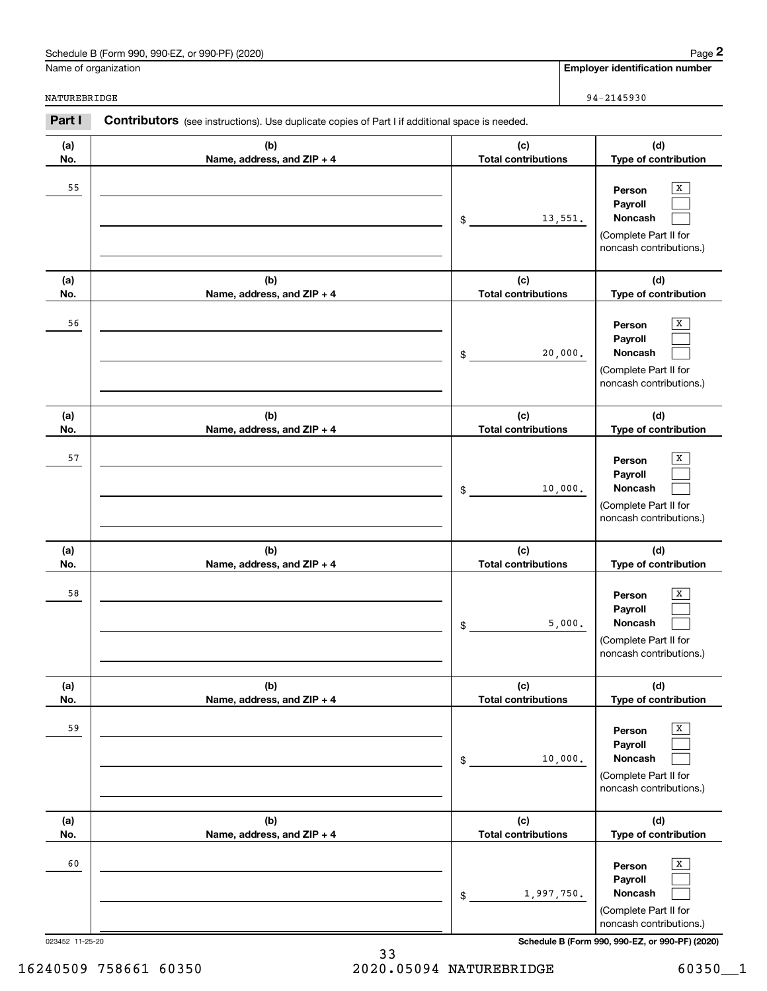| Schedule B (Form 990, 990-EZ, or 990-PF) (2020) | Page |
|-------------------------------------------------|------|
|-------------------------------------------------|------|

NATUREBRIDGE

| chedule B (Form 990, 990-EZ, or 990-PF) (2020)                                                                  | Page 2                                |
|-----------------------------------------------------------------------------------------------------------------|---------------------------------------|
| lame of organization                                                                                            | <b>Employer identification number</b> |
|                                                                                                                 |                                       |
| ATUREBRIDGE                                                                                                     | 94-2145930                            |
| Part I<br><b>Contributors</b> (see instructions). Use duplicate copies of Part I if additional space is needed. |                                       |

| Part I     | Contributors (see instructions). Use duplicate copies of Part I if additional space is needed. |                                   |                                                                                       |
|------------|------------------------------------------------------------------------------------------------|-----------------------------------|---------------------------------------------------------------------------------------|
| (a)<br>No. | (b)<br>Name, address, and ZIP + 4                                                              | (c)<br><b>Total contributions</b> | (d)<br>Type of contribution                                                           |
| 55         |                                                                                                | 13,551.<br>$\frac{1}{2}$          | X<br>Person<br>Payroll<br>Noncash<br>(Complete Part II for<br>noncash contributions.) |
| (a)<br>No. | (b)<br>Name, address, and ZIP + 4                                                              | (c)<br><b>Total contributions</b> | (d)<br>Type of contribution                                                           |
| 56         |                                                                                                | 20,000.<br>$\frac{1}{2}$          | x<br>Person<br>Payroll<br>Noncash<br>(Complete Part II for<br>noncash contributions.) |
| (a)<br>No. | (b)<br>Name, address, and ZIP + 4                                                              | (c)<br><b>Total contributions</b> | (d)<br>Type of contribution                                                           |
| 57         |                                                                                                | 10,000.<br>$\frac{1}{2}$          | X<br>Person<br>Payroll<br>Noncash<br>(Complete Part II for<br>noncash contributions.) |
| (a)<br>No. | (b)<br>Name, address, and ZIP + 4                                                              | (c)<br><b>Total contributions</b> | (d)<br>Type of contribution                                                           |
| 58         |                                                                                                | 5,000.<br>\$                      | x<br>Person<br>Payroll<br>Noncash<br>(Complete Part II for<br>noncash contributions.) |
| (a)<br>No. | (b)<br>Name, address, and ZIP + 4                                                              | (c)<br><b>Total contributions</b> | (d)<br>Type of contribution                                                           |
| 59         |                                                                                                | 10,000.<br>\$                     | x<br>Person<br>Payroll<br>Noncash<br>(Complete Part II for<br>noncash contributions.) |
| (a)<br>No. | (b)<br>Name, address, and ZIP + 4                                                              | (c)<br><b>Total contributions</b> | (d)<br>Type of contribution                                                           |
| 60         |                                                                                                | 1,997,750.<br>\$                  | X<br>Person<br>Payroll<br>Noncash<br>(Complete Part II for<br>noncash contributions.) |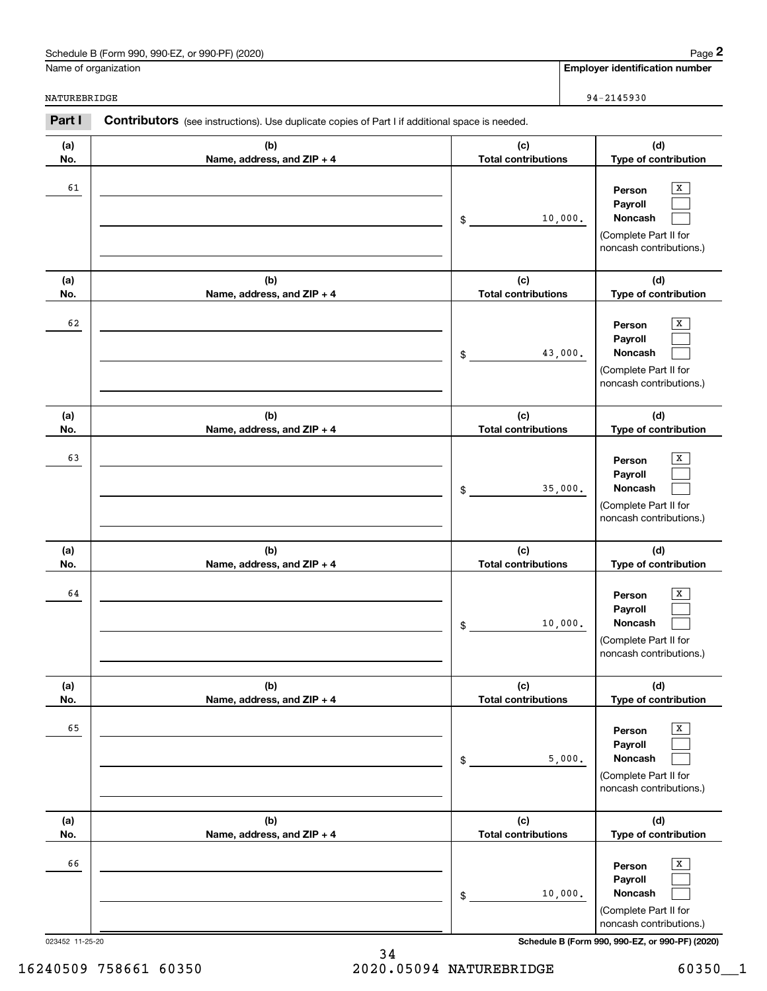| Schedule B (Form 990, 990-EZ, or 990-PF) (2020) | Page |
|-------------------------------------------------|------|
|-------------------------------------------------|------|

|              | Schedule B (Form 990, 990-EZ, or 990-PF) (2020)                                                |                                   |         | Page 2                                                                                       |
|--------------|------------------------------------------------------------------------------------------------|-----------------------------------|---------|----------------------------------------------------------------------------------------------|
|              | Name of organization                                                                           |                                   |         | <b>Employer identification number</b>                                                        |
| NATUREBRIDGE |                                                                                                |                                   |         | 94-2145930                                                                                   |
| Part I       | Contributors (see instructions). Use duplicate copies of Part I if additional space is needed. |                                   |         |                                                                                              |
| (a)<br>No.   | (b)<br>Name, address, and ZIP + 4                                                              | (c)<br><b>Total contributions</b> |         | (d)<br>Type of contribution                                                                  |
| 61           |                                                                                                | \$                                | 10,000. | х<br>Person<br>Payroll<br>Noncash<br>(Complete Part II for<br>noncash contributions.)        |
| (a)<br>No.   | (b)<br>Name, address, and ZIP + 4                                                              | (c)<br><b>Total contributions</b> |         | (d)<br>Type of contribution                                                                  |
| 62           |                                                                                                | \$                                | 43,000. | X<br>Person<br>Payroll<br>Noncash<br>(Complete Part II for<br>noncash contributions.)        |
| (a)<br>No.   | (b)<br>Name, address, and ZIP + 4                                                              | (c)<br><b>Total contributions</b> |         | (d)<br>Type of contribution                                                                  |
| 63           |                                                                                                | \$                                | 35,000. | X<br>Person<br>Payroll<br>Noncash<br>(Complete Part II for<br>noncash contributions.)        |
| (a)<br>No.   | (b)<br>Name, address, and ZIP + 4                                                              | (c)<br><b>Total contributions</b> |         | (d)<br>Type of contribution                                                                  |
| 64           |                                                                                                | \$                                | 10,000. | х<br>Person<br>Payroll<br>Noncash<br>(Complete Part II for<br>noncash contributions.)        |
| (a)<br>No.   | (b)<br>Name, address, and ZIP + 4                                                              | (c)<br><b>Total contributions</b> |         | (d)<br>Type of contribution                                                                  |
| 65           |                                                                                                | \$                                | 5,000.  | х<br>Person<br>Payroll<br><b>Noncash</b><br>(Complete Part II for<br>noncash contributions.) |
| (a)<br>No.   | (b)<br>Name, address, and ZIP + 4                                                              | (c)<br><b>Total contributions</b> |         | (d)<br>Type of contribution                                                                  |
| 66           |                                                                                                | \$                                | 10,000. | х<br>Person<br>Payroll<br>Noncash<br>(Complete Part II for<br>noncash contributions.)        |

023452 11-25-20 **Schedule B (Form 990, 990-EZ, or 990-PF) (2020)**

34 16240509 758661 60350 2020.05094 NATUREBRIDGE 60350\_\_1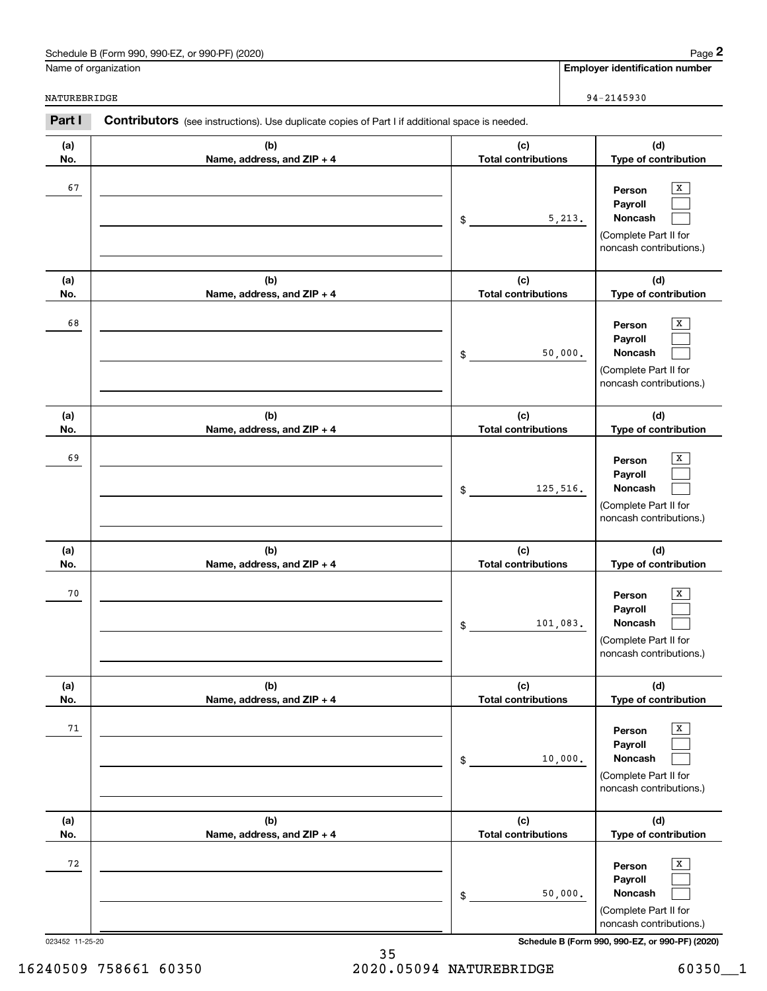## Schedule B (Form 990, 990-EZ, or 990-PF) (2020) Page 2

Name of organization

NATUREBRIDGE

|             | chedule B (Form 990, 990-EZ, or 990-PF) (2020)                                                 |                                   | Page 2                                                                                                      |
|-------------|------------------------------------------------------------------------------------------------|-----------------------------------|-------------------------------------------------------------------------------------------------------------|
|             | lame of organization                                                                           |                                   | <b>Employer identification number</b>                                                                       |
| ATUREBRIDGE |                                                                                                |                                   | 94-2145930                                                                                                  |
| Part I      | Contributors (see instructions). Use duplicate copies of Part I if additional space is needed. |                                   |                                                                                                             |
| (a)<br>No.  | (b)<br>Name, address, and ZIP + 4                                                              | (c)<br><b>Total contributions</b> | (d)<br>Type of contribution                                                                                 |
| 67          |                                                                                                | 5,213.<br>\$                      | x<br>Person<br>Payroll<br>Noncash<br>(Complete Part II for<br>noncash contributions.)                       |
| (a)<br>No.  | (b)                                                                                            | (c)<br><b>Total contributions</b> | (d)<br>Type of contribution                                                                                 |
| 68          | Name, address, and ZIP + 4                                                                     | 50,000.<br>\$                     | x<br>Person<br>Payroll<br>Noncash<br>(Complete Part II for<br>noncash contributions.)                       |
| (a)<br>No.  | (b)<br>Name, address, and ZIP + 4                                                              | (c)<br><b>Total contributions</b> | (d)<br>Type of contribution                                                                                 |
| 69          |                                                                                                | 125,516.<br>\$                    | X<br>Person<br>Payroll<br>Noncash<br>(Complete Part II for<br>noncash contributions.)                       |
| (a)<br>No.  | (b)<br>Name, address, and ZIP + 4                                                              | (c)<br><b>Total contributions</b> | (d)<br>Type of contribution                                                                                 |
| 70          |                                                                                                | 101,083.<br>\$                    | x<br>Person<br>Payroll<br>Noncash<br>(Complete Part II for<br>noncash contributions.)                       |
| (a)<br>No.  | (b)<br>Name, address, and ZIP + 4                                                              | (c)<br><b>Total contributions</b> | (d)<br>Type of contribution                                                                                 |
| 71          |                                                                                                | 10,000.<br>\$                     | $\overline{\textbf{X}}$<br>Person<br>Payroll<br>Noncash<br>(Complete Part II for<br>noncash contributions.) |
| (a)<br>No.  | (b)<br>Name, address, and ZIP + 4                                                              | (c)<br><b>Total contributions</b> | (d)<br>Type of contribution                                                                                 |
| 72          |                                                                                                | 50,000.<br>\$                     | x<br>Person<br>Payroll<br>Noncash<br>(Complete Part II for<br>noncash contributions.)                       |

023452 11-25-20 **Schedule B (Form 990, 990-EZ, or 990-PF) (2020)**

35 16240509 758661 60350 2020.05094 NATUREBRIDGE 60350\_\_1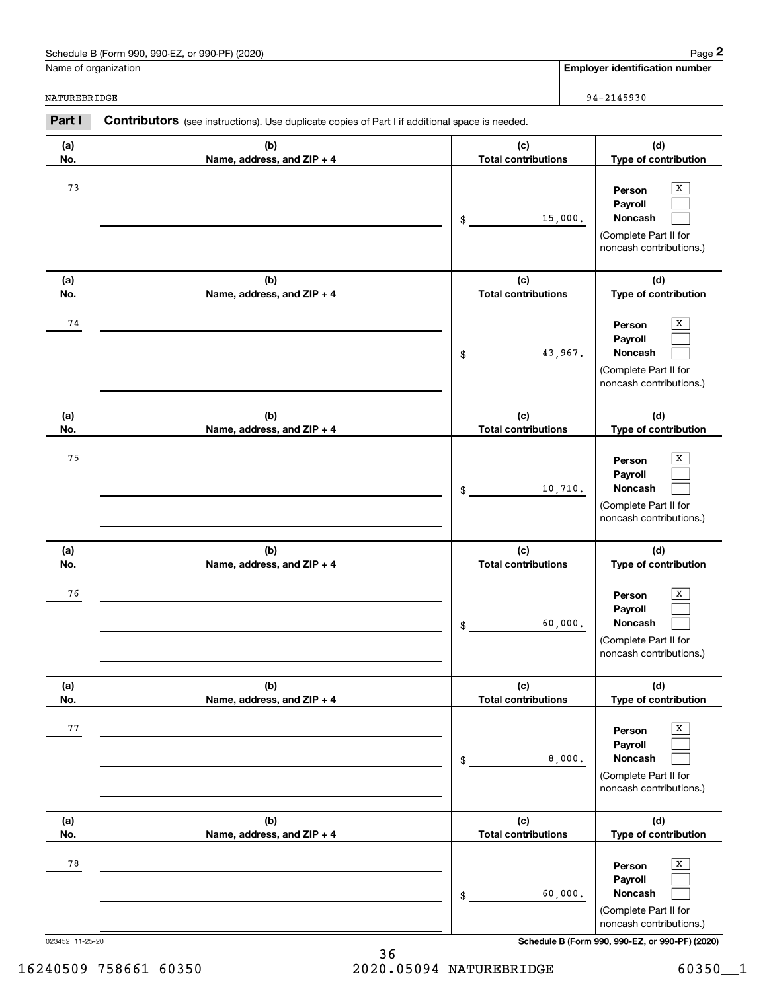| Schedule B (Form 990, 990-EZ, or 990-PF) (2020) | Page |
|-------------------------------------------------|------|
|-------------------------------------------------|------|

|              | Schedule B (Form 990, 990-EZ, or 990-PF) (2020)                                                       |                                   | Page 2                                                                                           |
|--------------|-------------------------------------------------------------------------------------------------------|-----------------------------------|--------------------------------------------------------------------------------------------------|
|              | Name of organization                                                                                  |                                   | <b>Employer identification number</b>                                                            |
| NATUREBRIDGE |                                                                                                       |                                   | 94-2145930                                                                                       |
| Part I       | <b>Contributors</b> (see instructions). Use duplicate copies of Part I if additional space is needed. |                                   |                                                                                                  |
| (a)<br>No.   | (b)<br>Name, address, and ZIP + 4                                                                     | (c)<br><b>Total contributions</b> | (d)<br>Type of contribution                                                                      |
| 73           |                                                                                                       | \$                                | X<br>Person<br>Payroll<br>Noncash<br>15,000.<br>(Complete Part II for<br>noncash contributions.) |
| (a)<br>No.   | (b)<br>Name, address, and ZIP + 4                                                                     | (c)<br><b>Total contributions</b> | (d)<br>Type of contribution                                                                      |
| 74           |                                                                                                       | \$                                | Х<br>Person<br>Payroll<br>Noncash<br>43,967.<br>(Complete Part II for<br>noncash contributions.) |
| (a)<br>No.   | (b)<br>Name, address, and ZIP + 4                                                                     | (c)<br><b>Total contributions</b> | (d)<br>Type of contribution                                                                      |
| 75           |                                                                                                       | \$                                | Х<br>Person<br>Payroll<br>Noncash<br>10,710.<br>(Complete Part II for<br>noncash contributions.) |
| (a)<br>No.   | (b)<br>Name, address, and ZIP + 4                                                                     | (c)<br><b>Total contributions</b> | (d)<br>Type of contribution                                                                      |
| 76           |                                                                                                       | \$                                | х<br>Person<br>Payroll<br>60,000.<br>Noncash<br>(Complete Part II for<br>noncash contributions.) |
| (a)<br>No.   | (b)<br>Name, address, and ZIP + 4                                                                     | (c)<br><b>Total contributions</b> | (d)<br>Type of contribution                                                                      |
| 77           |                                                                                                       | \$                                | X<br>Person<br>Payroll<br>Noncash<br>8,000.<br>(Complete Part II for<br>noncash contributions.)  |
| (a)<br>No.   | (b)<br>Name, address, and ZIP + 4                                                                     | (c)<br><b>Total contributions</b> | (d)<br>Type of contribution                                                                      |
| 78           |                                                                                                       | \$                                | X<br>Person<br>Payroll<br>Noncash<br>60,000.<br>(Complete Part II for<br>noncash contributions.) |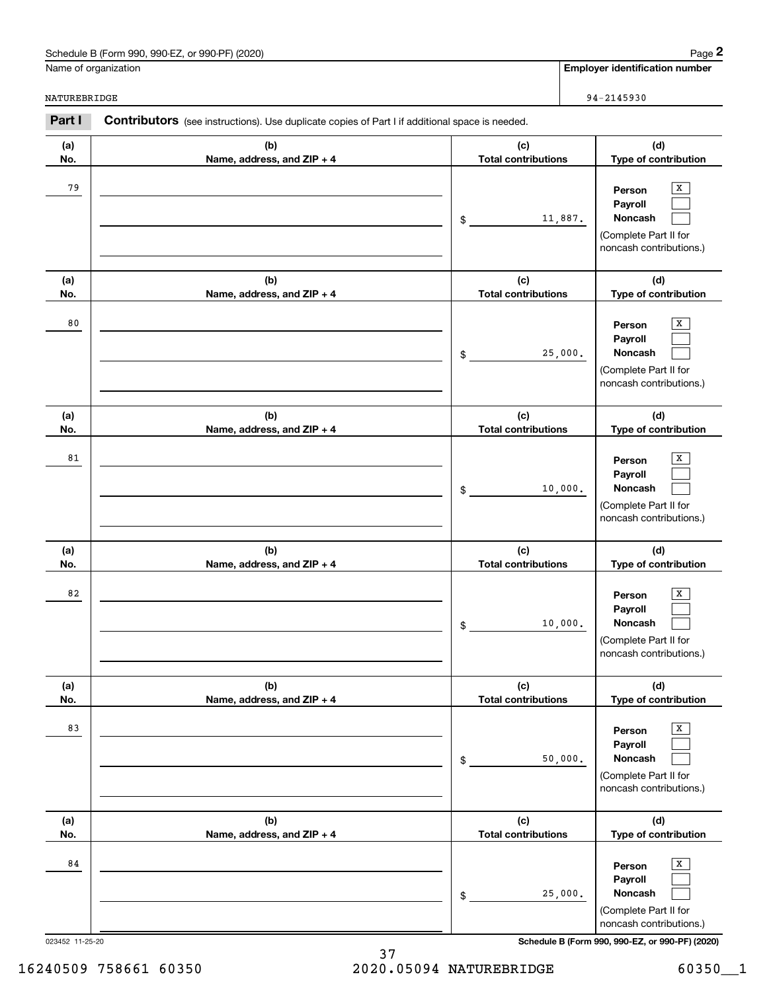| Schedule B (Form 990, 990-EZ, or 990-PF) (2020) | Page |
|-------------------------------------------------|------|
|-------------------------------------------------|------|

NATUREBRIDGE

| Name of organization<br>NATUREBRIDGE |                                                                                                |                                   |         | <b>Employer identification number</b>                                                                       |
|--------------------------------------|------------------------------------------------------------------------------------------------|-----------------------------------|---------|-------------------------------------------------------------------------------------------------------------|
|                                      |                                                                                                |                                   |         |                                                                                                             |
|                                      |                                                                                                |                                   |         | 94-2145930                                                                                                  |
| Part I                               | Contributors (see instructions). Use duplicate copies of Part I if additional space is needed. |                                   |         |                                                                                                             |
| (a)<br>No.                           | (b)<br>Name, address, and ZIP + 4                                                              | (c)<br><b>Total contributions</b> |         | (d)<br>Type of contribution                                                                                 |
| 79                                   |                                                                                                | \$                                | 11,887. | x<br>Person<br>Payroll<br>Noncash<br>(Complete Part II for<br>noncash contributions.)                       |
| (a)<br>No.                           | (b)<br>Name, address, and ZIP + 4                                                              | (c)<br><b>Total contributions</b> |         | (d)<br>Type of contribution                                                                                 |
| 80                                   |                                                                                                | \$                                | 25,000. | X<br>Person<br>Payroll<br>Noncash<br>(Complete Part II for<br>noncash contributions.)                       |
| (a)<br>No.                           | (b)<br>Name, address, and ZIP + 4                                                              | (c)<br><b>Total contributions</b> |         | (d)<br>Type of contribution                                                                                 |
| 81                                   |                                                                                                | \$                                | 10,000. | X<br>Person<br>Payroll<br>Noncash<br>(Complete Part II for<br>noncash contributions.)                       |
| (a)<br>No.                           | (b)<br>Name, address, and ZIP + 4                                                              | (c)<br><b>Total contributions</b> |         | (d)<br>Type of contribution                                                                                 |
| 82                                   |                                                                                                | \$                                | 10,000. | х<br>Person<br>Payroll<br>Noncash<br>(Complete Part II for<br>noncash contributions.)                       |
| (a)<br>No.                           | (b)<br>Name, address, and ZIP + 4                                                              | (c)<br><b>Total contributions</b> |         | (d)<br>Type of contribution                                                                                 |
| 83                                   |                                                                                                | \$                                | 50,000. | $\overline{\textbf{X}}$<br>Person<br>Payroll<br>Noncash<br>(Complete Part II for<br>noncash contributions.) |
| (a)<br>No.                           | (b)<br>Name, address, and ZIP + 4                                                              | (c)<br><b>Total contributions</b> |         | (d)<br>Type of contribution                                                                                 |
| 84                                   |                                                                                                | \$                                | 25,000. | $\overline{\mathbf{x}}$<br>Person<br>Payroll<br>Noncash<br>(Complete Part II for<br>noncash contributions.) |

37 16240509 758661 60350 2020.05094 NATUREBRIDGE 60350\_\_1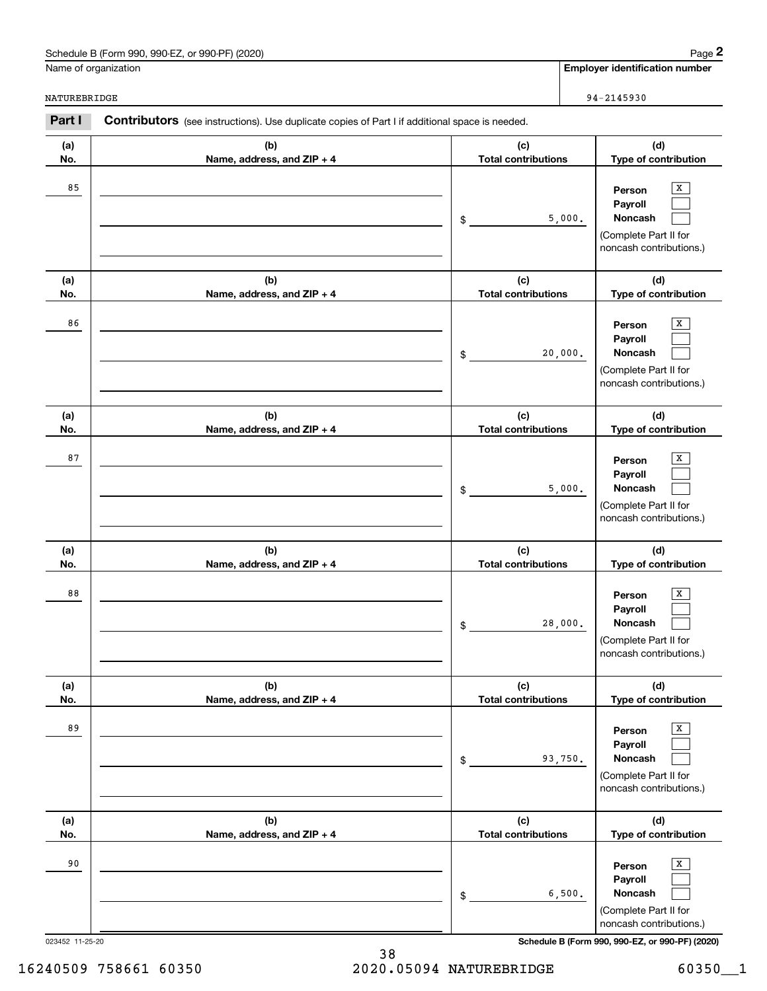## Schedule B (Form 990, 990-EZ, or 990-PF) (2020) Page 2

| ЭE | $94 - 2145930$ |
|----|----------------|
|    |                |

|              | Schedule B (Form 990, 990-EZ, or 990-PF) (2020)                                                       |                                   | Page 2                                                                                                  |
|--------------|-------------------------------------------------------------------------------------------------------|-----------------------------------|---------------------------------------------------------------------------------------------------------|
|              | Name of organization                                                                                  |                                   | <b>Employer identification number</b>                                                                   |
| NATUREBRIDGE |                                                                                                       |                                   | 94-2145930                                                                                              |
| Part I       | <b>Contributors</b> (see instructions). Use duplicate copies of Part I if additional space is needed. |                                   |                                                                                                         |
| (a)<br>No.   | (b)<br>Name, address, and ZIP + 4                                                                     | (c)<br><b>Total contributions</b> | (d)<br>Type of contribution                                                                             |
| 85           |                                                                                                       | \$                                | X<br>Person<br>Payroll<br>5,000.<br>Noncash<br>(Complete Part II for<br>noncash contributions.)         |
| (a)<br>No.   | (b)<br>Name, address, and ZIP + 4                                                                     | (c)<br><b>Total contributions</b> | (d)<br>Type of contribution                                                                             |
| 86           |                                                                                                       | \$                                | Х<br>Person<br>Payroll<br>Noncash<br>20,000.<br>(Complete Part II for<br>noncash contributions.)        |
| (a)<br>No.   | (b)<br>Name, address, and ZIP + 4                                                                     | (c)<br><b>Total contributions</b> | (d)<br>Type of contribution                                                                             |
| 87           |                                                                                                       | \$                                | x<br>Person<br>Payroll<br>5,000.<br>Noncash<br>(Complete Part II for<br>noncash contributions.)         |
| (a)<br>No.   | (b)<br>Name, address, and ZIP + 4                                                                     | (c)<br><b>Total contributions</b> | (d)<br>Type of contribution                                                                             |
| 88           |                                                                                                       | \$                                | х<br>Person<br>Payroll<br>28,000.<br><b>Noncash</b><br>(Complete Part II for<br>noncash contributions.) |
| (a)<br>No.   | (b)<br>Name, address, and ZIP + 4                                                                     | (c)<br><b>Total contributions</b> | (d)<br>Type of contribution                                                                             |
| 89           |                                                                                                       | \$                                | X<br>Person<br>Payroll<br>Noncash<br>93,750.<br>(Complete Part II for<br>noncash contributions.)        |
| (a)<br>No.   | (b)<br>Name, address, and ZIP + 4                                                                     | (c)<br><b>Total contributions</b> | (d)<br>Type of contribution                                                                             |
| 90           |                                                                                                       | \$                                | X<br>Person<br>Payroll<br>Noncash<br>6,500.<br>(Complete Part II for<br>noncash contributions.)         |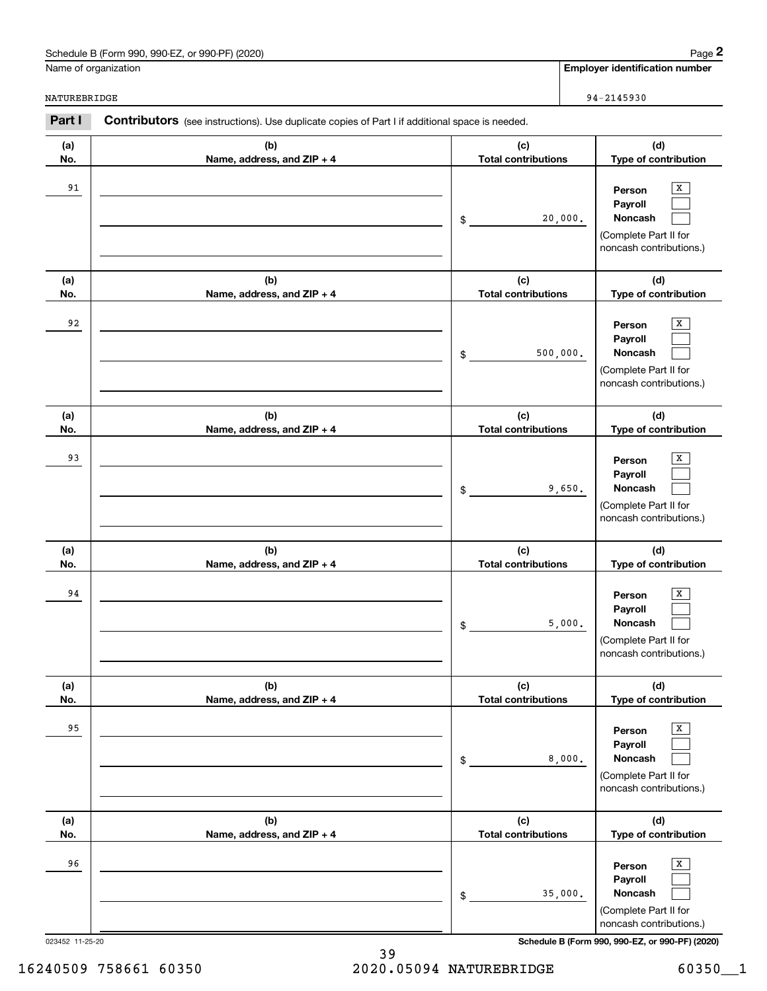| Schedule B (Form 990, 990-EZ, or 990-PF) (2020) | Page |
|-------------------------------------------------|------|
|-------------------------------------------------|------|

NATUREBRIDGE

|              | Schedule B (Form 990, 990-EZ, or 990-PF) (2020)                                                       |                                   |          | Page 2                                                                                |
|--------------|-------------------------------------------------------------------------------------------------------|-----------------------------------|----------|---------------------------------------------------------------------------------------|
|              | Name of organization                                                                                  |                                   |          | <b>Employer identification number</b>                                                 |
| NATUREBRIDGE |                                                                                                       |                                   |          | 94-2145930                                                                            |
| Part I       | <b>Contributors</b> (see instructions). Use duplicate copies of Part I if additional space is needed. |                                   |          |                                                                                       |
| (a)<br>No.   | (b)<br>Name, address, and ZIP + 4                                                                     | (c)<br><b>Total contributions</b> |          | (d)<br>Type of contribution                                                           |
| 91           |                                                                                                       | \$                                | 20,000.  | X<br>Person<br>Payroll<br>Noncash<br>(Complete Part II for<br>noncash contributions.) |
| (a)<br>No.   | (b)<br>Name, address, and ZIP + 4                                                                     | (c)<br><b>Total contributions</b> |          | (d)<br>Type of contribution                                                           |
| 92           |                                                                                                       | \$                                | 500,000. | X<br>Person<br>Payroll<br>Noncash<br>(Complete Part II for<br>noncash contributions.) |
| (a)<br>No.   | (b)<br>Name, address, and ZIP + 4                                                                     | (c)<br><b>Total contributions</b> |          | (d)<br>Type of contribution                                                           |
| 93           |                                                                                                       | \$                                | 9,650.   | Х<br>Person<br>Payroll<br>Noncash<br>(Complete Part II for<br>noncash contributions.) |
| (a)<br>No.   | (b)<br>Name, address, and ZIP + 4                                                                     | (c)<br><b>Total contributions</b> |          | (d)<br>Type of contribution                                                           |
| 94           |                                                                                                       | \$                                | 5,000.   | х<br>Person<br>Payroll<br>Noncash<br>(Complete Part II for<br>noncash contributions.) |
| (a)<br>No.   | (b)<br>Name, address, and ZIP + 4                                                                     | (c)<br><b>Total contributions</b> |          | (d)<br>Type of contribution                                                           |
| 95           |                                                                                                       | \$                                | 8,000.   | X<br>Person<br>Payroll<br>Noncash<br>(Complete Part II for<br>noncash contributions.) |
| (a)<br>No.   | (b)<br>Name, address, and ZIP + 4                                                                     | (c)<br><b>Total contributions</b> |          | (d)<br>Type of contribution                                                           |
| 96           |                                                                                                       | \$                                | 35,000.  | X<br>Person<br>Payroll<br>Noncash<br>(Complete Part II for<br>noncash contributions.) |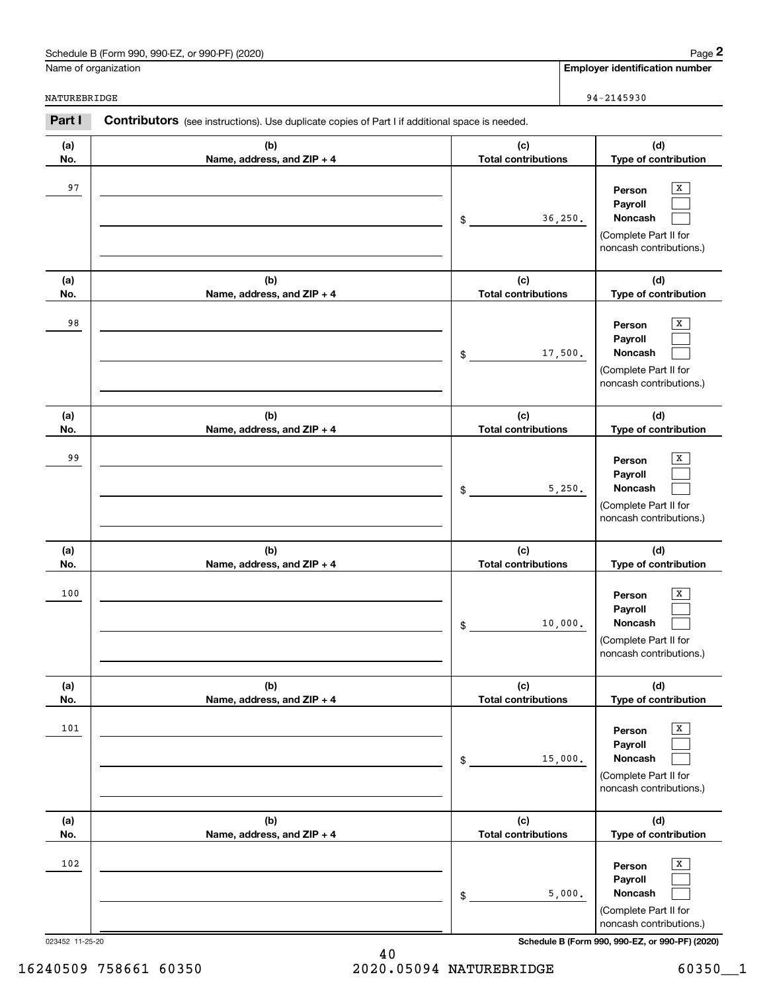| Schedule B (Form 990, 990-EZ, or 990-PF) (2020) | Page |
|-------------------------------------------------|------|
|-------------------------------------------------|------|

|              | Schedule B (Form 990, 990-EZ, or 990-PF) (2020)                                                       |                                   |          | Page 2                                                                                |
|--------------|-------------------------------------------------------------------------------------------------------|-----------------------------------|----------|---------------------------------------------------------------------------------------|
|              | Name of organization                                                                                  |                                   |          | <b>Employer identification number</b>                                                 |
| NATUREBRIDGE |                                                                                                       |                                   |          | 94-2145930                                                                            |
| Part I       | <b>Contributors</b> (see instructions). Use duplicate copies of Part I if additional space is needed. |                                   |          |                                                                                       |
| (a)<br>No.   | (b)<br>Name, address, and ZIP + 4                                                                     | (c)<br><b>Total contributions</b> |          | (d)<br>Type of contribution                                                           |
| 97           |                                                                                                       | \$                                | 36, 250. | х<br>Person<br>Payroll<br>Noncash<br>(Complete Part II for<br>noncash contributions.) |
| (a)<br>No.   | (b)<br>Name, address, and ZIP + 4                                                                     | (c)<br><b>Total contributions</b> |          | (d)<br>Type of contribution                                                           |
| 98           |                                                                                                       | \$                                | 17,500.  | х<br>Person<br>Payroll<br>Noncash<br>(Complete Part II for<br>noncash contributions.) |
| (a)<br>No.   | (b)<br>Name, address, and ZIP + 4                                                                     | (c)<br><b>Total contributions</b> |          | (d)<br>Type of contribution                                                           |
| 99           |                                                                                                       | \$                                | 5,250.   | X<br>Person<br>Payroll<br>Noncash<br>(Complete Part II for<br>noncash contributions.) |
| (a)<br>No.   | (b)<br>Name, address, and ZIP + 4                                                                     | (c)<br><b>Total contributions</b> |          | (d)<br>Type of contribution                                                           |
| 100          |                                                                                                       | \$                                | 10,000.  | х<br>Person<br>Payroll<br>Noncash<br>(Complete Part II for<br>noncash contributions.) |
| (a)<br>No.   | (b)<br>Name, address, and ZIP + 4                                                                     | (c)<br><b>Total contributions</b> |          | (d)<br>Type of contribution                                                           |
| 101          |                                                                                                       | \$                                | 15,000.  | х<br>Person<br>Payroll<br>Noncash<br>(Complete Part II for<br>noncash contributions.) |
| (a)<br>No.   | (b)<br>Name, address, and ZIP + 4                                                                     | (c)<br><b>Total contributions</b> |          | (d)<br>Type of contribution                                                           |
| 102          |                                                                                                       | \$                                | 5,000.   | х<br>Person<br>Payroll<br>Noncash<br>(Complete Part II for<br>noncash contributions.) |

023452 11-25-20 **Schedule B (Form 990, 990-EZ, or 990-PF) (2020)**

40 16240509 758661 60350 2020.05094 NATUREBRIDGE 60350\_\_1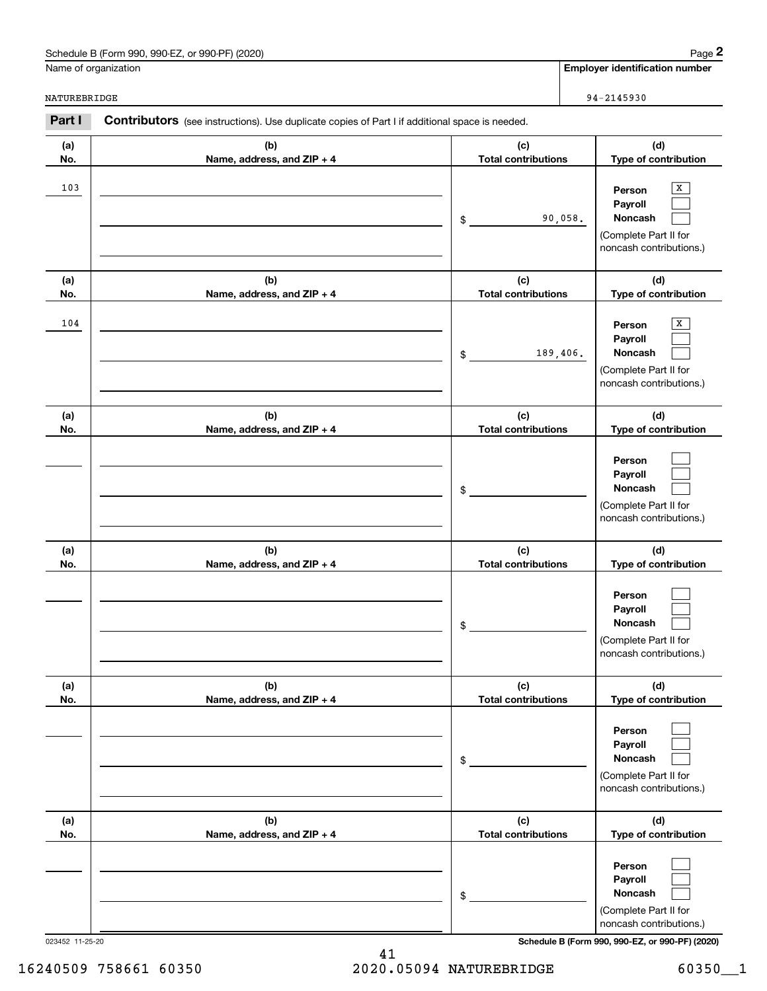| Schedule B (Form 990, 990-EZ, or 990-PF) (2020) | Page |
|-------------------------------------------------|------|
|-------------------------------------------------|------|

| ЗΕ | $94 - 2145930$ |
|----|----------------|
|    |                |

|              | Schedule B (Form 990, 990-EZ, or 990-PF) (2020)                                                       |                                   | Page 2                                                                                            |
|--------------|-------------------------------------------------------------------------------------------------------|-----------------------------------|---------------------------------------------------------------------------------------------------|
|              | Name of organization                                                                                  |                                   | <b>Employer identification number</b>                                                             |
| NATUREBRIDGE |                                                                                                       |                                   | 94-2145930                                                                                        |
| Part I       | <b>Contributors</b> (see instructions). Use duplicate copies of Part I if additional space is needed. |                                   |                                                                                                   |
| (a)<br>No.   | (b)<br>Name, address, and ZIP + 4                                                                     | (c)<br><b>Total contributions</b> | (d)<br>Type of contribution                                                                       |
| 103          |                                                                                                       | \$                                | X<br>Person<br>Payroll<br>90,058.<br>Noncash<br>(Complete Part II for<br>noncash contributions.)  |
| (a)<br>No.   | (b)<br>Name, address, and ZIP + 4                                                                     | (c)<br><b>Total contributions</b> | (d)<br>Type of contribution                                                                       |
| 104          |                                                                                                       | \$                                | Х<br>Person<br>Payroll<br>Noncash<br>189,406.<br>(Complete Part II for<br>noncash contributions.) |
| (a)<br>No.   | (b)<br>Name, address, and ZIP + 4                                                                     | (c)<br><b>Total contributions</b> | (d)<br>Type of contribution                                                                       |
|              |                                                                                                       | \$                                | Person<br>Payroll<br>Noncash<br>(Complete Part II for<br>noncash contributions.)                  |
| (a)<br>No.   | (b)<br>Name, address, and ZIP + 4                                                                     | (c)<br><b>Total contributions</b> | (d)<br>Type of contribution                                                                       |
|              |                                                                                                       | \$                                | Person<br>Payroll<br>Noncash<br>(Complete Part II for<br>noncash contributions.)                  |
| (a)<br>No.   | (b)<br>Name, address, and ZIP + 4                                                                     | (c)<br><b>Total contributions</b> | (d)<br>Type of contribution                                                                       |
|              |                                                                                                       | \$                                | Person<br>Payroll<br>Noncash<br>(Complete Part II for<br>noncash contributions.)                  |
| (a)<br>No.   | (b)<br>Name, address, and ZIP + 4                                                                     | (c)<br><b>Total contributions</b> | (d)<br>Type of contribution                                                                       |
|              |                                                                                                       | \$                                | Person<br>Payroll<br>Noncash<br>(Complete Part II for<br>noncash contributions.)                  |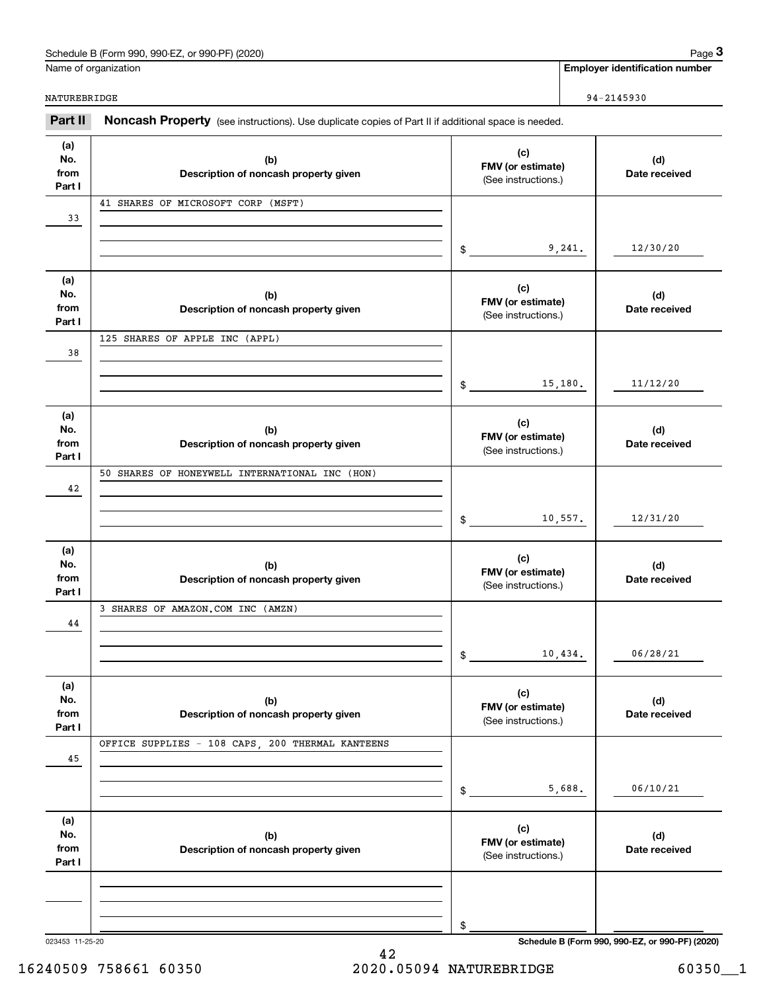| Schedule B (Form 990, 990-EZ, or 990-PF) (2020) | Page |
|-------------------------------------------------|------|
|-------------------------------------------------|------|

|                              | Schedule B (Form 990, 990-EZ, or 990-PF) (2020)                                                     |                                                 |            | Page 3                                |
|------------------------------|-----------------------------------------------------------------------------------------------------|-------------------------------------------------|------------|---------------------------------------|
|                              | Name of organization                                                                                |                                                 |            | <b>Employer identification number</b> |
| NATUREBRIDGE                 |                                                                                                     |                                                 | 94-2145930 |                                       |
| Part II                      | Noncash Property (see instructions). Use duplicate copies of Part II if additional space is needed. |                                                 |            |                                       |
| (a)<br>No.<br>from<br>Part I | (b)<br>Description of noncash property given                                                        | (c)<br>FMV (or estimate)<br>(See instructions.) |            | (d)<br>Date received                  |
| 33                           | 41 SHARES OF MICROSOFT CORP (MSFT)                                                                  |                                                 |            |                                       |
|                              |                                                                                                     | \$                                              | 9,241.     | 12/30/20                              |
| (a)<br>No.<br>from<br>Part I | (b)<br>Description of noncash property given                                                        | (c)<br>FMV (or estimate)<br>(See instructions.) |            | (d)<br>Date received                  |
| 38                           | 125 SHARES OF APPLE INC (APPL)                                                                      |                                                 |            |                                       |
|                              |                                                                                                     | \$                                              | 15, 180.   | 11/12/20                              |
| (a)<br>No.<br>from<br>Part I | (b)<br>Description of noncash property given                                                        | (c)<br>FMV (or estimate)<br>(See instructions.) |            | (d)<br>Date received                  |
| 42                           | 50 SHARES OF HONEYWELL INTERNATIONAL INC (HON)                                                      |                                                 |            |                                       |
|                              |                                                                                                     | \$                                              | 10,557.    | 12/31/20                              |
| (a)<br>No.<br>from<br>Part I | (b)<br>Description of noncash property given                                                        | (c)<br>FMV (or estimate)<br>(See instructions.) |            | (d)<br>Date received                  |
| 44                           | 3 SHARES OF AMAZON.COM INC (AMZN)                                                                   |                                                 |            |                                       |
|                              |                                                                                                     | \$                                              | 10,434.    | 06/28/21                              |
| (a)<br>No.<br>from<br>Part I | (b)<br>Description of noncash property given                                                        | (c)<br>FMV (or estimate)<br>(See instructions.) |            | (d)<br>Date received                  |
| 45                           | OFFICE SUPPLIES - 108 CAPS, 200 THERMAL KANTEENS                                                    |                                                 |            |                                       |
|                              |                                                                                                     | \$                                              | 5,688.     | 06/10/21                              |
| (a)<br>No.<br>from<br>Part I | (b)<br>Description of noncash property given                                                        | (c)<br>FMV (or estimate)<br>(See instructions.) |            | (d)<br>Date received                  |
|                              |                                                                                                     |                                                 |            |                                       |
|                              |                                                                                                     | \$                                              |            |                                       |

023453 11-25-20 **Schedule B (Form 990, 990-EZ, or 990-PF) (2020)**

42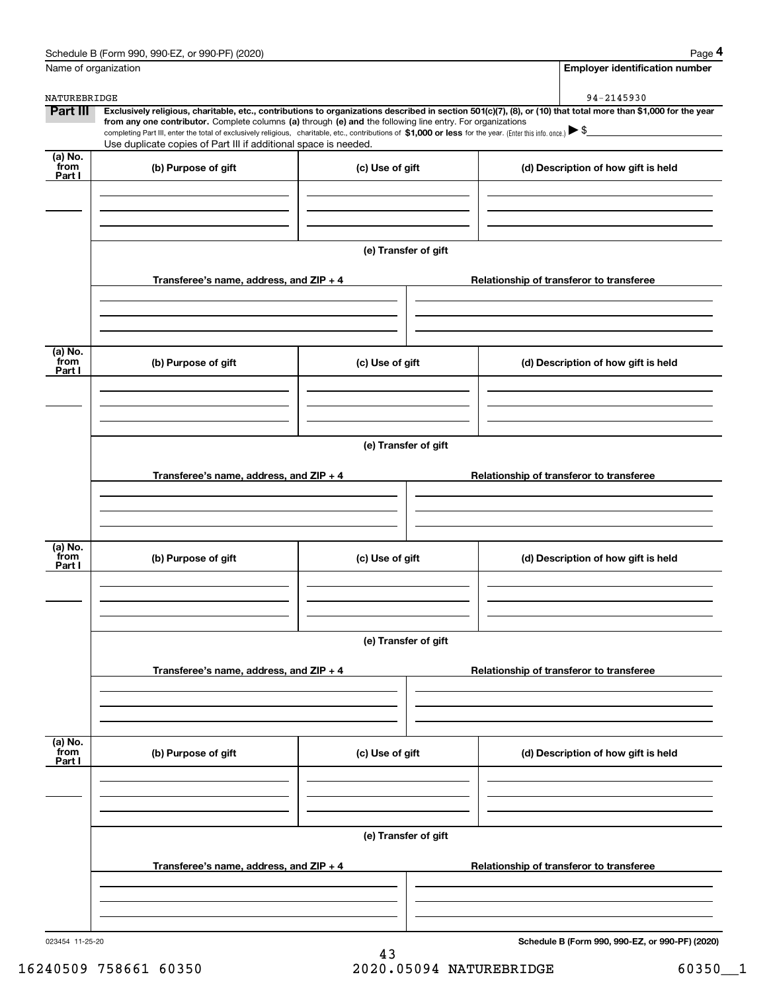|                 | Schedule B (Form 990, 990-EZ, or 990-PF) (2020)                                                                                                                                                                                                                            |                      | Page 4                                          |
|-----------------|----------------------------------------------------------------------------------------------------------------------------------------------------------------------------------------------------------------------------------------------------------------------------|----------------------|-------------------------------------------------|
|                 | Name of organization                                                                                                                                                                                                                                                       |                      | <b>Employer identification number</b>           |
| NATUREBRIDGE    |                                                                                                                                                                                                                                                                            |                      | 94-2145930                                      |
| Part III        | Exclusively religious, charitable, etc., contributions to organizations described in section 501(c)(7), (8), or (10) that total more than \$1,000 for the year                                                                                                             |                      |                                                 |
|                 | from any one contributor. Complete columns (a) through (e) and the following line entry. For organizations<br>completing Part III, enter the total of exclusively religious, charitable, etc., contributions of \$1,000 or less for the year. (Enter this info. once.) \\$ |                      |                                                 |
|                 | Use duplicate copies of Part III if additional space is needed.                                                                                                                                                                                                            |                      |                                                 |
| (a) No.         |                                                                                                                                                                                                                                                                            |                      |                                                 |
| from<br>Part I  | (b) Purpose of gift                                                                                                                                                                                                                                                        | (c) Use of gift      | (d) Description of how gift is held             |
|                 |                                                                                                                                                                                                                                                                            |                      |                                                 |
|                 |                                                                                                                                                                                                                                                                            |                      |                                                 |
|                 |                                                                                                                                                                                                                                                                            |                      |                                                 |
|                 |                                                                                                                                                                                                                                                                            |                      |                                                 |
|                 |                                                                                                                                                                                                                                                                            | (e) Transfer of gift |                                                 |
|                 |                                                                                                                                                                                                                                                                            |                      |                                                 |
|                 | Transferee's name, address, and ZIP + 4                                                                                                                                                                                                                                    |                      | Relationship of transferor to transferee        |
|                 |                                                                                                                                                                                                                                                                            |                      |                                                 |
|                 |                                                                                                                                                                                                                                                                            |                      |                                                 |
|                 |                                                                                                                                                                                                                                                                            |                      |                                                 |
| (a) No.         |                                                                                                                                                                                                                                                                            |                      |                                                 |
| from            | (b) Purpose of gift                                                                                                                                                                                                                                                        | (c) Use of gift      | (d) Description of how gift is held             |
| Part I          |                                                                                                                                                                                                                                                                            |                      |                                                 |
|                 |                                                                                                                                                                                                                                                                            |                      |                                                 |
|                 |                                                                                                                                                                                                                                                                            |                      |                                                 |
|                 |                                                                                                                                                                                                                                                                            |                      |                                                 |
|                 |                                                                                                                                                                                                                                                                            | (e) Transfer of gift |                                                 |
|                 |                                                                                                                                                                                                                                                                            |                      |                                                 |
|                 | Transferee's name, address, and ZIP + 4                                                                                                                                                                                                                                    |                      | Relationship of transferor to transferee        |
|                 |                                                                                                                                                                                                                                                                            |                      |                                                 |
|                 |                                                                                                                                                                                                                                                                            |                      |                                                 |
|                 |                                                                                                                                                                                                                                                                            |                      |                                                 |
|                 |                                                                                                                                                                                                                                                                            |                      |                                                 |
| (a) No.<br>from | (b) Purpose of gift                                                                                                                                                                                                                                                        | (c) Use of gift      | (d) Description of how gift is held             |
| Part I          |                                                                                                                                                                                                                                                                            |                      |                                                 |
|                 |                                                                                                                                                                                                                                                                            |                      |                                                 |
|                 |                                                                                                                                                                                                                                                                            |                      |                                                 |
|                 |                                                                                                                                                                                                                                                                            |                      |                                                 |
|                 |                                                                                                                                                                                                                                                                            |                      |                                                 |
|                 |                                                                                                                                                                                                                                                                            | (e) Transfer of gift |                                                 |
|                 |                                                                                                                                                                                                                                                                            |                      |                                                 |
|                 | Transferee's name, address, and $ZIP + 4$                                                                                                                                                                                                                                  |                      | Relationship of transferor to transferee        |
|                 |                                                                                                                                                                                                                                                                            |                      |                                                 |
|                 |                                                                                                                                                                                                                                                                            |                      |                                                 |
|                 |                                                                                                                                                                                                                                                                            |                      |                                                 |
| (a) No.<br>from |                                                                                                                                                                                                                                                                            |                      |                                                 |
| Part I          | (b) Purpose of gift                                                                                                                                                                                                                                                        | (c) Use of gift      | (d) Description of how gift is held             |
|                 |                                                                                                                                                                                                                                                                            |                      |                                                 |
|                 |                                                                                                                                                                                                                                                                            |                      |                                                 |
|                 |                                                                                                                                                                                                                                                                            |                      |                                                 |
|                 |                                                                                                                                                                                                                                                                            |                      |                                                 |
|                 |                                                                                                                                                                                                                                                                            | (e) Transfer of gift |                                                 |
|                 |                                                                                                                                                                                                                                                                            |                      |                                                 |
|                 | Transferee's name, address, and $ZIP + 4$                                                                                                                                                                                                                                  |                      | Relationship of transferor to transferee        |
|                 |                                                                                                                                                                                                                                                                            |                      |                                                 |
|                 |                                                                                                                                                                                                                                                                            |                      |                                                 |
|                 |                                                                                                                                                                                                                                                                            |                      |                                                 |
|                 |                                                                                                                                                                                                                                                                            |                      |                                                 |
| 023454 11-25-20 |                                                                                                                                                                                                                                                                            |                      | Schedule B (Form 990, 990-EZ, or 990-PF) (2020) |

16240509 758661 60350 2020.05094 NATUREBRIDGE 60350\_\_1

43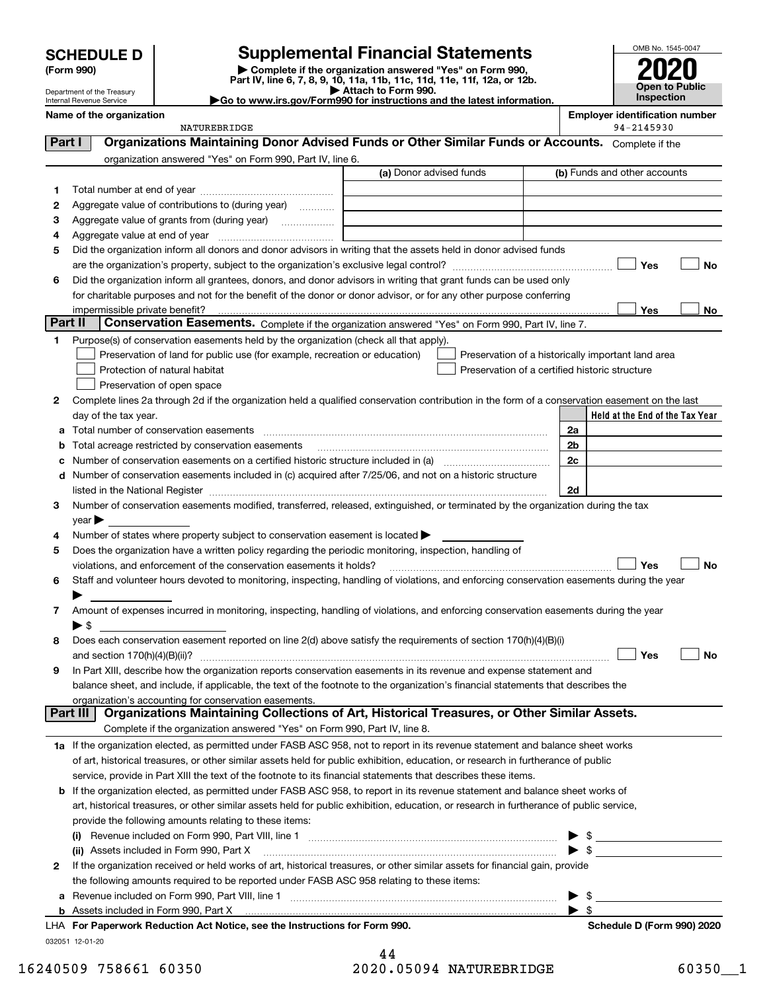#### Department of the Treasury Internal Revenue Service

# **SCHEDULE D Supplemental Financial Statements**

(Form 990)<br>
Pepartment of the Treasury<br>
Department of the Treasury<br>
Department of the Treasury<br>
Department of the Treasury<br> **Co to www.irs.gov/Form990 for instructions and the latest information.**<br> **Co to www.irs.gov/Form9** 



|         | Name of the organization<br>NATUREBRIDGE                                                                                                                                                                                      |                         |                                                    |                          | <b>Employer identification number</b> | 94-2145930 |                                 |
|---------|-------------------------------------------------------------------------------------------------------------------------------------------------------------------------------------------------------------------------------|-------------------------|----------------------------------------------------|--------------------------|---------------------------------------|------------|---------------------------------|
| Part I  | Organizations Maintaining Donor Advised Funds or Other Similar Funds or Accounts. Complete if the                                                                                                                             |                         |                                                    |                          |                                       |            |                                 |
|         | organization answered "Yes" on Form 990, Part IV, line 6.                                                                                                                                                                     |                         |                                                    |                          |                                       |            |                                 |
|         |                                                                                                                                                                                                                               | (a) Donor advised funds |                                                    |                          | (b) Funds and other accounts          |            |                                 |
| 1       |                                                                                                                                                                                                                               |                         |                                                    |                          |                                       |            |                                 |
| 2       | Aggregate value of contributions to (during year)                                                                                                                                                                             |                         |                                                    |                          |                                       |            |                                 |
| 3       | Aggregate value of grants from (during year)                                                                                                                                                                                  |                         |                                                    |                          |                                       |            |                                 |
| 4       |                                                                                                                                                                                                                               |                         |                                                    |                          |                                       |            |                                 |
| 5       | Did the organization inform all donors and donor advisors in writing that the assets held in donor advised funds                                                                                                              |                         |                                                    |                          |                                       |            |                                 |
|         |                                                                                                                                                                                                                               |                         |                                                    |                          |                                       | Yes        | No                              |
| 6       | Did the organization inform all grantees, donors, and donor advisors in writing that grant funds can be used only                                                                                                             |                         |                                                    |                          |                                       |            |                                 |
|         | for charitable purposes and not for the benefit of the donor or donor advisor, or for any other purpose conferring                                                                                                            |                         |                                                    |                          |                                       |            |                                 |
|         | impermissible private benefit?                                                                                                                                                                                                |                         |                                                    |                          |                                       | Yes        | No                              |
| Part II | Conservation Easements. Complete if the organization answered "Yes" on Form 990, Part IV, line 7.                                                                                                                             |                         |                                                    |                          |                                       |            |                                 |
| 1       | Purpose(s) of conservation easements held by the organization (check all that apply).                                                                                                                                         |                         |                                                    |                          |                                       |            |                                 |
|         | Preservation of land for public use (for example, recreation or education)                                                                                                                                                    |                         | Preservation of a historically important land area |                          |                                       |            |                                 |
|         | Protection of natural habitat                                                                                                                                                                                                 |                         | Preservation of a certified historic structure     |                          |                                       |            |                                 |
|         | Preservation of open space                                                                                                                                                                                                    |                         |                                                    |                          |                                       |            |                                 |
| 2       | Complete lines 2a through 2d if the organization held a qualified conservation contribution in the form of a conservation easement on the last                                                                                |                         |                                                    |                          |                                       |            |                                 |
|         | day of the tax year.                                                                                                                                                                                                          |                         |                                                    |                          |                                       |            | Held at the End of the Tax Year |
| а       | Total number of conservation easements                                                                                                                                                                                        |                         |                                                    | 2a                       |                                       |            |                                 |
| b       | Total acreage restricted by conservation easements                                                                                                                                                                            |                         |                                                    | 2 <sub>b</sub>           |                                       |            |                                 |
| с       |                                                                                                                                                                                                                               |                         |                                                    | 2c                       |                                       |            |                                 |
| d       | Number of conservation easements included in (c) acquired after 7/25/06, and not on a historic structure                                                                                                                      |                         |                                                    |                          |                                       |            |                                 |
|         |                                                                                                                                                                                                                               |                         |                                                    | 2d                       |                                       |            |                                 |
| з       | Number of conservation easements modified, transferred, released, extinguished, or terminated by the organization during the tax                                                                                              |                         |                                                    |                          |                                       |            |                                 |
|         | $year \triangleright$                                                                                                                                                                                                         |                         |                                                    |                          |                                       |            |                                 |
| 4       | Number of states where property subject to conservation easement is located >                                                                                                                                                 |                         |                                                    |                          |                                       |            |                                 |
| 5       | Does the organization have a written policy regarding the periodic monitoring, inspection, handling of                                                                                                                        |                         |                                                    |                          |                                       |            |                                 |
|         | violations, and enforcement of the conservation easements it holds?                                                                                                                                                           |                         |                                                    |                          |                                       | <b>Yes</b> | <b>No</b>                       |
| 6       | Staff and volunteer hours devoted to monitoring, inspecting, handling of violations, and enforcing conservation easements during the year                                                                                     |                         |                                                    |                          |                                       |            |                                 |
|         |                                                                                                                                                                                                                               |                         |                                                    |                          |                                       |            |                                 |
| 7       | Amount of expenses incurred in monitoring, inspecting, handling of violations, and enforcing conservation easements during the year<br>▶ \$                                                                                   |                         |                                                    |                          |                                       |            |                                 |
| 8       | Does each conservation easement reported on line 2(d) above satisfy the requirements of section 170(h)(4)(B)(i)                                                                                                               |                         |                                                    |                          |                                       |            |                                 |
|         |                                                                                                                                                                                                                               |                         |                                                    |                          |                                       | Yes        | No                              |
|         | In Part XIII, describe how the organization reports conservation easements in its revenue and expense statement and                                                                                                           |                         |                                                    |                          |                                       |            |                                 |
|         | balance sheet, and include, if applicable, the text of the footnote to the organization's financial statements that describes the                                                                                             |                         |                                                    |                          |                                       |            |                                 |
|         | organization's accounting for conservation easements.                                                                                                                                                                         |                         |                                                    |                          |                                       |            |                                 |
|         | Organizations Maintaining Collections of Art, Historical Treasures, or Other Similar Assets.<br>Part III                                                                                                                      |                         |                                                    |                          |                                       |            |                                 |
|         | Complete if the organization answered "Yes" on Form 990, Part IV, line 8.                                                                                                                                                     |                         |                                                    |                          |                                       |            |                                 |
|         | 1a If the organization elected, as permitted under FASB ASC 958, not to report in its revenue statement and balance sheet works                                                                                               |                         |                                                    |                          |                                       |            |                                 |
|         | of art, historical treasures, or other similar assets held for public exhibition, education, or research in furtherance of public                                                                                             |                         |                                                    |                          |                                       |            |                                 |
|         | service, provide in Part XIII the text of the footnote to its financial statements that describes these items.                                                                                                                |                         |                                                    |                          |                                       |            |                                 |
|         | <b>b</b> If the organization elected, as permitted under FASB ASC 958, to report in its revenue statement and balance sheet works of                                                                                          |                         |                                                    |                          |                                       |            |                                 |
|         | art, historical treasures, or other similar assets held for public exhibition, education, or research in furtherance of public service,                                                                                       |                         |                                                    |                          |                                       |            |                                 |
|         | provide the following amounts relating to these items:                                                                                                                                                                        |                         |                                                    |                          |                                       |            |                                 |
|         |                                                                                                                                                                                                                               |                         |                                                    | $\blacktriangleright$ \$ |                                       |            |                                 |
|         | (ii) Assets included in Form 990, Part X                                                                                                                                                                                      |                         |                                                    | $\blacktriangleright$ \$ |                                       |            |                                 |
| 2       | If the organization received or held works of art, historical treasures, or other similar assets for financial gain, provide                                                                                                  |                         |                                                    |                          |                                       |            |                                 |
|         | the following amounts required to be reported under FASB ASC 958 relating to these items:                                                                                                                                     |                         |                                                    |                          |                                       |            |                                 |
| a       |                                                                                                                                                                                                                               |                         |                                                    |                          | - \$                                  |            |                                 |
|         | b Assets included in Form 990, Part X [11, 12] Assets included in Form 990, Part X [11, 12] Assets included in Form 990, Part X [11, 12] Assets included in Form 990, Part X [12] Assets included that the state of the state |                         |                                                    | $\blacktriangleright$ \$ |                                       |            |                                 |
|         | LHA For Paperwork Reduction Act Notice, see the Instructions for Form 990.                                                                                                                                                    |                         |                                                    |                          |                                       |            | Schedule D (Form 990) 2020      |
|         | 032051 12-01-20                                                                                                                                                                                                               |                         |                                                    |                          |                                       |            |                                 |

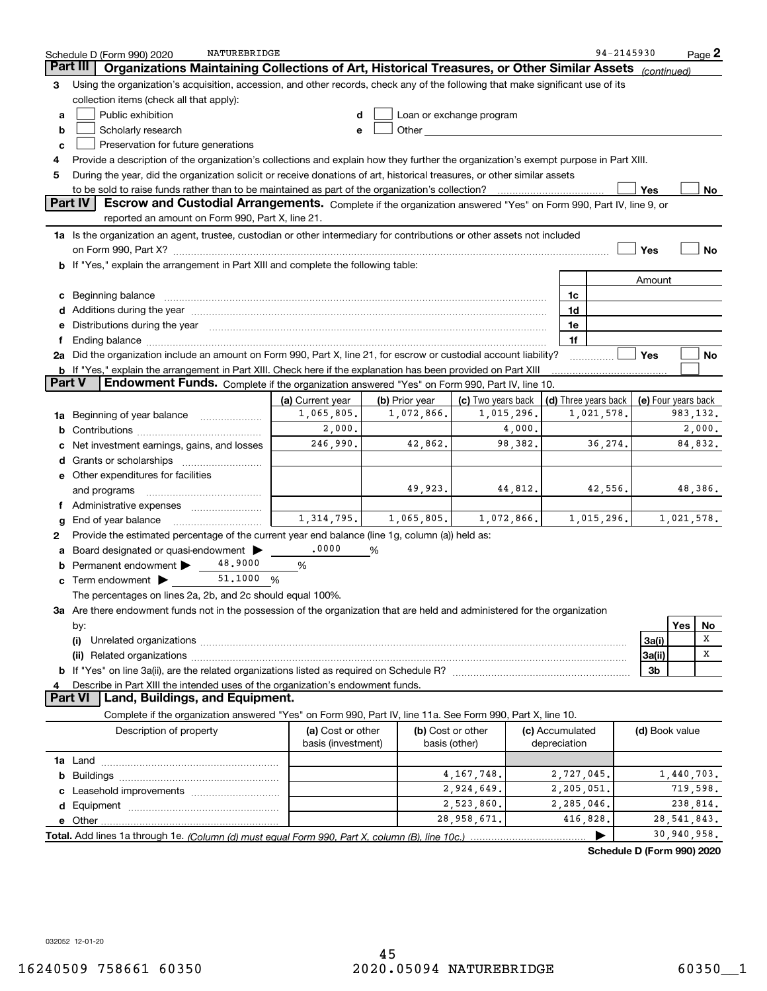|        | NATUREBRIDGE<br>Schedule D (Form 990) 2020                                                                                                                                                                                                                                                                                                        |                    |                |                                                                                                                                                                                                                                |                      | 94-2145930                 |               | Page 2  |
|--------|---------------------------------------------------------------------------------------------------------------------------------------------------------------------------------------------------------------------------------------------------------------------------------------------------------------------------------------------------|--------------------|----------------|--------------------------------------------------------------------------------------------------------------------------------------------------------------------------------------------------------------------------------|----------------------|----------------------------|---------------|---------|
|        | Part III<br>Organizations Maintaining Collections of Art, Historical Treasures, or Other Similar Assets                                                                                                                                                                                                                                           |                    |                |                                                                                                                                                                                                                                |                      | (continued)                |               |         |
| 3      | Using the organization's acquisition, accession, and other records, check any of the following that make significant use of its                                                                                                                                                                                                                   |                    |                |                                                                                                                                                                                                                                |                      |                            |               |         |
|        | collection items (check all that apply):                                                                                                                                                                                                                                                                                                          |                    |                |                                                                                                                                                                                                                                |                      |                            |               |         |
| a      | Public exhibition                                                                                                                                                                                                                                                                                                                                 |                    |                | Loan or exchange program                                                                                                                                                                                                       |                      |                            |               |         |
| b      | Scholarly research                                                                                                                                                                                                                                                                                                                                |                    |                | Other and the control of the control of the control of the control of the control of the control of the control of the control of the control of the control of the control of the control of the control of the control of th |                      |                            |               |         |
| c      | Preservation for future generations                                                                                                                                                                                                                                                                                                               |                    |                |                                                                                                                                                                                                                                |                      |                            |               |         |
| 4      | Provide a description of the organization's collections and explain how they further the organization's exempt purpose in Part XIII.                                                                                                                                                                                                              |                    |                |                                                                                                                                                                                                                                |                      |                            |               |         |
| 5      | During the year, did the organization solicit or receive donations of art, historical treasures, or other similar assets                                                                                                                                                                                                                          |                    |                |                                                                                                                                                                                                                                |                      |                            |               |         |
|        | to be sold to raise funds rather than to be maintained as part of the organization's collection?                                                                                                                                                                                                                                                  |                    |                |                                                                                                                                                                                                                                |                      | Yes                        |               | No      |
|        | <b>Part IV</b><br>Escrow and Custodial Arrangements. Complete if the organization answered "Yes" on Form 990, Part IV, line 9, or                                                                                                                                                                                                                 |                    |                |                                                                                                                                                                                                                                |                      |                            |               |         |
|        | reported an amount on Form 990, Part X, line 21.                                                                                                                                                                                                                                                                                                  |                    |                |                                                                                                                                                                                                                                |                      |                            |               |         |
|        | 1a Is the organization an agent, trustee, custodian or other intermediary for contributions or other assets not included                                                                                                                                                                                                                          |                    |                |                                                                                                                                                                                                                                |                      |                            |               |         |
|        |                                                                                                                                                                                                                                                                                                                                                   |                    |                |                                                                                                                                                                                                                                |                      | Yes                        |               | No      |
|        | b If "Yes," explain the arrangement in Part XIII and complete the following table:                                                                                                                                                                                                                                                                |                    |                |                                                                                                                                                                                                                                |                      |                            |               |         |
|        |                                                                                                                                                                                                                                                                                                                                                   |                    |                |                                                                                                                                                                                                                                |                      | Amount                     |               |         |
| c      |                                                                                                                                                                                                                                                                                                                                                   |                    |                |                                                                                                                                                                                                                                | 1c<br>1d             |                            |               |         |
| d<br>е | Additions during the year manufactured and an according to year manufactured and according the year manufactured and according the year manufactured and according the year manufactured and according the year manufactured a<br>Distributions during the year manufactured and an account of the state of the state of the state of the state o |                    |                |                                                                                                                                                                                                                                | 1e                   |                            |               |         |
| f      |                                                                                                                                                                                                                                                                                                                                                   |                    |                |                                                                                                                                                                                                                                | 1f                   |                            |               |         |
|        | 2a Did the organization include an amount on Form 990, Part X, line 21, for escrow or custodial account liability?                                                                                                                                                                                                                                |                    |                |                                                                                                                                                                                                                                |                      | Yes                        |               | No      |
|        | <b>b</b> If "Yes," explain the arrangement in Part XIII. Check here if the explanation has been provided on Part XIII                                                                                                                                                                                                                             |                    |                |                                                                                                                                                                                                                                |                      |                            |               |         |
| Part V | Endowment Funds. Complete if the organization answered "Yes" on Form 990, Part IV, line 10.                                                                                                                                                                                                                                                       |                    |                |                                                                                                                                                                                                                                |                      |                            |               |         |
|        |                                                                                                                                                                                                                                                                                                                                                   | (a) Current year   | (b) Prior year | (c) Two years back                                                                                                                                                                                                             | (d) Three years back | (e) Four years back        |               |         |
| 1a     | Beginning of year balance                                                                                                                                                                                                                                                                                                                         | 1,065,805.         | 1,072,866.     | 1,015,296.                                                                                                                                                                                                                     | 1,021,578.           |                            | 983, 132.     |         |
| b      |                                                                                                                                                                                                                                                                                                                                                   | 2,000.             |                | 4,000.                                                                                                                                                                                                                         |                      |                            |               | 2,000.  |
|        | Net investment earnings, gains, and losses                                                                                                                                                                                                                                                                                                        | 246,990.           | 42,862.        | 98,382.                                                                                                                                                                                                                        | 36,274.              |                            |               | 84,832. |
| d      | Grants or scholarships                                                                                                                                                                                                                                                                                                                            |                    |                |                                                                                                                                                                                                                                |                      |                            |               |         |
|        | e Other expenditures for facilities                                                                                                                                                                                                                                                                                                               |                    |                |                                                                                                                                                                                                                                |                      |                            |               |         |
|        | and programs                                                                                                                                                                                                                                                                                                                                      |                    | 49,923.        | 44,812.                                                                                                                                                                                                                        | 42,556.              |                            |               | 48,386. |
|        |                                                                                                                                                                                                                                                                                                                                                   |                    |                |                                                                                                                                                                                                                                |                      |                            |               |         |
| g      | End of year balance                                                                                                                                                                                                                                                                                                                               | 1,314,795.         | 1,065,805.     | 1,072,866.                                                                                                                                                                                                                     | 1,015,296.           |                            | 1,021,578.    |         |
| 2      | Provide the estimated percentage of the current year end balance (line 1g, column (a)) held as:                                                                                                                                                                                                                                                   |                    |                |                                                                                                                                                                                                                                |                      |                            |               |         |
| а      | Board designated or quasi-endowment                                                                                                                                                                                                                                                                                                               | .0000              | %              |                                                                                                                                                                                                                                |                      |                            |               |         |
|        | 48,9000<br>Permanent endowment                                                                                                                                                                                                                                                                                                                    | %                  |                |                                                                                                                                                                                                                                |                      |                            |               |         |
|        | 51,1000<br><b>c</b> Term endowment $\blacktriangleright$                                                                                                                                                                                                                                                                                          | %                  |                |                                                                                                                                                                                                                                |                      |                            |               |         |
|        | The percentages on lines 2a, 2b, and 2c should equal 100%.                                                                                                                                                                                                                                                                                        |                    |                |                                                                                                                                                                                                                                |                      |                            |               |         |
|        | 3a Are there endowment funds not in the possession of the organization that are held and administered for the organization                                                                                                                                                                                                                        |                    |                |                                                                                                                                                                                                                                |                      |                            |               |         |
|        | by:                                                                                                                                                                                                                                                                                                                                               |                    |                |                                                                                                                                                                                                                                |                      |                            | <b>Yes</b>    | No<br>X |
|        | (i)                                                                                                                                                                                                                                                                                                                                               |                    |                |                                                                                                                                                                                                                                |                      | 3a(i)                      |               | х       |
|        |                                                                                                                                                                                                                                                                                                                                                   |                    |                |                                                                                                                                                                                                                                |                      | 3a(ii)<br>3b               |               |         |
|        | Describe in Part XIII the intended uses of the organization's endowment funds.                                                                                                                                                                                                                                                                    |                    |                |                                                                                                                                                                                                                                |                      |                            |               |         |
|        | Land, Buildings, and Equipment.<br>Part VI                                                                                                                                                                                                                                                                                                        |                    |                |                                                                                                                                                                                                                                |                      |                            |               |         |
|        | Complete if the organization answered "Yes" on Form 990, Part IV, line 11a. See Form 990, Part X, line 10.                                                                                                                                                                                                                                        |                    |                |                                                                                                                                                                                                                                |                      |                            |               |         |
|        | Description of property                                                                                                                                                                                                                                                                                                                           | (a) Cost or other  |                | (b) Cost or other                                                                                                                                                                                                              | (c) Accumulated      | (d) Book value             |               |         |
|        |                                                                                                                                                                                                                                                                                                                                                   | basis (investment) |                | basis (other)                                                                                                                                                                                                                  | depreciation         |                            |               |         |
|        |                                                                                                                                                                                                                                                                                                                                                   |                    |                |                                                                                                                                                                                                                                |                      |                            |               |         |
| b      |                                                                                                                                                                                                                                                                                                                                                   |                    |                | 4, 167, 748.                                                                                                                                                                                                                   | 2,727,045.           |                            | 1,440,703.    |         |
|        | Leasehold improvements                                                                                                                                                                                                                                                                                                                            |                    |                | 2,924,649.                                                                                                                                                                                                                     | 2,205,051.           |                            | 719,598.      |         |
|        |                                                                                                                                                                                                                                                                                                                                                   |                    |                | 2,523,860.                                                                                                                                                                                                                     | 2,285,046.           |                            | 238,814.      |         |
|        |                                                                                                                                                                                                                                                                                                                                                   |                    |                | 28,958,671.                                                                                                                                                                                                                    | 416,828.             |                            | 28, 541, 843. |         |
|        |                                                                                                                                                                                                                                                                                                                                                   |                    |                |                                                                                                                                                                                                                                |                      |                            | 30,940,958.   |         |
|        |                                                                                                                                                                                                                                                                                                                                                   |                    |                |                                                                                                                                                                                                                                |                      | Schedule D (Form 990) 2020 |               |         |

032052 12-01-20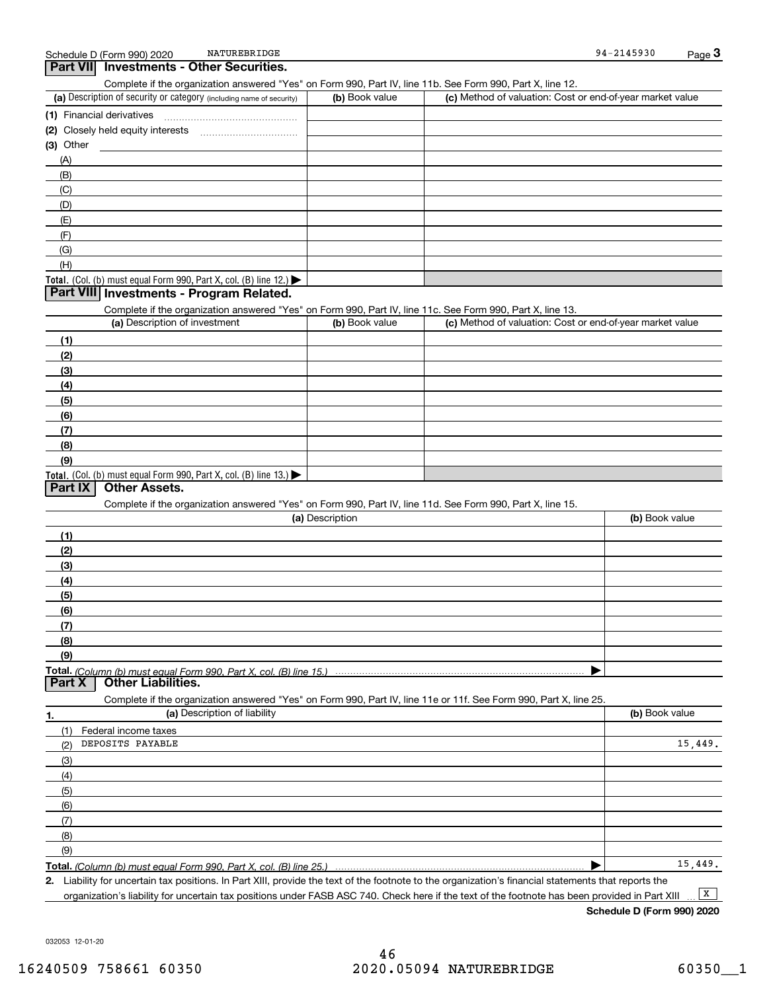(a) Description of security or category (including name of security)  $\vert$  (b) Book value  $\vert$  (c)

Complete if the organization answered "Yes" on Form 990, Part IV, line 11b. See Form 990, Part X, line 12.

(b) Book value (c) Method of valuation: Cost or end-of-year market value

| (1) Financial derivatives                                                                                         |                 |                                                           |                |
|-------------------------------------------------------------------------------------------------------------------|-----------------|-----------------------------------------------------------|----------------|
|                                                                                                                   |                 |                                                           |                |
| $(3)$ Other                                                                                                       |                 |                                                           |                |
| (A)                                                                                                               |                 |                                                           |                |
| (B)                                                                                                               |                 |                                                           |                |
| (C)                                                                                                               |                 |                                                           |                |
| (D)                                                                                                               |                 |                                                           |                |
|                                                                                                                   |                 |                                                           |                |
| (E)                                                                                                               |                 |                                                           |                |
| (F)                                                                                                               |                 |                                                           |                |
| (G)                                                                                                               |                 |                                                           |                |
| (H)                                                                                                               |                 |                                                           |                |
| Total. (Col. (b) must equal Form 990, Part X, col. (B) line 12.)<br>Part VIII Investments - Program Related.      |                 |                                                           |                |
| Complete if the organization answered "Yes" on Form 990, Part IV, line 11c. See Form 990, Part X, line 13.        |                 |                                                           |                |
| (a) Description of investment                                                                                     | (b) Book value  | (c) Method of valuation: Cost or end-of-year market value |                |
| (1)                                                                                                               |                 |                                                           |                |
| (2)                                                                                                               |                 |                                                           |                |
| (3)                                                                                                               |                 |                                                           |                |
| (4)                                                                                                               |                 |                                                           |                |
|                                                                                                                   |                 |                                                           |                |
| (5)                                                                                                               |                 |                                                           |                |
| (6)                                                                                                               |                 |                                                           |                |
| (7)                                                                                                               |                 |                                                           |                |
| (8)                                                                                                               |                 |                                                           |                |
| (9)                                                                                                               |                 |                                                           |                |
| Total. (Col. (b) must equal Form 990, Part X, col. (B) line 13.)                                                  |                 |                                                           |                |
| Part IX<br><b>Other Assets.</b>                                                                                   |                 |                                                           |                |
| Complete if the organization answered "Yes" on Form 990, Part IV, line 11d. See Form 990, Part X, line 15.        |                 |                                                           |                |
|                                                                                                                   | (a) Description |                                                           | (b) Book value |
| (1)                                                                                                               |                 |                                                           |                |
| (2)                                                                                                               |                 |                                                           |                |
| (3)                                                                                                               |                 |                                                           |                |
| (4)                                                                                                               |                 |                                                           |                |
| (5)                                                                                                               |                 |                                                           |                |
|                                                                                                                   |                 |                                                           |                |
| (6)                                                                                                               |                 |                                                           |                |
| (7)                                                                                                               |                 |                                                           |                |
| (8)                                                                                                               |                 |                                                           |                |
| (9)                                                                                                               |                 |                                                           |                |
| Total. (Column (b) must equal Form 990, Part X, col. (B) line 15.)<br>Part X<br><b>Other Liabilities.</b>         |                 |                                                           |                |
| Complete if the organization answered "Yes" on Form 990, Part IV, line 11e or 11f. See Form 990, Part X, line 25. |                 |                                                           |                |
| (a) Description of liability<br>1.                                                                                |                 |                                                           | (b) Book value |
|                                                                                                                   |                 |                                                           |                |
| (1)<br>Federal income taxes                                                                                       |                 |                                                           |                |
| DEPOSITS PAYABLE<br>(2)                                                                                           |                 |                                                           | 15,449.        |
|                                                                                                                   |                 |                                                           |                |
| (3)                                                                                                               |                 |                                                           |                |
| (4)                                                                                                               |                 |                                                           |                |
| (5)                                                                                                               |                 |                                                           |                |
| (6)<br>(7)                                                                                                        |                 |                                                           |                |

**Total.**  *(Column (b) must equal Form 990, Part X, col. (B) line 25.)* 

**2.**Liability for uncertain tax positions. In Part XIII, provide the text of the footnote to the organization's financial statements that reports the

organization's liability for uncertain tax positions under FASB ASC 740. Check here if the text of the footnote has been provided in Part XIII  $\boxed{\mathbf{X}}$ 

**Schedule D (Form 990) 2020**

 $\blacktriangleright$ 

(8)(9)

15,449.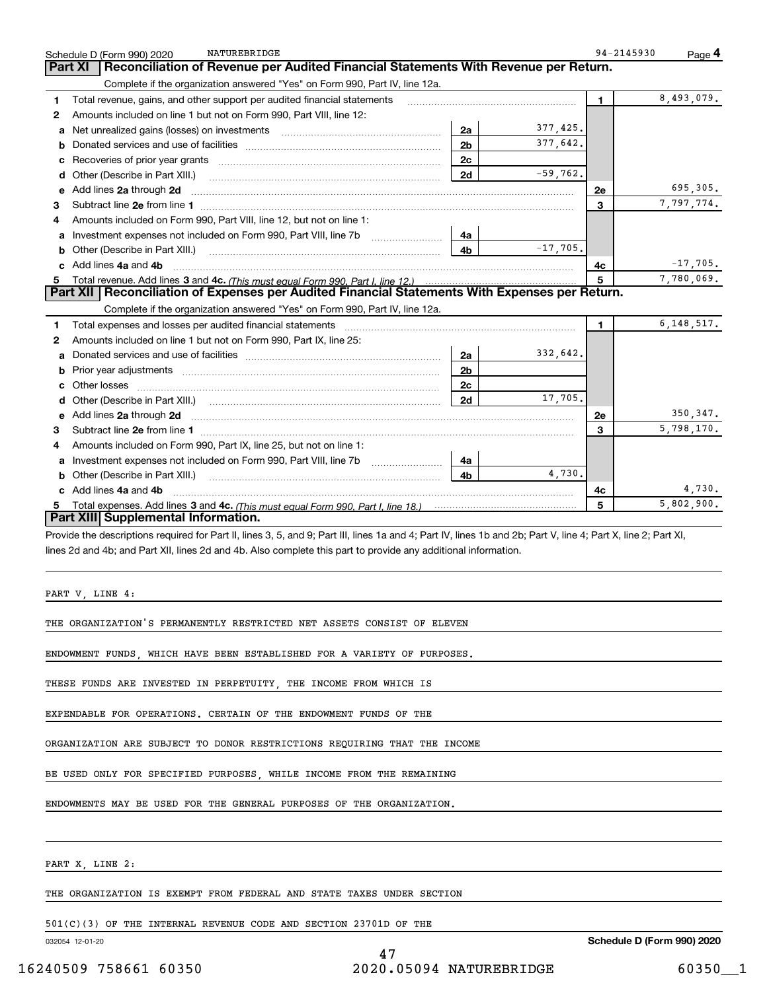|    | NATUREBRIDGE<br>Schedule D (Form 990) 2020                                                                                                                                                                                           |                |            | 94-2145930 | Page 4       |
|----|--------------------------------------------------------------------------------------------------------------------------------------------------------------------------------------------------------------------------------------|----------------|------------|------------|--------------|
|    | Reconciliation of Revenue per Audited Financial Statements With Revenue per Return.<br>Part XI                                                                                                                                       |                |            |            |              |
|    | Complete if the organization answered "Yes" on Form 990, Part IV, line 12a.                                                                                                                                                          |                |            |            |              |
| 1  | Total revenue, gains, and other support per audited financial statements                                                                                                                                                             |                |            | 1.         | 8,493,079.   |
| 2  | Amounts included on line 1 but not on Form 990, Part VIII, line 12:                                                                                                                                                                  |                |            |            |              |
| a  | Net unrealized gains (losses) on investments [11] matter contracts and the unrealized gains (losses) on investments                                                                                                                  | 2a             | 377,425.   |            |              |
| b  |                                                                                                                                                                                                                                      | 2 <sub>b</sub> | 377,642.   |            |              |
| с  |                                                                                                                                                                                                                                      | 2c             |            |            |              |
|    | Other (Describe in Part XIII.) <b>Construction Contract Construction</b> Chern Construction Chern Chern Chern Chern Chern Chern Chern Chern Chern Chern Chern Chern Chern Chern Chern Chern Chern Chern Chern Chern Chern Chern Che  | 2d             | $-59,762.$ |            |              |
| e  | Add lines 2a through 2d                                                                                                                                                                                                              |                |            | 2е         | 695,305.     |
| 3  |                                                                                                                                                                                                                                      |                |            | 3          | 7,797,774.   |
| 4  | Amounts included on Form 990, Part VIII, line 12, but not on line 1:                                                                                                                                                                 |                |            |            |              |
| a  | Investment expenses not included on Form 990, Part VIII, line 7b [1000000000000000000000000000000000                                                                                                                                 | 4a             |            |            |              |
| b  | Other (Describe in Part XIII.) <b>Construction Contract Construction</b> Chemistry Chemistry Chemistry Chemistry Chemistry                                                                                                           | 4 <sub>b</sub> | $-17,705.$ |            |              |
| c  | Add lines 4a and 4b                                                                                                                                                                                                                  |                |            | 4c         | $-17,705.$   |
| 5  |                                                                                                                                                                                                                                      |                |            | 5          | 7,780,069.   |
|    | Part XII   Reconciliation of Expenses per Audited Financial Statements With Expenses per Return.                                                                                                                                     |                |            |            |              |
|    | Complete if the organization answered "Yes" on Form 990, Part IV, line 12a.                                                                                                                                                          |                |            |            |              |
| 1  | Total expenses and losses per audited financial statements [11] [11] Total expenses and losses per audited financial statements [11] [11] Total expenses and losses per audited financial statements                                 |                |            | 1.         | 6, 148, 517. |
| 2  | Amounts included on line 1 but not on Form 990, Part IX, line 25:                                                                                                                                                                    |                |            |            |              |
| a  |                                                                                                                                                                                                                                      | 2a             | 332,642.   |            |              |
| b  |                                                                                                                                                                                                                                      | 2 <sub>b</sub> |            |            |              |
|    | Other losses                                                                                                                                                                                                                         | 2c             |            |            |              |
| d  |                                                                                                                                                                                                                                      | 2d             | 17,705.    |            |              |
| e  | Add lines 2a through 2d <b>continuum contract and all contract and all contract and all contract and all contract and all contract and all contract and all contract and all contract and all contract and all contract and all </b> |                |            | 2е         | 350, 347.    |
| 3  |                                                                                                                                                                                                                                      |                |            | 3          | 5,798,170.   |
| 4  | Amounts included on Form 990, Part IX, line 25, but not on line 1:                                                                                                                                                                   |                |            |            |              |
| a  | Investment expenses not included on Form 990, Part VIII, line 7b [1000000000000000000000000000000000                                                                                                                                 | 4a             |            |            |              |
| b  | Other (Describe in Part XIII.) <b>Construction Contract Construction</b> Chern Construction Construction Construction                                                                                                                | 4 <sub>h</sub> | 4.730.     |            |              |
|    | Add lines 4a and 4b                                                                                                                                                                                                                  |                |            | 4c         | 4,730.       |
| 5. |                                                                                                                                                                                                                                      |                |            | 5          | 5,802,900.   |
|    | Part XIII Supplemental Information.                                                                                                                                                                                                  |                |            |            |              |
|    | Provide the descriptions required for Part II, lines 3, 5, and 9; Part III, lines 1a and 4; Part IV, lines 1b and 2b; Part V, line 4; Part X, line 2; Part XI,                                                                       |                |            |            |              |

lines 2d and 4b; and Part XII, lines 2d and 4b. Also complete this part to provide any additional information.

PART V, LINE 4:

THE ORGANIZATION'S PERMANENTLY RESTRICTED NET ASSETS CONSIST OF ELEVEN

ENDOWMENT FUNDS, WHICH HAVE BEEN ESTABLISHED FOR A VARIETY OF PURPOSES.

THESE FUNDS ARE INVESTED IN PERPETUITY, THE INCOME FROM WHICH IS

EXPENDABLE FOR OPERATIONS. CERTAIN OF THE ENDOWMENT FUNDS OF THE

ORGANIZATION ARE SUBJECT TO DONOR RESTRICTIONS REQUIRING THAT THE INCOME

BE USED ONLY FOR SPECIFIED PURPOSES, WHILE INCOME FROM THE REMAINING

ENDOWMENTS MAY BE USED FOR THE GENERAL PURPOSES OF THE ORGANIZATION.

PART X, LINE 2:

THE ORGANIZATION IS EXEMPT FROM FEDERAL AND STATE TAXES UNDER SECTION

501(C)(3) OF THE INTERNAL REVENUE CODE AND SECTION 23701D OF THE

032054 12-01-20

47 16240509 758661 60350 2020.05094 NATUREBRIDGE 60350\_\_1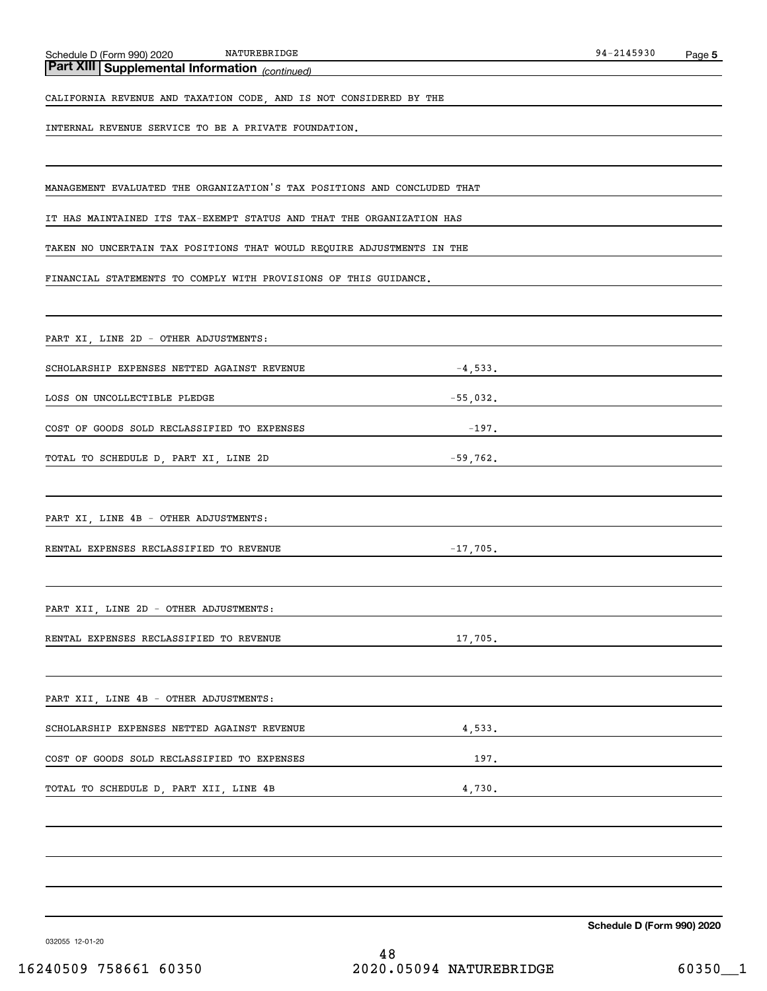*(continued)* **Part XIII Supplemental Information** 

CALIFORNIA REVENUE AND TAXATION CODE, AND IS NOT CONSIDERED BY THE

INTERNAL REVENUE SERVICE TO BE A PRIVATE FOUNDATION.

MANAGEMENT EVALUATED THE ORGANIZATION'S TAX POSITIONS AND CONCLUDED THAT

IT HAS MAINTAINED ITS TAX-EXEMPT STATUS AND THAT THE ORGANIZATION HAS

TAKEN NO UNCERTAIN TAX POSITIONS THAT WOULD REQUIRE ADJUSTMENTS IN THE

FINANCIAL STATEMENTS TO COMPLY WITH PROVISIONS OF THIS GUIDANCE.

PART XI, LINE 2D - OTHER ADJUSTMENTS:

SCHOLARSHIP EXPENSES NETTED AGAINST REVENUE  $-4,533$ .

COST OF GOODS SOLD RECLASSIFIED TO EXPENSES 197.

LOSS ON UNCOLLECTIBLE PLEDGE  $-55,032$ .

COST OF GOODS SOLD RECLASSIFIED TO EXPENSES  $-197$ .

TOTAL TO SCHEDULE D, PART XI, LINE 2D  $-59,762$ .

PART XI, LINE 4B - OTHER ADJUSTMENTS:

RENTAL EXPENSES RECLASSIFIED TO REVENUE  $-17,705$ .

PART XII, LINE 2D - OTHER ADJUSTMENTS:

RENTAL EXPENSES RECLASSIFIED TO REVENUE 17,705.

PART XII, LINE 4B - OTHER ADJUSTMENTS: SCHOLARSHIP EXPENSES NETTED AGAINST REVENUE  $4,533$ .

TOTAL TO SCHEDULE D, PART XII, LINE 4B 4,730.

**Schedule D (Form 990) 2020**

032055 12-01-20

48 16240509 758661 60350 2020.05094 NATUREBRIDGE 60350\_\_1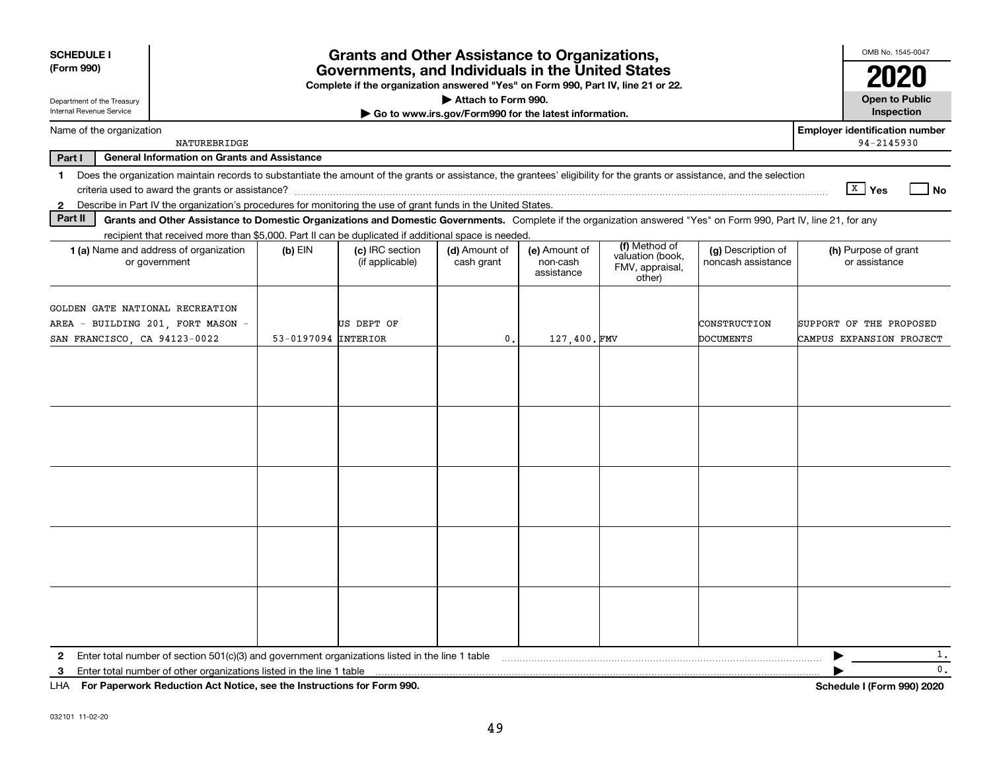| <b>SCHEDULE I</b><br>(Form 990)                                                                      | <b>Grants and Other Assistance to Organizations,</b><br>Governments, and Individuals in the United States<br>Complete if the organization answered "Yes" on Form 990, Part IV, line 21 or 22.<br>Attach to Form 990.                                                                      |                     |                                    |                             |                                         |                                                                |                                          |                                                     |
|------------------------------------------------------------------------------------------------------|-------------------------------------------------------------------------------------------------------------------------------------------------------------------------------------------------------------------------------------------------------------------------------------------|---------------------|------------------------------------|-----------------------------|-----------------------------------------|----------------------------------------------------------------|------------------------------------------|-----------------------------------------------------|
| Department of the Treasury<br>Internal Revenue Service                                               | Go to www.irs.gov/Form990 for the latest information.                                                                                                                                                                                                                                     |                     |                                    |                             |                                         |                                                                |                                          | <b>Open to Public</b><br>Inspection                 |
| Name of the organization                                                                             | NATUREBRIDGE                                                                                                                                                                                                                                                                              |                     |                                    |                             |                                         |                                                                |                                          | <b>Employer identification number</b><br>94-2145930 |
| Part I                                                                                               | <b>General Information on Grants and Assistance</b>                                                                                                                                                                                                                                       |                     |                                    |                             |                                         |                                                                |                                          |                                                     |
| $\mathbf 1$<br>$\mathbf{2}$                                                                          | Does the organization maintain records to substantiate the amount of the grants or assistance, the grantees' eligibility for the grants or assistance, and the selection<br>Describe in Part IV the organization's procedures for monitoring the use of grant funds in the United States. |                     |                                    |                             |                                         |                                                                |                                          | $\sqrt{\frac{X}{2}}$ Yes<br>  No                    |
| Part II                                                                                              | Grants and Other Assistance to Domestic Organizations and Domestic Governments. Complete if the organization answered "Yes" on Form 990, Part IV, line 21, for any                                                                                                                        |                     |                                    |                             |                                         |                                                                |                                          |                                                     |
|                                                                                                      | recipient that received more than \$5,000. Part II can be duplicated if additional space is needed.<br>1 (a) Name and address of organization<br>or government                                                                                                                            | $(b)$ EIN           | (c) IRC section<br>(if applicable) | (d) Amount of<br>cash grant | (e) Amount of<br>non-cash<br>assistance | (f) Method of<br>valuation (book,<br>FMV, appraisal,<br>other) | (g) Description of<br>noncash assistance | (h) Purpose of grant<br>or assistance               |
| GOLDEN GATE NATIONAL RECREATION<br>AREA - BUILDING 201, FORT MASON -<br>SAN FRANCISCO, CA 94123-0022 |                                                                                                                                                                                                                                                                                           | 53-0197094 INTERIOR | US DEPT OF                         | 0.                          | 127,400.FMV                             |                                                                | CONSTRUCTION<br>DOCUMENTS                | SUPPORT OF THE PROPOSED<br>CAMPUS EXPANSION PROJECT |
|                                                                                                      |                                                                                                                                                                                                                                                                                           |                     |                                    |                             |                                         |                                                                |                                          |                                                     |
|                                                                                                      |                                                                                                                                                                                                                                                                                           |                     |                                    |                             |                                         |                                                                |                                          |                                                     |
|                                                                                                      |                                                                                                                                                                                                                                                                                           |                     |                                    |                             |                                         |                                                                |                                          |                                                     |
|                                                                                                      |                                                                                                                                                                                                                                                                                           |                     |                                    |                             |                                         |                                                                |                                          |                                                     |
|                                                                                                      |                                                                                                                                                                                                                                                                                           |                     |                                    |                             |                                         |                                                                |                                          |                                                     |
| 2                                                                                                    | Enter total number of section $501(c)(3)$ and government organizations listed in the line 1 table                                                                                                                                                                                         |                     |                                    |                             |                                         |                                                                |                                          | $1$ .                                               |
| 3                                                                                                    | Enter total number of other organizations listed in the line 1 table                                                                                                                                                                                                                      |                     |                                    |                             |                                         |                                                                |                                          | $\mathbf 0$ .                                       |
| LHA.                                                                                                 | For Paperwork Reduction Act Notice, see the Instructions for Form 990.                                                                                                                                                                                                                    |                     |                                    |                             |                                         |                                                                |                                          | <b>Schedule I (Form 990) 2020</b>                   |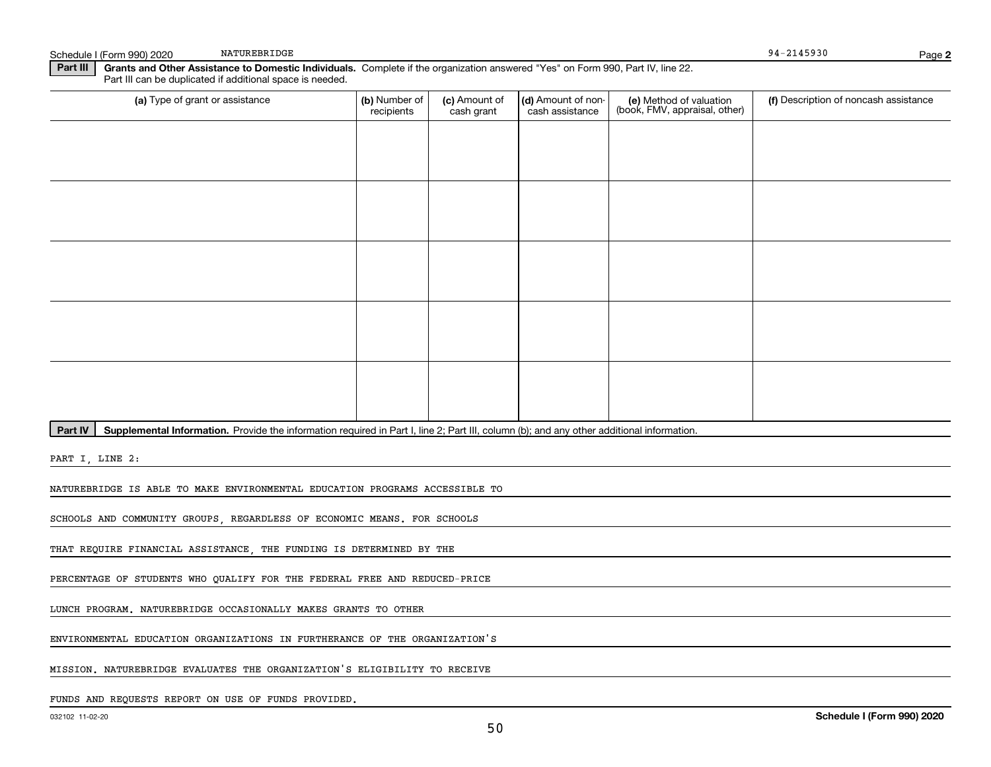| Schedule   <sup>(r-</sup> | (Form 990) 2020 | NATUREBRIDGE | $94 - 2145930$ | Page |
|---------------------------|-----------------|--------------|----------------|------|
|---------------------------|-----------------|--------------|----------------|------|

NATUREBRIDGE

**2**

**Part III | Grants and Other Assistance to Domestic Individuals. Complete if the organization answered "Yes" on Form 990, Part IV, line 22.** Part III can be duplicated if additional space is needed.

| (a) Type of grant or assistance | (b) Number of<br>recipients | (c) Amount of<br>cash grant | (d) Amount of non-<br>cash assistance | (e) Method of valuation<br>(book, FMV, appraisal, other) | (f) Description of noncash assistance |
|---------------------------------|-----------------------------|-----------------------------|---------------------------------------|----------------------------------------------------------|---------------------------------------|
|                                 |                             |                             |                                       |                                                          |                                       |
|                                 |                             |                             |                                       |                                                          |                                       |
|                                 |                             |                             |                                       |                                                          |                                       |
|                                 |                             |                             |                                       |                                                          |                                       |
|                                 |                             |                             |                                       |                                                          |                                       |
|                                 |                             |                             |                                       |                                                          |                                       |
|                                 |                             |                             |                                       |                                                          |                                       |
|                                 |                             |                             |                                       |                                                          |                                       |
|                                 |                             |                             |                                       |                                                          |                                       |
|                                 |                             |                             |                                       |                                                          |                                       |

Part IV | Supplemental Information. Provide the information required in Part I, line 2; Part III, column (b); and any other additional information.

PART I, LINE 2:

NATUREBRIDGE IS ABLE TO MAKE ENVIRONMENTAL EDUCATION PROGRAMS ACCESSIBLE TO

SCHOOLS AND COMMUNITY GROUPS, REGARDLESS OF ECONOMIC MEANS. FOR SCHOOLS

THAT REQUIRE FINANCIAL ASSISTANCE, THE FUNDING IS DETERMINED BY THE

PERCENTAGE OF STUDENTS WHO QUALIFY FOR THE FEDERAL FREE AND REDUCED-PRICE

LUNCH PROGRAM. NATUREBRIDGE OCCASIONALLY MAKES GRANTS TO OTHER

ENVIRONMENTAL EDUCATION ORGANIZATIONS IN FURTHERANCE OF THE ORGANIZATION'S

MISSION. NATUREBRIDGE EVALUATES THE ORGANIZATION'S ELIGIBILITY TO RECEIVE

FUNDS AND REQUESTS REPORT ON USE OF FUNDS PROVIDED.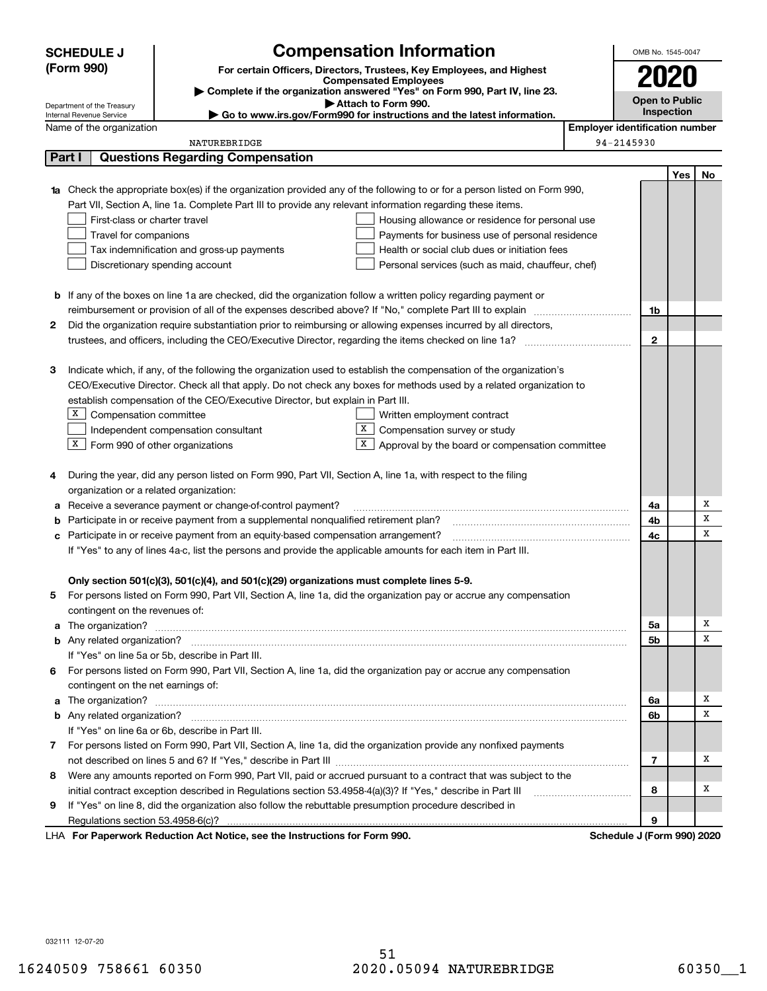|   | <b>Compensation Information</b><br><b>SCHEDULE J</b>                                                                |                                                                                                                                                                                                                                      |                                                                                                   |                                       | OMB No. 1545-0047          |     |    |  |
|---|---------------------------------------------------------------------------------------------------------------------|--------------------------------------------------------------------------------------------------------------------------------------------------------------------------------------------------------------------------------------|---------------------------------------------------------------------------------------------------|---------------------------------------|----------------------------|-----|----|--|
|   | (Form 990)                                                                                                          |                                                                                                                                                                                                                                      | For certain Officers, Directors, Trustees, Key Employees, and Highest                             |                                       |                            |     |    |  |
|   |                                                                                                                     |                                                                                                                                                                                                                                      | <b>Compensated Employees</b>                                                                      |                                       | 2020                       |     |    |  |
|   |                                                                                                                     |                                                                                                                                                                                                                                      | Complete if the organization answered "Yes" on Form 990, Part IV, line 23.<br>Attach to Form 990. |                                       | <b>Open to Public</b>      |     |    |  |
|   | Department of the Treasury<br>Internal Revenue Service                                                              |                                                                                                                                                                                                                                      | Go to www.irs.gov/Form990 for instructions and the latest information.                            |                                       | Inspection                 |     |    |  |
|   | Name of the organization                                                                                            |                                                                                                                                                                                                                                      |                                                                                                   | <b>Employer identification number</b> |                            |     |    |  |
|   |                                                                                                                     | NATUREBRIDGE                                                                                                                                                                                                                         |                                                                                                   | 94-2145930                            |                            |     |    |  |
|   | Part I                                                                                                              | <b>Questions Regarding Compensation</b>                                                                                                                                                                                              |                                                                                                   |                                       |                            |     |    |  |
|   |                                                                                                                     |                                                                                                                                                                                                                                      |                                                                                                   |                                       |                            | Yes | No |  |
|   |                                                                                                                     | Check the appropriate box(es) if the organization provided any of the following to or for a person listed on Form 990,                                                                                                               |                                                                                                   |                                       |                            |     |    |  |
|   |                                                                                                                     | Part VII, Section A, line 1a. Complete Part III to provide any relevant information regarding these items.                                                                                                                           |                                                                                                   |                                       |                            |     |    |  |
|   | First-class or charter travel                                                                                       |                                                                                                                                                                                                                                      | Housing allowance or residence for personal use                                                   |                                       |                            |     |    |  |
|   | Travel for companions                                                                                               |                                                                                                                                                                                                                                      | Payments for business use of personal residence                                                   |                                       |                            |     |    |  |
|   |                                                                                                                     | Tax indemnification and gross-up payments                                                                                                                                                                                            | Health or social club dues or initiation fees                                                     |                                       |                            |     |    |  |
|   |                                                                                                                     | Discretionary spending account                                                                                                                                                                                                       | Personal services (such as maid, chauffeur, chef)                                                 |                                       |                            |     |    |  |
|   |                                                                                                                     |                                                                                                                                                                                                                                      |                                                                                                   |                                       |                            |     |    |  |
|   |                                                                                                                     | <b>b</b> If any of the boxes on line 1a are checked, did the organization follow a written policy regarding payment or                                                                                                               |                                                                                                   |                                       |                            |     |    |  |
|   |                                                                                                                     |                                                                                                                                                                                                                                      |                                                                                                   |                                       | 1b                         |     |    |  |
| 2 |                                                                                                                     | Did the organization require substantiation prior to reimbursing or allowing expenses incurred by all directors,                                                                                                                     |                                                                                                   |                                       |                            |     |    |  |
|   |                                                                                                                     |                                                                                                                                                                                                                                      |                                                                                                   |                                       | $\mathbf{2}$               |     |    |  |
|   |                                                                                                                     |                                                                                                                                                                                                                                      |                                                                                                   |                                       |                            |     |    |  |
| з |                                                                                                                     | Indicate which, if any, of the following the organization used to establish the compensation of the organization's                                                                                                                   |                                                                                                   |                                       |                            |     |    |  |
|   |                                                                                                                     | CEO/Executive Director. Check all that apply. Do not check any boxes for methods used by a related organization to                                                                                                                   |                                                                                                   |                                       |                            |     |    |  |
|   | establish compensation of the CEO/Executive Director, but explain in Part III.                                      |                                                                                                                                                                                                                                      |                                                                                                   |                                       |                            |     |    |  |
|   | $X$ Compensation committee<br>Written employment contract<br>X                                                      |                                                                                                                                                                                                                                      |                                                                                                   |                                       |                            |     |    |  |
|   | Compensation survey or study<br>Independent compensation consultant<br>X<br>$\perp$ Form 990 of other organizations |                                                                                                                                                                                                                                      |                                                                                                   |                                       |                            |     |    |  |
|   |                                                                                                                     |                                                                                                                                                                                                                                      | Approval by the board or compensation committee                                                   |                                       |                            |     |    |  |
| 4 |                                                                                                                     | During the year, did any person listed on Form 990, Part VII, Section A, line 1a, with respect to the filing                                                                                                                         |                                                                                                   |                                       |                            |     |    |  |
|   | organization or a related organization:                                                                             |                                                                                                                                                                                                                                      |                                                                                                   |                                       |                            |     |    |  |
| а |                                                                                                                     | Receive a severance payment or change-of-control payment?                                                                                                                                                                            |                                                                                                   |                                       | 4a                         |     | х  |  |
| b |                                                                                                                     | Participate in or receive payment from a supplemental nonqualified retirement plan?                                                                                                                                                  |                                                                                                   |                                       | 4b                         |     | х  |  |
| с |                                                                                                                     | Participate in or receive payment from an equity-based compensation arrangement?                                                                                                                                                     |                                                                                                   |                                       | 4c                         |     | X  |  |
|   |                                                                                                                     | If "Yes" to any of lines 4a-c, list the persons and provide the applicable amounts for each item in Part III.                                                                                                                        |                                                                                                   |                                       |                            |     |    |  |
|   |                                                                                                                     |                                                                                                                                                                                                                                      |                                                                                                   |                                       |                            |     |    |  |
|   |                                                                                                                     | Only section 501(c)(3), 501(c)(4), and 501(c)(29) organizations must complete lines 5-9.                                                                                                                                             |                                                                                                   |                                       |                            |     |    |  |
|   |                                                                                                                     | For persons listed on Form 990, Part VII, Section A, line 1a, did the organization pay or accrue any compensation                                                                                                                    |                                                                                                   |                                       |                            |     |    |  |
|   | contingent on the revenues of:                                                                                      |                                                                                                                                                                                                                                      |                                                                                                   |                                       |                            |     |    |  |
|   |                                                                                                                     | The organization? <b>With the contract of the contract of the contract of the contract of the contract of the contract of the contract of the contract of the contract of the contract of the contract of the contract of the co</b> |                                                                                                   |                                       | 5a                         |     | х  |  |
|   |                                                                                                                     |                                                                                                                                                                                                                                      |                                                                                                   |                                       | 5b                         |     | x  |  |
|   |                                                                                                                     | If "Yes" on line 5a or 5b, describe in Part III.                                                                                                                                                                                     |                                                                                                   |                                       |                            |     |    |  |
| 6 |                                                                                                                     | For persons listed on Form 990, Part VII, Section A, line 1a, did the organization pay or accrue any compensation                                                                                                                    |                                                                                                   |                                       |                            |     |    |  |
|   | contingent on the net earnings of:                                                                                  |                                                                                                                                                                                                                                      |                                                                                                   |                                       |                            |     |    |  |
|   |                                                                                                                     |                                                                                                                                                                                                                                      |                                                                                                   |                                       | 6a                         |     | Χ  |  |
|   |                                                                                                                     |                                                                                                                                                                                                                                      |                                                                                                   |                                       | 6b                         |     | X  |  |
|   |                                                                                                                     | If "Yes" on line 6a or 6b, describe in Part III.                                                                                                                                                                                     |                                                                                                   |                                       |                            |     |    |  |
|   |                                                                                                                     | 7 For persons listed on Form 990, Part VII, Section A, line 1a, did the organization provide any nonfixed payments                                                                                                                   |                                                                                                   |                                       |                            |     |    |  |
|   |                                                                                                                     |                                                                                                                                                                                                                                      |                                                                                                   |                                       | 7                          |     | х  |  |
| 8 |                                                                                                                     | Were any amounts reported on Form 990, Part VII, paid or accrued pursuant to a contract that was subject to the                                                                                                                      |                                                                                                   |                                       |                            |     |    |  |
|   |                                                                                                                     | initial contract exception described in Regulations section 53.4958-4(a)(3)? If "Yes," describe in Part III                                                                                                                          |                                                                                                   |                                       | 8                          |     | х  |  |
| 9 |                                                                                                                     | If "Yes" on line 8, did the organization also follow the rebuttable presumption procedure described in                                                                                                                               |                                                                                                   |                                       |                            |     |    |  |
|   | Regulations section 53.4958-6(c)?                                                                                   |                                                                                                                                                                                                                                      |                                                                                                   |                                       | 9                          |     |    |  |
|   |                                                                                                                     | LHA For Paperwork Reduction Act Notice, see the Instructions for Form 990.                                                                                                                                                           |                                                                                                   |                                       | Schedule J (Form 990) 2020 |     |    |  |

032111 12-07-20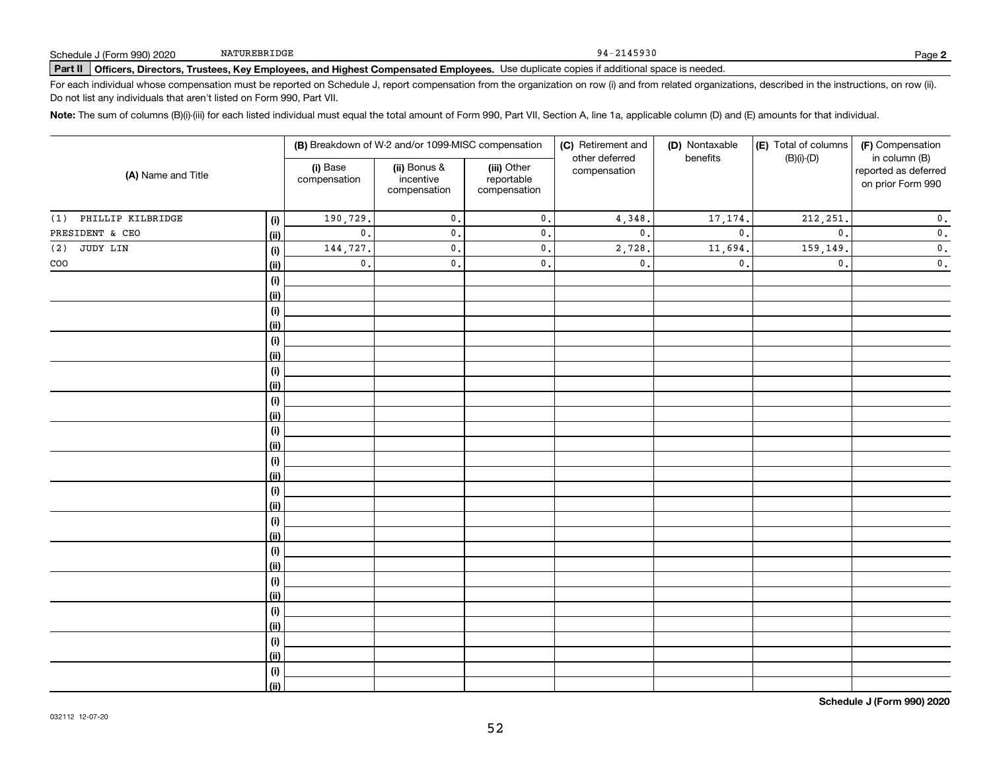#### 94-2145930

# **Part II Officers, Directors, Trustees, Key Employees, and Highest Compensated Employees.**  Schedule J (Form 990) 2020 Page Use duplicate copies if additional space is needed.

For each individual whose compensation must be reported on Schedule J, report compensation from the organization on row (i) and from related organizations, described in the instructions, on row (ii). Do not list any individuals that aren't listed on Form 990, Part VII.

**Note:**  The sum of columns (B)(i)-(iii) for each listed individual must equal the total amount of Form 990, Part VII, Section A, line 1a, applicable column (D) and (E) amounts for that individual.

| (A) Name and Title       |                              |                          | (B) Breakdown of W-2 and/or 1099-MISC compensation |                                           | (C) Retirement and<br>other deferred | (D) Nontaxable<br>benefits | (E) Total of columns<br>$(B)(i)-(D)$ | (F) Compensation<br>in column (B)         |  |
|--------------------------|------------------------------|--------------------------|----------------------------------------------------|-------------------------------------------|--------------------------------------|----------------------------|--------------------------------------|-------------------------------------------|--|
|                          |                              | (i) Base<br>compensation | (ii) Bonus &<br>incentive<br>compensation          | (iii) Other<br>reportable<br>compensation | compensation                         |                            |                                      | reported as deferred<br>on prior Form 990 |  |
| PHILLIP KILBRIDGE<br>(1) | (i)                          | 190,729.                 | $\mathfrak o$ .                                    | $\mathbf 0$ .                             | 4,348.                               | 17, 174.                   | 212, 251.                            | $\mathbf 0$ .                             |  |
| PRESIDENT & CEO          | <u>(ii)</u>                  | $\mathbf{0}$ .           | $\mathsf{0}$ .                                     | $\mathsf{0}$ .                            | $\mathbf{0}$ .                       | $\mathbf{0}$ .             | $\mathbf{0}$ .                       | $\overline{\mathbf{0}}$ .                 |  |
| (2)<br>JUDY LIN          | (i)                          | 144,727.                 | $\mathsf{o}$ .                                     | $\mathbf 0$ .                             | 2,728.                               | 11,694.                    | 159, 149.                            | $\overline{\mathbf{0}}$ .                 |  |
| $_{\rm COO}$             | <u>(ii)</u>                  | $\mathbf 0$ .            | $\mathsf{0}$ .                                     | $\mathbf 0$ .                             | $\mathfrak o$ .                      | $\mathfrak o$ .            | $\mathfrak o$ .                      | $\overline{\mathbf{0}}$ .                 |  |
|                          | (i)                          |                          |                                                    |                                           |                                      |                            |                                      |                                           |  |
|                          | <u>(ii)</u>                  |                          |                                                    |                                           |                                      |                            |                                      |                                           |  |
|                          | (i)                          |                          |                                                    |                                           |                                      |                            |                                      |                                           |  |
|                          | <u>(ii)</u>                  |                          |                                                    |                                           |                                      |                            |                                      |                                           |  |
|                          | (i)                          |                          |                                                    |                                           |                                      |                            |                                      |                                           |  |
|                          | <u>(ii)</u>                  |                          |                                                    |                                           |                                      |                            |                                      |                                           |  |
|                          | (i)                          |                          |                                                    |                                           |                                      |                            |                                      |                                           |  |
|                          | <u>(ii)</u>                  |                          |                                                    |                                           |                                      |                            |                                      |                                           |  |
|                          | $\qquad \qquad \textbf{(i)}$ |                          |                                                    |                                           |                                      |                            |                                      |                                           |  |
|                          | (ii)                         |                          |                                                    |                                           |                                      |                            |                                      |                                           |  |
|                          | $(\sf{i})$                   |                          |                                                    |                                           |                                      |                            |                                      |                                           |  |
|                          | (ii)                         |                          |                                                    |                                           |                                      |                            |                                      |                                           |  |
|                          | (i)                          |                          |                                                    |                                           |                                      |                            |                                      |                                           |  |
|                          | <u>(ii)</u>                  |                          |                                                    |                                           |                                      |                            |                                      |                                           |  |
|                          | (i)<br><u>(ii)</u>           |                          |                                                    |                                           |                                      |                            |                                      |                                           |  |
|                          | (i)                          |                          |                                                    |                                           |                                      |                            |                                      |                                           |  |
|                          | <u>(ii)</u>                  |                          |                                                    |                                           |                                      |                            |                                      |                                           |  |
|                          | (i)                          |                          |                                                    |                                           |                                      |                            |                                      |                                           |  |
|                          | <u>(ii)</u>                  |                          |                                                    |                                           |                                      |                            |                                      |                                           |  |
|                          | (i)                          |                          |                                                    |                                           |                                      |                            |                                      |                                           |  |
|                          | <u>(ii)</u>                  |                          |                                                    |                                           |                                      |                            |                                      |                                           |  |
|                          | (i)                          |                          |                                                    |                                           |                                      |                            |                                      |                                           |  |
|                          | <u>(ii)</u>                  |                          |                                                    |                                           |                                      |                            |                                      |                                           |  |
|                          | $(\sf{i})$                   |                          |                                                    |                                           |                                      |                            |                                      |                                           |  |
|                          | <u>(ii)</u>                  |                          |                                                    |                                           |                                      |                            |                                      |                                           |  |
|                          | (i)                          |                          |                                                    |                                           |                                      |                            |                                      |                                           |  |
|                          | $\overline{}}$               |                          |                                                    |                                           |                                      |                            |                                      |                                           |  |

**Schedule J (Form 990) 2020**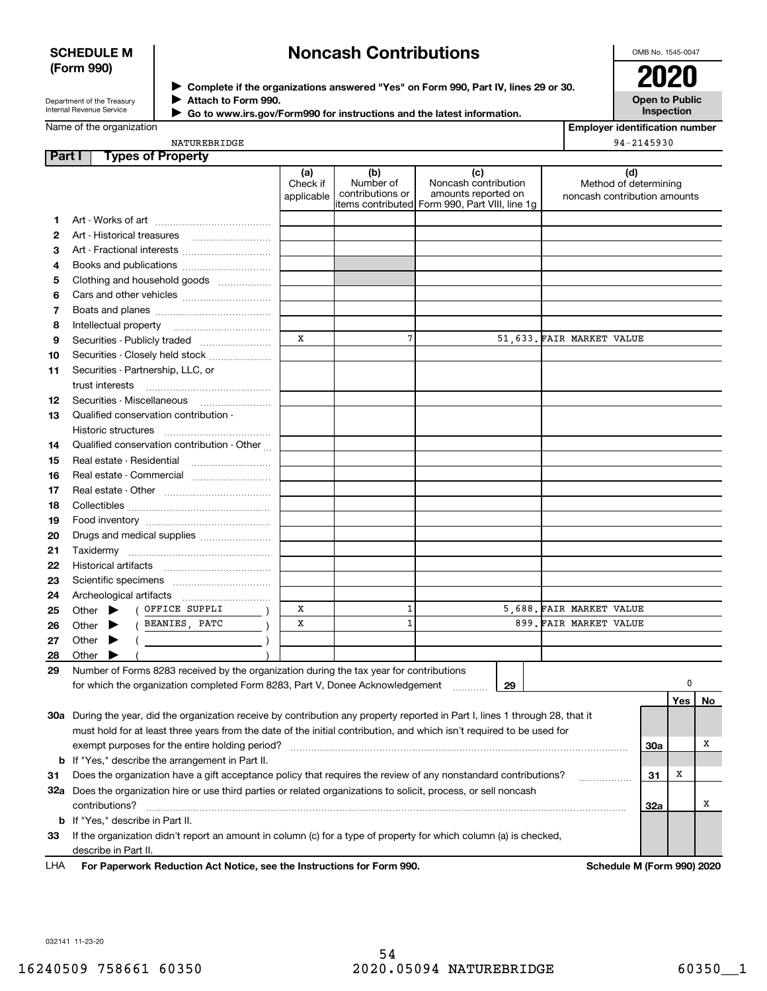### **SCHEDULE M (Form 990)**

# **Noncash Contributions**

OMB No. 1545-0047

| Department of the Treasury |  |
|----------------------------|--|
| Internal Revenue Service   |  |

**Complete if the organizations answered "Yes" on Form 990, Part IV, lines 29 or 30.** <sup>J</sup>**2020 Attach to Form 990.** J

 **Go to www.irs.gov/Form990 for instructions and the latest information.** J

| <b>Open to Public</b><br>Inspection |
|-------------------------------------|

Name of the organization

NATUREBRIDGE

**Employer identification number** 94-2145930

| Part I   | <b>Types of Property</b>                                                                                                       |                               |                                      |                                                                                                      |                                                              |     |       |    |
|----------|--------------------------------------------------------------------------------------------------------------------------------|-------------------------------|--------------------------------------|------------------------------------------------------------------------------------------------------|--------------------------------------------------------------|-----|-------|----|
|          |                                                                                                                                | (a)<br>Check if<br>applicable | (b)<br>Number of<br>contributions or | (c)<br>Noncash contribution<br>amounts reported on<br>items contributed Form 990, Part VIII, line 1g | (d)<br>Method of determining<br>noncash contribution amounts |     |       |    |
| 1.       |                                                                                                                                |                               |                                      |                                                                                                      |                                                              |     |       |    |
| 2        |                                                                                                                                |                               |                                      |                                                                                                      |                                                              |     |       |    |
| 3        | Art - Fractional interests                                                                                                     |                               |                                      |                                                                                                      |                                                              |     |       |    |
| 4        | Books and publications                                                                                                         |                               |                                      |                                                                                                      |                                                              |     |       |    |
| 5        | Clothing and household goods                                                                                                   |                               |                                      |                                                                                                      |                                                              |     |       |    |
| 6        |                                                                                                                                |                               |                                      |                                                                                                      |                                                              |     |       |    |
| 7        |                                                                                                                                |                               |                                      |                                                                                                      |                                                              |     |       |    |
| 8        | Intellectual property                                                                                                          |                               |                                      |                                                                                                      |                                                              |     |       |    |
| 9        | Securities - Publicly traded                                                                                                   | X                             | 7                                    |                                                                                                      | 51,633. FAIR MARKET VALUE                                    |     |       |    |
| 10       | Securities - Closely held stock                                                                                                |                               |                                      |                                                                                                      |                                                              |     |       |    |
| 11       | Securities - Partnership, LLC, or                                                                                              |                               |                                      |                                                                                                      |                                                              |     |       |    |
|          | trust interests                                                                                                                |                               |                                      |                                                                                                      |                                                              |     |       |    |
| 12       | Securities - Miscellaneous                                                                                                     |                               |                                      |                                                                                                      |                                                              |     |       |    |
| 13       | Qualified conservation contribution -<br>Historic structures                                                                   |                               |                                      |                                                                                                      |                                                              |     |       |    |
| 14       | Qualified conservation contribution - Other                                                                                    |                               |                                      |                                                                                                      |                                                              |     |       |    |
| 15       | Real estate - Residential                                                                                                      |                               |                                      |                                                                                                      |                                                              |     |       |    |
| 16       | Real estate - Commercial                                                                                                       |                               |                                      |                                                                                                      |                                                              |     |       |    |
| 17       |                                                                                                                                |                               |                                      |                                                                                                      |                                                              |     |       |    |
| 18       |                                                                                                                                |                               |                                      |                                                                                                      |                                                              |     |       |    |
| 19       |                                                                                                                                |                               |                                      |                                                                                                      |                                                              |     |       |    |
| 20       | Drugs and medical supplies                                                                                                     |                               |                                      |                                                                                                      |                                                              |     |       |    |
| 21       |                                                                                                                                |                               |                                      |                                                                                                      |                                                              |     |       |    |
| 22       |                                                                                                                                |                               |                                      |                                                                                                      |                                                              |     |       |    |
| 23       |                                                                                                                                |                               |                                      |                                                                                                      |                                                              |     |       |    |
| 24       |                                                                                                                                |                               |                                      |                                                                                                      |                                                              |     |       |    |
| 25       | ( OFFICE SUPPLI<br>Other $\blacktriangleright$                                                                                 | X                             | 1                                    |                                                                                                      | 5,688. FAIR MARKET VALUE                                     |     |       |    |
|          | ( BEANIES, PATC<br>Other $\blacktriangleright$                                                                                 | X                             | 1                                    |                                                                                                      | 899. FAIR MARKET VALUE                                       |     |       |    |
| 26<br>27 |                                                                                                                                |                               |                                      |                                                                                                      |                                                              |     |       |    |
|          | Other $\blacktriangleright$                                                                                                    |                               |                                      |                                                                                                      |                                                              |     |       |    |
| 28       | Other $\blacktriangleright$<br>Number of Forms 8283 received by the organization during the tax year for contributions         |                               |                                      |                                                                                                      |                                                              |     |       |    |
| 29       | for which the organization completed Form 8283, Part V, Donee Acknowledgement                                                  |                               |                                      |                                                                                                      |                                                              |     | 0     |    |
|          |                                                                                                                                |                               |                                      | 29                                                                                                   |                                                              |     | Yes l | No |
|          |                                                                                                                                |                               |                                      |                                                                                                      |                                                              |     |       |    |
|          | 30a During the year, did the organization receive by contribution any property reported in Part I, lines 1 through 28, that it |                               |                                      |                                                                                                      |                                                              |     |       |    |
|          | must hold for at least three years from the date of the initial contribution, and which isn't required to be used for          |                               |                                      |                                                                                                      |                                                              |     |       | х  |
|          |                                                                                                                                |                               |                                      |                                                                                                      |                                                              | 30a |       |    |
|          | <b>b</b> If "Yes," describe the arrangement in Part II.                                                                        |                               |                                      |                                                                                                      |                                                              |     |       |    |
| 31       | Does the organization have a gift acceptance policy that requires the review of any nonstandard contributions?                 |                               |                                      |                                                                                                      | .                                                            | 31  | x     |    |
|          | 32a Does the organization hire or use third parties or related organizations to solicit, process, or sell noncash              |                               |                                      |                                                                                                      |                                                              |     |       |    |
|          | contributions?                                                                                                                 |                               |                                      |                                                                                                      |                                                              | 32a |       | х  |
|          | <b>b</b> If "Yes," describe in Part II.                                                                                        |                               |                                      |                                                                                                      |                                                              |     |       |    |
| 33       | If the organization didn't report an amount in column (c) for a type of property for which column (a) is checked,              |                               |                                      |                                                                                                      |                                                              |     |       |    |
|          | describe in Part II.                                                                                                           |                               |                                      |                                                                                                      |                                                              |     |       |    |

For Paperwork Reduction Act Notice, see the Instructions for Form 990. **Schedule M (Form 990) 2020** LHA

032141 11-23-20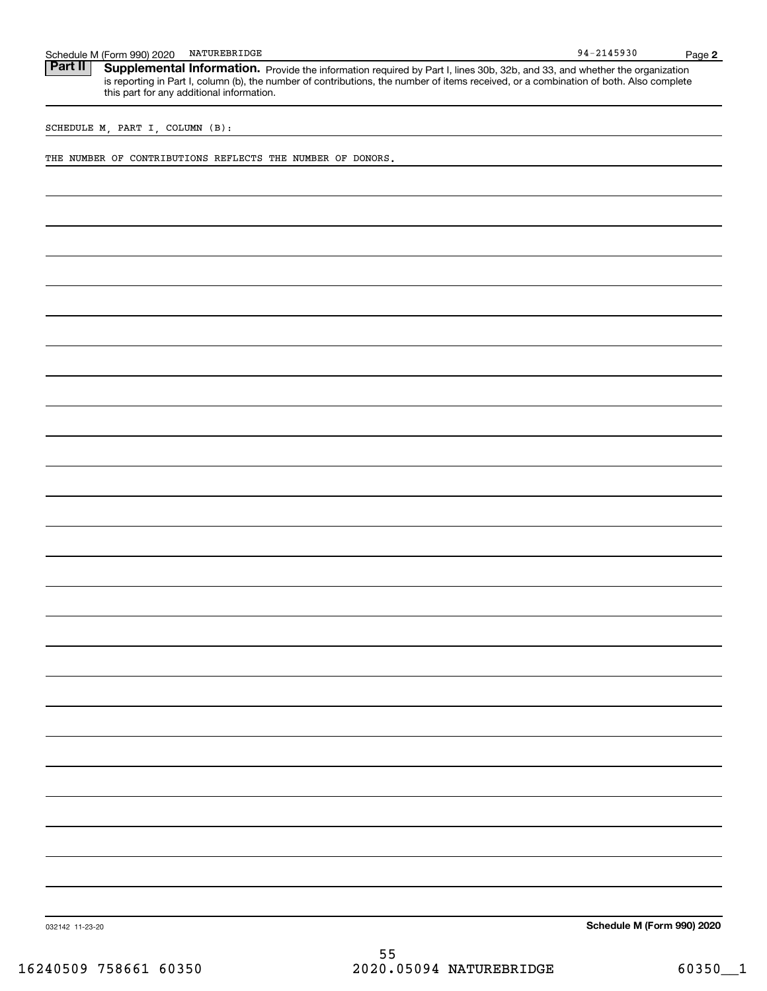| NATUREBRIDGE<br>Schedule M (Form 990) 2020                                                                                                                                                                                                     | $94 - 2145930$             | Page 2 |
|------------------------------------------------------------------------------------------------------------------------------------------------------------------------------------------------------------------------------------------------|----------------------------|--------|
| Part II<br><b>Supplemental Information.</b> Provide the information required by Part I, lines 30b, 32b, and 33, and whether the organization is reporting in Part I, column (b), the number of contributions, the number of items received, or |                            |        |
| this part for any additional information.                                                                                                                                                                                                      |                            |        |
| SCHEDULE M, PART I, COLUMN (B):                                                                                                                                                                                                                |                            |        |
|                                                                                                                                                                                                                                                |                            |        |
| THE NUMBER OF CONTRIBUTIONS REFLECTS THE NUMBER OF DONORS.                                                                                                                                                                                     |                            |        |
|                                                                                                                                                                                                                                                |                            |        |
|                                                                                                                                                                                                                                                |                            |        |
|                                                                                                                                                                                                                                                |                            |        |
|                                                                                                                                                                                                                                                |                            |        |
|                                                                                                                                                                                                                                                |                            |        |
|                                                                                                                                                                                                                                                |                            |        |
|                                                                                                                                                                                                                                                |                            |        |
|                                                                                                                                                                                                                                                |                            |        |
|                                                                                                                                                                                                                                                |                            |        |
|                                                                                                                                                                                                                                                |                            |        |
|                                                                                                                                                                                                                                                |                            |        |
|                                                                                                                                                                                                                                                |                            |        |
|                                                                                                                                                                                                                                                |                            |        |
|                                                                                                                                                                                                                                                |                            |        |
|                                                                                                                                                                                                                                                |                            |        |
|                                                                                                                                                                                                                                                |                            |        |
|                                                                                                                                                                                                                                                |                            |        |
|                                                                                                                                                                                                                                                |                            |        |
|                                                                                                                                                                                                                                                |                            |        |
|                                                                                                                                                                                                                                                |                            |        |
|                                                                                                                                                                                                                                                |                            |        |
|                                                                                                                                                                                                                                                |                            |        |
|                                                                                                                                                                                                                                                |                            |        |
|                                                                                                                                                                                                                                                |                            |        |
|                                                                                                                                                                                                                                                |                            |        |
|                                                                                                                                                                                                                                                |                            |        |
|                                                                                                                                                                                                                                                |                            |        |
|                                                                                                                                                                                                                                                |                            |        |
|                                                                                                                                                                                                                                                |                            |        |
|                                                                                                                                                                                                                                                |                            |        |
|                                                                                                                                                                                                                                                |                            |        |
|                                                                                                                                                                                                                                                |                            |        |
|                                                                                                                                                                                                                                                |                            |        |
|                                                                                                                                                                                                                                                |                            |        |
| 032142 11-23-20                                                                                                                                                                                                                                | Schedule M (Form 990) 2020 |        |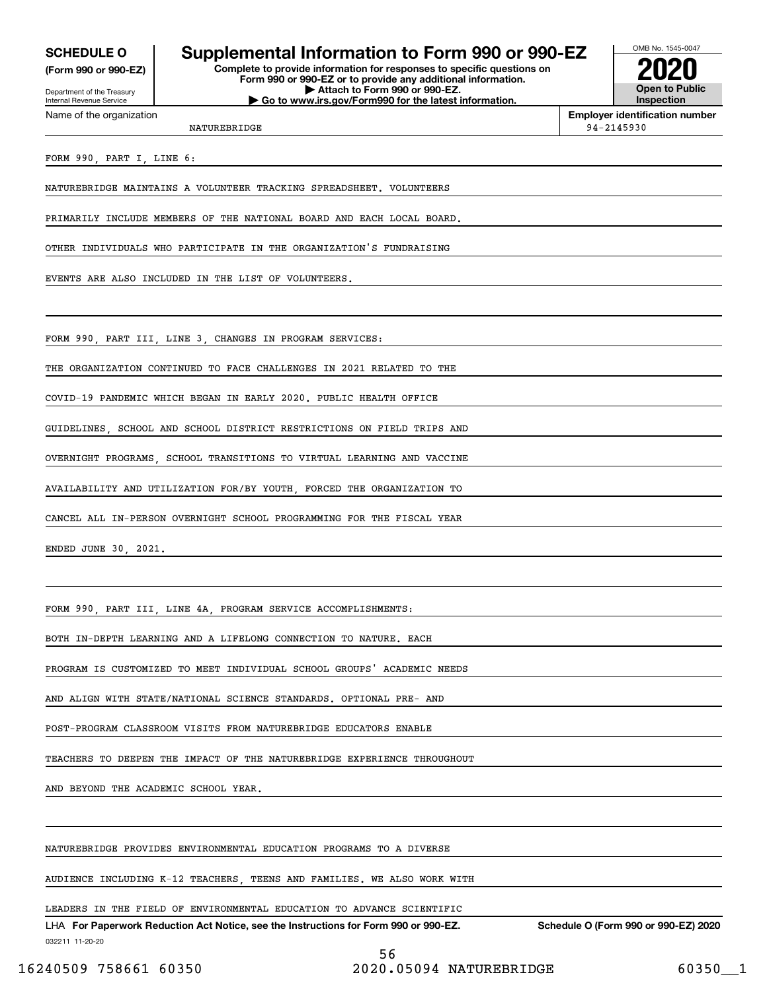**(Form 990 or 990-EZ)**

Department of the Treasury Internal Revenue Service Name of the organization

## **SCHEDULE O Supplemental Information to Form 990 or 990-EZ**

**Complete to provide information for responses to specific questions on Form 990 or 990-EZ or to provide any additional information. | Attach to Form 990 or 990-EZ. | Go to www.irs.gov/Form990 for the latest information.**



**Employer identification number** 94-2145930

NATUREBRIDGE

FORM 990, PART I, LINE 6:

NATUREBRIDGE MAINTAINS A VOLUNTEER TRACKING SPREADSHEET. VOLUNTEERS

PRIMARILY INCLUDE MEMBERS OF THE NATIONAL BOARD AND EACH LOCAL BOARD.

OTHER INDIVIDUALS WHO PARTICIPATE IN THE ORGANIZATION'S FUNDRAISING

EVENTS ARE ALSO INCLUDED IN THE LIST OF VOLUNTEERS.

FORM 990, PART III, LINE 3, CHANGES IN PROGRAM SERVICES:

THE ORGANIZATION CONTINUED TO FACE CHALLENGES IN 2021 RELATED TO THE

COVID-19 PANDEMIC WHICH BEGAN IN EARLY 2020. PUBLIC HEALTH OFFICE

GUIDELINES, SCHOOL AND SCHOOL DISTRICT RESTRICTIONS ON FIELD TRIPS AND

OVERNIGHT PROGRAMS, SCHOOL TRANSITIONS TO VIRTUAL LEARNING AND VACCINE

AVAILABILITY AND UTILIZATION FOR/BY YOUTH, FORCED THE ORGANIZATION TO

CANCEL ALL IN-PERSON OVERNIGHT SCHOOL PROGRAMMING FOR THE FISCAL YEAR

ENDED JUNE 30, 2021.

FORM 990, PART III, LINE 4A, PROGRAM SERVICE ACCOMPLISHMENTS:

BOTH IN-DEPTH LEARNING AND A LIFELONG CONNECTION TO NATURE. EACH

PROGRAM IS CUSTOMIZED TO MEET INDIVIDUAL SCHOOL GROUPS' ACADEMIC NEEDS

AND ALIGN WITH STATE/NATIONAL SCIENCE STANDARDS. OPTIONAL PRE- AND

POST-PROGRAM CLASSROOM VISITS FROM NATUREBRIDGE EDUCATORS ENABLE

TEACHERS TO DEEPEN THE IMPACT OF THE NATUREBRIDGE EXPERIENCE THROUGHOUT

AND BEYOND THE ACADEMIC SCHOOL YEAR.

NATUREBRIDGE PROVIDES ENVIRONMENTAL EDUCATION PROGRAMS TO A DIVERSE

AUDIENCE INCLUDING K-12 TEACHERS, TEENS AND FAMILIES. WE ALSO WORK WITH

LEADERS IN THE FIELD OF ENVIRONMENTAL EDUCATION TO ADVANCE SCIENTIFIC

032211 11-20-20 LHA For Paperwork Reduction Act Notice, see the Instructions for Form 990 or 990-EZ. Schedule O (Form 990 or 990-EZ) 2020

56 16240509 758661 60350 2020.05094 NATUREBRIDGE 60350\_\_1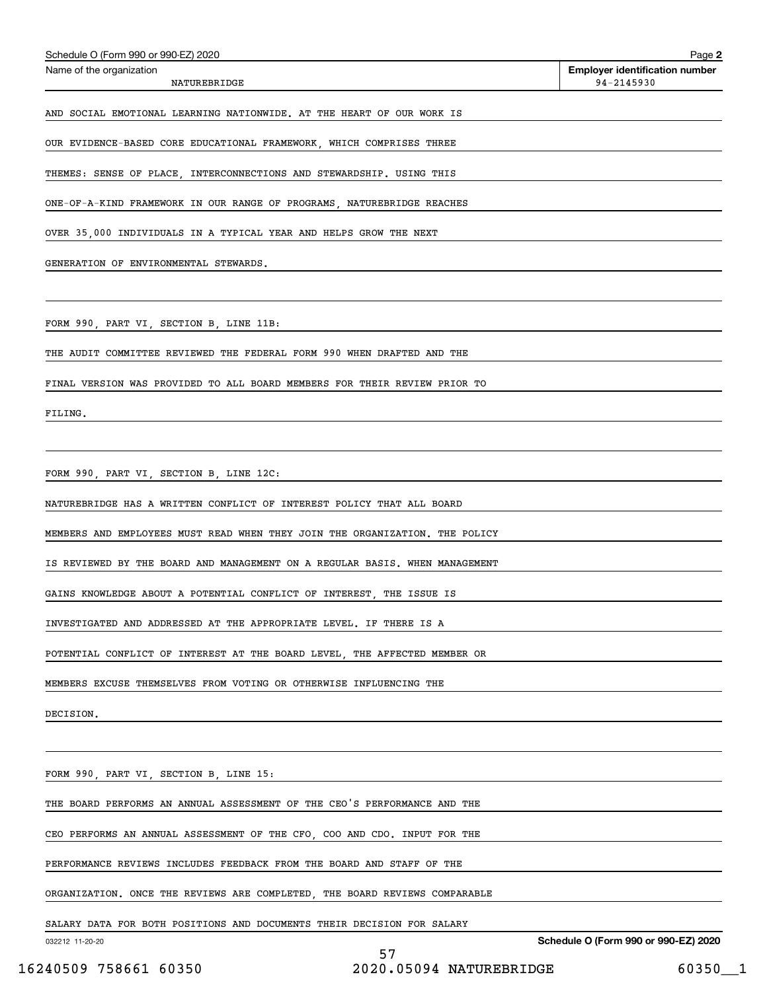| Schedule O (Form 990 or 990-EZ) 2020                                        | Page 2                                                  |
|-----------------------------------------------------------------------------|---------------------------------------------------------|
| Name of the organization<br>NATUREBRIDGE                                    | <b>Employer identification number</b><br>$94 - 2145930$ |
| AND SOCIAL EMOTIONAL LEARNING NATIONWIDE. AT THE HEART OF OUR WORK IS       |                                                         |
| OUR EVIDENCE-BASED CORE EDUCATIONAL FRAMEWORK, WHICH COMPRISES THREE        |                                                         |
| THEMES: SENSE OF PLACE, INTERCONNECTIONS AND STEWARDSHIP. USING THIS        |                                                         |
| ONE-OF-A-KIND FRAMEWORK IN OUR RANGE OF PROGRAMS, NATUREBRIDGE REACHES      |                                                         |
| OVER 35,000 INDIVIDUALS IN A TYPICAL YEAR AND HELPS GROW THE NEXT           |                                                         |
| GENERATION OF ENVIRONMENTAL STEWARDS.                                       |                                                         |
|                                                                             |                                                         |
| FORM 990, PART VI, SECTION B, LINE 11B:                                     |                                                         |
| THE AUDIT COMMITTEE REVIEWED THE FEDERAL FORM 990 WHEN DRAFTED AND THE      |                                                         |
| FINAL VERSION WAS PROVIDED TO ALL BOARD MEMBERS FOR THEIR REVIEW PRIOR TO   |                                                         |
| FILING.                                                                     |                                                         |
|                                                                             |                                                         |
| FORM 990, PART VI, SECTION B, LINE 12C:                                     |                                                         |
| NATUREBRIDGE HAS A WRITTEN CONFLICT OF INTEREST POLICY THAT ALL BOARD       |                                                         |
| MEMBERS AND EMPLOYEES MUST READ WHEN THEY JOIN THE ORGANIZATION. THE POLICY |                                                         |
| IS REVIEWED BY THE BOARD AND MANAGEMENT ON A REGULAR BASIS. WHEN MANAGEMENT |                                                         |
| GAINS KNOWLEDGE ABOUT A POTENTIAL CONFLICT OF INTEREST, THE ISSUE IS        |                                                         |
| INVESTIGATED AND ADDRESSED AT THE APPROPRIATE LEVEL. IF THERE IS A          |                                                         |
| POTENTIAL CONFLICT OF INTEREST AT THE BOARD LEVEL, THE AFFECTED MEMBER OR   |                                                         |
| MEMBERS EXCUSE THEMSELVES FROM VOTING OR OTHERWISE INFLUENCING THE          |                                                         |
| DECISION.                                                                   |                                                         |
|                                                                             |                                                         |
| FORM 990, PART VI, SECTION B, LINE 15:                                      |                                                         |
| THE BOARD PERFORMS AN ANNUAL ASSESSMENT OF THE CEO'S PERFORMANCE AND THE    |                                                         |
| CEO PERFORMS AN ANNUAL ASSESSMENT OF THE CFO, COO AND CDO. INPUT FOR THE    |                                                         |
| PERFORMANCE REVIEWS INCLUDES FEEDBACK FROM THE BOARD AND STAFF OF THE       |                                                         |
| ORGANIZATION. ONCE THE REVIEWS ARE COMPLETED, THE BOARD REVIEWS COMPARABLE  |                                                         |
| SALARY DATA FOR BOTH POSITIONS AND DOCUMENTS THEIR DECISION FOR SALARY      |                                                         |
| 032212 11-20-20                                                             | Schedule O (Form 990 or 990-EZ) 2020                    |

57 16240509 758661 60350 2020.05094 NATUREBRIDGE 60350\_\_1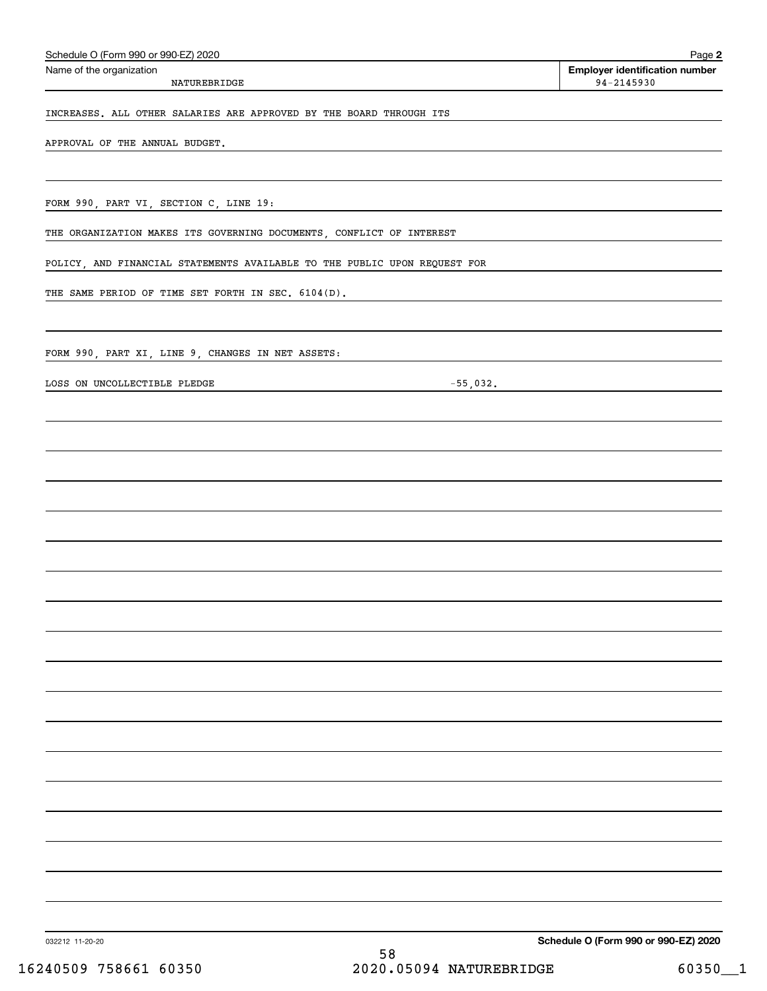| Schedule O (Form 990 or 990-EZ) 2020                                      | Page 2                                                  |
|---------------------------------------------------------------------------|---------------------------------------------------------|
| Name of the organization<br>NATUREBRIDGE                                  | <b>Employer identification number</b><br>$94 - 2145930$ |
| INCREASES. ALL OTHER SALARIES ARE APPROVED BY THE BOARD THROUGH ITS       |                                                         |
|                                                                           |                                                         |
| APPROVAL OF THE ANNUAL BUDGET.                                            |                                                         |
|                                                                           |                                                         |
| FORM 990, PART VI, SECTION C, LINE 19:                                    |                                                         |
| THE ORGANIZATION MAKES ITS GOVERNING DOCUMENTS, CONFLICT OF INTEREST      |                                                         |
| POLICY, AND FINANCIAL STATEMENTS AVAILABLE TO THE PUBLIC UPON REQUEST FOR |                                                         |
| THE SAME PERIOD OF TIME SET FORTH IN SEC. 6104(D).                        |                                                         |
|                                                                           |                                                         |
|                                                                           |                                                         |
| FORM 990, PART XI, LINE 9, CHANGES IN NET ASSETS:                         |                                                         |
| $-55,032.$<br>LOSS ON UNCOLLECTIBLE PLEDGE                                |                                                         |
|                                                                           |                                                         |
|                                                                           |                                                         |
|                                                                           |                                                         |
|                                                                           |                                                         |
|                                                                           |                                                         |
|                                                                           |                                                         |
|                                                                           |                                                         |
|                                                                           |                                                         |
|                                                                           |                                                         |
|                                                                           |                                                         |
|                                                                           |                                                         |
|                                                                           |                                                         |
|                                                                           |                                                         |
|                                                                           |                                                         |
|                                                                           |                                                         |
|                                                                           |                                                         |
|                                                                           |                                                         |
|                                                                           |                                                         |
|                                                                           |                                                         |
|                                                                           |                                                         |
|                                                                           |                                                         |
| 032212 11-20-20                                                           | Schedule O (Form 990 or 990-EZ) 2020                    |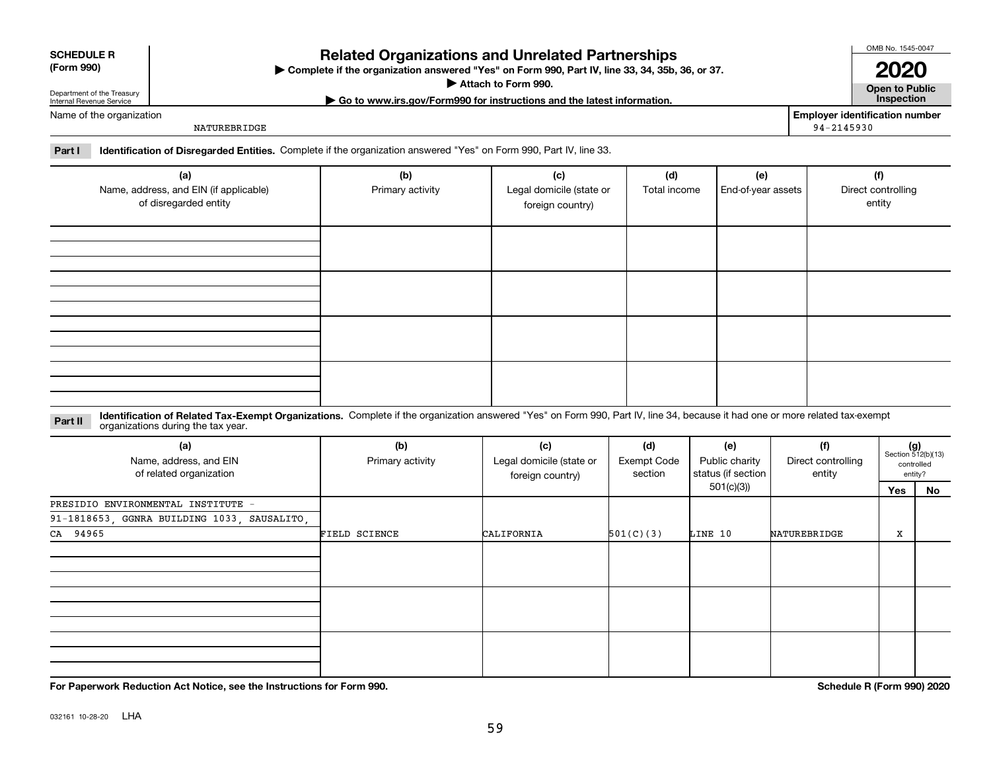| <b>SCHEDULE R</b>      |  |
|------------------------|--|
| $T_{\text{max}}$ $000$ |  |

#### **(Form 990)**

## **Related Organizations and Unrelated Partnerships**

**Complete if the organization answered "Yes" on Form 990, Part IV, line 33, 34, 35b, 36, or 37.** |

**Attach to Form 990.**  |

**| Go to www.irs.gov/Form990 for instructions and the latest information. Inspection**

**2020**

OMB No. 1545-0047

**Open to Public**

Name of the organization

Department of the Treasury Internal Revenue Service

NATUREBRIDGE

**Employer identification number** 94-2145930

**Part I Identification of Disregarded Entities.**  Complete if the organization answered "Yes" on Form 990, Part IV, line 33.

| (a)<br>Name, address, and EIN (if applicable)<br>of disregarded entity | (b)<br>Primary activity | (c)<br>Legal domicile (state or<br>foreign country) | (d)<br>Total income | (e)<br>End-of-year assets | (f)<br>Direct controlling<br>entity |
|------------------------------------------------------------------------|-------------------------|-----------------------------------------------------|---------------------|---------------------------|-------------------------------------|
|                                                                        |                         |                                                     |                     |                           |                                     |
|                                                                        |                         |                                                     |                     |                           |                                     |
|                                                                        |                         |                                                     |                     |                           |                                     |
|                                                                        |                         |                                                     |                     |                           |                                     |

**Identification of Related Tax-Exempt Organizations.** Complete if the organization answered "Yes" on Form 990, Part IV, line 34, because it had one or more related tax-exempt **Part II** organizations during the tax year.

| (a)<br>Name, address, and EIN<br>of related organization | (b)<br>Primary activity | (c)<br>Legal domicile (state or<br>foreign country) | (d)<br>Exempt Code<br>section | (e)<br>Public charity<br>status (if section | (f)<br>Direct controlling<br>entity | $(g)$<br>Section 512(b)(13)<br>controlled<br>entity? |    |
|----------------------------------------------------------|-------------------------|-----------------------------------------------------|-------------------------------|---------------------------------------------|-------------------------------------|------------------------------------------------------|----|
|                                                          |                         |                                                     |                               | 501(c)(3))                                  |                                     | Yes                                                  | No |
| PRESIDIO ENVIRONMENTAL INSTITUTE -                       |                         |                                                     |                               |                                             |                                     |                                                      |    |
| 91-1818653, GGNRA BUILDING 1033, SAUSALITO,              |                         |                                                     |                               |                                             |                                     |                                                      |    |
| CA 94965                                                 | FIELD SCIENCE           | CALIFORNIA                                          | 501(C)(3)                     | LINE 10                                     | NATUREBRIDGE                        | x                                                    |    |
|                                                          |                         |                                                     |                               |                                             |                                     |                                                      |    |
|                                                          |                         |                                                     |                               |                                             |                                     |                                                      |    |
|                                                          |                         |                                                     |                               |                                             |                                     |                                                      |    |

**For Paperwork Reduction Act Notice, see the Instructions for Form 990. Schedule R (Form 990) 2020**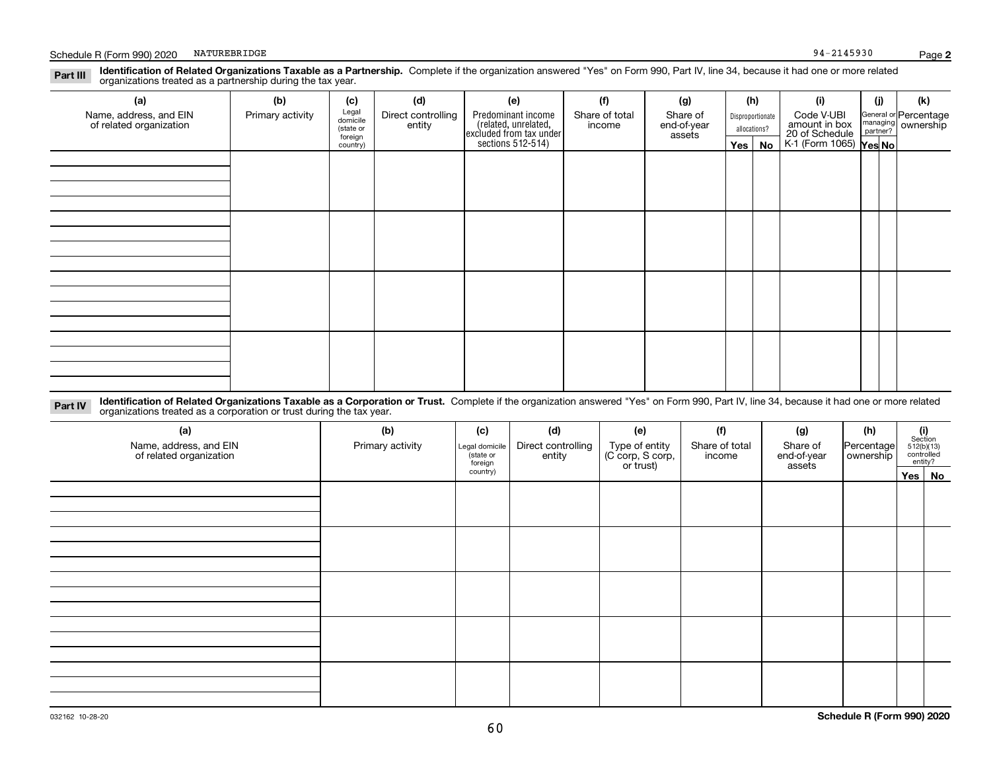#### **Identification of Related Organizations Taxable as a Partnership.** Complete if the organization answered "Yes" on Form 990, Part IV, line 34, because it had one or more related **Part III** organizations treated as a partnership during the tax year.

| (a)                                               | (b)              | (c)                  | (d) | (e)                                                                  | (f)    | (g)    |              | (h)               | (i)                                                       | (j)                | (k)            |                         |                  |  |            |  |                                                         |
|---------------------------------------------------|------------------|----------------------|-----|----------------------------------------------------------------------|--------|--------|--------------|-------------------|-----------------------------------------------------------|--------------------|----------------|-------------------------|------------------|--|------------|--|---------------------------------------------------------|
| Name, address, and EIN<br>of related organization | Primary activity |                      |     |                                                                      |        |        |              | Legal<br>domicile | Direct controlling<br>entity                              | Predominant income | Share of total | Share of<br>end-of-year | Disproportionate |  | Code V-UBI |  | General or Percentage<br>managing ownership<br>partner? |
|                                                   |                  | (state or<br>foreign |     | (related, unrelated,<br>excluded from tax under<br>sections 512-514) | income | assets | allocations? |                   |                                                           |                    |                |                         |                  |  |            |  |                                                         |
|                                                   |                  | country)             |     |                                                                      |        |        |              | Yes   No          | amount in box<br>20 of Schedule<br>K-1 (Form 1065) Yes No |                    |                |                         |                  |  |            |  |                                                         |
|                                                   |                  |                      |     |                                                                      |        |        |              |                   |                                                           |                    |                |                         |                  |  |            |  |                                                         |
|                                                   |                  |                      |     |                                                                      |        |        |              |                   |                                                           |                    |                |                         |                  |  |            |  |                                                         |
|                                                   |                  |                      |     |                                                                      |        |        |              |                   |                                                           |                    |                |                         |                  |  |            |  |                                                         |
|                                                   |                  |                      |     |                                                                      |        |        |              |                   |                                                           |                    |                |                         |                  |  |            |  |                                                         |
|                                                   |                  |                      |     |                                                                      |        |        |              |                   |                                                           |                    |                |                         |                  |  |            |  |                                                         |
|                                                   |                  |                      |     |                                                                      |        |        |              |                   |                                                           |                    |                |                         |                  |  |            |  |                                                         |
|                                                   |                  |                      |     |                                                                      |        |        |              |                   |                                                           |                    |                |                         |                  |  |            |  |                                                         |
|                                                   |                  |                      |     |                                                                      |        |        |              |                   |                                                           |                    |                |                         |                  |  |            |  |                                                         |
|                                                   |                  |                      |     |                                                                      |        |        |              |                   |                                                           |                    |                |                         |                  |  |            |  |                                                         |
|                                                   |                  |                      |     |                                                                      |        |        |              |                   |                                                           |                    |                |                         |                  |  |            |  |                                                         |
|                                                   |                  |                      |     |                                                                      |        |        |              |                   |                                                           |                    |                |                         |                  |  |            |  |                                                         |
|                                                   |                  |                      |     |                                                                      |        |        |              |                   |                                                           |                    |                |                         |                  |  |            |  |                                                         |
|                                                   |                  |                      |     |                                                                      |        |        |              |                   |                                                           |                    |                |                         |                  |  |            |  |                                                         |
|                                                   |                  |                      |     |                                                                      |        |        |              |                   |                                                           |                    |                |                         |                  |  |            |  |                                                         |
|                                                   |                  |                      |     |                                                                      |        |        |              |                   |                                                           |                    |                |                         |                  |  |            |  |                                                         |
|                                                   |                  |                      |     |                                                                      |        |        |              |                   |                                                           |                    |                |                         |                  |  |            |  |                                                         |
|                                                   |                  |                      |     |                                                                      |        |        |              |                   |                                                           |                    |                |                         |                  |  |            |  |                                                         |

**Identification of Related Organizations Taxable as a Corporation or Trust.** Complete if the organization answered "Yes" on Form 990, Part IV, line 34, because it had one or more related **Part IV** organizations treated as a corporation or trust during the tax year.

| (a)<br>Name, address, and EIN<br>of related organization | (b)<br>Primary activity | (c)<br>Legal domicile<br>(state or<br>foreign<br>country) | (d)<br>Direct controlling<br>entity | (e)<br>Type of entity<br>(C corp, S corp,<br>or trust) | (f)<br>Share of total<br>income | (g)<br>Share of<br>end-of-year<br>assets | (h)<br>Percentage<br>ownership | $\begin{array}{c} \textbf{(i)}\\ \text{Section}\\ 512 \text{(b)} \text{(13)}\\ \text{controlled}\\ \text{entity?} \end{array}$ |
|----------------------------------------------------------|-------------------------|-----------------------------------------------------------|-------------------------------------|--------------------------------------------------------|---------------------------------|------------------------------------------|--------------------------------|--------------------------------------------------------------------------------------------------------------------------------|
|                                                          |                         |                                                           |                                     |                                                        |                                 |                                          |                                | Yes No                                                                                                                         |
|                                                          |                         |                                                           |                                     |                                                        |                                 |                                          |                                |                                                                                                                                |
|                                                          |                         |                                                           |                                     |                                                        |                                 |                                          |                                |                                                                                                                                |
|                                                          |                         |                                                           |                                     |                                                        |                                 |                                          |                                |                                                                                                                                |
|                                                          |                         |                                                           |                                     |                                                        |                                 |                                          |                                |                                                                                                                                |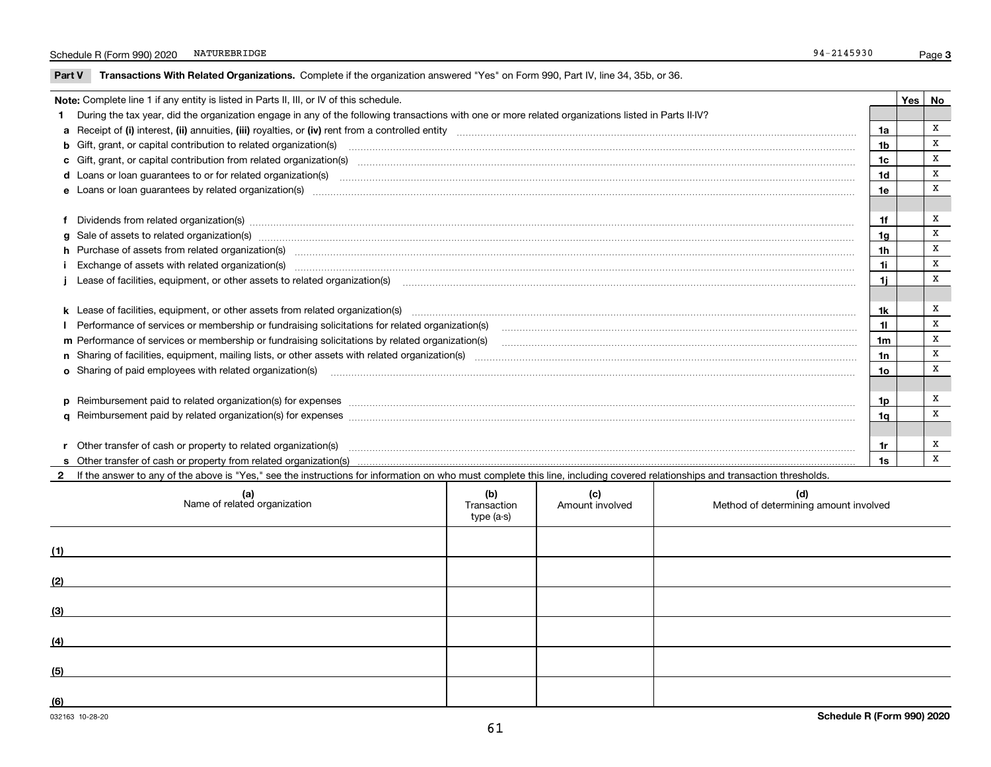#### Schedule R (Form 990) 2020 NATUREBRIDGE 34-2145930 NATUREBRIDGE

**Part V** T**ransactions With Related Organizations.** Complete if the organization answered "Yes" on Form 990, Part IV, line 34, 35b, or 36.

| Note: Complete line 1 if any entity is listed in Parts II, III, or IV of this schedule. |                                                                                                                                                                                                                                |                |  |   |  |
|-----------------------------------------------------------------------------------------|--------------------------------------------------------------------------------------------------------------------------------------------------------------------------------------------------------------------------------|----------------|--|---|--|
|                                                                                         | 1 During the tax year, did the organization engage in any of the following transactions with one or more related organizations listed in Parts II-IV?                                                                          |                |  |   |  |
|                                                                                         |                                                                                                                                                                                                                                | 1a             |  | x |  |
|                                                                                         | b Gift, grant, or capital contribution to related organization(s) material contracts and contribution to related organization(s)                                                                                               | 1b             |  | X |  |
|                                                                                         | c Gift, grant, or capital contribution from related organization(s) manufaction content to content and contribution from related organization(s) manufaction content and contribution from related organization(s) manufaction | 1c             |  | x |  |
|                                                                                         |                                                                                                                                                                                                                                | 1d             |  | х |  |
| 1e                                                                                      |                                                                                                                                                                                                                                |                |  |   |  |
|                                                                                         |                                                                                                                                                                                                                                |                |  |   |  |
|                                                                                         |                                                                                                                                                                                                                                | 1f             |  | X |  |
|                                                                                         |                                                                                                                                                                                                                                | 1g             |  | X |  |
|                                                                                         | h Purchase of assets from related organization(s) www.assettion.com/www.assettion.com/www.assettion.com/www.assettion.com/www.assettion.com/www.assettion.com/www.assettion.com/www.assettion.com/www.assettion.com/www.assett | 1 <sub>h</sub> |  | X |  |
|                                                                                         |                                                                                                                                                                                                                                | 1i             |  | x |  |
|                                                                                         |                                                                                                                                                                                                                                | 1j             |  | x |  |
|                                                                                         |                                                                                                                                                                                                                                |                |  |   |  |
|                                                                                         |                                                                                                                                                                                                                                | 1k             |  | Х |  |
|                                                                                         |                                                                                                                                                                                                                                | 11             |  | X |  |
|                                                                                         | m Performance of services or membership or fundraising solicitations by related organization(s)                                                                                                                                | 1 <sub>m</sub> |  | X |  |
|                                                                                         |                                                                                                                                                                                                                                | 1n             |  | X |  |
|                                                                                         | <b>o</b> Sharing of paid employees with related organization(s)                                                                                                                                                                | 1o             |  | X |  |
|                                                                                         |                                                                                                                                                                                                                                |                |  |   |  |
|                                                                                         | p Reimbursement paid to related organization(s) for expenses [11111] [12] reasonal content of the separation (s) for expenses [11111] [12] reasonal content in the separation (s) for expenses [1111] [12] reasonal content in | 1p             |  | x |  |
|                                                                                         |                                                                                                                                                                                                                                | 1q             |  | X |  |
|                                                                                         |                                                                                                                                                                                                                                |                |  |   |  |
|                                                                                         | r Other transfer of cash or property to related organization(s)                                                                                                                                                                | 1r             |  | X |  |
|                                                                                         |                                                                                                                                                                                                                                | 1s             |  | x |  |
|                                                                                         | 2 If the answer to any of the above is "Yes," see the instructions for information on who must complete this line, including covered relationships and transaction thresholds.                                                 |                |  |   |  |

| (a)<br>Name of related organization | (b)<br>Transaction<br>type (a-s) | (c)<br>Amount involved | (d)<br>Method of determining amount involved |
|-------------------------------------|----------------------------------|------------------------|----------------------------------------------|
| (1)                                 |                                  |                        |                                              |
| (2)                                 |                                  |                        |                                              |
| (3)                                 |                                  |                        |                                              |
| (4)                                 |                                  |                        |                                              |
| (5)                                 |                                  |                        |                                              |
| (6)                                 |                                  |                        |                                              |